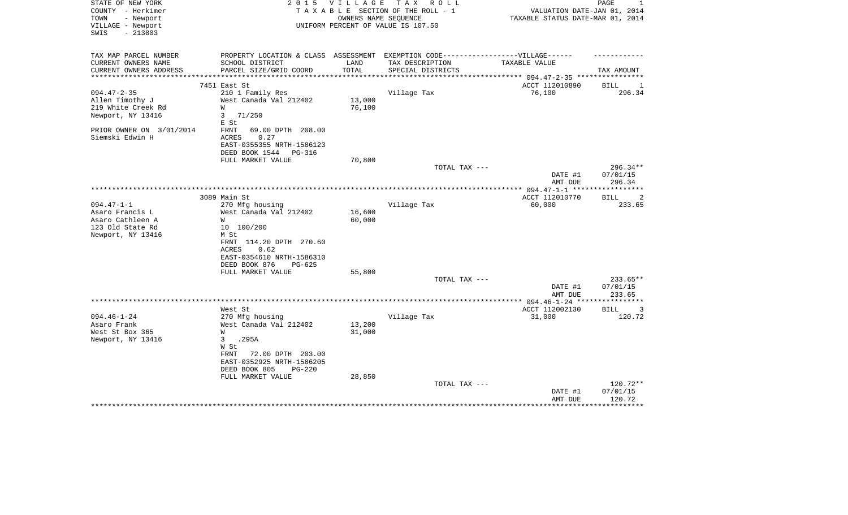| STATE OF NEW YORK<br>COUNTY - Herkimer<br>TOWN<br>- Newport | 2 0 1 5                                                                          | VILLAGE | TAX ROLL<br>TAXABLE SECTION OF THE ROLL - 1<br>OWNERS NAME SEQUENCE | VALUATION DATE-JAN 01, 2014<br>TAXABLE STATUS DATE-MAR 01, 2014 | PAGE<br>1                      |
|-------------------------------------------------------------|----------------------------------------------------------------------------------|---------|---------------------------------------------------------------------|-----------------------------------------------------------------|--------------------------------|
| VILLAGE - Newport<br>$-213803$<br>SWIS                      |                                                                                  |         | UNIFORM PERCENT OF VALUE IS 107.50                                  |                                                                 |                                |
| TAX MAP PARCEL NUMBER                                       | PROPERTY LOCATION & CLASS ASSESSMENT EXEMPTION CODE----------------VILLAGE------ |         |                                                                     |                                                                 |                                |
| CURRENT OWNERS NAME                                         | SCHOOL DISTRICT                                                                  | LAND    | TAX DESCRIPTION                                                     | TAXABLE VALUE                                                   |                                |
| CURRENT OWNERS ADDRESS<br>**********************            | PARCEL SIZE/GRID COORD                                                           | TOTAL   | SPECIAL DISTRICTS                                                   |                                                                 | TAX AMOUNT                     |
|                                                             | 7451 East St                                                                     |         |                                                                     | ACCT 112010890                                                  | BILL<br>-1                     |
| $094.47 - 2 - 35$                                           | 210 1 Family Res                                                                 |         | Village Tax                                                         | 76,100                                                          | 296.34                         |
| Allen Timothy J                                             | West Canada Val 212402                                                           | 13,000  |                                                                     |                                                                 |                                |
| 219 White Creek Rd                                          | W                                                                                | 76,100  |                                                                     |                                                                 |                                |
| Newport, NY 13416                                           | $\mathbf{3}$<br>71/250<br>E St                                                   |         |                                                                     |                                                                 |                                |
| PRIOR OWNER ON 3/01/2014                                    | FRNT<br>69.00 DPTH 208.00                                                        |         |                                                                     |                                                                 |                                |
| Siemski Edwin H                                             | ACRES<br>0.27                                                                    |         |                                                                     |                                                                 |                                |
|                                                             | EAST-0355355 NRTH-1586123                                                        |         |                                                                     |                                                                 |                                |
|                                                             | DEED BOOK 1544<br>PG-316                                                         |         |                                                                     |                                                                 |                                |
|                                                             | FULL MARKET VALUE                                                                | 70,800  |                                                                     |                                                                 |                                |
|                                                             |                                                                                  |         | TOTAL TAX ---                                                       | DATE #1<br>AMT DUE                                              | 296.34**<br>07/01/15<br>296.34 |
|                                                             |                                                                                  |         |                                                                     | ***************** 094.47-1-1 *****                              | ************                   |
|                                                             | 3089 Main St                                                                     |         |                                                                     | ACCT 112010770                                                  | BILL<br>2                      |
| $094.47 - 1 - 1$                                            | 270 Mfg housing                                                                  |         | Village Tax                                                         | 60,000                                                          | 233.65                         |
| Asaro Francis L                                             | West Canada Val 212402                                                           | 16,600  |                                                                     |                                                                 |                                |
| Asaro Cathleen A                                            | W                                                                                | 60,000  |                                                                     |                                                                 |                                |
| 123 Old State Rd                                            | 10 100/200                                                                       |         |                                                                     |                                                                 |                                |
| Newport, NY 13416                                           | M St                                                                             |         |                                                                     |                                                                 |                                |
|                                                             | FRNT 114.20 DPTH 270.60                                                          |         |                                                                     |                                                                 |                                |
|                                                             | 0.62<br>ACRES                                                                    |         |                                                                     |                                                                 |                                |
|                                                             | EAST-0354610 NRTH-1586310<br>DEED BOOK 876<br>$PG-625$                           |         |                                                                     |                                                                 |                                |
|                                                             | FULL MARKET VALUE                                                                | 55,800  |                                                                     |                                                                 |                                |
|                                                             |                                                                                  |         | TOTAL TAX ---                                                       |                                                                 | $233.65**$                     |
|                                                             |                                                                                  |         |                                                                     | DATE #1                                                         | 07/01/15                       |
|                                                             |                                                                                  |         |                                                                     | AMT DUE                                                         | 233.65                         |
|                                                             |                                                                                  |         |                                                                     |                                                                 |                                |
|                                                             | West St                                                                          |         |                                                                     | ACCT 112002130                                                  | <b>BILL</b><br>3               |
| $094.46 - 1 - 24$                                           | 270 Mfg housing                                                                  |         | Village Tax                                                         | 31,000                                                          | 120.72                         |
| Asaro Frank                                                 | West Canada Val 212402                                                           | 13,200  |                                                                     |                                                                 |                                |
| West St Box 365<br>Newport, NY 13416                        | W<br>3<br>.295A                                                                  | 31,000  |                                                                     |                                                                 |                                |
|                                                             | W St                                                                             |         |                                                                     |                                                                 |                                |
|                                                             | 72.00 DPTH 203.00<br>FRNT                                                        |         |                                                                     |                                                                 |                                |
|                                                             | EAST-0352925 NRTH-1586205                                                        |         |                                                                     |                                                                 |                                |
|                                                             | DEED BOOK 805<br>$PG-220$                                                        |         |                                                                     |                                                                 |                                |
|                                                             | FULL MARKET VALUE                                                                | 28,850  |                                                                     |                                                                 |                                |
|                                                             |                                                                                  |         | TOTAL TAX ---                                                       |                                                                 | 120.72**                       |
|                                                             |                                                                                  |         |                                                                     | DATE #1                                                         | 07/01/15                       |
|                                                             |                                                                                  |         |                                                                     | AMT DUE                                                         | 120.72                         |
|                                                             |                                                                                  |         |                                                                     |                                                                 |                                |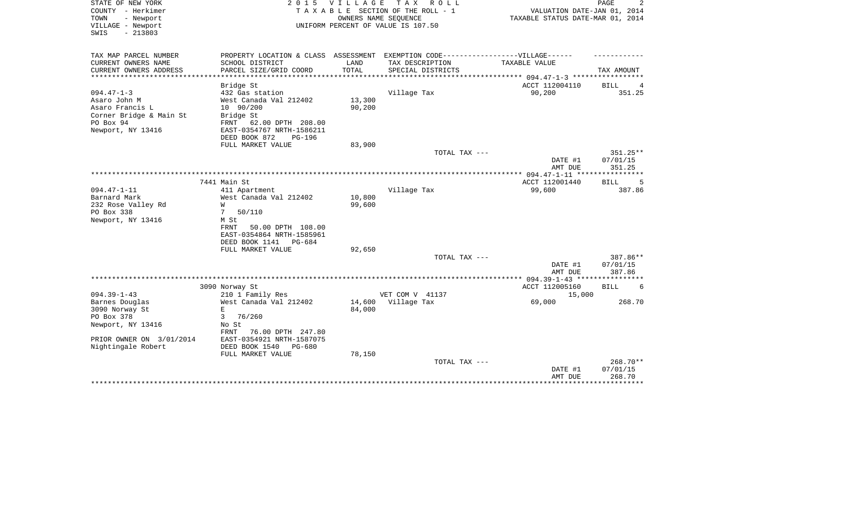| STATE OF NEW YORK<br>COUNTY - Herkimer<br>- Newport<br>TOWN<br>VILLAGE - Newport<br>$-213803$<br>SWIS | 2 0 1 5                                             | V I L L A G E    | T A X<br>R O L L<br>TAXABLE SECTION OF THE ROLL - 1<br>OWNERS NAME SEOUENCE<br>UNIFORM PERCENT OF VALUE IS 107.50 | VALUATION DATE-JAN 01, 2014<br>TAXABLE STATUS DATE-MAR 01, 2014 | PAGE                  |
|-------------------------------------------------------------------------------------------------------|-----------------------------------------------------|------------------|-------------------------------------------------------------------------------------------------------------------|-----------------------------------------------------------------|-----------------------|
| TAX MAP PARCEL NUMBER                                                                                 |                                                     |                  | PROPERTY LOCATION & CLASS ASSESSMENT EXEMPTION CODE-----------------VILLAGE------                                 |                                                                 |                       |
| CURRENT OWNERS NAME<br>CURRENT OWNERS ADDRESS                                                         | SCHOOL DISTRICT<br>PARCEL SIZE/GRID COORD           | LAND<br>TOTAL    | TAX DESCRIPTION<br>SPECIAL DISTRICTS                                                                              | TAXABLE VALUE                                                   | TAX AMOUNT            |
| *************************                                                                             | ************************                            |                  |                                                                                                                   |                                                                 |                       |
|                                                                                                       | Bridge St                                           |                  |                                                                                                                   | ACCT 112004110                                                  | <b>BILL</b><br>4      |
| $094.47 - 1 - 3$                                                                                      | 432 Gas station                                     |                  | Village Tax                                                                                                       | 90,200                                                          | 351.25                |
| Asaro John M                                                                                          | West Canada Val 212402                              | 13,300           |                                                                                                                   |                                                                 |                       |
| Asaro Francis L                                                                                       | 10 90/200                                           | 90,200           |                                                                                                                   |                                                                 |                       |
| Corner Bridge & Main St                                                                               | Bridge St                                           |                  |                                                                                                                   |                                                                 |                       |
| PO Box 94<br>FRNT                                                                                     | 62.00 DPTH 208.00                                   |                  |                                                                                                                   |                                                                 |                       |
| Newport, NY 13416                                                                                     | EAST-0354767 NRTH-1586211                           |                  |                                                                                                                   |                                                                 |                       |
|                                                                                                       | DEED BOOK 872<br><b>PG-196</b><br>FULL MARKET VALUE | 83,900           |                                                                                                                   |                                                                 |                       |
|                                                                                                       |                                                     |                  | TOTAL TAX ---                                                                                                     |                                                                 | 351.25**              |
|                                                                                                       |                                                     |                  |                                                                                                                   | DATE #1                                                         | 07/01/15              |
|                                                                                                       |                                                     |                  |                                                                                                                   | AMT DUE                                                         | 351.25                |
|                                                                                                       |                                                     |                  |                                                                                                                   |                                                                 | * * * * * * * * * * * |
| 7441 Main St                                                                                          |                                                     |                  |                                                                                                                   | ACCT 112001440                                                  | 5<br>BILL             |
| $094.47 - 1 - 11$                                                                                     | 411 Apartment                                       |                  | Village Tax                                                                                                       | 99,600                                                          | 387.86                |
| Barnard Mark                                                                                          | West Canada Val 212402                              | 10,800           |                                                                                                                   |                                                                 |                       |
| 232 Rose Valley Rd<br>W                                                                               |                                                     | 99,600           |                                                                                                                   |                                                                 |                       |
| PO Box 338<br>7                                                                                       | 50/110                                              |                  |                                                                                                                   |                                                                 |                       |
| Newport, NY 13416<br>M St<br>FRNT                                                                     | 50.00 DPTH 108.00                                   |                  |                                                                                                                   |                                                                 |                       |
|                                                                                                       | EAST-0354864 NRTH-1585961                           |                  |                                                                                                                   |                                                                 |                       |
|                                                                                                       | DEED BOOK 1141<br>PG-684                            |                  |                                                                                                                   |                                                                 |                       |
|                                                                                                       | FULL MARKET VALUE                                   | 92,650           |                                                                                                                   |                                                                 |                       |
|                                                                                                       |                                                     |                  | TOTAL TAX ---                                                                                                     |                                                                 | 387.86**              |
|                                                                                                       |                                                     |                  |                                                                                                                   | DATE #1                                                         | 07/01/15              |
|                                                                                                       |                                                     |                  |                                                                                                                   | AMT DUE                                                         | 387.86                |
|                                                                                                       |                                                     |                  | *****************                                                                                                 | $094.39 - 1 - 43$ ****                                          |                       |
| 3090 Norway St                                                                                        |                                                     |                  |                                                                                                                   | ACCT 112005160                                                  | <b>BILL</b><br>6      |
| $094.39 - 1 - 43$                                                                                     | 210 1 Family Res                                    |                  | VET COM V 41137                                                                                                   | 15,000                                                          | 268.70                |
| Barnes Douglas<br>E.<br>3090 Norway St                                                                | West Canada Val 212402                              | 14,600<br>84,000 | Village Tax                                                                                                       | 69,000                                                          |                       |
| PO Box 378<br>3                                                                                       | 76/260                                              |                  |                                                                                                                   |                                                                 |                       |
| Newport, NY 13416<br>No St                                                                            |                                                     |                  |                                                                                                                   |                                                                 |                       |
| FRNT                                                                                                  | 76.00 DPTH 247.80                                   |                  |                                                                                                                   |                                                                 |                       |
| PRIOR OWNER ON 3/01/2014                                                                              | EAST-0354921 NRTH-1587075                           |                  |                                                                                                                   |                                                                 |                       |
| Nightingale Robert                                                                                    | DEED BOOK 1540<br>PG-680                            |                  |                                                                                                                   |                                                                 |                       |
|                                                                                                       | FULL MARKET VALUE                                   | 78,150           |                                                                                                                   |                                                                 |                       |
|                                                                                                       |                                                     |                  | TOTAL TAX ---                                                                                                     |                                                                 | 268.70**              |
|                                                                                                       |                                                     |                  |                                                                                                                   | DATE #1                                                         | 07/01/15              |
|                                                                                                       |                                                     |                  |                                                                                                                   | AMT DUE<br>********************************                     | 268.70                |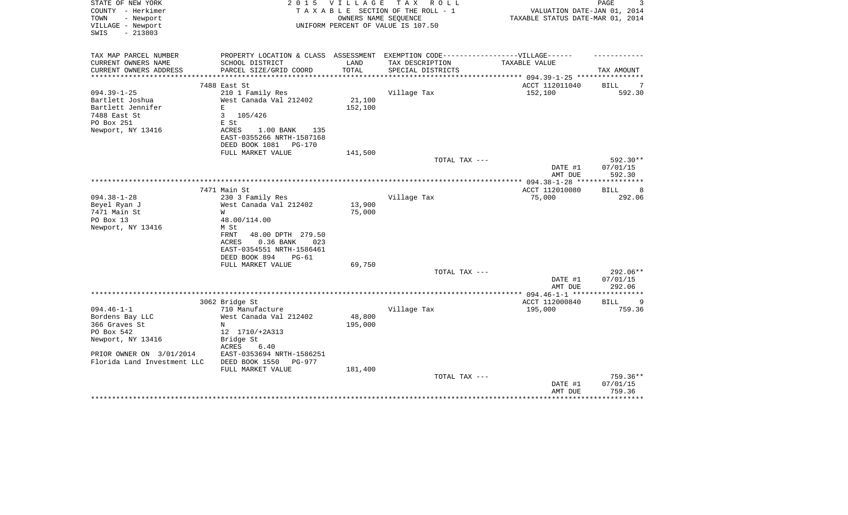| STATE OF NEW YORK<br>COUNTY - Herkimer | 2 0 1 5                                                                           | V I L L A G E | TAX ROLL<br>TAXABLE SECTION OF THE ROLL - 1 | VALUATION DATE-JAN 01, 2014                     | 3<br>PAGE   |
|----------------------------------------|-----------------------------------------------------------------------------------|---------------|---------------------------------------------|-------------------------------------------------|-------------|
| TOWN<br>- Newport                      |                                                                                   |               | OWNERS NAME SEQUENCE                        | TAXABLE STATUS DATE-MAR 01, 2014                |             |
| VILLAGE - Newport                      |                                                                                   |               | UNIFORM PERCENT OF VALUE IS 107.50          |                                                 |             |
| SWIS<br>$-213803$                      |                                                                                   |               |                                             |                                                 |             |
|                                        |                                                                                   |               |                                             |                                                 |             |
| TAX MAP PARCEL NUMBER                  | PROPERTY LOCATION & CLASS ASSESSMENT EXEMPTION CODE-----------------VILLAGE------ |               |                                             |                                                 |             |
| CURRENT OWNERS NAME                    | SCHOOL DISTRICT                                                                   | LAND          | TAX DESCRIPTION                             | TAXABLE VALUE                                   |             |
| CURRENT OWNERS ADDRESS                 | PARCEL SIZE/GRID COORD                                                            | TOTAL         | SPECIAL DISTRICTS                           |                                                 | TAX AMOUNT  |
|                                        |                                                                                   |               |                                             | *********** 094.39-1-25 *********               |             |
|                                        | 7488 East St                                                                      |               |                                             | ACCT 112011040                                  | BILL<br>7   |
| $094.39 - 1 - 25$                      | 210 1 Family Res                                                                  |               | Village Tax                                 | 152,100                                         | 592.30      |
| Bartlett Joshua                        | West Canada Val 212402                                                            | 21,100        |                                             |                                                 |             |
| Bartlett Jennifer                      | E                                                                                 | 152,100       |                                             |                                                 |             |
| 7488 East St                           | 3<br>105/426                                                                      |               |                                             |                                                 |             |
| PO Box 251                             | E St                                                                              |               |                                             |                                                 |             |
| Newport, NY 13416                      | ACRES<br>$1.00$ BANK<br>135                                                       |               |                                             |                                                 |             |
|                                        | EAST-0355266 NRTH-1587168                                                         |               |                                             |                                                 |             |
|                                        | DEED BOOK 1081<br>PG-170                                                          |               |                                             |                                                 |             |
|                                        | FULL MARKET VALUE                                                                 | 141,500       |                                             |                                                 |             |
|                                        |                                                                                   |               | TOTAL TAX ---                               |                                                 | 592.30**    |
|                                        |                                                                                   |               |                                             | DATE #1                                         | 07/01/15    |
|                                        |                                                                                   |               |                                             | AMT DUE                                         | 592.30      |
|                                        |                                                                                   |               |                                             |                                                 | *********** |
|                                        | 7471 Main St                                                                      |               |                                             | ACCT 112010080                                  | BILL<br>8   |
| $094.38 - 1 - 28$                      | 230 3 Family Res                                                                  |               | Village Tax                                 | 75,000                                          | 292.06      |
| Beyel Ryan J                           | West Canada Val 212402                                                            | 13,900        |                                             |                                                 |             |
| 7471 Main St                           | W                                                                                 | 75,000        |                                             |                                                 |             |
| PO Box 13                              | 48.00/114.00                                                                      |               |                                             |                                                 |             |
| Newport, NY 13416                      | M St                                                                              |               |                                             |                                                 |             |
|                                        | FRNT<br>48.00 DPTH 279.50                                                         |               |                                             |                                                 |             |
|                                        | 0.36 BANK<br>ACRES<br>023                                                         |               |                                             |                                                 |             |
|                                        | EAST-0354551 NRTH-1586461<br>DEED BOOK 894<br>$PG-61$                             |               |                                             |                                                 |             |
|                                        | FULL MARKET VALUE                                                                 | 69,750        |                                             |                                                 |             |
|                                        |                                                                                   |               | TOTAL TAX ---                               |                                                 | 292.06**    |
|                                        |                                                                                   |               |                                             | DATE #1                                         | 07/01/15    |
|                                        |                                                                                   |               |                                             | AMT DUE                                         | 292.06      |
|                                        |                                                                                   |               |                                             | ***************** 094.46-1-1 ****************** |             |
|                                        | 3062 Bridge St                                                                    |               |                                             | ACCT 112000840                                  | BILL<br>9   |
| $094.46 - 1 - 1$                       | 710 Manufacture                                                                   |               | Village Tax                                 | 195,000                                         | 759.36      |
| Bordens Bay LLC                        | West Canada Val 212402                                                            | 48,800        |                                             |                                                 |             |
| 366 Graves St                          | N                                                                                 | 195,000       |                                             |                                                 |             |
| PO Box 542                             | 12 1710/+2A313                                                                    |               |                                             |                                                 |             |
| Newport, NY 13416                      | Bridge St                                                                         |               |                                             |                                                 |             |
|                                        | ACRES<br>6.40                                                                     |               |                                             |                                                 |             |
| PRIOR OWNER ON 3/01/2014               | EAST-0353694 NRTH-1586251                                                         |               |                                             |                                                 |             |
| Florida Land Investment LLC            | DEED BOOK 1550<br>$PG-977$                                                        |               |                                             |                                                 |             |
|                                        | FULL MARKET VALUE                                                                 | 181,400       |                                             |                                                 |             |
|                                        |                                                                                   |               | TOTAL TAX ---                               |                                                 | 759.36**    |
|                                        |                                                                                   |               |                                             | DATE #1                                         | 07/01/15    |
|                                        |                                                                                   |               |                                             | AMT DUE                                         | 759.36      |
|                                        |                                                                                   |               |                                             |                                                 | *********   |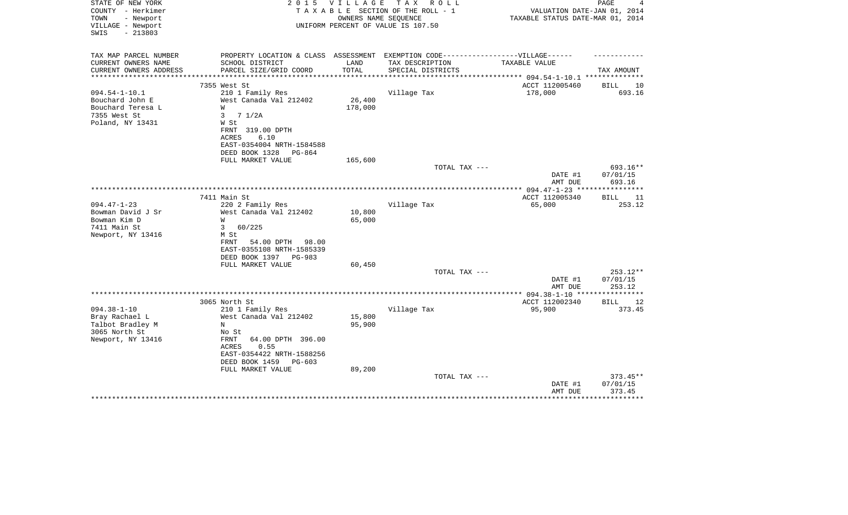| STATE OF NEW YORK<br>COUNTY - Herkimer<br>- Newport<br>TOWN<br>VILLAGE - Newport<br>$-213803$<br>SWIS | 2 0 1 5                                                                          | VILLAGE          | TAX ROLL<br>TAXABLE SECTION OF THE ROLL - 1<br>OWNERS NAME SEQUENCE<br>UNIFORM PERCENT OF VALUE IS 107.50 | VALUATION DATE-JAN 01, 2014<br>TAXABLE STATUS DATE-MAR 01, 2014 | PAGE<br>4         |
|-------------------------------------------------------------------------------------------------------|----------------------------------------------------------------------------------|------------------|-----------------------------------------------------------------------------------------------------------|-----------------------------------------------------------------|-------------------|
| TAX MAP PARCEL NUMBER                                                                                 | PROPERTY LOCATION & CLASS ASSESSMENT EXEMPTION CODE----------------VILLAGE------ |                  |                                                                                                           |                                                                 |                   |
| CURRENT OWNERS NAME<br>CURRENT OWNERS ADDRESS                                                         | SCHOOL DISTRICT<br>PARCEL SIZE/GRID COORD                                        | LAND<br>TOTAL    | TAX DESCRIPTION<br>SPECIAL DISTRICTS                                                                      | TAXABLE VALUE<br>********* 094.54-1-10.1 ******                 | TAX AMOUNT        |
|                                                                                                       | 7355 West St                                                                     |                  |                                                                                                           | ACCT 112005460                                                  | BILL<br>10        |
| $094.54 - 1 - 10.1$                                                                                   | 210 1 Family Res                                                                 |                  | Village Tax                                                                                               | 178,000                                                         | 693.16            |
| Bouchard John E                                                                                       | West Canada Val 212402                                                           | 26,400           |                                                                                                           |                                                                 |                   |
| Bouchard Teresa L                                                                                     | W                                                                                | 178,000          |                                                                                                           |                                                                 |                   |
| 7355 West St                                                                                          | $\mathbf{3}$<br>7 1/2A                                                           |                  |                                                                                                           |                                                                 |                   |
| Poland, NY 13431                                                                                      | W St                                                                             |                  |                                                                                                           |                                                                 |                   |
|                                                                                                       | FRNT 319.00 DPTH                                                                 |                  |                                                                                                           |                                                                 |                   |
|                                                                                                       | 6.10<br>ACRES                                                                    |                  |                                                                                                           |                                                                 |                   |
|                                                                                                       | EAST-0354004 NRTH-1584588                                                        |                  |                                                                                                           |                                                                 |                   |
|                                                                                                       | DEED BOOK 1328<br>PG-864                                                         |                  |                                                                                                           |                                                                 |                   |
|                                                                                                       | FULL MARKET VALUE                                                                | 165,600          |                                                                                                           |                                                                 |                   |
|                                                                                                       |                                                                                  |                  | TOTAL TAX ---                                                                                             |                                                                 | 693.16**          |
|                                                                                                       |                                                                                  |                  |                                                                                                           | DATE #1                                                         | 07/01/15          |
|                                                                                                       |                                                                                  |                  |                                                                                                           | AMT DUE                                                         | 693.16            |
|                                                                                                       | 7411 Main St                                                                     |                  |                                                                                                           | ACCT 112005340                                                  |                   |
|                                                                                                       |                                                                                  |                  |                                                                                                           |                                                                 | <b>BILL</b><br>11 |
| $094.47 - 1 - 23$                                                                                     | 220 2 Family Res                                                                 |                  | Village Tax                                                                                               | 65,000                                                          | 253.12            |
| Bowman David J Sr<br>Bowman Kim D                                                                     | West Canada Val 212402<br>W                                                      | 10,800<br>65,000 |                                                                                                           |                                                                 |                   |
| 7411 Main St                                                                                          | $\mathbf{3}$<br>60/225                                                           |                  |                                                                                                           |                                                                 |                   |
| Newport, NY 13416                                                                                     | M St                                                                             |                  |                                                                                                           |                                                                 |                   |
|                                                                                                       | FRNT<br>54.00 DPTH 98.00                                                         |                  |                                                                                                           |                                                                 |                   |
|                                                                                                       | EAST-0355108 NRTH-1585339                                                        |                  |                                                                                                           |                                                                 |                   |
|                                                                                                       | DEED BOOK 1397<br>PG-983                                                         |                  |                                                                                                           |                                                                 |                   |
|                                                                                                       | FULL MARKET VALUE                                                                | 60,450           |                                                                                                           |                                                                 |                   |
|                                                                                                       |                                                                                  |                  | TOTAL TAX ---                                                                                             |                                                                 | 253.12**          |
|                                                                                                       |                                                                                  |                  |                                                                                                           | DATE #1                                                         | 07/01/15          |
|                                                                                                       |                                                                                  |                  |                                                                                                           | AMT DUE                                                         | 253.12            |
|                                                                                                       |                                                                                  |                  |                                                                                                           |                                                                 |                   |
|                                                                                                       | 3065 North St                                                                    |                  |                                                                                                           | ACCT 112002340                                                  | <b>BILL</b><br>12 |
| $094.38 - 1 - 10$                                                                                     | 210 1 Family Res                                                                 |                  | Village Tax                                                                                               | 95,900                                                          | 373.45            |
| Bray Rachael L                                                                                        | West Canada Val 212402                                                           | 15,800           |                                                                                                           |                                                                 |                   |
| Talbot Bradley M                                                                                      | N                                                                                | 95,900           |                                                                                                           |                                                                 |                   |
| 3065 North St                                                                                         | No St                                                                            |                  |                                                                                                           |                                                                 |                   |
| Newport, NY 13416                                                                                     | 64.00 DPTH 396.00<br>FRNT                                                        |                  |                                                                                                           |                                                                 |                   |
|                                                                                                       | 0.55<br>ACRES                                                                    |                  |                                                                                                           |                                                                 |                   |
|                                                                                                       | EAST-0354422 NRTH-1588256                                                        |                  |                                                                                                           |                                                                 |                   |
|                                                                                                       | DEED BOOK 1459<br>PG-603                                                         |                  |                                                                                                           |                                                                 |                   |
|                                                                                                       | FULL MARKET VALUE                                                                | 89,200           |                                                                                                           |                                                                 |                   |
|                                                                                                       |                                                                                  |                  | TOTAL TAX ---                                                                                             |                                                                 | $373.45**$        |
|                                                                                                       |                                                                                  |                  |                                                                                                           | DATE #1                                                         | 07/01/15          |
|                                                                                                       |                                                                                  |                  |                                                                                                           | AMT DUE                                                         | 373.45            |
|                                                                                                       |                                                                                  |                  |                                                                                                           |                                                                 |                   |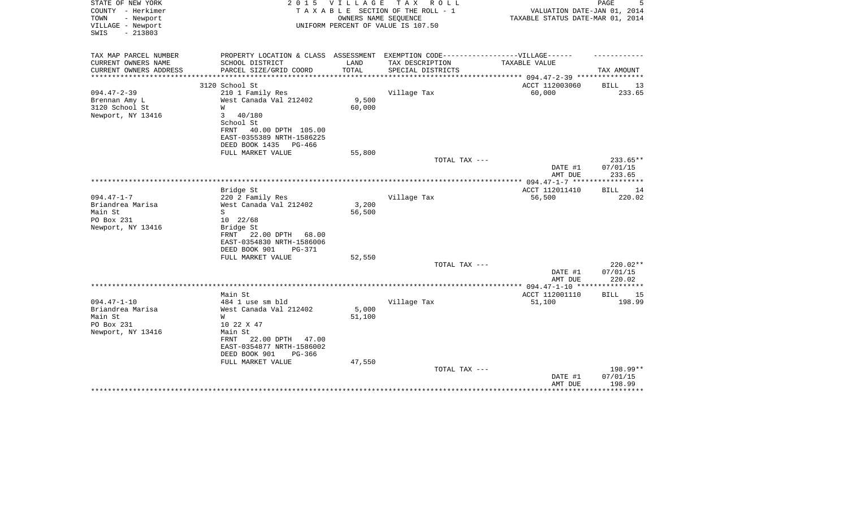| STATE OF NEW YORK<br>COUNTY - Herkimer<br>- Newport<br>TOWN<br>VILLAGE - Newport<br>$-213803$<br>SWIS | 2 0 1 5                                                                                              | <b>VILLAGE</b>  | T A X<br>R O L L<br>TAXABLE SECTION OF THE ROLL - 1<br>OWNERS NAME SEQUENCE<br>UNIFORM PERCENT OF VALUE IS 107.50 | VALUATION DATE-JAN 01, 2014<br>TAXABLE STATUS DATE-MAR 01, 2014 | PAGE                 |
|-------------------------------------------------------------------------------------------------------|------------------------------------------------------------------------------------------------------|-----------------|-------------------------------------------------------------------------------------------------------------------|-----------------------------------------------------------------|----------------------|
| TAX MAP PARCEL NUMBER<br>CURRENT OWNERS NAME                                                          | PROPERTY LOCATION & CLASS ASSESSMENT EXEMPTION CODE-----------------VILLAGE------<br>SCHOOL DISTRICT | LAND            | TAX DESCRIPTION                                                                                                   | TAXABLE VALUE                                                   |                      |
| CURRENT OWNERS ADDRESS<br>*********************                                                       | PARCEL SIZE/GRID COORD                                                                               | TOTAL           | SPECIAL DISTRICTS                                                                                                 |                                                                 | TAX AMOUNT           |
|                                                                                                       | 3120 School St                                                                                       |                 |                                                                                                                   | ACCT 112003060                                                  |                      |
| $094.47 - 2 - 39$                                                                                     | 210 1 Family Res                                                                                     |                 | Village Tax                                                                                                       | 60,000                                                          | BILL<br>13<br>233.65 |
| Brennan Amy L<br>3120 School St<br>Newport, NY 13416                                                  | West Canada Val 212402<br>W<br>3<br>40/180                                                           | 9,500<br>60,000 |                                                                                                                   |                                                                 |                      |
|                                                                                                       | School St<br>40.00 DPTH 105.00<br>FRNT<br>EAST-0355389 NRTH-1586225                                  |                 |                                                                                                                   |                                                                 |                      |
|                                                                                                       | DEED BOOK 1435<br>PG-466                                                                             |                 |                                                                                                                   |                                                                 |                      |
|                                                                                                       | FULL MARKET VALUE                                                                                    | 55,800          |                                                                                                                   |                                                                 |                      |
|                                                                                                       |                                                                                                      |                 | TOTAL TAX ---                                                                                                     | DATE #1                                                         | 233.65**<br>07/01/15 |
|                                                                                                       |                                                                                                      |                 |                                                                                                                   | AMT DUE                                                         | 233.65               |
|                                                                                                       | Bridge St                                                                                            |                 |                                                                                                                   | ACCT 112011410                                                  | <b>BILL</b><br>14    |
| $094.47 - 1 - 7$                                                                                      | 220 2 Family Res                                                                                     |                 | Village Tax                                                                                                       | 56,500                                                          | 220.02               |
| Briandrea Marisa                                                                                      | West Canada Val 212402                                                                               | 3,200           |                                                                                                                   |                                                                 |                      |
| Main St                                                                                               | S                                                                                                    | 56,500          |                                                                                                                   |                                                                 |                      |
| PO Box 231                                                                                            | 10 22/68                                                                                             |                 |                                                                                                                   |                                                                 |                      |
| Newport, NY 13416                                                                                     | Bridge St<br>22.00 DPTH<br>FRNT<br>68.00<br>EAST-0354830 NRTH-1586006                                |                 |                                                                                                                   |                                                                 |                      |
|                                                                                                       | DEED BOOK 901<br><b>PG-371</b>                                                                       |                 |                                                                                                                   |                                                                 |                      |
|                                                                                                       | FULL MARKET VALUE                                                                                    | 52,550          |                                                                                                                   |                                                                 |                      |
|                                                                                                       |                                                                                                      |                 | TOTAL TAX ---                                                                                                     |                                                                 | 220.02**             |
|                                                                                                       |                                                                                                      |                 |                                                                                                                   | DATE #1<br>AMT DUE                                              | 07/01/15<br>220.02   |
|                                                                                                       |                                                                                                      |                 |                                                                                                                   |                                                                 |                      |
|                                                                                                       | Main St                                                                                              |                 |                                                                                                                   | ACCT 112001110                                                  | BILL<br>15           |
| $094.47 - 1 - 10$                                                                                     | 484 1 use sm bld                                                                                     |                 | Village Tax                                                                                                       | 51,100                                                          | 198.99               |
| Briandrea Marisa                                                                                      | West Canada Val 212402                                                                               | 5,000           |                                                                                                                   |                                                                 |                      |
| Main St                                                                                               | W                                                                                                    | 51,100          |                                                                                                                   |                                                                 |                      |
| PO Box 231                                                                                            | 10 22 X 47                                                                                           |                 |                                                                                                                   |                                                                 |                      |
| Newport, NY 13416                                                                                     | Main St<br>22.00 DPTH<br>FRNT<br>47.00                                                               |                 |                                                                                                                   |                                                                 |                      |
|                                                                                                       | EAST-0354877 NRTH-1586002                                                                            |                 |                                                                                                                   |                                                                 |                      |
|                                                                                                       | DEED BOOK 901<br>$PG-366$<br>FULL MARKET VALUE                                                       | 47,550          |                                                                                                                   |                                                                 |                      |
|                                                                                                       |                                                                                                      |                 | TOTAL TAX ---                                                                                                     |                                                                 | 198.99**             |
|                                                                                                       |                                                                                                      |                 |                                                                                                                   | DATE #1<br>AMT DUE                                              | 07/01/15<br>198.99   |
|                                                                                                       |                                                                                                      |                 |                                                                                                                   |                                                                 |                      |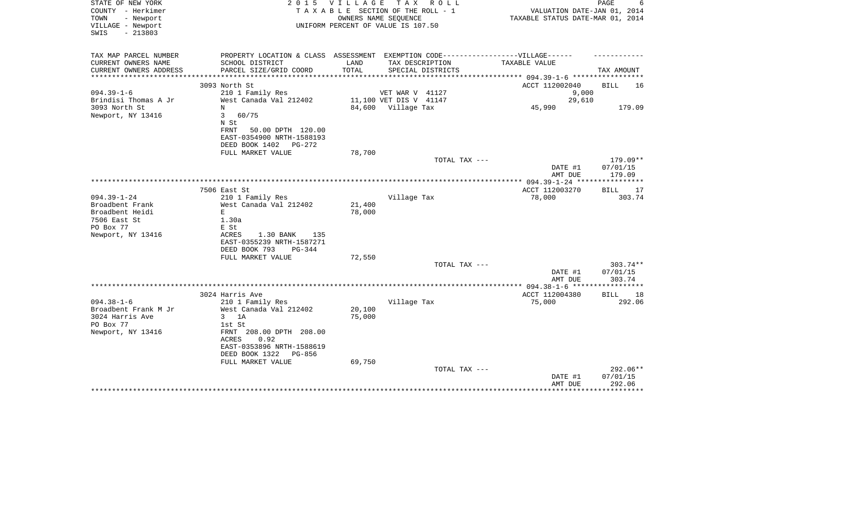| STATE OF NEW YORK<br>COUNTY - Herkimer<br>TOWN<br>- Newport<br>VILLAGE - Newport<br>$-213803$<br>SWIS | 2 0 1 5                                                                                              | VILLAGE | TAX ROLL<br>TAXABLE SECTION OF THE ROLL - 1<br>OWNERS NAME SEQUENCE<br>UNIFORM PERCENT OF VALUE IS 107.50 | VALUATION DATE-JAN 01, 2014<br>TAXABLE STATUS DATE-MAR 01, 2014 | PAGE                 |
|-------------------------------------------------------------------------------------------------------|------------------------------------------------------------------------------------------------------|---------|-----------------------------------------------------------------------------------------------------------|-----------------------------------------------------------------|----------------------|
|                                                                                                       |                                                                                                      |         |                                                                                                           |                                                                 |                      |
| TAX MAP PARCEL NUMBER<br>CURRENT OWNERS NAME                                                          | PROPERTY LOCATION & CLASS ASSESSMENT EXEMPTION CODE-----------------VILLAGE------<br>SCHOOL DISTRICT | LAND    | TAX DESCRIPTION                                                                                           | TAXABLE VALUE                                                   |                      |
| CURRENT OWNERS ADDRESS                                                                                | PARCEL SIZE/GRID COORD                                                                               | TOTAL   | SPECIAL DISTRICTS                                                                                         |                                                                 | TAX AMOUNT           |
|                                                                                                       |                                                                                                      |         |                                                                                                           | *********** 094.39-1-6 ************                             |                      |
| $094.39 - 1 - 6$                                                                                      | 3093 North St<br>210 1 Family Res                                                                    |         | VET WAR V 41127                                                                                           | ACCT 112002040<br>9,000                                         | BILL<br>16           |
| Brindisi Thomas A Jr                                                                                  | West Canada Val 212402                                                                               |         | 11,100 VET DIS V 41147                                                                                    | 29,610                                                          |                      |
| 3093 North St                                                                                         | N                                                                                                    |         | 84,600 Village Tax                                                                                        | 45,990                                                          | 179.09               |
| Newport, NY 13416                                                                                     | 3<br>60/75                                                                                           |         |                                                                                                           |                                                                 |                      |
|                                                                                                       | N St                                                                                                 |         |                                                                                                           |                                                                 |                      |
|                                                                                                       | 50.00 DPTH 120.00<br>FRNT<br>EAST-0354900 NRTH-1588193                                               |         |                                                                                                           |                                                                 |                      |
|                                                                                                       | DEED BOOK 1402<br>PG-272                                                                             |         |                                                                                                           |                                                                 |                      |
|                                                                                                       | FULL MARKET VALUE                                                                                    | 78,700  |                                                                                                           |                                                                 |                      |
|                                                                                                       |                                                                                                      |         | TOTAL TAX ---                                                                                             |                                                                 | $179.09**$           |
|                                                                                                       |                                                                                                      |         |                                                                                                           | DATE #1                                                         | 07/01/15             |
|                                                                                                       |                                                                                                      |         |                                                                                                           | AMT DUE<br>**************** 094.39-1-24 *****************       | 179.09               |
|                                                                                                       | 7506 East St                                                                                         |         |                                                                                                           | ACCT 112003270                                                  | <b>BILL</b><br>17    |
| $094.39 - 1 - 24$                                                                                     | 210 1 Family Res                                                                                     |         | Village Tax                                                                                               | 78,000                                                          | 303.74               |
| Broadbent Frank                                                                                       | West Canada Val 212402                                                                               | 21,400  |                                                                                                           |                                                                 |                      |
| Broadbent Heidi                                                                                       | E                                                                                                    | 78,000  |                                                                                                           |                                                                 |                      |
| 7506 East St                                                                                          | 1.30a                                                                                                |         |                                                                                                           |                                                                 |                      |
| PO Box 77<br>Newport, NY 13416                                                                        | E St<br>1.30 BANK<br>ACRES<br>135                                                                    |         |                                                                                                           |                                                                 |                      |
|                                                                                                       | EAST-0355239 NRTH-1587271                                                                            |         |                                                                                                           |                                                                 |                      |
|                                                                                                       | DEED BOOK 793<br>$PG-344$                                                                            |         |                                                                                                           |                                                                 |                      |
|                                                                                                       | FULL MARKET VALUE                                                                                    | 72,550  |                                                                                                           |                                                                 |                      |
|                                                                                                       |                                                                                                      |         | TOTAL TAX ---                                                                                             |                                                                 | $303.74**$           |
|                                                                                                       |                                                                                                      |         |                                                                                                           | DATE #1<br>AMT DUE                                              | 07/01/15<br>303.74   |
|                                                                                                       |                                                                                                      |         |                                                                                                           |                                                                 |                      |
|                                                                                                       | 3024 Harris Ave                                                                                      |         |                                                                                                           | ACCT 112004380                                                  | <b>BILL</b><br>18    |
| $094.38 - 1 - 6$                                                                                      | 210 1 Family Res                                                                                     |         | Village Tax                                                                                               | 75,000                                                          | 292.06               |
| Broadbent Frank M Jr                                                                                  | West Canada Val 212402                                                                               | 20,100  |                                                                                                           |                                                                 |                      |
| 3024 Harris Ave                                                                                       | 1A<br>3                                                                                              | 75,000  |                                                                                                           |                                                                 |                      |
| PO Box 77<br>Newport, NY 13416                                                                        | 1st St<br>FRNT 208.00 DPTH 208.00                                                                    |         |                                                                                                           |                                                                 |                      |
|                                                                                                       | 0.92<br>ACRES                                                                                        |         |                                                                                                           |                                                                 |                      |
|                                                                                                       | EAST-0353896 NRTH-1588619                                                                            |         |                                                                                                           |                                                                 |                      |
|                                                                                                       | DEED BOOK 1322<br>PG-856                                                                             |         |                                                                                                           |                                                                 |                      |
|                                                                                                       | FULL MARKET VALUE                                                                                    | 69,750  |                                                                                                           |                                                                 |                      |
|                                                                                                       |                                                                                                      |         | TOTAL TAX ---                                                                                             |                                                                 | 292.06**<br>07/01/15 |
|                                                                                                       |                                                                                                      |         |                                                                                                           | DATE #1<br>AMT DUE                                              | 292.06               |
|                                                                                                       |                                                                                                      |         |                                                                                                           |                                                                 |                      |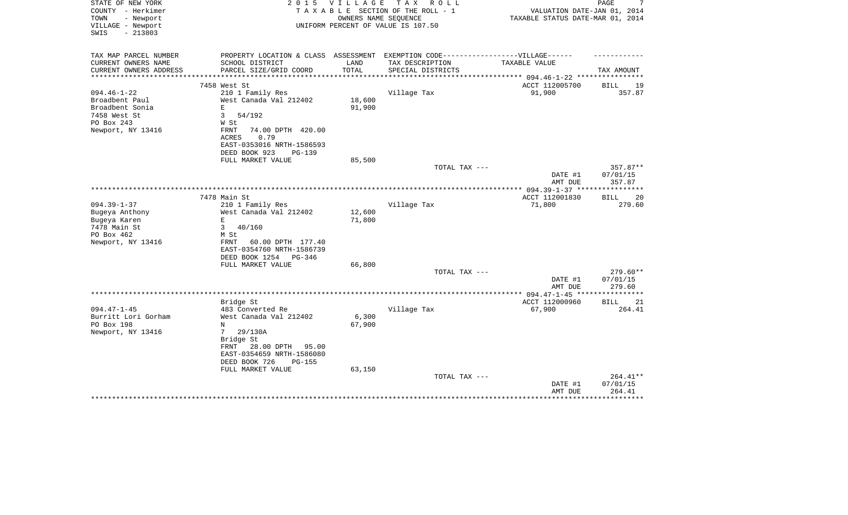| STATE OF NEW YORK<br>COUNTY - Herkimer<br>- Newport<br>TOWN | 2 0 1 5                                                                           | <b>VILLAGE</b> | T A X<br>R O L L<br>TAXABLE SECTION OF THE ROLL - 1<br>OWNERS NAME SEQUENCE | VALUATION DATE-JAN 01, 2014<br>TAXABLE STATUS DATE-MAR 01, 2014 | PAGE               |
|-------------------------------------------------------------|-----------------------------------------------------------------------------------|----------------|-----------------------------------------------------------------------------|-----------------------------------------------------------------|--------------------|
| VILLAGE - Newport<br>$-213803$<br>SWIS                      |                                                                                   |                | UNIFORM PERCENT OF VALUE IS 107.50                                          |                                                                 |                    |
| TAX MAP PARCEL NUMBER                                       | PROPERTY LOCATION & CLASS ASSESSMENT EXEMPTION CODE-----------------VILLAGE------ |                |                                                                             |                                                                 |                    |
| CURRENT OWNERS NAME                                         | SCHOOL DISTRICT                                                                   | LAND           | TAX DESCRIPTION                                                             | TAXABLE VALUE                                                   |                    |
| CURRENT OWNERS ADDRESS                                      | PARCEL SIZE/GRID COORD                                                            | TOTAL          | SPECIAL DISTRICTS                                                           | ********* 094.46-1-22 ***                                       | TAX AMOUNT         |
|                                                             | 7458 West St                                                                      |                |                                                                             | ACCT 112005700                                                  | 19<br><b>BILL</b>  |
| $094.46 - 1 - 22$                                           | 210 1 Family Res                                                                  |                | Village Tax                                                                 | 91,900                                                          | 357.87             |
| Broadbent Paul                                              | West Canada Val 212402                                                            | 18,600         |                                                                             |                                                                 |                    |
| Broadbent Sonia                                             | E                                                                                 | 91,900         |                                                                             |                                                                 |                    |
| 7458 West St                                                | $\mathbf{3}$<br>54/192                                                            |                |                                                                             |                                                                 |                    |
| PO Box 243                                                  | W St                                                                              |                |                                                                             |                                                                 |                    |
| Newport, NY 13416                                           | FRNT<br>74.00 DPTH 420.00                                                         |                |                                                                             |                                                                 |                    |
|                                                             | 0.79<br>ACRES                                                                     |                |                                                                             |                                                                 |                    |
|                                                             | EAST-0353016 NRTH-1586593<br>DEED BOOK 923<br>PG-139                              |                |                                                                             |                                                                 |                    |
|                                                             | FULL MARKET VALUE                                                                 | 85,500         |                                                                             |                                                                 |                    |
|                                                             |                                                                                   |                | TOTAL TAX ---                                                               |                                                                 | 357.87**           |
|                                                             |                                                                                   |                |                                                                             | DATE #1<br>AMT DUE                                              | 07/01/15<br>357.87 |
|                                                             |                                                                                   |                |                                                                             |                                                                 |                    |
|                                                             | 7478 Main St                                                                      |                |                                                                             | ACCT 112001830                                                  | <b>BILL</b><br>20  |
| $094.39 - 1 - 37$                                           | 210 1 Family Res                                                                  |                | Village Tax                                                                 | 71,800                                                          | 279.60             |
| Bugeya Anthony                                              | West Canada Val 212402<br>E                                                       | 12,600         |                                                                             |                                                                 |                    |
| Bugeya Karen<br>7478 Main St                                | $\mathbf{3}$<br>40/160                                                            | 71,800         |                                                                             |                                                                 |                    |
| PO Box 462                                                  | M St                                                                              |                |                                                                             |                                                                 |                    |
| Newport, NY 13416                                           | FRNT<br>60.00 DPTH 177.40                                                         |                |                                                                             |                                                                 |                    |
|                                                             | EAST-0354760 NRTH-1586739                                                         |                |                                                                             |                                                                 |                    |
|                                                             | DEED BOOK 1254<br>$PG-346$                                                        |                |                                                                             |                                                                 |                    |
|                                                             | FULL MARKET VALUE                                                                 | 66,800         |                                                                             |                                                                 |                    |
|                                                             |                                                                                   |                | TOTAL TAX ---                                                               |                                                                 | 279.60**           |
|                                                             |                                                                                   |                |                                                                             | DATE #1                                                         | 07/01/15           |
|                                                             |                                                                                   |                |                                                                             | AMT DUE<br>************** 094.47-1-45 *****************         | 279.60             |
|                                                             | Bridge St                                                                         |                |                                                                             | ACCT 112000960                                                  | <b>BILL</b><br>21  |
| $094.47 - 1 - 45$                                           | 483 Converted Re                                                                  |                | Village Tax                                                                 | 67,900                                                          | 264.41             |
| Burritt Lori Gorham                                         | West Canada Val 212402                                                            | 6,300          |                                                                             |                                                                 |                    |
| PO Box 198                                                  | N                                                                                 | 67,900         |                                                                             |                                                                 |                    |
| Newport, NY 13416                                           | 29/130A<br>7                                                                      |                |                                                                             |                                                                 |                    |
|                                                             | Bridge St                                                                         |                |                                                                             |                                                                 |                    |
|                                                             | FRNT<br>28.00 DPTH<br>95.00                                                       |                |                                                                             |                                                                 |                    |
|                                                             | EAST-0354659 NRTH-1586080                                                         |                |                                                                             |                                                                 |                    |
|                                                             | DEED BOOK 726<br>PG-155                                                           |                |                                                                             |                                                                 |                    |
|                                                             | FULL MARKET VALUE                                                                 | 63,150         | TOTAL TAX ---                                                               |                                                                 | 264.41**           |
|                                                             |                                                                                   |                |                                                                             | DATE #1                                                         | 07/01/15           |
|                                                             |                                                                                   |                |                                                                             | AMT DUE                                                         | 264.41             |
|                                                             |                                                                                   |                |                                                                             |                                                                 |                    |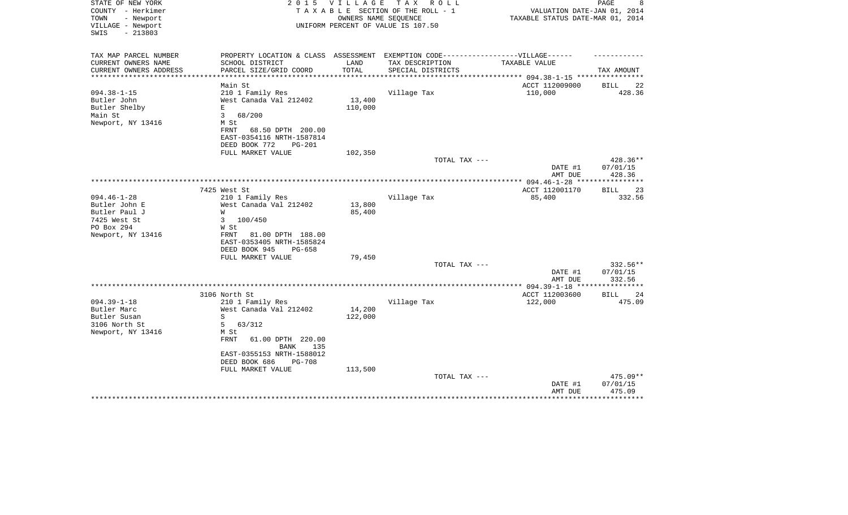| STATE OF NEW YORK<br>COUNTY - Herkimer<br>- Newport<br>TOWN | 2 0 1 5                                                                           | V I L L A G E     | T A X<br>R O L L<br>TAXABLE SECTION OF THE ROLL - 1<br>OWNERS NAME SEQUENCE | VALUATION DATE-JAN 01, 2014<br>TAXABLE STATUS DATE-MAR 01, 2014 | PAGE<br>8           |
|-------------------------------------------------------------|-----------------------------------------------------------------------------------|-------------------|-----------------------------------------------------------------------------|-----------------------------------------------------------------|---------------------|
| VILLAGE - Newport<br>$-213803$<br>SWIS                      |                                                                                   |                   | UNIFORM PERCENT OF VALUE IS 107.50                                          |                                                                 |                     |
| TAX MAP PARCEL NUMBER                                       | PROPERTY LOCATION & CLASS ASSESSMENT EXEMPTION CODE-----------------VILLAGE------ |                   |                                                                             |                                                                 |                     |
| CURRENT OWNERS NAME                                         | SCHOOL DISTRICT                                                                   | LAND              | TAX DESCRIPTION                                                             | TAXABLE VALUE                                                   |                     |
| CURRENT OWNERS ADDRESS                                      | PARCEL SIZE/GRID COORD                                                            | TOTAL             | SPECIAL DISTRICTS                                                           | ********* 094.38-1-15 ****                                      | TAX AMOUNT          |
|                                                             | Main St                                                                           |                   |                                                                             | ACCT 112009000                                                  | 22<br><b>BILL</b>   |
| $094.38 - 1 - 15$                                           | 210 1 Family Res                                                                  |                   | Village Tax                                                                 | 110,000                                                         | 428.36              |
| Butler John                                                 | West Canada Val 212402                                                            | 13,400            |                                                                             |                                                                 |                     |
| Butler Shelby                                               | E                                                                                 | 110,000           |                                                                             |                                                                 |                     |
| Main St                                                     | $\overline{3}$<br>68/200                                                          |                   |                                                                             |                                                                 |                     |
| Newport, NY 13416                                           | M St                                                                              |                   |                                                                             |                                                                 |                     |
|                                                             | FRNT<br>68.50 DPTH 200.00                                                         |                   |                                                                             |                                                                 |                     |
|                                                             | EAST-0354116 NRTH-1587814                                                         |                   |                                                                             |                                                                 |                     |
|                                                             | DEED BOOK 772<br>PG-201                                                           |                   |                                                                             |                                                                 |                     |
|                                                             | FULL MARKET VALUE                                                                 | 102,350           |                                                                             |                                                                 |                     |
|                                                             |                                                                                   |                   | TOTAL TAX ---                                                               |                                                                 | 428.36**            |
|                                                             |                                                                                   |                   |                                                                             | DATE #1                                                         | 07/01/15            |
|                                                             |                                                                                   |                   | *********************                                                       | AMT DUE                                                         | 428.36              |
|                                                             | 7425 West St                                                                      |                   |                                                                             | ************ 094.46-1-28 ***                                    | 23                  |
| $094.46 - 1 - 28$                                           | 210 1 Family Res                                                                  |                   | Village Tax                                                                 | ACCT 112001170<br>85,400                                        | BILL<br>332.56      |
| Butler John E                                               | West Canada Val 212402                                                            | 13,800            |                                                                             |                                                                 |                     |
| Butler Paul J                                               | W                                                                                 | 85,400            |                                                                             |                                                                 |                     |
| 7425 West St                                                | 3<br>100/450                                                                      |                   |                                                                             |                                                                 |                     |
| PO Box 294                                                  | W St                                                                              |                   |                                                                             |                                                                 |                     |
| Newport, NY 13416                                           | <b>FRNT</b><br>81.00 DPTH 188.00                                                  |                   |                                                                             |                                                                 |                     |
|                                                             | EAST-0353405 NRTH-1585824                                                         |                   |                                                                             |                                                                 |                     |
|                                                             | DEED BOOK 945<br>PG-658                                                           |                   |                                                                             |                                                                 |                     |
|                                                             | FULL MARKET VALUE                                                                 | 79,450            |                                                                             |                                                                 |                     |
|                                                             |                                                                                   |                   | TOTAL TAX ---                                                               |                                                                 | 332.56**            |
|                                                             |                                                                                   |                   |                                                                             | DATE #1                                                         | 07/01/15            |
|                                                             |                                                                                   |                   |                                                                             | AMT DUE                                                         | 332.56<br>********* |
|                                                             |                                                                                   |                   |                                                                             |                                                                 |                     |
|                                                             | 3106 North St                                                                     |                   |                                                                             | ACCT 112003600                                                  | 24<br><b>BILL</b>   |
| $094.39 - 1 - 18$                                           | 210 1 Family Res                                                                  |                   | Village Tax                                                                 | 122,000                                                         | 475.09              |
| Butler Marc<br>Butler Susan                                 | West Canada Val 212402<br>S                                                       | 14,200<br>122,000 |                                                                             |                                                                 |                     |
| 3106 North St                                               | 5<br>63/312                                                                       |                   |                                                                             |                                                                 |                     |
| Newport, NY 13416                                           | M St                                                                              |                   |                                                                             |                                                                 |                     |
|                                                             | FRNT<br>61.00 DPTH 220.00                                                         |                   |                                                                             |                                                                 |                     |
|                                                             | <b>BANK</b><br>135                                                                |                   |                                                                             |                                                                 |                     |
|                                                             | EAST-0355153 NRTH-1588012                                                         |                   |                                                                             |                                                                 |                     |
|                                                             | DEED BOOK 686<br><b>PG-708</b>                                                    |                   |                                                                             |                                                                 |                     |
|                                                             | FULL MARKET VALUE                                                                 | 113,500           |                                                                             |                                                                 |                     |
|                                                             |                                                                                   |                   | TOTAL TAX ---                                                               |                                                                 | $475.09**$          |
|                                                             |                                                                                   |                   |                                                                             | DATE #1                                                         | 07/01/15            |
|                                                             |                                                                                   |                   |                                                                             | AMT DUE                                                         | 475.09              |
|                                                             |                                                                                   |                   |                                                                             |                                                                 |                     |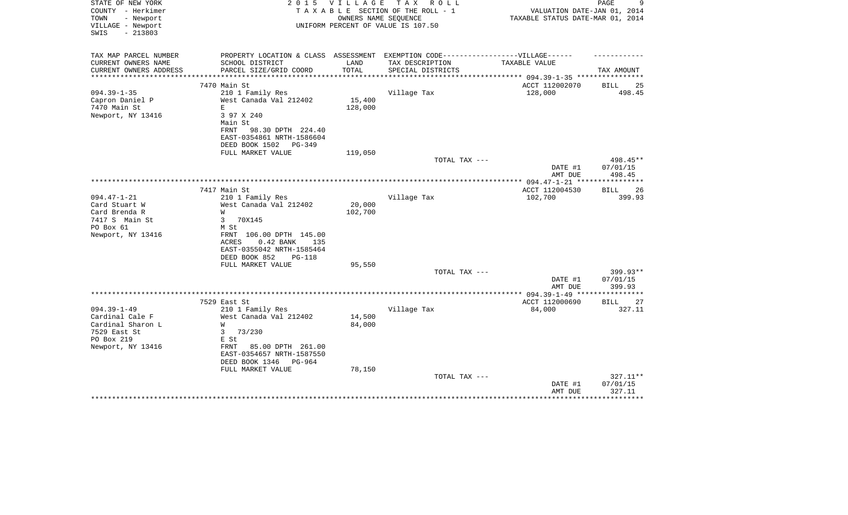| STATE OF NEW YORK<br>COUNTY - Herkimer<br>- Newport<br>TOWN<br>VILLAGE - Newport<br>$-213803$<br>SWIS        | 2 0 1 5                                                                                                                                                                                    | V I L L A G E              | TAX ROLL<br>TAXABLE SECTION OF THE ROLL - 1<br>OWNERS NAME SEQUENCE<br>UNIFORM PERCENT OF VALUE IS 107.50 | VALUATION DATE-JAN 01, 2014<br>TAXABLE STATUS DATE-MAR 01, 2014 | 9<br>PAGE                        |
|--------------------------------------------------------------------------------------------------------------|--------------------------------------------------------------------------------------------------------------------------------------------------------------------------------------------|----------------------------|-----------------------------------------------------------------------------------------------------------|-----------------------------------------------------------------|----------------------------------|
| TAX MAP PARCEL NUMBER<br>CURRENT OWNERS NAME                                                                 | PROPERTY LOCATION & CLASS ASSESSMENT EXEMPTION CODE----------------VILLAGE------<br>SCHOOL DISTRICT                                                                                        | LAND                       | TAX DESCRIPTION                                                                                           | TAXABLE VALUE                                                   |                                  |
| CURRENT OWNERS ADDRESS<br>* * * * * * * * * * * * * * *                                                      | PARCEL SIZE/GRID COORD                                                                                                                                                                     | TOTAL<br>************      | SPECIAL DISTRICTS                                                                                         | ******************** 094.39-1-35 *************                  | TAX AMOUNT                       |
|                                                                                                              | 7470 Main St                                                                                                                                                                               |                            |                                                                                                           | ACCT 112002070                                                  | <b>BILL</b><br>25                |
| $094.39 - 1 - 35$<br>Capron Daniel P<br>7470 Main St<br>Newport, NY 13416                                    | 210 1 Family Res<br>West Canada Val 212402<br>E<br>3 97 X 240<br>Main St<br>FRNT<br>98.30 DPTH 224.40<br>EAST-0354861 NRTH-1586604                                                         | 15,400<br>128,000          | Village Tax                                                                                               | 128,000                                                         | 498.45                           |
|                                                                                                              | DEED BOOK 1502<br>PG-349                                                                                                                                                                   |                            |                                                                                                           |                                                                 |                                  |
|                                                                                                              | FULL MARKET VALUE                                                                                                                                                                          | 119,050                    | TOTAL TAX ---                                                                                             | DATE #1<br>AMT DUE                                              | 498.45**<br>07/01/15<br>498.45   |
|                                                                                                              |                                                                                                                                                                                            |                            |                                                                                                           |                                                                 | ***********                      |
|                                                                                                              | 7417 Main St                                                                                                                                                                               |                            |                                                                                                           | ACCT 112004530                                                  | 26<br>BILL                       |
| $094.47 - 1 - 21$<br>Card Stuart W<br>Card Brenda R<br>7417 S Main St<br>PO Box 61<br>Newport, NY 13416      | 210 1 Family Res<br>West Canada Val 212402<br>W<br>3<br>70X145<br>M St<br>FRNT 106.00 DPTH 145.00<br>$0.42$ BANK<br>ACRES<br>135<br>EAST-0355042 NRTH-1585464<br>DEED BOOK 852<br>$PG-118$ | 20,000<br>102,700          | Village Tax                                                                                               | 102,700                                                         | 399.93                           |
|                                                                                                              | FULL MARKET VALUE                                                                                                                                                                          | 95,550                     |                                                                                                           |                                                                 |                                  |
|                                                                                                              |                                                                                                                                                                                            |                            | TOTAL TAX ---                                                                                             | DATE #1<br>AMT DUE                                              | $399.93**$<br>07/01/15<br>399.93 |
|                                                                                                              |                                                                                                                                                                                            |                            |                                                                                                           |                                                                 |                                  |
|                                                                                                              | 7529 East St                                                                                                                                                                               |                            |                                                                                                           | ACCT 112000690                                                  | BILL<br>27                       |
| $094.39 - 1 - 49$<br>Cardinal Cale F<br>Cardinal Sharon L<br>7529 East St<br>PO Box 219<br>Newport, NY 13416 | 210 1 Family Res<br>West Canada Val 212402<br>W<br>3<br>73/230<br>E St<br>FRNT<br>85.00 DPTH 261.00<br>EAST-0354657 NRTH-1587550<br>DEED BOOK 1346<br>PG-964<br>FULL MARKET VALUE          | 14,500<br>84,000<br>78,150 | Village Tax                                                                                               | 84,000                                                          | 327.11                           |
|                                                                                                              |                                                                                                                                                                                            |                            | TOTAL TAX ---                                                                                             | DATE #1                                                         | 327.11**<br>07/01/15             |
|                                                                                                              |                                                                                                                                                                                            |                            |                                                                                                           | AMT DUE                                                         | 327.11<br>********               |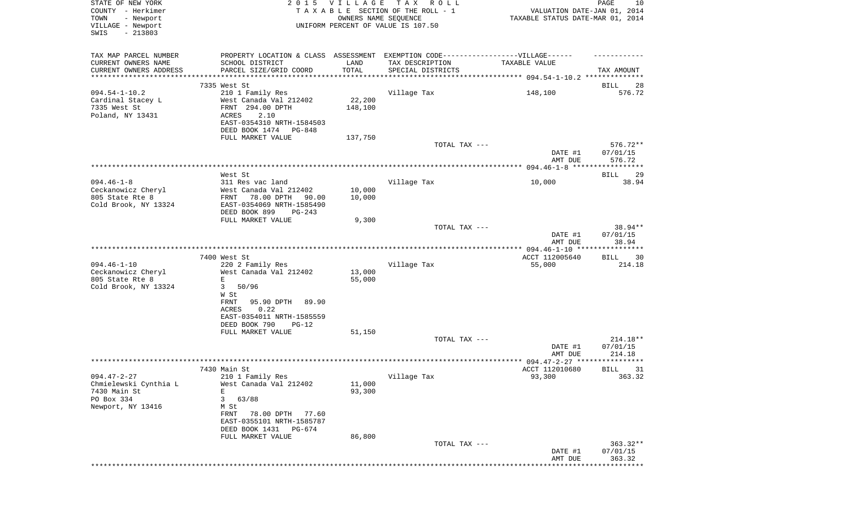| STATE OF NEW YORK<br>COUNTY - Herkimer<br>- Newport<br>TOWN<br>VILLAGE - Newport<br>SWIS<br>$-213803$ |                                                                                                                                                                              | 2015 VILLAGE               | T A X<br>R O L L<br>TAXABLE SECTION OF THE ROLL - 1<br>OWNERS NAME SEQUENCE<br>UNIFORM PERCENT OF VALUE IS 107.50 | VALUATION DATE-JAN 01, 2014<br>TAXABLE STATUS DATE-MAR 01, 2014 | PAGE<br>10                       |
|-------------------------------------------------------------------------------------------------------|------------------------------------------------------------------------------------------------------------------------------------------------------------------------------|----------------------------|-------------------------------------------------------------------------------------------------------------------|-----------------------------------------------------------------|----------------------------------|
| TAX MAP PARCEL NUMBER<br>CURRENT OWNERS NAME<br>CURRENT OWNERS ADDRESS<br>************************    | PROPERTY LOCATION & CLASS ASSESSMENT EXEMPTION CODE----------------VILLAGE------<br>SCHOOL DISTRICT<br>PARCEL SIZE/GRID COORD                                                | LAND<br>TOTAL              | TAX DESCRIPTION<br>SPECIAL DISTRICTS                                                                              | TAXABLE VALUE                                                   | TAX AMOUNT                       |
|                                                                                                       | 7335 West St                                                                                                                                                                 |                            |                                                                                                                   |                                                                 | BILL<br>28                       |
| $094.54 - 1 - 10.2$<br>Cardinal Stacey L<br>7335 West St<br>Poland, NY 13431                          | 210 1 Family Res<br>West Canada Val 212402<br>FRNT 294.00 DPTH<br>ACRES<br>2.10<br>EAST-0354310 NRTH-1584503<br>DEED BOOK 1474<br>PG-848                                     | 22,200<br>148,100          | Village Tax                                                                                                       | 148,100                                                         | 576.72                           |
|                                                                                                       | FULL MARKET VALUE                                                                                                                                                            | 137,750                    |                                                                                                                   |                                                                 |                                  |
|                                                                                                       |                                                                                                                                                                              |                            | TOTAL TAX ---                                                                                                     | DATE #1<br>AMT DUE                                              | 576.72**<br>07/01/15<br>576.72   |
|                                                                                                       |                                                                                                                                                                              |                            |                                                                                                                   |                                                                 |                                  |
|                                                                                                       | West St                                                                                                                                                                      |                            |                                                                                                                   |                                                                 | 29<br>BILL                       |
| $094.46 - 1 - 8$<br>Ceckanowicz Cheryl<br>805 State Rte 8<br>Cold Brook, NY 13324                     | 311 Res vac land<br>West Canada Val 212402<br>78.00 DPTH<br>FRNT<br>90.00<br>EAST-0354069 NRTH-1585490<br>DEED BOOK 899<br>$PG-243$                                          | 10,000<br>10,000           | Village Tax                                                                                                       | 10,000                                                          | 38.94                            |
|                                                                                                       | FULL MARKET VALUE                                                                                                                                                            | 9,300                      |                                                                                                                   |                                                                 |                                  |
|                                                                                                       |                                                                                                                                                                              |                            | TOTAL TAX ---                                                                                                     | DATE #1<br>AMT DUE                                              | 38.94**<br>07/01/15<br>38.94     |
|                                                                                                       |                                                                                                                                                                              |                            |                                                                                                                   |                                                                 |                                  |
| $094.46 - 1 - 10$<br>Ceckanowicz Cheryl<br>805 State Rte 8<br>Cold Brook, NY 13324                    | 7400 West St<br>220 2 Family Res<br>West Canada Val 212402<br>Ε<br>3<br>50/96<br>W St                                                                                        | 13,000<br>55,000           | Village Tax                                                                                                       | ACCT 112005640<br>55,000                                        | BILL<br>30<br>214.18             |
|                                                                                                       | FRNT<br>95.90 DPTH<br>89.90<br>0.22<br>ACRES<br>EAST-0354011 NRTH-1585559<br>DEED BOOK 790<br>$PG-12$<br>FULL MARKET VALUE                                                   | 51,150                     | TOTAL TAX ---                                                                                                     |                                                                 | $214.18**$                       |
|                                                                                                       |                                                                                                                                                                              |                            |                                                                                                                   | DATE #1                                                         | 07/01/15                         |
|                                                                                                       |                                                                                                                                                                              |                            |                                                                                                                   | AMT DUE                                                         | 214.18<br>******                 |
|                                                                                                       | 7430 Main St                                                                                                                                                                 |                            |                                                                                                                   | ACCT 112010680                                                  | 31<br>BILL                       |
| $094.47 - 2 - 27$<br>Chmielewski Cynthia L<br>7430 Main St<br>PO Box 334<br>Newport, NY 13416         | 210 1 Family Res<br>West Canada Val 212402<br>Ε<br>3<br>63/88<br>M St<br>FRNT<br>78.00 DPTH 77.60<br>EAST-0355101 NRTH-1585787<br>DEED BOOK 1431 PG-674<br>FULL MARKET VALUE | 11,000<br>93,300<br>86,800 | Village Tax                                                                                                       | 93,300                                                          | 363.32                           |
|                                                                                                       |                                                                                                                                                                              |                            | TOTAL TAX ---                                                                                                     | DATE #1<br>AMT DUE                                              | $363.32**$<br>07/01/15<br>363.32 |
|                                                                                                       |                                                                                                                                                                              |                            |                                                                                                                   | ********************************                                |                                  |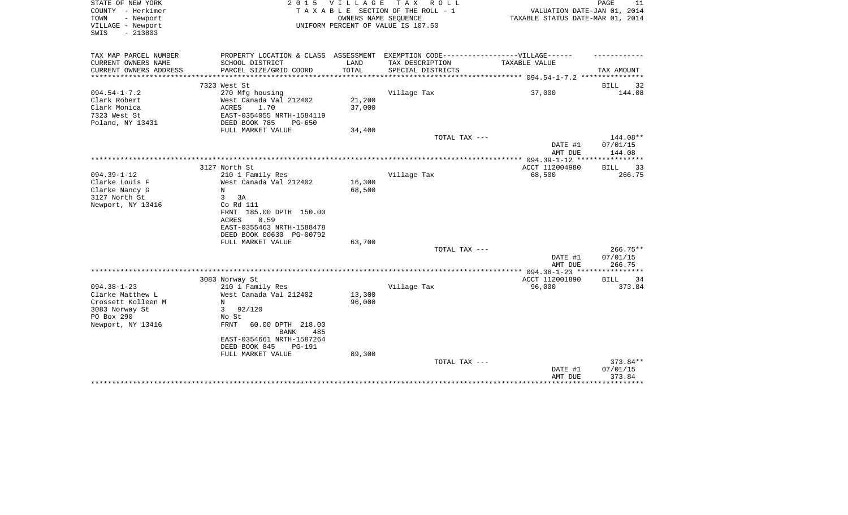| STATE OF NEW YORK<br>COUNTY - Herkimer<br>- Newport<br>TOWN<br>VILLAGE - Newport<br>$-213803$<br>SWIS | 2 0 1 5                                             | VILLAGE<br>OWNERS NAME SEQUENCE | T A X<br>R O L L<br>TAXABLE SECTION OF THE ROLL - 1<br>UNIFORM PERCENT OF VALUE IS 107.50           | VALUATION DATE-JAN 01, 2014<br>TAXABLE STATUS DATE-MAR 01, 2014 | PAGE<br>11                  |
|-------------------------------------------------------------------------------------------------------|-----------------------------------------------------|---------------------------------|-----------------------------------------------------------------------------------------------------|-----------------------------------------------------------------|-----------------------------|
| TAX MAP PARCEL NUMBER<br>CURRENT OWNERS NAME                                                          | SCHOOL DISTRICT                                     | LAND                            | PROPERTY LOCATION & CLASS ASSESSMENT EXEMPTION CODE----------------VILLAGE------<br>TAX DESCRIPTION | TAXABLE VALUE                                                   |                             |
| CURRENT OWNERS ADDRESS<br>********************                                                        | PARCEL SIZE/GRID COORD<br>************************* | TOTAL<br>**************         | SPECIAL DISTRICTS                                                                                   |                                                                 | TAX AMOUNT                  |
|                                                                                                       | 7323 West St                                        |                                 |                                                                                                     |                                                                 | <b>BILL</b><br>32           |
| $094.54 - 1 - 7.2$                                                                                    | 270 Mfg housing                                     |                                 | Village Tax                                                                                         | 37,000                                                          | 144.08                      |
| Clark Robert                                                                                          | West Canada Val 212402                              | 21,200                          |                                                                                                     |                                                                 |                             |
| Clark Monica                                                                                          | <b>ACRES</b><br>1.70                                | 37,000                          |                                                                                                     |                                                                 |                             |
| 7323 West St                                                                                          | EAST-0354055 NRTH-1584119                           |                                 |                                                                                                     |                                                                 |                             |
| Poland, NY 13431                                                                                      | DEED BOOK 785<br>$PG-650$<br>FULL MARKET VALUE      | 34,400                          |                                                                                                     |                                                                 |                             |
|                                                                                                       |                                                     |                                 | TOTAL TAX ---                                                                                       |                                                                 | 144.08**                    |
|                                                                                                       |                                                     |                                 |                                                                                                     | DATE #1<br>AMT DUE                                              | 07/01/15<br>144.08          |
|                                                                                                       |                                                     |                                 |                                                                                                     |                                                                 |                             |
|                                                                                                       | 3127 North St                                       |                                 |                                                                                                     | ACCT 112004980                                                  | <b>BILL</b><br>33           |
| $094.39 - 1 - 12$                                                                                     | 210 1 Family Res                                    |                                 | Village Tax                                                                                         | 68,500                                                          | 266.75                      |
| Clarke Louis F                                                                                        | West Canada Val 212402                              | 16,300                          |                                                                                                     |                                                                 |                             |
| Clarke Nancy G                                                                                        | N                                                   | 68,500                          |                                                                                                     |                                                                 |                             |
| 3127 North St                                                                                         | 3<br>3A<br>Co Rd 111                                |                                 |                                                                                                     |                                                                 |                             |
| Newport, NY 13416                                                                                     | FRNT 185.00 DPTH 150.00                             |                                 |                                                                                                     |                                                                 |                             |
|                                                                                                       | 0.59<br><b>ACRES</b>                                |                                 |                                                                                                     |                                                                 |                             |
|                                                                                                       | EAST-0355463 NRTH-1588478                           |                                 |                                                                                                     |                                                                 |                             |
|                                                                                                       | DEED BOOK 00630 PG-00792                            |                                 |                                                                                                     |                                                                 |                             |
|                                                                                                       | FULL MARKET VALUE                                   | 63,700                          |                                                                                                     |                                                                 |                             |
|                                                                                                       |                                                     |                                 | TOTAL TAX ---                                                                                       |                                                                 | $266.75**$                  |
|                                                                                                       |                                                     |                                 |                                                                                                     | DATE #1                                                         | 07/01/15                    |
|                                                                                                       |                                                     |                                 |                                                                                                     | AMT DUE                                                         | 266.75                      |
|                                                                                                       |                                                     |                                 |                                                                                                     | ************** 094.38-1-23 *****************                    |                             |
| $094.38 - 1 - 23$                                                                                     | 3083 Norway St                                      |                                 |                                                                                                     | ACCT 112001890                                                  | <b>BILL</b><br>34<br>373.84 |
| Clarke Matthew L                                                                                      | 210 1 Family Res<br>West Canada Val 212402          | 13,300                          | Village Tax                                                                                         | 96,000                                                          |                             |
| Crossett Kolleen M                                                                                    | N                                                   | 96,000                          |                                                                                                     |                                                                 |                             |
| 3083 Norway St                                                                                        | 92/120<br>3                                         |                                 |                                                                                                     |                                                                 |                             |
| PO Box 290                                                                                            | No St                                               |                                 |                                                                                                     |                                                                 |                             |
| Newport, NY 13416                                                                                     | <b>FRNT</b><br>60.00 DPTH 218.00                    |                                 |                                                                                                     |                                                                 |                             |
|                                                                                                       | 485<br><b>BANK</b>                                  |                                 |                                                                                                     |                                                                 |                             |
|                                                                                                       | EAST-0354661 NRTH-1587264                           |                                 |                                                                                                     |                                                                 |                             |
|                                                                                                       | DEED BOOK 845<br><b>PG-191</b>                      |                                 |                                                                                                     |                                                                 |                             |
|                                                                                                       | FULL MARKET VALUE                                   | 89,300                          |                                                                                                     |                                                                 |                             |
|                                                                                                       |                                                     |                                 | TOTAL TAX ---                                                                                       |                                                                 | 373.84**                    |
|                                                                                                       |                                                     |                                 |                                                                                                     | DATE #1<br>AMT DUE                                              | 07/01/15<br>373.84          |
|                                                                                                       |                                                     |                                 |                                                                                                     |                                                                 | ********                    |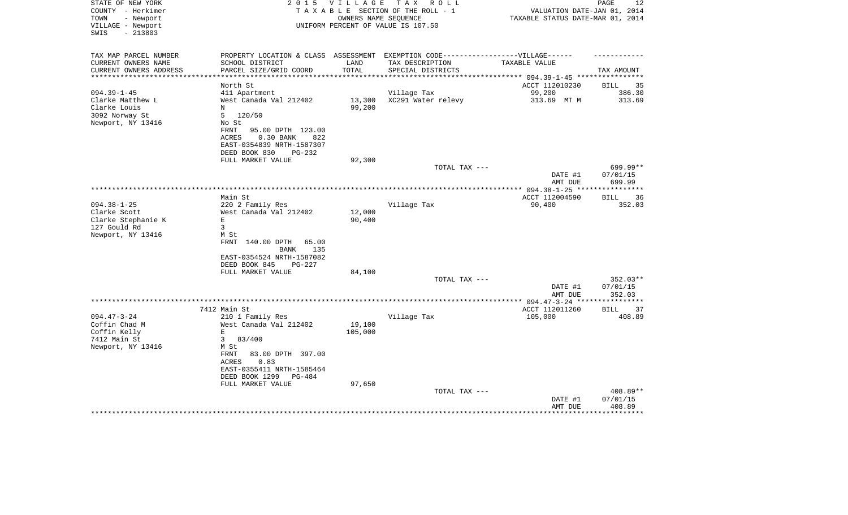| STATE OF NEW YORK<br>COUNTY - Herkimer<br>TOWN<br>- Newport<br>VILLAGE - Newport<br>$-213803$<br>SWIS | 2 0 1 5                                                                                                                                                                                                          | <b>VILLAGE</b><br>OWNERS NAME SEQUENCE | T A X<br>R O L L<br>TAXABLE SECTION OF THE ROLL - 1<br>UNIFORM PERCENT OF VALUE IS 107.50                                 | VALUATION DATE-JAN 01, 2014<br>TAXABLE STATUS DATE-MAR 01, 2014 | PAGE<br>12                     |
|-------------------------------------------------------------------------------------------------------|------------------------------------------------------------------------------------------------------------------------------------------------------------------------------------------------------------------|----------------------------------------|---------------------------------------------------------------------------------------------------------------------------|-----------------------------------------------------------------|--------------------------------|
| TAX MAP PARCEL NUMBER<br>CURRENT OWNERS NAME<br>CURRENT OWNERS ADDRESS                                | SCHOOL DISTRICT<br>PARCEL SIZE/GRID COORD                                                                                                                                                                        | LAND<br>TOTAL                          | PROPERTY LOCATION & CLASS ASSESSMENT EXEMPTION CODE-----------------VILLAGE------<br>TAX DESCRIPTION<br>SPECIAL DISTRICTS | TAXABLE VALUE                                                   | TAX AMOUNT                     |
| **********************                                                                                |                                                                                                                                                                                                                  |                                        |                                                                                                                           |                                                                 |                                |
| $094.39 - 1 - 45$                                                                                     | North St<br>411 Apartment                                                                                                                                                                                        |                                        | Village Tax                                                                                                               | ACCT 112010230<br>99,200                                        | 35<br>BILL<br>386.30           |
| Clarke Matthew L<br>Clarke Louis<br>3092 Norway St<br>Newport, NY 13416                               | West Canada Val 212402<br>N<br>5<br>120/50<br>No St<br>FRNT<br>95.00 DPTH 123.00<br>0.30 BANK<br>822<br><b>ACRES</b><br>EAST-0354839 NRTH-1587307                                                                | 13,300<br>99,200                       | XC291 Water relevy                                                                                                        | 313.69 MT M                                                     | 313.69                         |
|                                                                                                       | DEED BOOK 830<br>PG-232                                                                                                                                                                                          |                                        |                                                                                                                           |                                                                 |                                |
|                                                                                                       | FULL MARKET VALUE                                                                                                                                                                                                | 92,300                                 | TOTAL TAX ---                                                                                                             | DATE #1<br>AMT DUE                                              | 699.99**<br>07/01/15<br>699.99 |
|                                                                                                       |                                                                                                                                                                                                                  |                                        |                                                                                                                           |                                                                 |                                |
|                                                                                                       | Main St                                                                                                                                                                                                          |                                        |                                                                                                                           | ACCT 112004590                                                  | 36<br><b>BILL</b>              |
| $094.38 - 1 - 25$<br>Clarke Scott<br>Clarke Stephanie K<br>127 Gould Rd<br>Newport, NY 13416          | 220 2 Family Res<br>West Canada Val 212402<br>$\mathbf E$<br>$\mathbf{3}$<br>M St<br>FRNT<br>140.00 DPTH<br>65.00<br>135<br>BANK<br>EAST-0354524 NRTH-1587082<br>DEED BOOK 845<br>PG-227                         | 12,000<br>90,400                       | Village Tax                                                                                                               | 90,400                                                          | 352.03                         |
|                                                                                                       | FULL MARKET VALUE                                                                                                                                                                                                | 84,100                                 | TOTAL TAX ---                                                                                                             |                                                                 | 352.03**                       |
|                                                                                                       |                                                                                                                                                                                                                  |                                        |                                                                                                                           | DATE #1<br>AMT DUE                                              | 07/01/15<br>352.03             |
|                                                                                                       |                                                                                                                                                                                                                  |                                        |                                                                                                                           | ***** 094.47-3-24 ****                                          | * * * * * * * *                |
| $094.47 - 3 - 24$<br>Coffin Chad M<br>Coffin Kelly<br>7412 Main St<br>Newport, NY 13416               | 7412 Main St<br>210 1 Family Res<br>West Canada Val 212402<br>$\mathbf E$<br>3<br>83/400<br>M St<br>83.00 DPTH 397.00<br>FRNT<br><b>ACRES</b><br>0.83<br>EAST-0355411 NRTH-1585464<br>DEED BOOK 1299<br>$PG-484$ | 19,100<br>105,000                      | Village Tax                                                                                                               | ACCT 112011260<br>105,000                                       | 37<br><b>BILL</b><br>408.89    |
|                                                                                                       | FULL MARKET VALUE                                                                                                                                                                                                | 97,650                                 | TOTAL TAX ---                                                                                                             |                                                                 | 408.89**                       |
|                                                                                                       |                                                                                                                                                                                                                  |                                        |                                                                                                                           | DATE #1<br>AMT DUE                                              | 07/01/15<br>408.89<br>******** |
|                                                                                                       |                                                                                                                                                                                                                  |                                        |                                                                                                                           |                                                                 |                                |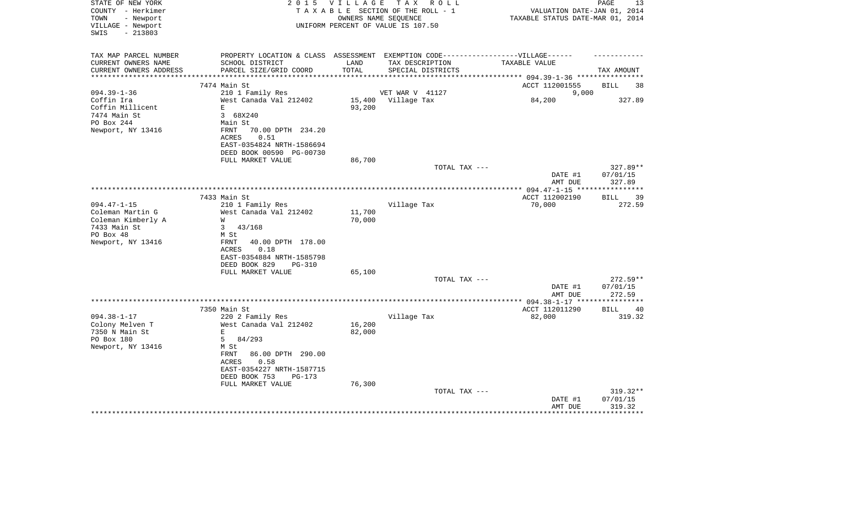| STATE OF NEW YORK<br>COUNTY - Herkimer<br>TOWN<br>- Newport<br>VILLAGE - Newport<br>$-213803$<br>SWIS         | 2 0 1 5                                                                                                                                                                                      | V I L L A G E    | T A X<br>R O L L<br>TAXABLE SECTION OF THE ROLL - 1<br>OWNERS NAME SEQUENCE<br>UNIFORM PERCENT OF VALUE IS 107.50 | VALUATION DATE-JAN 01, 2014<br>TAXABLE STATUS DATE-MAR 01, 2014 | PAGE<br>13                                       |
|---------------------------------------------------------------------------------------------------------------|----------------------------------------------------------------------------------------------------------------------------------------------------------------------------------------------|------------------|-------------------------------------------------------------------------------------------------------------------|-----------------------------------------------------------------|--------------------------------------------------|
| TAX MAP PARCEL NUMBER<br>CURRENT OWNERS NAME<br>CURRENT OWNERS ADDRESS                                        | PROPERTY LOCATION & CLASS ASSESSMENT EXEMPTION CODE-----------------VILLAGE------<br>SCHOOL DISTRICT<br>PARCEL SIZE/GRID COORD                                                               | LAND<br>TOTAL    | TAX DESCRIPTION<br>SPECIAL DISTRICTS                                                                              | TAXABLE VALUE                                                   | TAX AMOUNT                                       |
| *******************                                                                                           | * * * * * * * * *<br>7474 Main St                                                                                                                                                            |                  | **************************                                                                                        | ********** 094.39-1-36 *****************<br>ACCT 112001555      | BILL<br>38                                       |
| $094.39 - 1 - 36$                                                                                             | 210 1 Family Res                                                                                                                                                                             |                  | VET WAR V 41127                                                                                                   | 9,000                                                           |                                                  |
| Coffin Ira<br>Coffin Millicent<br>7474 Main St<br>PO Box 244<br>Newport, NY 13416                             | West Canada Val 212402<br>$\mathbf E$<br>3 68X240<br>Main St<br>FRNT<br>70.00 DPTH 234.20<br>0.51<br>ACRES<br>EAST-0354824 NRTH-1586694                                                      | 15,400<br>93,200 | Village Tax                                                                                                       | 84,200                                                          | 327.89                                           |
|                                                                                                               | DEED BOOK 00590 PG-00730                                                                                                                                                                     |                  |                                                                                                                   |                                                                 |                                                  |
|                                                                                                               | FULL MARKET VALUE                                                                                                                                                                            | 86,700           | TOTAL TAX ---                                                                                                     | DATE #1<br>AMT DUE                                              | 327.89**<br>07/01/15<br>327.89                   |
|                                                                                                               | 7433 Main St                                                                                                                                                                                 |                  |                                                                                                                   | ACCT 112002190                                                  | 39<br>BILL                                       |
| $094.47 - 1 - 15$<br>Coleman Martin G<br>Coleman Kimberly A<br>7433 Main St<br>PO Box 48<br>Newport, NY 13416 | 210 1 Family Res<br>West Canada Val 212402<br>W<br>3<br>43/168<br>M St<br>FRNT<br>40.00 DPTH 178.00<br>0.18<br>ACRES<br>EAST-0354884 NRTH-1585798<br>DEED BOOK 829<br><b>PG-310</b>          | 11,700<br>70,000 | Village Tax                                                                                                       | 70,000                                                          | 272.59                                           |
|                                                                                                               | FULL MARKET VALUE                                                                                                                                                                            | 65,100           | TOTAL TAX ---                                                                                                     |                                                                 | 272.59**                                         |
|                                                                                                               |                                                                                                                                                                                              |                  |                                                                                                                   | DATE #1<br>AMT DUE                                              | 07/01/15<br>272.59                               |
|                                                                                                               |                                                                                                                                                                                              |                  |                                                                                                                   | ***** 094.38-1-17 ****                                          |                                                  |
| $094.38 - 1 - 17$<br>Colony Melven T<br>7350 N Main St<br>PO Box 180<br>Newport, NY 13416                     | 7350 Main St<br>220 2 Family Res<br>West Canada Val 212402<br>E<br>5<br>84/293<br>M St<br>FRNT<br>86.00 DPTH 290.00<br>0.58<br>ACRES<br>EAST-0354227 NRTH-1587715<br>DEED BOOK 753<br>PG-173 | 16,200<br>82,000 | Village Tax                                                                                                       | ACCT 112011290<br>82,000                                        | 40<br>BILL<br>319.32                             |
|                                                                                                               | FULL MARKET VALUE                                                                                                                                                                            | 76,300           | TOTAL TAX ---                                                                                                     | DATE #1<br>AMT DUE                                              | $319.32**$<br>07/01/15<br>319.32<br>************ |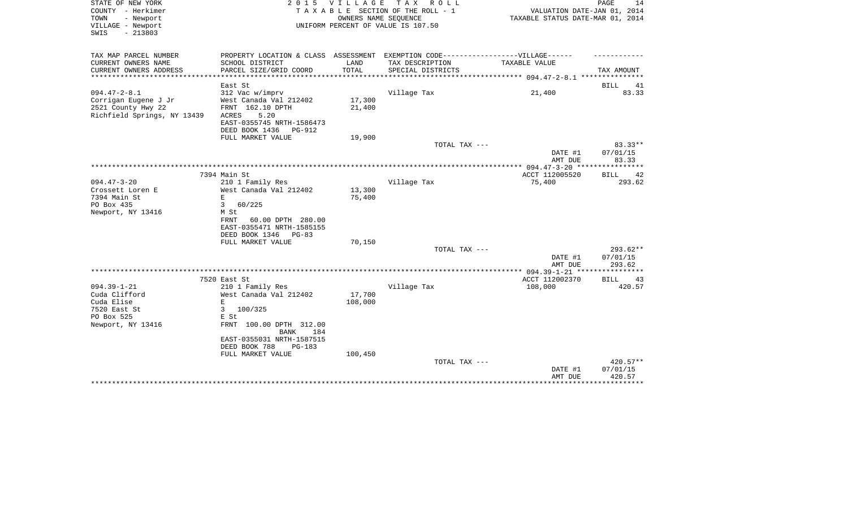| STATE OF NEW YORK<br>COUNTY - Herkimer<br>TOWN<br>- Newport<br>VILLAGE - Newport<br>$-213803$<br>SWIS | 2 0 1 5                                                                                                                                            | <b>VILLAGE</b>    | T A X<br>R O L L<br>T A X A B L E SECTION OF THE ROLL - 1<br>OWNERS NAME SEQUENCE<br>UNIFORM PERCENT OF VALUE IS 107.50   | VALUATION DATE-JAN 01, 2014<br>TAXABLE STATUS DATE-MAR 01, 2014 | PAGE<br>14                       |
|-------------------------------------------------------------------------------------------------------|----------------------------------------------------------------------------------------------------------------------------------------------------|-------------------|---------------------------------------------------------------------------------------------------------------------------|-----------------------------------------------------------------|----------------------------------|
| TAX MAP PARCEL NUMBER<br>CURRENT OWNERS NAME<br>CURRENT OWNERS ADDRESS                                | SCHOOL DISTRICT<br>PARCEL SIZE/GRID COORD<br>***********                                                                                           | LAND<br>TOTAL     | PROPERTY LOCATION & CLASS ASSESSMENT EXEMPTION CODE-----------------VILLAGE------<br>TAX DESCRIPTION<br>SPECIAL DISTRICTS | TAXABLE VALUE                                                   | TAX AMOUNT                       |
| *************                                                                                         | East St                                                                                                                                            |                   |                                                                                                                           | ************ 094.47-2-8.1 ************                          | <b>BILL</b><br>41                |
| $094.47 - 2 - 8.1$<br>Corrigan Eugene J Jr<br>2521 County Hwy 22<br>Richfield Springs, NY 13439       | 312 Vac w/imprv<br>West Canada Val 212402<br>FRNT 162.10 DPTH<br>ACRES<br>5.20<br>EAST-0355745 NRTH-1586473<br>DEED BOOK 1436<br><b>PG-912</b>     | 17,300<br>21,400  | Village Tax                                                                                                               | 21,400                                                          | 83.33                            |
|                                                                                                       | FULL MARKET VALUE                                                                                                                                  | 19,900            |                                                                                                                           |                                                                 |                                  |
|                                                                                                       |                                                                                                                                                    |                   | TOTAL TAX ---                                                                                                             | DATE #1<br>AMT DUE                                              | 83.33**<br>07/01/15<br>83.33     |
|                                                                                                       |                                                                                                                                                    |                   |                                                                                                                           |                                                                 |                                  |
| $094.47 - 3 - 20$                                                                                     | 7394 Main St                                                                                                                                       |                   |                                                                                                                           | ACCT 112005520                                                  | <b>BILL</b><br>42<br>293.62      |
| Crossett Loren E<br>7394 Main St<br>PO Box 435<br>Newport, NY 13416                                   | 210 1 Family Res<br>West Canada Val 212402<br>E.<br>3<br>60/225<br>M St<br>FRNT<br>60.00 DPTH 280.00<br>EAST-0355471 NRTH-1585155                  | 13,300<br>75,400  | Village Tax                                                                                                               | 75,400                                                          |                                  |
|                                                                                                       | DEED BOOK 1346<br>$PG-83$                                                                                                                          |                   |                                                                                                                           |                                                                 |                                  |
|                                                                                                       | FULL MARKET VALUE                                                                                                                                  | 70,150            | TOTAL TAX ---                                                                                                             | DATE #1<br>AMT DUE                                              | $293.62**$<br>07/01/15<br>293.62 |
|                                                                                                       |                                                                                                                                                    |                   |                                                                                                                           |                                                                 |                                  |
| $094.39 - 1 - 21$<br>Cuda Clifford<br>Cuda Elise<br>7520 East St<br>PO Box 525<br>Newport, NY 13416   | 7520 East St<br>210 1 Family Res<br>West Canada Val 212402<br>$\mathbf E$<br>3<br>100/325<br>E St<br>FRNT 100.00 DPTH 312.00<br><b>BANK</b><br>184 | 17,700<br>108,000 | Village Tax                                                                                                               | ACCT 112002370<br>108,000                                       | 43<br>BILL<br>420.57             |
|                                                                                                       | EAST-0355031 NRTH-1587515<br>DEED BOOK 788<br>PG-183<br>FULL MARKET VALUE                                                                          | 100,450           | TOTAL TAX ---                                                                                                             | DATE #1                                                         | 420.57**<br>07/01/15<br>420.57   |
|                                                                                                       |                                                                                                                                                    |                   |                                                                                                                           | AMT DUE                                                         |                                  |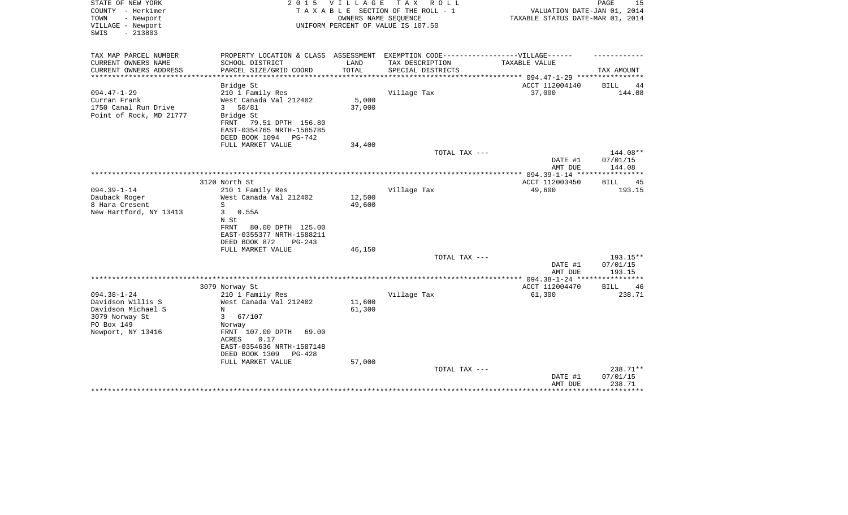| STATE OF NEW YORK<br>COUNTY - Herkimer                      | 2 0 1 5                                                                           | V I L L A G E | T A X<br>R O L L<br>TAXABLE SECTION OF THE ROLL - 1        | VALUATION DATE-JAN 01, 2014      | 15<br>PAGE                  |
|-------------------------------------------------------------|-----------------------------------------------------------------------------------|---------------|------------------------------------------------------------|----------------------------------|-----------------------------|
| - Newport<br>TOWN<br>VILLAGE - Newport<br>$-213803$<br>SWIS |                                                                                   |               | OWNERS NAME SEQUENCE<br>UNIFORM PERCENT OF VALUE IS 107.50 | TAXABLE STATUS DATE-MAR 01, 2014 |                             |
|                                                             |                                                                                   |               |                                                            |                                  |                             |
| TAX MAP PARCEL NUMBER                                       | PROPERTY LOCATION & CLASS ASSESSMENT EXEMPTION CODE-----------------VILLAGE------ |               |                                                            |                                  |                             |
| CURRENT OWNERS NAME<br>CURRENT OWNERS ADDRESS               | SCHOOL DISTRICT<br>PARCEL SIZE/GRID COORD                                         | LAND<br>TOTAL | TAX DESCRIPTION<br>SPECIAL DISTRICTS                       | TAXABLE VALUE                    | TAX AMOUNT                  |
| *****************                                           |                                                                                   |               |                                                            |                                  |                             |
|                                                             | Bridge St                                                                         |               |                                                            | ACCT 112004140                   | BILL<br>44                  |
| $094.47 - 1 - 29$                                           | 210 1 Family Res                                                                  |               | Village Tax                                                | 37,000                           | 144.08                      |
| Curran Frank                                                | West Canada Val 212402                                                            | 5,000         |                                                            |                                  |                             |
| 1750 Canal Run Drive                                        | 50/81<br>3                                                                        | 37,000        |                                                            |                                  |                             |
| Point of Rock, MD 21777                                     | Bridge St                                                                         |               |                                                            |                                  |                             |
|                                                             | FRNT<br>79.51 DPTH 156.80<br>EAST-0354765 NRTH-1585785                            |               |                                                            |                                  |                             |
|                                                             | DEED BOOK 1094<br>PG-742                                                          |               |                                                            |                                  |                             |
|                                                             | FULL MARKET VALUE                                                                 | 34,400        |                                                            |                                  |                             |
|                                                             |                                                                                   |               | TOTAL TAX ---                                              |                                  | 144.08**                    |
|                                                             |                                                                                   |               |                                                            | DATE #1                          | 07/01/15                    |
|                                                             |                                                                                   |               |                                                            | AMT DUE                          | 144.08                      |
|                                                             |                                                                                   |               |                                                            |                                  |                             |
|                                                             | 3120 North St                                                                     |               |                                                            | ACCT 112003450                   | BILL<br>45                  |
| $094.39 - 1 - 14$                                           | 210 1 Family Res                                                                  |               | Village Tax                                                | 49,600                           | 193.15                      |
| Dauback Roger                                               | West Canada Val 212402                                                            | 12,500        |                                                            |                                  |                             |
| 8 Hara Cresent                                              | S                                                                                 | 49,600        |                                                            |                                  |                             |
| New Hartford, NY 13413                                      | 0.55A<br>3<br>N St                                                                |               |                                                            |                                  |                             |
|                                                             | 80.00 DPTH 125.00<br>FRNT                                                         |               |                                                            |                                  |                             |
|                                                             | EAST-0355377 NRTH-1588211                                                         |               |                                                            |                                  |                             |
|                                                             | DEED BOOK 872<br>$PG-243$                                                         |               |                                                            |                                  |                             |
|                                                             | FULL MARKET VALUE                                                                 | 46,150        |                                                            |                                  |                             |
|                                                             |                                                                                   |               | TOTAL TAX ---                                              |                                  | $193.15**$                  |
|                                                             |                                                                                   |               |                                                            | DATE #1                          | 07/01/15                    |
|                                                             |                                                                                   |               |                                                            | AMT DUE                          | 193.15                      |
|                                                             |                                                                                   |               |                                                            |                                  |                             |
| $094.38 - 1 - 24$                                           | 3079 Norway St<br>210 1 Family Res                                                |               | Village Tax                                                | ACCT 112004470<br>61,300         | <b>BILL</b><br>46<br>238.71 |
| Davidson Willis S                                           | West Canada Val 212402                                                            | 11,600        |                                                            |                                  |                             |
| Davidson Michael S                                          | N                                                                                 | 61,300        |                                                            |                                  |                             |
| 3079 Norway St                                              | 3<br>67/107                                                                       |               |                                                            |                                  |                             |
| PO Box 149                                                  | Norway                                                                            |               |                                                            |                                  |                             |
| Newport, NY 13416                                           | FRNT 107.00 DPTH<br>69.00<br>0.17<br>ACRES                                        |               |                                                            |                                  |                             |
|                                                             | EAST-0354636 NRTH-1587148                                                         |               |                                                            |                                  |                             |
|                                                             | DEED BOOK 1309<br>$PG-428$                                                        |               |                                                            |                                  |                             |
|                                                             | FULL MARKET VALUE                                                                 | 57,000        |                                                            |                                  |                             |
|                                                             |                                                                                   |               | TOTAL TAX ---                                              |                                  | 238.71**                    |
|                                                             |                                                                                   |               |                                                            | DATE #1                          | 07/01/15                    |
|                                                             |                                                                                   |               |                                                            | AMT DUE                          | 238.71<br>********          |
|                                                             |                                                                                   |               |                                                            |                                  |                             |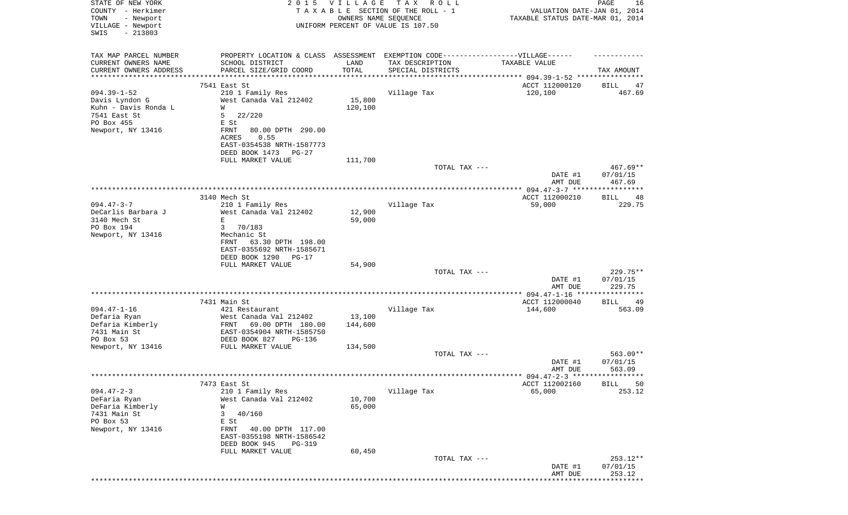| STATE OF NEW YORK<br>COUNTY - Herkimer<br>- Newport<br>TOWN |                                                      | 2015 VILLAGE<br>OWNERS NAME SEQUENCE | TAX ROLL<br>TAXABLE SECTION OF THE ROLL - 1                                       | VALUATION DATE-JAN 01, 2014<br>TAXABLE STATUS DATE-MAR 01, 2014 | PAGE<br>16                  |
|-------------------------------------------------------------|------------------------------------------------------|--------------------------------------|-----------------------------------------------------------------------------------|-----------------------------------------------------------------|-----------------------------|
| VILLAGE - Newport<br>SWIS<br>$-213803$                      |                                                      |                                      | UNIFORM PERCENT OF VALUE IS 107.50                                                |                                                                 |                             |
| TAX MAP PARCEL NUMBER                                       |                                                      |                                      | PROPERTY LOCATION & CLASS ASSESSMENT EXEMPTION CODE-----------------VILLAGE------ |                                                                 |                             |
| CURRENT OWNERS NAME                                         | SCHOOL DISTRICT                                      | LAND                                 | TAX DESCRIPTION                                                                   | TAXABLE VALUE                                                   |                             |
| CURRENT OWNERS ADDRESS<br>**********************            | PARCEL SIZE/GRID COORD                               | TOTAL                                | SPECIAL DISTRICTS                                                                 |                                                                 | TAX AMOUNT                  |
|                                                             | 7541 East St                                         |                                      |                                                                                   |                                                                 | BILL                        |
| $094.39 - 1 - 52$                                           | 210 1 Family Res                                     |                                      | Village Tax                                                                       | ACCT 112000120<br>120,100                                       | 47<br>467.69                |
| Davis Lyndon G                                              | West Canada Val 212402                               | 15,800                               |                                                                                   |                                                                 |                             |
| Kuhn - Davis Ronda L                                        | W                                                    | 120,100                              |                                                                                   |                                                                 |                             |
| 7541 East St                                                | 5<br>22/220                                          |                                      |                                                                                   |                                                                 |                             |
| PO Box 455                                                  | E St                                                 |                                      |                                                                                   |                                                                 |                             |
| Newport, NY 13416                                           | 80.00 DPTH 290.00<br>FRNT<br>ACRES<br>0.55           |                                      |                                                                                   |                                                                 |                             |
|                                                             | EAST-0354538 NRTH-1587773                            |                                      |                                                                                   |                                                                 |                             |
|                                                             | DEED BOOK 1473 PG-27                                 |                                      |                                                                                   |                                                                 |                             |
|                                                             | FULL MARKET VALUE                                    | 111,700                              |                                                                                   |                                                                 |                             |
|                                                             |                                                      |                                      | TOTAL TAX ---                                                                     | DATE #1                                                         | $467.69**$<br>07/01/15      |
|                                                             |                                                      |                                      |                                                                                   | AMT DUE                                                         | 467.69                      |
|                                                             | 3140 Mech St                                         |                                      |                                                                                   | ACCT 112000210                                                  | BILL<br>48                  |
| $094.47 - 3 - 7$                                            | 210 1 Family Res                                     |                                      | Village Tax                                                                       | 59,000                                                          | 229.75                      |
| DeCarlis Barbara J                                          | West Canada Val 212402                               | 12,900                               |                                                                                   |                                                                 |                             |
| 3140 Mech St                                                | E                                                    | 59,000                               |                                                                                   |                                                                 |                             |
| PO Box 194                                                  | 3<br>70/183                                          |                                      |                                                                                   |                                                                 |                             |
| Newport, NY 13416                                           | Mechanic St<br>FRNT 63.30 DPTH 198.00                |                                      |                                                                                   |                                                                 |                             |
|                                                             | EAST-0355692 NRTH-1585671                            |                                      |                                                                                   |                                                                 |                             |
|                                                             | DEED BOOK 1290<br>PG-17                              |                                      |                                                                                   |                                                                 |                             |
|                                                             | FULL MARKET VALUE                                    | 54,900                               |                                                                                   |                                                                 |                             |
|                                                             |                                                      |                                      | TOTAL TAX ---                                                                     |                                                                 | $229.75**$                  |
|                                                             |                                                      |                                      |                                                                                   | DATE #1<br>AMT DUE                                              | 07/01/15<br>229.75          |
|                                                             |                                                      |                                      |                                                                                   | ****** 094.47-1-16 *****                                        | ***********                 |
|                                                             | 7431 Main St                                         |                                      |                                                                                   | ACCT 112000040                                                  | BILL<br>49                  |
| $094.47 - 1 - 16$                                           | 421 Restaurant                                       |                                      | Village Tax                                                                       | 144,600                                                         | 563.09                      |
| Defaria Ryan                                                | West Canada Val 212402                               | 13,100                               |                                                                                   |                                                                 |                             |
| Defaria Kimberly                                            | FRNT<br>69.00 DPTH 180.00                            | 144,600                              |                                                                                   |                                                                 |                             |
| 7431 Main St<br>PO Box 53                                   | EAST-0354904 NRTH-1585750<br>DEED BOOK 827<br>PG-136 |                                      |                                                                                   |                                                                 |                             |
| Newport, NY 13416                                           | FULL MARKET VALUE                                    | 134,500                              |                                                                                   |                                                                 |                             |
|                                                             |                                                      |                                      | TOTAL TAX ---                                                                     |                                                                 | $563.09**$                  |
|                                                             |                                                      |                                      |                                                                                   | DATE #1                                                         | 07/01/15                    |
|                                                             |                                                      |                                      |                                                                                   | AMT DUE                                                         | 563.09                      |
|                                                             |                                                      |                                      |                                                                                   |                                                                 |                             |
| $094.47 - 2 - 3$                                            | 7473 East St<br>210 1 Family Res                     |                                      | Village Tax                                                                       | ACCT 112002160<br>65,000                                        | <b>BILL</b><br>50<br>253.12 |
| DeFaria Ryan                                                | West Canada Val 212402                               | 10,700                               |                                                                                   |                                                                 |                             |
| DeFaria Kimberly                                            | W                                                    | 65,000                               |                                                                                   |                                                                 |                             |
| 7431 Main St                                                | 3<br>40/160                                          |                                      |                                                                                   |                                                                 |                             |
| PO Box 53                                                   | E St                                                 |                                      |                                                                                   |                                                                 |                             |
| Newport, NY 13416                                           | 40.00 DPTH 117.00<br>FRNT                            |                                      |                                                                                   |                                                                 |                             |
|                                                             | EAST-0355198 NRTH-1586542<br>DEED BOOK 945<br>PG-319 |                                      |                                                                                   |                                                                 |                             |
|                                                             | FULL MARKET VALUE                                    | 60,450                               |                                                                                   |                                                                 |                             |
|                                                             |                                                      |                                      | TOTAL TAX ---                                                                     |                                                                 | 253.12**                    |
|                                                             |                                                      |                                      |                                                                                   | DATE #1                                                         | 07/01/15                    |
|                                                             |                                                      |                                      |                                                                                   | AMT DUE                                                         | 253.12                      |
|                                                             |                                                      |                                      |                                                                                   |                                                                 |                             |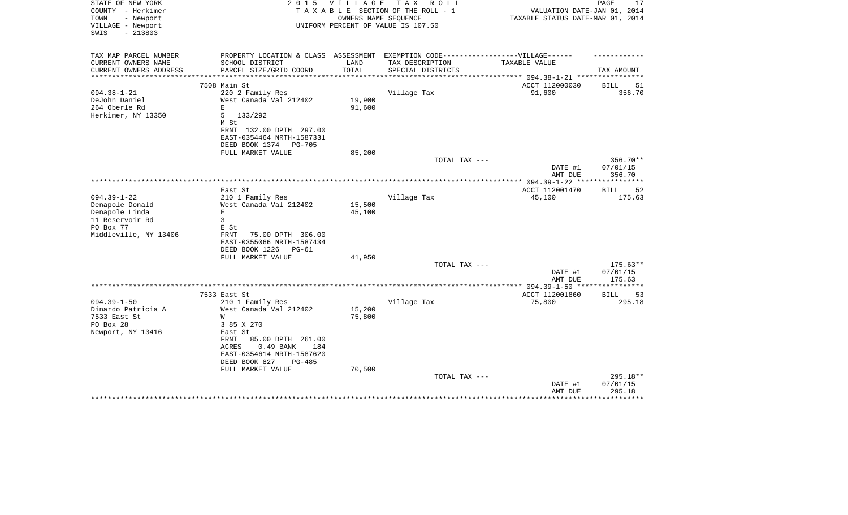| STATE OF NEW YORK<br>COUNTY - Herkimer<br>- Newport<br>TOWN<br>VILLAGE - Newport<br>$-213803$<br>SWIS | 2 0 1 5                                                                          | V I L L A G E<br>OWNERS NAME SEQUENCE | T A X<br>R O L L<br>TAXABLE SECTION OF THE ROLL - 1<br>UNIFORM PERCENT OF VALUE IS 107.50 | VALUATION DATE-JAN 01, 2014<br>TAXABLE STATUS DATE-MAR 01, 2014 | PAGE<br>17           |
|-------------------------------------------------------------------------------------------------------|----------------------------------------------------------------------------------|---------------------------------------|-------------------------------------------------------------------------------------------|-----------------------------------------------------------------|----------------------|
| TAX MAP PARCEL NUMBER                                                                                 | PROPERTY LOCATION & CLASS ASSESSMENT EXEMPTION CODE----------------VILLAGE------ |                                       |                                                                                           |                                                                 |                      |
| CURRENT OWNERS NAME                                                                                   | SCHOOL DISTRICT                                                                  | LAND                                  | TAX DESCRIPTION                                                                           | TAXABLE VALUE                                                   |                      |
| CURRENT OWNERS ADDRESS                                                                                | PARCEL SIZE/GRID COORD                                                           | TOTAL<br>***********                  | SPECIAL DISTRICTS                                                                         |                                                                 | TAX AMOUNT           |
|                                                                                                       | 7508 Main St                                                                     |                                       |                                                                                           | ACCT 112000030                                                  | 51<br>BILL           |
| $094.38 - 1 - 21$                                                                                     | 220 2 Family Res                                                                 |                                       | Village Tax                                                                               | 91,600                                                          | 356.70               |
| DeJohn Daniel                                                                                         | West Canada Val 212402                                                           | 19,900                                |                                                                                           |                                                                 |                      |
| 264 Oberle Rd                                                                                         | $\mathbf E$                                                                      | 91,600                                |                                                                                           |                                                                 |                      |
| Herkimer, NY 13350                                                                                    | 5<br>133/292                                                                     |                                       |                                                                                           |                                                                 |                      |
|                                                                                                       | M St                                                                             |                                       |                                                                                           |                                                                 |                      |
|                                                                                                       | FRNT 132.00 DPTH 297.00                                                          |                                       |                                                                                           |                                                                 |                      |
|                                                                                                       | EAST-0354464 NRTH-1587331<br>DEED BOOK 1374<br><b>PG-705</b>                     |                                       |                                                                                           |                                                                 |                      |
|                                                                                                       | FULL MARKET VALUE                                                                | 85,200                                |                                                                                           |                                                                 |                      |
|                                                                                                       |                                                                                  |                                       | TOTAL TAX ---                                                                             |                                                                 | $356.70**$           |
|                                                                                                       |                                                                                  |                                       |                                                                                           | DATE #1                                                         | 07/01/15             |
|                                                                                                       |                                                                                  |                                       |                                                                                           | AMT DUE                                                         | 356.70               |
|                                                                                                       |                                                                                  |                                       |                                                                                           | ***** $094.39 - 1 - 22$ **                                      |                      |
| $094.39 - 1 - 22$                                                                                     | East St<br>210 1 Family Res                                                      |                                       | Village Tax                                                                               | ACCT 112001470<br>45,100                                        | 52<br>BILL<br>175.63 |
| Denapole Donald                                                                                       | West Canada Val 212402                                                           | 15,500                                |                                                                                           |                                                                 |                      |
| Denapole Linda                                                                                        | $\mathbf E$                                                                      | 45,100                                |                                                                                           |                                                                 |                      |
| 11 Reservoir Rd                                                                                       | 3                                                                                |                                       |                                                                                           |                                                                 |                      |
| PO Box 77                                                                                             | E St                                                                             |                                       |                                                                                           |                                                                 |                      |
| Middleville, NY 13406                                                                                 | 75.00 DPTH 306.00<br>FRNT                                                        |                                       |                                                                                           |                                                                 |                      |
|                                                                                                       | EAST-0355066 NRTH-1587434                                                        |                                       |                                                                                           |                                                                 |                      |
|                                                                                                       | DEED BOOK 1226<br>PG-61                                                          |                                       |                                                                                           |                                                                 |                      |
|                                                                                                       | FULL MARKET VALUE                                                                | 41,950                                | TOTAL TAX ---                                                                             |                                                                 | $175.63**$           |
|                                                                                                       |                                                                                  |                                       |                                                                                           | DATE #1                                                         | 07/01/15             |
|                                                                                                       |                                                                                  |                                       |                                                                                           | AMT DUE                                                         | 175.63               |
|                                                                                                       | ************                                                                     |                                       |                                                                                           |                                                                 | **********           |
|                                                                                                       | 7533 East St                                                                     |                                       |                                                                                           | ACCT 112001860                                                  | 53<br>BILL           |
| $094.39 - 1 - 50$                                                                                     | 210 1 Family Res                                                                 |                                       | Village Tax                                                                               | 75,800                                                          | 295.18               |
| Dinardo Patricia A<br>7533 East St                                                                    | West Canada Val 212402<br>W                                                      | 15,200<br>75,800                      |                                                                                           |                                                                 |                      |
| PO Box 28                                                                                             | 3 85 X 270                                                                       |                                       |                                                                                           |                                                                 |                      |
| Newport, NY 13416                                                                                     | East St                                                                          |                                       |                                                                                           |                                                                 |                      |
|                                                                                                       | 85.00 DPTH 261.00<br>FRNT                                                        |                                       |                                                                                           |                                                                 |                      |
|                                                                                                       | 0.49 BANK<br>184<br>ACRES                                                        |                                       |                                                                                           |                                                                 |                      |
|                                                                                                       | EAST-0354614 NRTH-1587620                                                        |                                       |                                                                                           |                                                                 |                      |
|                                                                                                       | DEED BOOK 827<br><b>PG-485</b>                                                   |                                       |                                                                                           |                                                                 |                      |
|                                                                                                       | FULL MARKET VALUE                                                                | 70,500                                | TOTAL TAX ---                                                                             |                                                                 | 295.18**             |
|                                                                                                       |                                                                                  |                                       |                                                                                           | DATE #1                                                         | 07/01/15             |
|                                                                                                       |                                                                                  |                                       |                                                                                           | AMT DUE                                                         | 295.18               |
|                                                                                                       |                                                                                  |                                       |                                                                                           |                                                                 |                      |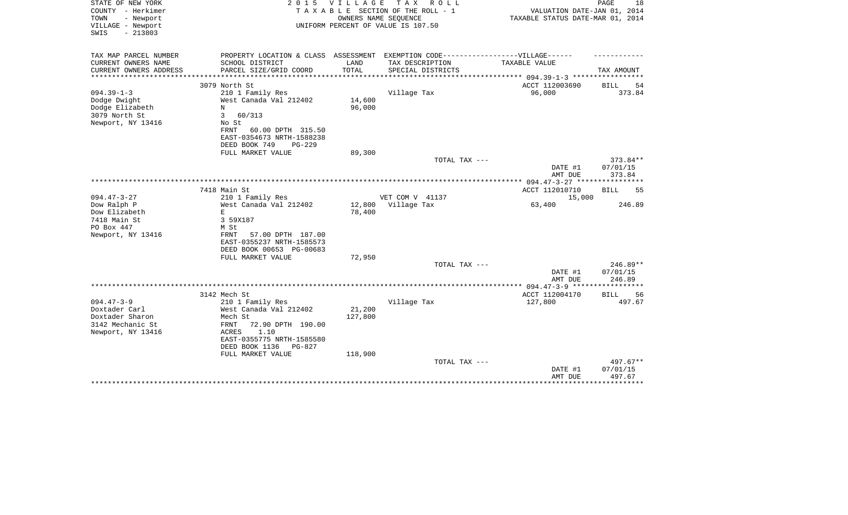| STATE OF NEW YORK<br>COUNTY - Herkimer<br>TOWN<br>- Newport<br>VILLAGE - Newport<br>SWIS<br>$-213803$ | 2 0 1 5                                                       | <b>VILLAGE</b><br>OWNERS NAME SEQUENCE | TAX ROLL<br>TAXABLE SECTION OF THE ROLL - 1<br>UNIFORM PERCENT OF VALUE IS 107.50                    | VALUATION DATE-JAN 01, 2014<br>TAXABLE STATUS DATE-MAR 01, 2014 | PAGE<br>18         |
|-------------------------------------------------------------------------------------------------------|---------------------------------------------------------------|----------------------------------------|------------------------------------------------------------------------------------------------------|-----------------------------------------------------------------|--------------------|
| TAX MAP PARCEL NUMBER                                                                                 | SCHOOL DISTRICT                                               | LAND                                   | PROPERTY LOCATION & CLASS ASSESSMENT EXEMPTION CODE-----------------VILLAGE------<br>TAX DESCRIPTION | TAXABLE VALUE                                                   |                    |
| CURRENT OWNERS NAME<br>CURRENT OWNERS ADDRESS                                                         | PARCEL SIZE/GRID COORD                                        | TOTAL                                  | SPECIAL DISTRICTS                                                                                    |                                                                 | TAX AMOUNT         |
| ***********************                                                                               |                                                               |                                        |                                                                                                      |                                                                 |                    |
| 3079 North St                                                                                         |                                                               |                                        |                                                                                                      | ACCT 112003690                                                  | <b>BILL</b><br>54  |
| $094.39 - 1 - 3$                                                                                      | 210 1 Family Res                                              |                                        | Village Tax                                                                                          | 96,000                                                          | 373.84             |
| Dodge Dwight                                                                                          | West Canada Val 212402                                        | 14,600                                 |                                                                                                      |                                                                 |                    |
| Dodge Elizabeth<br>N<br>3079 North St<br>3                                                            | 60/313                                                        | 96,000                                 |                                                                                                      |                                                                 |                    |
| Newport, NY 13416                                                                                     | No St                                                         |                                        |                                                                                                      |                                                                 |                    |
|                                                                                                       | 60.00 DPTH 315.50<br>FRNT                                     |                                        |                                                                                                      |                                                                 |                    |
|                                                                                                       | EAST-0354673 NRTH-1588238                                     |                                        |                                                                                                      |                                                                 |                    |
|                                                                                                       | DEED BOOK 749<br>$PG-229$                                     |                                        |                                                                                                      |                                                                 |                    |
|                                                                                                       | FULL MARKET VALUE                                             | 89,300                                 |                                                                                                      |                                                                 |                    |
|                                                                                                       |                                                               |                                        | TOTAL TAX ---                                                                                        |                                                                 | 373.84**           |
|                                                                                                       |                                                               |                                        |                                                                                                      | DATE #1<br>AMT DUE                                              | 07/01/15<br>373.84 |
| **************************************                                                                |                                                               |                                        |                                                                                                      |                                                                 |                    |
| 7418 Main St                                                                                          |                                                               |                                        |                                                                                                      | ACCT 112010710                                                  | <b>BILL</b><br>55  |
| $094.47 - 3 - 27$                                                                                     | 210 1 Family Res                                              |                                        | VET COM V 41137                                                                                      | 15,000                                                          |                    |
| Dow Ralph P                                                                                           | West Canada Val 212402                                        | 12,800                                 | Village Tax                                                                                          | 63,400                                                          | 246.89             |
| Dow Elizabeth<br>$\mathbf E$                                                                          |                                                               | 78,400                                 |                                                                                                      |                                                                 |                    |
| 7418 Main St                                                                                          | 3 59X187                                                      |                                        |                                                                                                      |                                                                 |                    |
| PO Box 447                                                                                            | M St                                                          |                                        |                                                                                                      |                                                                 |                    |
| Newport, NY 13416                                                                                     | <b>FRNT</b><br>57.00 DPTH 187.00<br>EAST-0355237 NRTH-1585573 |                                        |                                                                                                      |                                                                 |                    |
|                                                                                                       | DEED BOOK 00653 PG-00683                                      |                                        |                                                                                                      |                                                                 |                    |
|                                                                                                       | FULL MARKET VALUE                                             | 72,950                                 | TOTAL TAX ---                                                                                        |                                                                 | $246.89**$         |
|                                                                                                       |                                                               |                                        |                                                                                                      | DATE #1                                                         | 07/01/15           |
|                                                                                                       |                                                               |                                        |                                                                                                      | AMT DUE                                                         | 246.89             |
|                                                                                                       |                                                               |                                        |                                                                                                      |                                                                 | *******            |
| 3142 Mech St                                                                                          |                                                               |                                        |                                                                                                      | ACCT 112004170                                                  | 56<br>BILL         |
| $094.47 - 3 - 9$                                                                                      | 210 1 Family Res                                              |                                        | Village Tax                                                                                          | 127,800                                                         | 497.67             |
| Doxtader Carl<br>Doxtader Sharon                                                                      | West Canada Val 212402<br>Mech St                             | 21,200<br>127,800                      |                                                                                                      |                                                                 |                    |
| 3142 Mechanic St                                                                                      | 72.90 DPTH 190.00<br>FRNT                                     |                                        |                                                                                                      |                                                                 |                    |
| Newport, NY 13416                                                                                     | ACRES<br>1.10                                                 |                                        |                                                                                                      |                                                                 |                    |
|                                                                                                       | EAST-0355775 NRTH-1585580                                     |                                        |                                                                                                      |                                                                 |                    |
|                                                                                                       | DEED BOOK 1136<br>$PG-827$                                    |                                        |                                                                                                      |                                                                 |                    |
|                                                                                                       | FULL MARKET VALUE                                             | 118,900                                |                                                                                                      |                                                                 |                    |
|                                                                                                       |                                                               |                                        | TOTAL TAX ---                                                                                        |                                                                 | 497.67**           |
|                                                                                                       |                                                               |                                        |                                                                                                      | DATE #1<br>AMT DUE                                              | 07/01/15<br>497.67 |
|                                                                                                       |                                                               |                                        |                                                                                                      |                                                                 | ********           |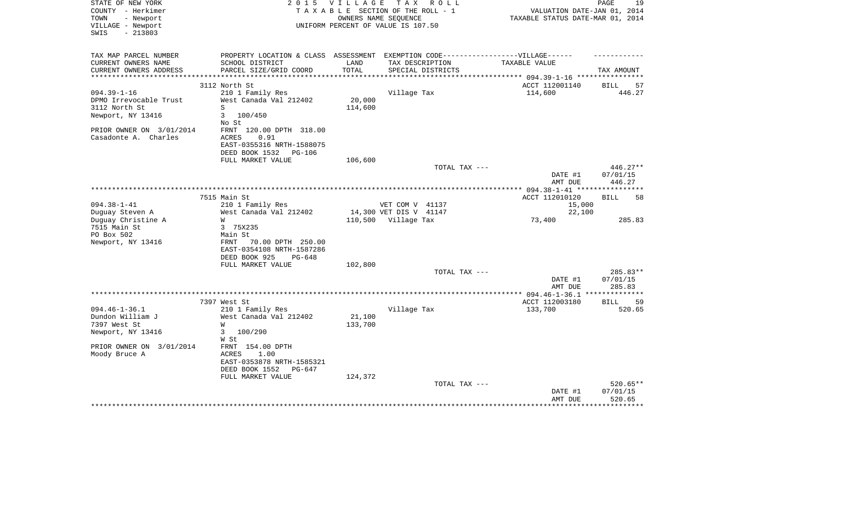| STATE OF NEW YORK        | 2 0 1 5                                                                          | VILLAGE                         | TAX ROLL                           |                                  | PAGE<br>19           |
|--------------------------|----------------------------------------------------------------------------------|---------------------------------|------------------------------------|----------------------------------|----------------------|
| COUNTY - Herkimer        |                                                                                  |                                 | TAXABLE SECTION OF THE ROLL - 1    | VALUATION DATE-JAN 01, 2014      |                      |
| TOWN<br>- Newport        |                                                                                  |                                 | OWNERS NAME SEQUENCE               | TAXABLE STATUS DATE-MAR 01, 2014 |                      |
| VILLAGE - Newport        |                                                                                  |                                 | UNIFORM PERCENT OF VALUE IS 107.50 |                                  |                      |
| $-213803$<br>SWIS        |                                                                                  |                                 |                                    |                                  |                      |
|                          |                                                                                  |                                 |                                    |                                  |                      |
| TAX MAP PARCEL NUMBER    | PROPERTY LOCATION & CLASS ASSESSMENT EXEMPTION CODE----------------VILLAGE------ |                                 |                                    |                                  |                      |
| CURRENT OWNERS NAME      | SCHOOL DISTRICT                                                                  | LAND                            | TAX DESCRIPTION                    | TAXABLE VALUE                    |                      |
| CURRENT OWNERS ADDRESS   | PARCEL SIZE/GRID COORD                                                           | TOTAL                           | SPECIAL DISTRICTS                  |                                  | TAX AMOUNT           |
| ***********************  |                                                                                  |                                 |                                    | ACCT 112001140                   |                      |
| $094.39 - 1 - 16$        | 3112 North St                                                                    |                                 |                                    | 114,600                          | BILL<br>57<br>446.27 |
| DPMO Irrevocable Trust   | 210 1 Family Res<br>West Canada Val 212402                                       | 20,000                          | Village Tax                        |                                  |                      |
|                          | S                                                                                |                                 |                                    |                                  |                      |
| 3112 North St            | 3<br>100/450                                                                     | 114,600                         |                                    |                                  |                      |
| Newport, NY 13416        | No St                                                                            |                                 |                                    |                                  |                      |
| PRIOR OWNER ON 3/01/2014 | FRNT 120.00 DPTH 318.00                                                          |                                 |                                    |                                  |                      |
| Casadonte A. Charles     | ACRES<br>0.91                                                                    |                                 |                                    |                                  |                      |
|                          | EAST-0355316 NRTH-1588075                                                        |                                 |                                    |                                  |                      |
|                          | DEED BOOK 1532<br>PG-106                                                         |                                 |                                    |                                  |                      |
|                          | FULL MARKET VALUE                                                                | 106,600                         |                                    |                                  |                      |
|                          |                                                                                  |                                 | TOTAL TAX ---                      |                                  | $446.27**$           |
|                          |                                                                                  |                                 |                                    | DATE #1                          | 07/01/15             |
|                          |                                                                                  |                                 |                                    | AMT DUE                          | 446.27               |
|                          | **********                                                                       | ******************************* |                                    | *** $094.38 - 1 - 41$ ****       | ************         |
|                          | 7515 Main St                                                                     |                                 |                                    | ACCT 112010120                   | <b>BILL</b><br>58    |
| $094.38 - 1 - 41$        | 210 1 Family Res                                                                 |                                 | VET COM V 41137                    | 15,000                           |                      |
| Duguay Steven A          | West Canada Val 212402                                                           |                                 | 14,300 VET DIS V 41147             | 22,100                           |                      |
| Duguay Christine A       | W                                                                                | 110,500                         | Village Tax                        | 73,400                           | 285.83               |
| 7515 Main St             | 3 75X235                                                                         |                                 |                                    |                                  |                      |
| PO Box 502               | Main St                                                                          |                                 |                                    |                                  |                      |
| Newport, NY 13416        | 70.00 DPTH 250.00<br>FRNT                                                        |                                 |                                    |                                  |                      |
|                          | EAST-0354108 NRTH-1587286                                                        |                                 |                                    |                                  |                      |
|                          | DEED BOOK 925<br>$PG-648$                                                        |                                 |                                    |                                  |                      |
|                          | FULL MARKET VALUE                                                                | 102,800                         |                                    |                                  |                      |
|                          |                                                                                  |                                 | TOTAL TAX ---                      |                                  | 285.83**             |
|                          |                                                                                  |                                 |                                    | DATE #1                          | 07/01/15             |
|                          |                                                                                  |                                 |                                    | AMT DUE                          | 285.83               |
|                          | 7397 West St                                                                     |                                 |                                    | ACCT 112003180                   | <b>BILL</b><br>59    |
| $094.46 - 1 - 36.1$      | 210 1 Family Res                                                                 |                                 | Village Tax                        | 133,700                          | 520.65               |
| Dundon William J         | West Canada Val 212402                                                           | 21,100                          |                                    |                                  |                      |
| 7397 West St             | W                                                                                | 133,700                         |                                    |                                  |                      |
| Newport, NY 13416        | 3<br>100/290                                                                     |                                 |                                    |                                  |                      |
|                          | W St                                                                             |                                 |                                    |                                  |                      |
| PRIOR OWNER ON 3/01/2014 | FRNT 154.00 DPTH                                                                 |                                 |                                    |                                  |                      |
| Moody Bruce A            | ACRES<br>1.00                                                                    |                                 |                                    |                                  |                      |
|                          | EAST-0353878 NRTH-1585321                                                        |                                 |                                    |                                  |                      |
|                          | DEED BOOK 1552<br>$PG-647$                                                       |                                 |                                    |                                  |                      |
|                          | FULL MARKET VALUE                                                                | 124,372                         |                                    |                                  |                      |
|                          |                                                                                  |                                 | TOTAL TAX ---                      |                                  | 520.65**             |
|                          |                                                                                  |                                 |                                    | DATE #1                          | 07/01/15             |
|                          |                                                                                  |                                 |                                    | AMT DUE                          | 520.65               |
|                          |                                                                                  |                                 |                                    |                                  |                      |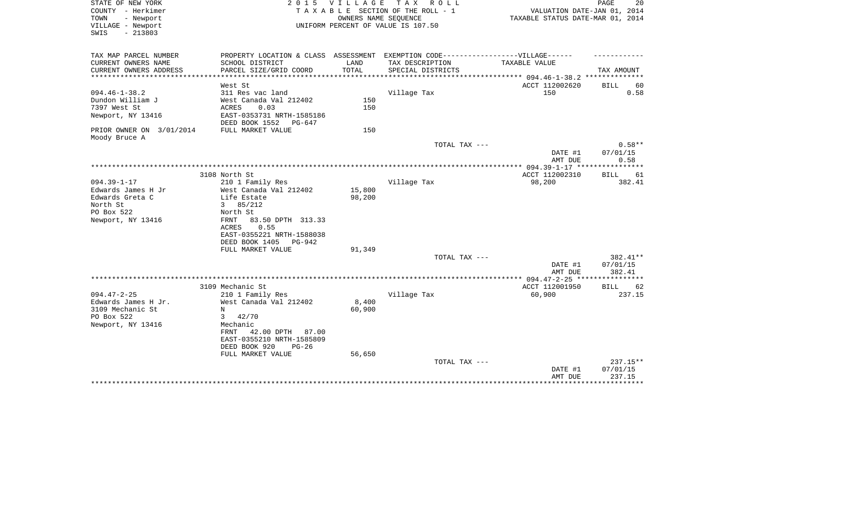| STATE OF NEW YORK<br>COUNTY - Herkimer<br>- Newport<br>TOWN<br>VILLAGE - Newport<br>$-213803$<br>SWIS | 2 0 1 5                                                  | VILLAGE | TAX ROLL<br>TAXABLE SECTION OF THE ROLL - 1<br>OWNERS NAME SEQUENCE<br>UNIFORM PERCENT OF VALUE IS 107.50 | VALUATION DATE-JAN 01, 2014<br>TAXABLE STATUS DATE-MAR 01, 2014 | PAGE<br>20                   |
|-------------------------------------------------------------------------------------------------------|----------------------------------------------------------|---------|-----------------------------------------------------------------------------------------------------------|-----------------------------------------------------------------|------------------------------|
| TAX MAP PARCEL NUMBER<br>CURRENT OWNERS NAME                                                          | SCHOOL DISTRICT                                          | LAND    | PROPERTY LOCATION & CLASS ASSESSMENT EXEMPTION CODE-----------------VILLAGE------<br>TAX DESCRIPTION      | <b>TAXABLE VALUE</b>                                            |                              |
| CURRENT OWNERS ADDRESS                                                                                | PARCEL SIZE/GRID COORD                                   | TOTAL   | SPECIAL DISTRICTS                                                                                         |                                                                 | TAX AMOUNT                   |
| **********************                                                                                | ************************                                 |         |                                                                                                           |                                                                 |                              |
|                                                                                                       | West St                                                  |         |                                                                                                           | ACCT 112002620                                                  | 60<br>BILL                   |
| $094.46 - 1 - 38.2$                                                                                   | 311 Res vac land                                         |         | Village Tax                                                                                               | 150                                                             | 0.58                         |
| Dundon William J                                                                                      | West Canada Val 212402                                   | 150     |                                                                                                           |                                                                 |                              |
| 7397 West St                                                                                          | <b>ACRES</b><br>0.03                                     | 150     |                                                                                                           |                                                                 |                              |
| Newport, NY 13416                                                                                     | EAST-0353731 NRTH-1585186<br>DEED BOOK 1552<br>PG-647    |         |                                                                                                           |                                                                 |                              |
| PRIOR OWNER ON 3/01/2014                                                                              | FULL MARKET VALUE                                        | 150     |                                                                                                           |                                                                 |                              |
| Moody Bruce A                                                                                         |                                                          |         |                                                                                                           |                                                                 |                              |
|                                                                                                       |                                                          |         | TOTAL TAX ---                                                                                             | DATE #1<br>AMT DUE                                              | $0.58**$<br>07/01/15<br>0.58 |
|                                                                                                       |                                                          |         |                                                                                                           |                                                                 |                              |
|                                                                                                       | 3108 North St                                            |         |                                                                                                           | ACCT 112002310                                                  | <b>BILL</b><br>61            |
| $094.39 - 1 - 17$                                                                                     | 210 1 Family Res                                         |         | Village Tax                                                                                               | 98,200                                                          | 382.41                       |
| Edwards James H Jr                                                                                    | West Canada Val 212402                                   | 15,800  |                                                                                                           |                                                                 |                              |
| Edwards Greta C                                                                                       | Life Estate                                              | 98,200  |                                                                                                           |                                                                 |                              |
| North St                                                                                              | 85/212<br>3                                              |         |                                                                                                           |                                                                 |                              |
| PO Box 522                                                                                            | North St                                                 |         |                                                                                                           |                                                                 |                              |
| Newport, NY 13416                                                                                     | FRNT<br>83.50 DPTH 313.33                                |         |                                                                                                           |                                                                 |                              |
|                                                                                                       | 0.55<br><b>ACRES</b>                                     |         |                                                                                                           |                                                                 |                              |
|                                                                                                       | EAST-0355221 NRTH-1588038                                |         |                                                                                                           |                                                                 |                              |
|                                                                                                       | DEED BOOK 1405<br>PG-942                                 |         |                                                                                                           |                                                                 |                              |
|                                                                                                       | FULL MARKET VALUE                                        | 91,349  |                                                                                                           |                                                                 |                              |
|                                                                                                       |                                                          |         | TOTAL TAX ---                                                                                             |                                                                 | 382.41**                     |
|                                                                                                       |                                                          |         |                                                                                                           | DATE #1<br>AMT DUE                                              | 07/01/15<br>382.41           |
|                                                                                                       |                                                          |         |                                                                                                           | ****** 094.47-2-25 *****                                        |                              |
|                                                                                                       | 3109 Mechanic St                                         |         |                                                                                                           | ACCT 112001950                                                  | <b>BILL</b><br>62            |
| $094.47 - 2 - 25$                                                                                     | 210 1 Family Res                                         |         | Village Tax                                                                                               | 60,900                                                          | 237.15                       |
| Edwards James H Jr.                                                                                   | West Canada Val 212402                                   | 8,400   |                                                                                                           |                                                                 |                              |
| 3109 Mechanic St                                                                                      | N                                                        | 60,900  |                                                                                                           |                                                                 |                              |
| PO Box 522                                                                                            | 3<br>42/70                                               |         |                                                                                                           |                                                                 |                              |
| Newport, NY 13416                                                                                     | Mechanic                                                 |         |                                                                                                           |                                                                 |                              |
|                                                                                                       | 42.00 DPTH<br>FRNT<br>87.00<br>EAST-0355210 NRTH-1585809 |         |                                                                                                           |                                                                 |                              |
|                                                                                                       | DEED BOOK 920<br>$PG-26$                                 |         |                                                                                                           |                                                                 |                              |
|                                                                                                       | FULL MARKET VALUE                                        | 56,650  |                                                                                                           |                                                                 |                              |
|                                                                                                       |                                                          |         | TOTAL TAX ---                                                                                             |                                                                 | 237.15**                     |
|                                                                                                       |                                                          |         |                                                                                                           | DATE #1                                                         | 07/01/15                     |
|                                                                                                       |                                                          |         |                                                                                                           | AMT DUE                                                         | 237.15                       |
|                                                                                                       |                                                          |         |                                                                                                           |                                                                 | ********                     |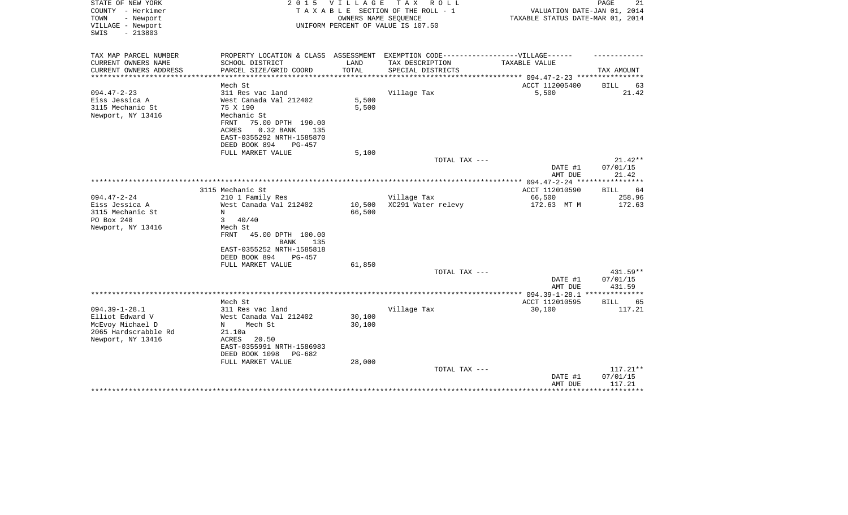| STATE OF NEW YORK<br>COUNTY - Herkimer<br>- Newport<br>TOWN<br>VILLAGE - Newport<br>$-213803$<br>SWIS   | 2 0 1 5                                                                                                                                                                                 | <b>VILLAGE</b>         | T A X<br>R O L L<br>TAXABLE SECTION OF THE ROLL - 1<br>OWNERS NAME SEQUENCE<br>UNIFORM PERCENT OF VALUE IS 107.50 | VALUATION DATE-JAN 01, 2014<br>TAXABLE STATUS DATE-MAR 01, 2014 | PAGE<br>21                                   |
|---------------------------------------------------------------------------------------------------------|-----------------------------------------------------------------------------------------------------------------------------------------------------------------------------------------|------------------------|-------------------------------------------------------------------------------------------------------------------|-----------------------------------------------------------------|----------------------------------------------|
| TAX MAP PARCEL NUMBER<br>CURRENT OWNERS NAME                                                            | PROPERTY LOCATION & CLASS ASSESSMENT EXEMPTION CODE-----------------VILLAGE------<br>SCHOOL DISTRICT                                                                                    | LAND                   | TAX DESCRIPTION                                                                                                   | TAXABLE VALUE                                                   |                                              |
| CURRENT OWNERS ADDRESS<br>**************                                                                | PARCEL SIZE/GRID COORD                                                                                                                                                                  | TOTAL<br>************* | SPECIAL DISTRICTS                                                                                                 | ***************** 094.47-2-23 *****************                 | TAX AMOUNT                                   |
|                                                                                                         | Mech St                                                                                                                                                                                 |                        |                                                                                                                   | ACCT 112005400                                                  | BILL<br>63                                   |
| $094.47 - 2 - 23$<br>Eiss Jessica A<br>3115 Mechanic St<br>Newport, NY 13416                            | 311 Res vac land<br>West Canada Val 212402<br>75 X 190<br>Mechanic St<br>75.00 DPTH 190.00<br>FRNT<br>ACRES<br>0.32 BANK<br>135<br>EAST-0355292 NRTH-1585870<br>DEED BOOK 894<br>PG-457 | 5,500<br>5,500         | Village Tax                                                                                                       | 5,500                                                           | 21.42                                        |
|                                                                                                         | FULL MARKET VALUE                                                                                                                                                                       | 5,100                  | TOTAL TAX ---                                                                                                     |                                                                 | $21.42**$                                    |
|                                                                                                         |                                                                                                                                                                                         |                        |                                                                                                                   | DATE #1                                                         | 07/01/15                                     |
|                                                                                                         |                                                                                                                                                                                         |                        |                                                                                                                   | AMT DUE                                                         | 21.42                                        |
|                                                                                                         | 3115 Mechanic St                                                                                                                                                                        |                        |                                                                                                                   | ACCT 112010590                                                  | 64<br>BILL                                   |
| $094.47 - 2 - 24$<br>Eiss Jessica A<br>3115 Mechanic St<br>PO Box 248<br>Newport, NY 13416              | 210 1 Family Res<br>West Canada Val 212402<br>N<br>3<br>40/40<br>Mech St<br>FRNT<br>45.00 DPTH 100.00<br><b>BANK</b><br>135<br>EAST-0355252 NRTH-1585818<br>DEED BOOK 894<br>$PG-457$   | 10,500<br>66,500       | Village Tax<br>XC291 Water relevy                                                                                 | 66,500<br>172.63 MT M                                           | 258.96<br>172.63                             |
|                                                                                                         | FULL MARKET VALUE                                                                                                                                                                       | 61,850                 | TOTAL TAX ---                                                                                                     | DATE #1                                                         | $431.59**$<br>07/01/15                       |
|                                                                                                         |                                                                                                                                                                                         |                        |                                                                                                                   | AMT DUE                                                         | 431.59                                       |
|                                                                                                         | Mech St                                                                                                                                                                                 |                        |                                                                                                                   | ACCT 112010595                                                  | 65<br>BILL                                   |
| $094.39 - 1 - 28.1$<br>Elliot Edward V<br>McEvoy Michael D<br>2065 Hardscrabble Rd<br>Newport, NY 13416 | 311 Res vac land<br>West Canada Val 212402<br>Mech St<br>N<br>21.10a<br>ACRES<br>20.50<br>EAST-0355991 NRTH-1586983<br>DEED BOOK 1098<br>PG-682                                         | 30,100<br>30,100       | Village Tax                                                                                                       | 30,100                                                          | 117.21                                       |
|                                                                                                         | FULL MARKET VALUE                                                                                                                                                                       | 28,000                 | TOTAL TAX ---                                                                                                     | DATE #1<br>AMT DUE                                              | 117.21**<br>07/01/15<br>117.21<br>********** |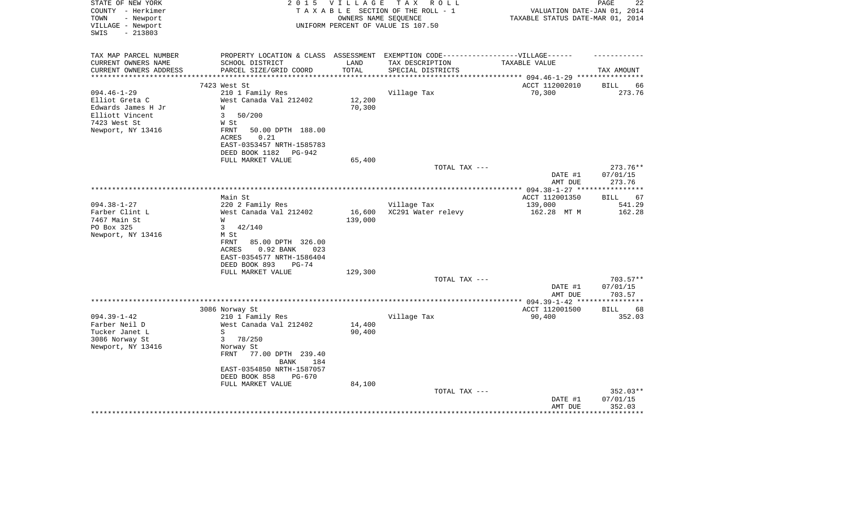| STATE OF NEW YORK<br>COUNTY - Herkimer<br>- Newport<br>TOWN<br>VILLAGE - Newport<br>$-213803$<br>SWIS             | 2 0 1 5                                                                                                                                                                                                         | V I L L A G E     | T A X<br>R O L L<br>TAXABLE SECTION OF THE ROLL - 1<br>OWNERS NAME SEQUENCE<br>UNIFORM PERCENT OF VALUE IS 107.50 | VALUATION DATE-JAN 01, 2014<br>TAXABLE STATUS DATE-MAR 01, 2014 | PAGE<br>22                       |
|-------------------------------------------------------------------------------------------------------------------|-----------------------------------------------------------------------------------------------------------------------------------------------------------------------------------------------------------------|-------------------|-------------------------------------------------------------------------------------------------------------------|-----------------------------------------------------------------|----------------------------------|
| TAX MAP PARCEL NUMBER<br>CURRENT OWNERS NAME<br>CURRENT OWNERS ADDRESS                                            | PROPERTY LOCATION & CLASS ASSESSMENT EXEMPTION CODE----------------VILLAGE------<br>SCHOOL DISTRICT<br>PARCEL SIZE/GRID COORD                                                                                   | LAND<br>TOTAL     | TAX DESCRIPTION<br>SPECIAL DISTRICTS                                                                              | TAXABLE VALUE<br>******* 094.46-1-29 ***                        | TAX AMOUNT                       |
|                                                                                                                   | 7423 West St                                                                                                                                                                                                    |                   |                                                                                                                   | ACCT 112002010                                                  | 66<br>BILL                       |
| $094.46 - 1 - 29$<br>Elliot Greta C<br>Edwards James H Jr<br>Elliott Vincent<br>7423 West St<br>Newport, NY 13416 | 210 1 Family Res<br>West Canada Val 212402<br>W<br>50/200<br>3<br>W St<br>FRNT<br>50.00 DPTH 188.00<br>0.21<br>ACRES<br>EAST-0353457 NRTH-1585783                                                               | 12,200<br>70,300  | Village Tax                                                                                                       | 70,300                                                          | 273.76                           |
|                                                                                                                   | DEED BOOK 1182<br>PG-942<br>FULL MARKET VALUE                                                                                                                                                                   | 65,400            |                                                                                                                   |                                                                 |                                  |
|                                                                                                                   |                                                                                                                                                                                                                 |                   | TOTAL TAX ---                                                                                                     | DATE #1<br>AMT DUE                                              | 273.76**<br>07/01/15<br>273.76   |
|                                                                                                                   |                                                                                                                                                                                                                 |                   |                                                                                                                   |                                                                 | ************                     |
|                                                                                                                   | Main St                                                                                                                                                                                                         |                   |                                                                                                                   | ACCT 112001350                                                  | 67<br>BILL                       |
| $094.38 - 1 - 27$<br>Farber Clint L<br>7467 Main St<br>PO Box 325<br>Newport, NY 13416                            | 220 2 Family Res<br>West Canada Val 212402<br>W<br>3<br>42/140<br>M St<br>FRNT<br>85.00 DPTH 326.00<br>0.92 BANK<br>023<br>ACRES<br>EAST-0354577 NRTH-1586404<br>DEED BOOK 893<br>$PG-74$                       | 16,600<br>139,000 | Village Tax<br>XC291 Water relevy                                                                                 | 139,000<br>162.28 MT M                                          | 541.29<br>162.28                 |
|                                                                                                                   | FULL MARKET VALUE                                                                                                                                                                                               | 129,300           |                                                                                                                   |                                                                 |                                  |
|                                                                                                                   |                                                                                                                                                                                                                 |                   | TOTAL TAX ---                                                                                                     | DATE #1<br>AMT DUE                                              | $703.57**$<br>07/01/15<br>703.57 |
|                                                                                                                   |                                                                                                                                                                                                                 |                   |                                                                                                                   |                                                                 |                                  |
| $094.39 - 1 - 42$<br>Farber Neil D<br>Tucker Janet L<br>3086 Norway St<br>Newport, NY 13416                       | 3086 Norway St<br>210 1 Family Res<br>West Canada Val 212402<br>S<br>3<br>78/250<br>Norway St<br><b>FRNT</b><br>77.00 DPTH 239.40<br><b>BANK</b><br>184<br>EAST-0354850 NRTH-1587057<br>DEED BOOK 858<br>PG-670 | 14,400<br>90,400  | Village Tax                                                                                                       | ACCT 112001500<br>90,400                                        | <b>BILL</b><br>68<br>352.03      |
|                                                                                                                   | FULL MARKET VALUE                                                                                                                                                                                               | 84,100            | TOTAL TAX ---                                                                                                     | DATE #1<br>AMT DUE                                              | 352.03**<br>07/01/15<br>352.03   |
|                                                                                                                   |                                                                                                                                                                                                                 |                   |                                                                                                                   |                                                                 |                                  |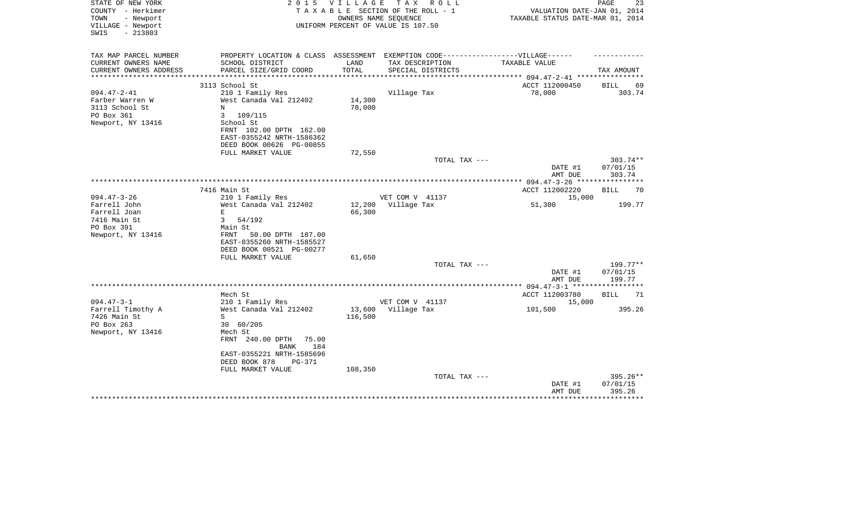| STATE OF NEW YORK<br>COUNTY - Herkimer<br>- Newport<br>TOWN<br>VILLAGE - Newport<br>$-213803$<br>SWIS | 2 0 1 5                                                                           | <b>VILLAGE</b>   | T A X<br>R O L L<br>TAXABLE SECTION OF THE ROLL - 1<br>OWNERS NAME SEOUENCE<br>UNIFORM PERCENT OF VALUE IS 107.50 | VALUATION DATE-JAN 01, 2014<br>TAXABLE STATUS DATE-MAR 01, 2014 | PAGE<br>23             |
|-------------------------------------------------------------------------------------------------------|-----------------------------------------------------------------------------------|------------------|-------------------------------------------------------------------------------------------------------------------|-----------------------------------------------------------------|------------------------|
| TAX MAP PARCEL NUMBER                                                                                 | PROPERTY LOCATION & CLASS ASSESSMENT EXEMPTION CODE-----------------VILLAGE------ |                  |                                                                                                                   |                                                                 |                        |
| CURRENT OWNERS NAME<br>CURRENT OWNERS ADDRESS                                                         | SCHOOL DISTRICT<br>PARCEL SIZE/GRID COORD                                         | LAND<br>TOTAL    | TAX DESCRIPTION<br>SPECIAL DISTRICTS                                                                              | TAXABLE VALUE                                                   | TAX AMOUNT             |
| *********************                                                                                 |                                                                                   |                  |                                                                                                                   |                                                                 |                        |
|                                                                                                       | 3113 School St                                                                    |                  |                                                                                                                   | ACCT 112000450                                                  | <b>BILL</b><br>69      |
| $094.47 - 2 - 41$                                                                                     | 210 1 Family Res                                                                  |                  | Village Tax                                                                                                       | 78,000                                                          | 303.74                 |
| Farber Warren W                                                                                       | West Canada Val 212402                                                            | 14,300           |                                                                                                                   |                                                                 |                        |
| 3113 School St                                                                                        | N<br>$\mathbf{3}$                                                                 | 78,000           |                                                                                                                   |                                                                 |                        |
| PO Box 361<br>Newport, NY 13416                                                                       | 109/115<br>School St                                                              |                  |                                                                                                                   |                                                                 |                        |
|                                                                                                       | FRNT 102.00 DPTH 162.00                                                           |                  |                                                                                                                   |                                                                 |                        |
|                                                                                                       | EAST-0355242 NRTH-1586362                                                         |                  |                                                                                                                   |                                                                 |                        |
|                                                                                                       | DEED BOOK 00626 PG-00855                                                          |                  |                                                                                                                   |                                                                 |                        |
|                                                                                                       | FULL MARKET VALUE                                                                 | 72,550           |                                                                                                                   |                                                                 |                        |
|                                                                                                       |                                                                                   |                  | TOTAL TAX ---                                                                                                     | DATE #1                                                         | $303.74**$<br>07/01/15 |
|                                                                                                       |                                                                                   |                  |                                                                                                                   | AMT DUE                                                         | 303.74                 |
|                                                                                                       |                                                                                   |                  |                                                                                                                   |                                                                 |                        |
|                                                                                                       | 7416 Main St                                                                      |                  |                                                                                                                   | ACCT 112002220                                                  | 70<br>BILL             |
| $094.47 - 3 - 26$                                                                                     | 210 1 Family Res                                                                  |                  | VET COM V 41137                                                                                                   | 15,000                                                          |                        |
| Farrell John<br>Farrell Joan                                                                          | West Canada Val 212402<br>E                                                       | 12,200<br>66,300 | Village Tax                                                                                                       | 51,300                                                          | 199.77                 |
| 7416 Main St                                                                                          | $\mathbf{3}$<br>54/192                                                            |                  |                                                                                                                   |                                                                 |                        |
| PO Box 391                                                                                            | Main St                                                                           |                  |                                                                                                                   |                                                                 |                        |
| Newport, NY 13416                                                                                     | <b>FRNT</b><br>50.00 DPTH 187.00                                                  |                  |                                                                                                                   |                                                                 |                        |
|                                                                                                       | EAST-0355260 NRTH-1585527                                                         |                  |                                                                                                                   |                                                                 |                        |
|                                                                                                       | DEED BOOK 00521 PG-00277                                                          |                  |                                                                                                                   |                                                                 |                        |
|                                                                                                       | FULL MARKET VALUE                                                                 | 61,650           | TOTAL TAX ---                                                                                                     |                                                                 | 199.77**               |
|                                                                                                       |                                                                                   |                  |                                                                                                                   | DATE #1                                                         | 07/01/15               |
|                                                                                                       |                                                                                   |                  |                                                                                                                   | AMT DUE                                                         | 199.77                 |
|                                                                                                       |                                                                                   |                  |                                                                                                                   |                                                                 |                        |
|                                                                                                       | Mech St                                                                           |                  |                                                                                                                   | ACCT 112003780                                                  | <b>BILL</b><br>71      |
| $094.47 - 3 - 1$<br>Farrell Timothy A                                                                 | 210 1 Family Res<br>West Canada Val 212402                                        | 13,600           | VET COM V 41137<br>Village Tax                                                                                    | 15,000<br>101,500                                               | 395.26                 |
| 7426 Main St                                                                                          | S                                                                                 | 116,500          |                                                                                                                   |                                                                 |                        |
| PO Box 263                                                                                            | 30 60/205                                                                         |                  |                                                                                                                   |                                                                 |                        |
| Newport, NY 13416                                                                                     | Mech St                                                                           |                  |                                                                                                                   |                                                                 |                        |
|                                                                                                       | FRNT 240.00 DPTH<br>75.00                                                         |                  |                                                                                                                   |                                                                 |                        |
|                                                                                                       | 184<br><b>BANK</b>                                                                |                  |                                                                                                                   |                                                                 |                        |
|                                                                                                       | EAST-0355221 NRTH-1585696<br>DEED BOOK 878<br>PG-371                              |                  |                                                                                                                   |                                                                 |                        |
|                                                                                                       | FULL MARKET VALUE                                                                 | 108,350          |                                                                                                                   |                                                                 |                        |
|                                                                                                       |                                                                                   |                  | TOTAL TAX ---                                                                                                     |                                                                 | 395.26**               |
|                                                                                                       |                                                                                   |                  |                                                                                                                   | DATE #1                                                         | 07/01/15               |
|                                                                                                       |                                                                                   |                  |                                                                                                                   | AMT DUE                                                         | 395.26                 |
|                                                                                                       |                                                                                   |                  |                                                                                                                   |                                                                 |                        |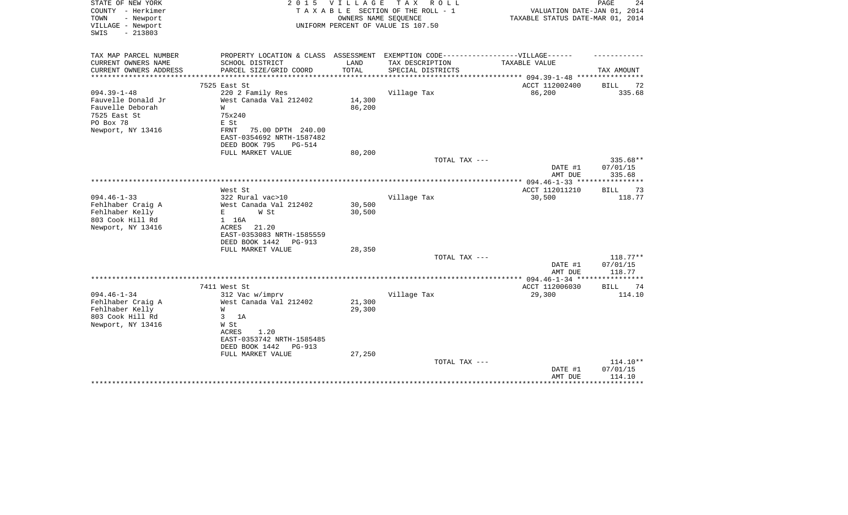| STATE OF NEW YORK<br>COUNTY - Herkimer<br>- Newport<br>TOWN<br>VILLAGE - Newport | 2 0 1 5                                                                           | VILLAGE | T A X<br>R O L L<br>TAXABLE SECTION OF THE ROLL - 1<br>OWNERS NAME SEQUENCE<br>UNIFORM PERCENT OF VALUE IS 107.50 | VALUATION DATE-JAN 01, 2014<br>TAXABLE STATUS DATE-MAR 01, 2014 | 24<br>PAGE                  |
|----------------------------------------------------------------------------------|-----------------------------------------------------------------------------------|---------|-------------------------------------------------------------------------------------------------------------------|-----------------------------------------------------------------|-----------------------------|
| $-213803$<br>SWIS                                                                |                                                                                   |         |                                                                                                                   |                                                                 |                             |
| TAX MAP PARCEL NUMBER                                                            | PROPERTY LOCATION & CLASS ASSESSMENT EXEMPTION CODE-----------------VILLAGE------ |         |                                                                                                                   |                                                                 |                             |
| CURRENT OWNERS NAME                                                              | SCHOOL DISTRICT                                                                   | LAND    | TAX DESCRIPTION                                                                                                   | TAXABLE VALUE                                                   |                             |
| CURRENT OWNERS ADDRESS<br>**********************                                 | PARCEL SIZE/GRID COORD<br>***************************                             | TOTAL   | SPECIAL DISTRICTS                                                                                                 |                                                                 | TAX AMOUNT                  |
|                                                                                  |                                                                                   |         |                                                                                                                   |                                                                 |                             |
| $094.39 - 1 - 48$                                                                | 7525 East St                                                                      |         |                                                                                                                   | ACCT 112002400<br>86,200                                        | <b>BILL</b><br>72<br>335.68 |
| Fauvelle Donald Jr                                                               | 220 2 Family Res<br>West Canada Val 212402                                        | 14,300  | Village Tax                                                                                                       |                                                                 |                             |
| Fauvelle Deborah                                                                 | W                                                                                 | 86,200  |                                                                                                                   |                                                                 |                             |
| 7525 East St                                                                     | 75x240                                                                            |         |                                                                                                                   |                                                                 |                             |
| PO Box 78                                                                        | E St                                                                              |         |                                                                                                                   |                                                                 |                             |
| Newport, NY 13416                                                                | 75.00 DPTH 240.00<br>FRNT                                                         |         |                                                                                                                   |                                                                 |                             |
|                                                                                  | EAST-0354692 NRTH-1587482                                                         |         |                                                                                                                   |                                                                 |                             |
|                                                                                  | DEED BOOK 795<br><b>PG-514</b>                                                    |         |                                                                                                                   |                                                                 |                             |
|                                                                                  | FULL MARKET VALUE                                                                 | 80,200  |                                                                                                                   |                                                                 |                             |
|                                                                                  |                                                                                   |         | TOTAL TAX ---                                                                                                     |                                                                 | $335.68**$                  |
|                                                                                  |                                                                                   |         |                                                                                                                   | DATE #1                                                         | 07/01/15                    |
|                                                                                  |                                                                                   |         |                                                                                                                   | AMT DUE                                                         | 335.68                      |
|                                                                                  |                                                                                   |         |                                                                                                                   | ******* 094.46-1-33 **                                          | ********                    |
| $094.46 - 1 - 33$                                                                | West St<br>322 Rural vac>10                                                       |         |                                                                                                                   | ACCT 112011210                                                  | <b>BILL</b><br>73           |
|                                                                                  |                                                                                   | 30,500  | Village Tax                                                                                                       | 30,500                                                          | 118.77                      |
| Fehlhaber Craig A<br>Fehlhaber Kelly                                             | West Canada Val 212402<br>E<br>W St                                               | 30,500  |                                                                                                                   |                                                                 |                             |
| 803 Cook Hill Rd                                                                 | 1 16A                                                                             |         |                                                                                                                   |                                                                 |                             |
| Newport, NY 13416                                                                | ACRES<br>21.20                                                                    |         |                                                                                                                   |                                                                 |                             |
|                                                                                  | EAST-0353083 NRTH-1585559                                                         |         |                                                                                                                   |                                                                 |                             |
|                                                                                  | DEED BOOK 1442<br>PG-913                                                          |         |                                                                                                                   |                                                                 |                             |
|                                                                                  | FULL MARKET VALUE                                                                 | 28,350  |                                                                                                                   |                                                                 |                             |
|                                                                                  |                                                                                   |         | TOTAL TAX ---                                                                                                     |                                                                 | $118.77**$                  |
|                                                                                  |                                                                                   |         |                                                                                                                   | DATE #1<br>AMT DUE                                              | 07/01/15<br>118.77          |
|                                                                                  |                                                                                   |         |                                                                                                                   |                                                                 |                             |
|                                                                                  | 7411 West St                                                                      |         |                                                                                                                   | ACCT 112006030                                                  | 74<br><b>BILL</b>           |
| $094.46 - 1 - 34$                                                                | 312 Vac w/imprv                                                                   |         | Village Tax                                                                                                       | 29,300                                                          | 114.10                      |
| Fehlhaber Craig A                                                                | West Canada Val 212402                                                            | 21,300  |                                                                                                                   |                                                                 |                             |
| Fehlhaber Kelly                                                                  | W                                                                                 | 29,300  |                                                                                                                   |                                                                 |                             |
| 803 Cook Hill Rd                                                                 | 3<br>1A                                                                           |         |                                                                                                                   |                                                                 |                             |
| Newport, NY 13416                                                                | W St                                                                              |         |                                                                                                                   |                                                                 |                             |
|                                                                                  | ACRES<br>1.20                                                                     |         |                                                                                                                   |                                                                 |                             |
|                                                                                  | EAST-0353742 NRTH-1585485                                                         |         |                                                                                                                   |                                                                 |                             |
|                                                                                  | DEED BOOK 1442<br>PG-913                                                          |         |                                                                                                                   |                                                                 |                             |
|                                                                                  | FULL MARKET VALUE                                                                 | 27,250  |                                                                                                                   |                                                                 |                             |
|                                                                                  |                                                                                   |         | TOTAL TAX ---                                                                                                     |                                                                 | $114.10**$                  |
|                                                                                  |                                                                                   |         |                                                                                                                   | DATE #1<br>AMT DUE                                              | 07/01/15<br>114.10          |
|                                                                                  |                                                                                   |         |                                                                                                                   |                                                                 | *********                   |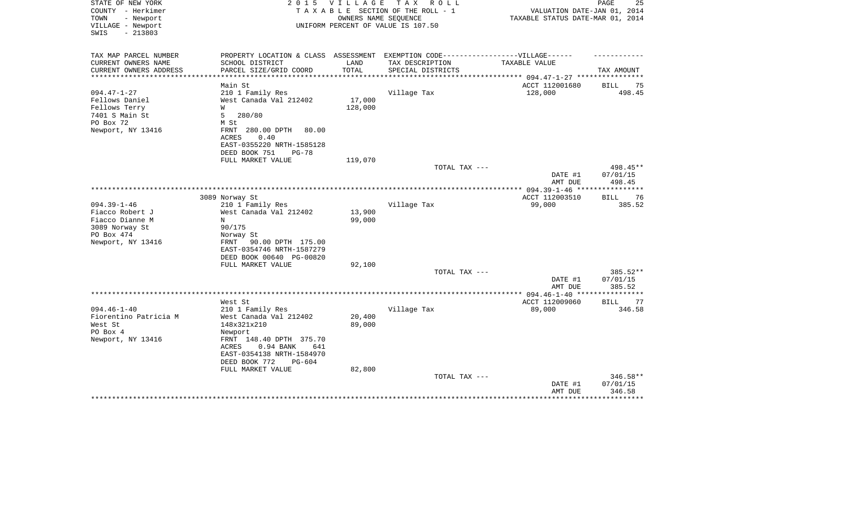| STATE OF NEW YORK<br>COUNTY - Herkimer     | 2 0 1 5                                                | <b>VILLAGE</b>       | TAX ROLL<br>TAXABLE SECTION OF THE ROLL - 1   | VALUATION DATE-JAN 01, 2014                 | 25<br>PAGE           |
|--------------------------------------------|--------------------------------------------------------|----------------------|-----------------------------------------------|---------------------------------------------|----------------------|
| - Newport<br>TOWN                          |                                                        |                      | OWNERS NAME SEQUENCE                          | TAXABLE STATUS DATE-MAR 01, 2014            |                      |
| VILLAGE - Newport<br>$-213803$<br>SWIS     |                                                        |                      | UNIFORM PERCENT OF VALUE IS 107.50            |                                             |                      |
| TAX MAP PARCEL NUMBER                      | PROPERTY LOCATION & CLASS ASSESSMENT                   |                      | EXEMPTION CODE------------------VILLAGE------ |                                             |                      |
| CURRENT OWNERS NAME                        | SCHOOL DISTRICT                                        | LAND                 | TAX DESCRIPTION                               | TAXABLE VALUE                               |                      |
| CURRENT OWNERS ADDRESS<br>**************** | PARCEL SIZE/GRID COORD                                 | TOTAL<br>*********** | SPECIAL DISTRICTS                             | ********************* 094.47-1-27 ********* | TAX AMOUNT           |
|                                            | Main St                                                |                      |                                               | ACCT 112001680                              | <b>BILL</b><br>75    |
| $094.47 - 1 - 27$                          | 210 1 Family Res                                       |                      | Village Tax                                   | 128,000                                     | 498.45               |
| Fellows Daniel                             | West Canada Val 212402                                 | 17,000               |                                               |                                             |                      |
| Fellows Terry                              | W                                                      | 128,000              |                                               |                                             |                      |
| 7401 S Main St                             | 5<br>280/80                                            |                      |                                               |                                             |                      |
| PO Box 72                                  | M St                                                   |                      |                                               |                                             |                      |
| Newport, NY 13416                          | FRNT<br>280.00 DPTH<br>80.00                           |                      |                                               |                                             |                      |
|                                            | 0.40<br>ACRES                                          |                      |                                               |                                             |                      |
|                                            | EAST-0355220 NRTH-1585128                              |                      |                                               |                                             |                      |
|                                            | DEED BOOK 751<br>$PG-78$                               |                      |                                               |                                             |                      |
|                                            | FULL MARKET VALUE                                      | 119,070              |                                               |                                             |                      |
|                                            |                                                        |                      | TOTAL TAX ---                                 | DATE #1                                     | 498.45**<br>07/01/15 |
|                                            |                                                        |                      |                                               | AMT DUE                                     | 498.45               |
|                                            |                                                        |                      |                                               |                                             |                      |
|                                            | 3089 Norway St                                         |                      |                                               | ACCT 112003510                              | <b>BILL</b><br>76    |
| $094.39 - 1 - 46$                          | 210 1 Family Res                                       |                      | Village Tax                                   | 99,000                                      | 385.52               |
| Fiacco Robert J                            | West Canada Val 212402                                 | 13,900               |                                               |                                             |                      |
| Fiacco Dianne M                            | N                                                      | 99,000               |                                               |                                             |                      |
| 3089 Norway St                             | 90/175                                                 |                      |                                               |                                             |                      |
| PO Box 474                                 | Norway St                                              |                      |                                               |                                             |                      |
| Newport, NY 13416                          | 90.00 DPTH 175.00<br>FRNT<br>EAST-0354746 NRTH-1587279 |                      |                                               |                                             |                      |
|                                            |                                                        |                      |                                               |                                             |                      |
|                                            | DEED BOOK 00640 PG-00820<br>FULL MARKET VALUE          | 92,100               |                                               |                                             |                      |
|                                            |                                                        |                      | TOTAL TAX ---                                 |                                             | 385.52**             |
|                                            |                                                        |                      |                                               | DATE #1                                     | 07/01/15             |
|                                            |                                                        |                      |                                               | AMT DUE                                     | 385.52               |
|                                            |                                                        |                      |                                               |                                             |                      |
|                                            | West St                                                |                      |                                               | ACCT 112009060                              | BILL<br>77           |
| $094.46 - 1 - 40$                          | 210 1 Family Res                                       |                      | Village Tax                                   | 89,000                                      | 346.58               |
| Fiorentino Patricia M                      | West Canada Val 212402                                 | 20,400               |                                               |                                             |                      |
| West St                                    | 148x321x210                                            | 89,000               |                                               |                                             |                      |
| PO Box 4                                   | Newport                                                |                      |                                               |                                             |                      |
| Newport, NY 13416                          | FRNT 148.40 DPTH 375.70                                |                      |                                               |                                             |                      |
|                                            | 0.94 BANK<br>ACRES<br>641                              |                      |                                               |                                             |                      |
|                                            | EAST-0354138 NRTH-1584970                              |                      |                                               |                                             |                      |
|                                            | DEED BOOK 772<br>$PG-604$                              |                      |                                               |                                             |                      |
|                                            | FULL MARKET VALUE                                      | 82,800               |                                               |                                             |                      |
|                                            |                                                        |                      | TOTAL TAX ---                                 |                                             | $346.58**$           |
|                                            |                                                        |                      |                                               | DATE #1                                     | 07/01/15             |
|                                            |                                                        |                      |                                               | AMT DUE                                     | 346.58               |
|                                            |                                                        |                      |                                               |                                             |                      |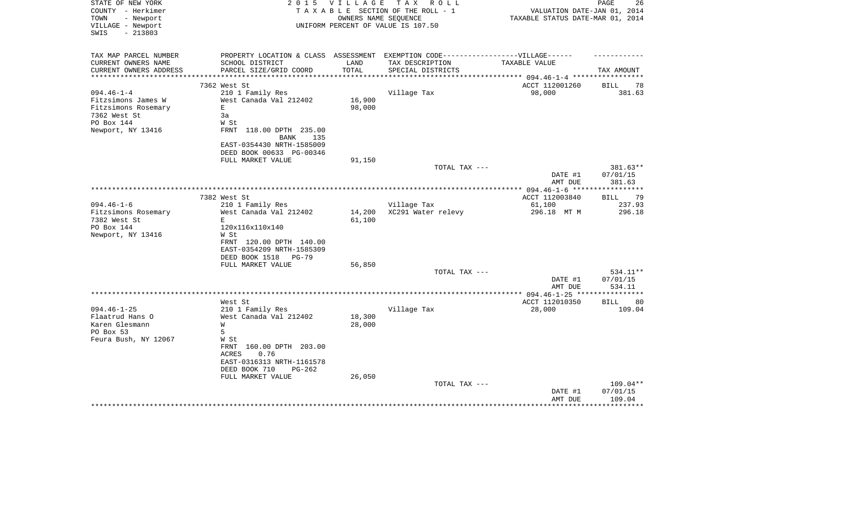| STATE OF NEW YORK<br>COUNTY - Herkimer           | 2 0 1 5                                                                           | V I L L A G E           | T A X<br>R O L L<br>TAXABLE SECTION OF THE ROLL - 1 | VALUATION DATE-JAN 01, 2014      | PAGE<br>26                  |
|--------------------------------------------------|-----------------------------------------------------------------------------------|-------------------------|-----------------------------------------------------|----------------------------------|-----------------------------|
| TOWN<br>- Newport<br>VILLAGE - Newport           |                                                                                   | OWNERS NAME SEQUENCE    | UNIFORM PERCENT OF VALUE IS 107.50                  | TAXABLE STATUS DATE-MAR 01, 2014 |                             |
| SWIS<br>$-213803$                                |                                                                                   |                         |                                                     |                                  |                             |
| TAX MAP PARCEL NUMBER                            | PROPERTY LOCATION & CLASS ASSESSMENT EXEMPTION CODE-----------------VILLAGE------ |                         |                                                     |                                  |                             |
| CURRENT OWNERS NAME                              | SCHOOL DISTRICT                                                                   | LAND                    | TAX DESCRIPTION                                     | TAXABLE VALUE                    |                             |
| CURRENT OWNERS ADDRESS<br>********************** | PARCEL SIZE/GRID COORD<br>****************************                            | TOTAL<br>************** | SPECIAL DISTRICTS                                   |                                  | TAX AMOUNT                  |
|                                                  |                                                                                   |                         |                                                     |                                  |                             |
| $094.46 - 1 - 4$                                 | 7362 West St                                                                      |                         |                                                     | ACCT 112001260<br>98,000         | <b>BILL</b><br>78<br>381.63 |
| Fitzsimons James W                               | 210 1 Family Res<br>West Canada Val 212402                                        | 16,900                  | Village Tax                                         |                                  |                             |
| Fitzsimons Rosemary                              | E                                                                                 | 98,000                  |                                                     |                                  |                             |
| 7362 West St                                     | 3a                                                                                |                         |                                                     |                                  |                             |
| PO Box 144                                       | W St                                                                              |                         |                                                     |                                  |                             |
| Newport, NY 13416                                | FRNT 118.00 DPTH 235.00                                                           |                         |                                                     |                                  |                             |
|                                                  | 135<br>BANK                                                                       |                         |                                                     |                                  |                             |
|                                                  | EAST-0354430 NRTH-1585009                                                         |                         |                                                     |                                  |                             |
|                                                  | DEED BOOK 00633 PG-00346                                                          |                         |                                                     |                                  |                             |
|                                                  | FULL MARKET VALUE                                                                 | 91,150                  |                                                     |                                  |                             |
|                                                  |                                                                                   |                         | TOTAL TAX ---                                       |                                  | 381.63**                    |
|                                                  |                                                                                   |                         |                                                     | DATE #1                          | 07/01/15                    |
|                                                  |                                                                                   |                         |                                                     | AMT DUE                          | 381.63                      |
|                                                  |                                                                                   |                         |                                                     |                                  |                             |
|                                                  | 7382 West St                                                                      |                         |                                                     | ACCT 112003840                   | <b>BILL</b><br>79           |
| $094.46 - 1 - 6$                                 | 210 1 Family Res                                                                  |                         | Village Tax                                         | 61,100                           | 237.93                      |
| Fitzsimons Rosemary<br>7382 West St              | West Canada Val 212402<br>E                                                       | 14,200<br>61,100        | XC291 Water relevy                                  | 296.18 MT M                      | 296.18                      |
| PO Box 144                                       | 120x116x110x140                                                                   |                         |                                                     |                                  |                             |
| Newport, NY 13416                                | W St                                                                              |                         |                                                     |                                  |                             |
|                                                  | FRNT 120.00 DPTH 140.00                                                           |                         |                                                     |                                  |                             |
|                                                  | EAST-0354209 NRTH-1585309                                                         |                         |                                                     |                                  |                             |
|                                                  | DEED BOOK 1518<br><b>PG-79</b>                                                    |                         |                                                     |                                  |                             |
|                                                  | FULL MARKET VALUE                                                                 | 56,850                  |                                                     |                                  |                             |
|                                                  |                                                                                   |                         | TOTAL TAX ---                                       |                                  | 534.11**                    |
|                                                  |                                                                                   |                         |                                                     | DATE #1                          | 07/01/15                    |
|                                                  |                                                                                   |                         |                                                     | AMT DUE                          | 534.11                      |
|                                                  |                                                                                   |                         | ***********                                         | ** 094.46-1-25 **                |                             |
|                                                  | West St                                                                           |                         |                                                     | ACCT 112010350                   | BILL<br>80                  |
| $094.46 - 1 - 25$                                | 210 1 Family Res                                                                  |                         | Village Tax                                         | 28,000                           | 109.04                      |
| Flaatrud Hans O<br>Karen Glesmann                | West Canada Val 212402                                                            | 18,300<br>28,000        |                                                     |                                  |                             |
| PO Box 53                                        | W<br>5                                                                            |                         |                                                     |                                  |                             |
| Feura Bush, NY 12067                             | W St                                                                              |                         |                                                     |                                  |                             |
|                                                  | FRNT 160.00 DPTH 203.00                                                           |                         |                                                     |                                  |                             |
|                                                  | 0.76<br>ACRES                                                                     |                         |                                                     |                                  |                             |
|                                                  | EAST-0316313 NRTH-1161578                                                         |                         |                                                     |                                  |                             |
|                                                  | DEED BOOK 710<br>$PG-262$                                                         |                         |                                                     |                                  |                             |
|                                                  | FULL MARKET VALUE                                                                 | 26,050                  |                                                     |                                  |                             |
|                                                  |                                                                                   |                         | TOTAL TAX ---                                       |                                  | 109.04**                    |
|                                                  |                                                                                   |                         |                                                     | DATE #1                          | 07/01/15                    |
|                                                  |                                                                                   |                         |                                                     | AMT DUE                          | 109.04                      |
|                                                  |                                                                                   |                         |                                                     |                                  |                             |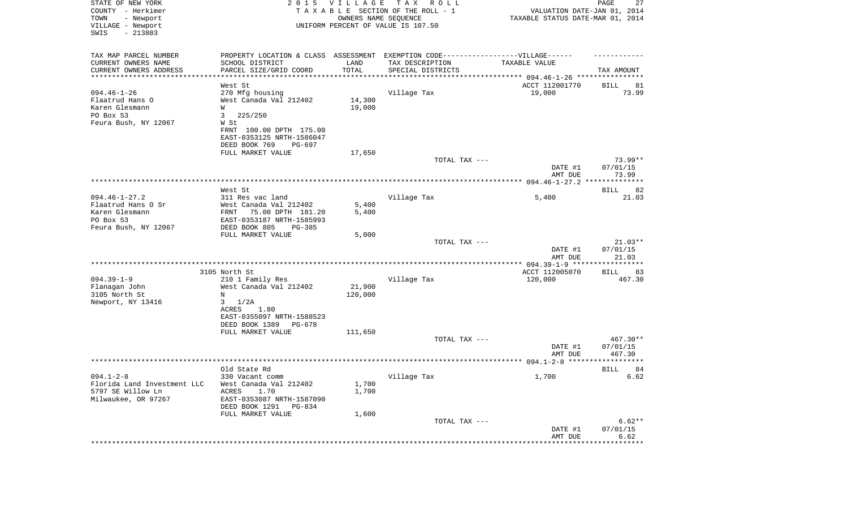| STATE OF NEW YORK<br>COUNTY - Herkimer<br>- Newport<br>TOWN<br>VILLAGE - Newport<br>SWIS<br>$-213803$ |                                                                                   | 2015 VILLAGE<br>OWNERS NAME SEQUENCE | T A X<br>R O L L<br>TAXABLE SECTION OF THE ROLL - 1<br>UNIFORM PERCENT OF VALUE IS 107.50 | VALUATION DATE-JAN 01, 2014<br>TAXABLE STATUS DATE-MAR 01, 2014 | PAGE<br>27             |
|-------------------------------------------------------------------------------------------------------|-----------------------------------------------------------------------------------|--------------------------------------|-------------------------------------------------------------------------------------------|-----------------------------------------------------------------|------------------------|
| TAX MAP PARCEL NUMBER                                                                                 | PROPERTY LOCATION & CLASS ASSESSMENT EXEMPTION CODE-----------------VILLAGE------ |                                      |                                                                                           |                                                                 |                        |
| CURRENT OWNERS NAME<br>CURRENT OWNERS ADDRESS                                                         | SCHOOL DISTRICT<br>PARCEL SIZE/GRID COORD                                         | LAND<br>TOTAL                        | TAX DESCRIPTION                                                                           | TAXABLE VALUE                                                   |                        |
| **********************                                                                                | ******************                                                                |                                      | SPECIAL DISTRICTS                                                                         |                                                                 | TAX AMOUNT             |
|                                                                                                       | West St                                                                           |                                      |                                                                                           | ACCT 112001770                                                  | 81<br>BILL             |
| $094.46 - 1 - 26$                                                                                     | 270 Mfg housing                                                                   |                                      | Village Tax                                                                               | 19,000                                                          | 73.99                  |
| Flaatrud Hans O                                                                                       | West Canada Val 212402                                                            | 14,300                               |                                                                                           |                                                                 |                        |
| Karen Glesmann<br>PO Box 53                                                                           | W<br>225/250                                                                      | 19,000                               |                                                                                           |                                                                 |                        |
| Feura Bush, NY 12067                                                                                  | 3<br>W St                                                                         |                                      |                                                                                           |                                                                 |                        |
|                                                                                                       | FRNT 100.00 DPTH 175.00                                                           |                                      |                                                                                           |                                                                 |                        |
|                                                                                                       | EAST-0353125 NRTH-1586047                                                         |                                      |                                                                                           |                                                                 |                        |
|                                                                                                       | DEED BOOK 769<br>PG-697                                                           |                                      |                                                                                           |                                                                 |                        |
|                                                                                                       | FULL MARKET VALUE                                                                 | 17,650                               |                                                                                           |                                                                 |                        |
|                                                                                                       |                                                                                   |                                      | TOTAL TAX ---                                                                             | DATE #1                                                         | $73.99**$<br>07/01/15  |
|                                                                                                       |                                                                                   |                                      |                                                                                           | AMT DUE                                                         | 73.99                  |
|                                                                                                       |                                                                                   |                                      |                                                                                           |                                                                 |                        |
|                                                                                                       | West St                                                                           |                                      |                                                                                           |                                                                 | BILL<br>82             |
| $094.46 - 1 - 27.2$                                                                                   | 311 Res vac land                                                                  |                                      | Village Tax                                                                               | 5,400                                                           | 21.03                  |
| Flaatrud Hans O Sr<br>Karen Glesmann                                                                  | West Canada Val 212402<br>75.00 DPTH 181.20<br>FRNT                               | 5,400<br>5,400                       |                                                                                           |                                                                 |                        |
| PO Box 53                                                                                             | EAST-0353187 NRTH-1585993                                                         |                                      |                                                                                           |                                                                 |                        |
| Feura Bush, NY 12067                                                                                  | DEED BOOK 805<br>$PG-385$                                                         |                                      |                                                                                           |                                                                 |                        |
|                                                                                                       | FULL MARKET VALUE                                                                 | 5,000                                |                                                                                           |                                                                 |                        |
|                                                                                                       |                                                                                   |                                      | TOTAL TAX ---                                                                             |                                                                 | $21.03**$              |
|                                                                                                       |                                                                                   |                                      |                                                                                           | DATE #1<br>AMT DUE                                              | 07/01/15<br>21.03      |
|                                                                                                       |                                                                                   |                                      |                                                                                           | *************** 094.39-1-9 *********                            | * * * * * * * *        |
|                                                                                                       | 3105 North St                                                                     |                                      |                                                                                           | ACCT 112005070                                                  | BILL<br>83             |
| $094.39 - 1 - 9$                                                                                      | 210 1 Family Res                                                                  |                                      | Village Tax                                                                               | 120,000                                                         | 467.30                 |
| Flanagan John                                                                                         | West Canada Val 212402                                                            | 21,900                               |                                                                                           |                                                                 |                        |
| 3105 North St                                                                                         | Ν                                                                                 | 120,000                              |                                                                                           |                                                                 |                        |
| Newport, NY 13416                                                                                     | 1/2A<br>3<br>ACRES<br>1.80                                                        |                                      |                                                                                           |                                                                 |                        |
|                                                                                                       | EAST-0355097 NRTH-1588523                                                         |                                      |                                                                                           |                                                                 |                        |
|                                                                                                       | DEED BOOK 1389<br>PG-678                                                          |                                      |                                                                                           |                                                                 |                        |
|                                                                                                       | FULL MARKET VALUE                                                                 | 111,650                              |                                                                                           |                                                                 |                        |
|                                                                                                       |                                                                                   |                                      | TOTAL TAX ---                                                                             |                                                                 | $467.30**$             |
|                                                                                                       |                                                                                   |                                      |                                                                                           | DATE #1<br>AMT DUE                                              | 07/01/15<br>467.30     |
|                                                                                                       |                                                                                   |                                      |                                                                                           |                                                                 | *****                  |
|                                                                                                       | Old State Rd                                                                      |                                      |                                                                                           |                                                                 | 84<br>BILL             |
| $094.1 - 2 - 8$                                                                                       | 330 Vacant comm                                                                   |                                      | Village Tax                                                                               | 1,700                                                           | 6.62                   |
| Florida Land Investment LLC                                                                           | West Canada Val 212402                                                            | 1,700                                |                                                                                           |                                                                 |                        |
| 5797 SE Willow Ln<br>Milwaukee, OR 97267                                                              | ACRES<br>1.70                                                                     | 1,700                                |                                                                                           |                                                                 |                        |
|                                                                                                       | EAST-0353087 NRTH-1587090<br>DEED BOOK 1291<br>PG-834                             |                                      |                                                                                           |                                                                 |                        |
|                                                                                                       | FULL MARKET VALUE                                                                 | 1,600                                |                                                                                           |                                                                 |                        |
|                                                                                                       |                                                                                   |                                      | TOTAL TAX ---                                                                             |                                                                 | $6.62**$               |
|                                                                                                       |                                                                                   |                                      |                                                                                           | DATE #1                                                         | 07/01/15               |
|                                                                                                       |                                                                                   |                                      |                                                                                           | AMT DUE                                                         | 6.62<br>************** |
|                                                                                                       |                                                                                   |                                      |                                                                                           |                                                                 |                        |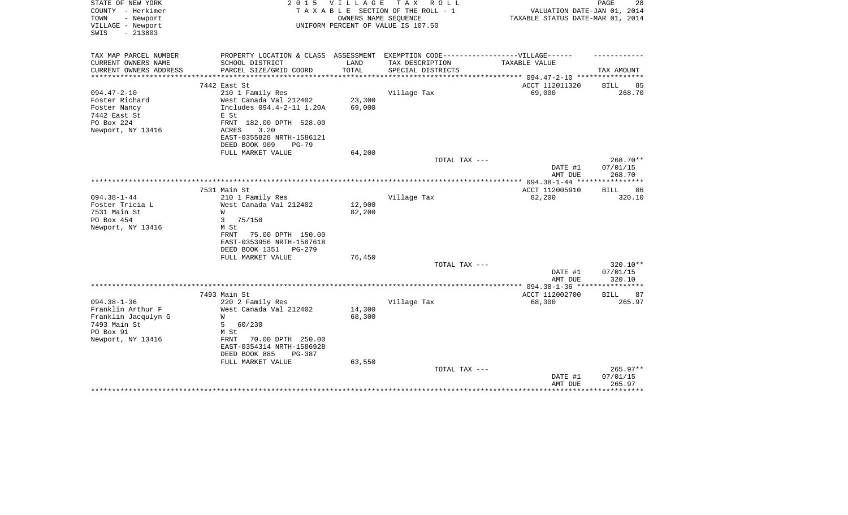| STATE OF NEW YORK<br>COUNTY - Herkimer<br>- Newport<br>TOWN<br>VILLAGE - Newport<br>$-213803$<br>SWIS | 2 0 1 5                                  | <b>VILLAGE</b>   | T A X<br>R O L L<br>TAXABLE SECTION OF THE ROLL - 1<br>OWNERS NAME SEQUENCE<br>UNIFORM PERCENT OF VALUE IS 107.50 | VALUATION DATE-JAN 01, 2014<br>TAXABLE STATUS DATE-MAR 01, 2014 | 28<br>PAGE           |
|-------------------------------------------------------------------------------------------------------|------------------------------------------|------------------|-------------------------------------------------------------------------------------------------------------------|-----------------------------------------------------------------|----------------------|
| TAX MAP PARCEL NUMBER                                                                                 | PROPERTY LOCATION & CLASS ASSESSMENT     |                  | EXEMPTION CODE-----------------VILLAGE------                                                                      |                                                                 |                      |
| CURRENT OWNERS NAME                                                                                   | SCHOOL DISTRICT                          | LAND             | TAX DESCRIPTION                                                                                                   | TAXABLE VALUE                                                   |                      |
| CURRENT OWNERS ADDRESS                                                                                | PARCEL SIZE/GRID COORD                   | TOTAL            | SPECIAL DISTRICTS                                                                                                 |                                                                 | TAX AMOUNT           |
|                                                                                                       | 7442 East St                             |                  |                                                                                                                   | ACCT 112011320                                                  | <b>BILL</b><br>85    |
| $094.47 - 2 - 10$                                                                                     | 210 1 Family Res                         |                  | Village Tax                                                                                                       | 69,000                                                          | 268.70               |
| Foster Richard                                                                                        | West Canada Val 212402                   | 23,300           |                                                                                                                   |                                                                 |                      |
| Foster Nancy                                                                                          | Includes 094.4-2-11 1.20A                | 69,000           |                                                                                                                   |                                                                 |                      |
| 7442 East St                                                                                          | E St                                     |                  |                                                                                                                   |                                                                 |                      |
| PO Box 224                                                                                            | FRNT 182.00 DPTH 528.00<br>3.20<br>ACRES |                  |                                                                                                                   |                                                                 |                      |
| Newport, NY 13416                                                                                     | EAST-0355828 NRTH-1586121                |                  |                                                                                                                   |                                                                 |                      |
|                                                                                                       | DEED BOOK 909<br>$PG-79$                 |                  |                                                                                                                   |                                                                 |                      |
|                                                                                                       | FULL MARKET VALUE                        | 64,200           |                                                                                                                   |                                                                 |                      |
|                                                                                                       |                                          |                  | TOTAL TAX ---                                                                                                     |                                                                 | 268.70**             |
|                                                                                                       |                                          |                  |                                                                                                                   | DATE #1<br>AMT DUE                                              | 07/01/15<br>268.70   |
|                                                                                                       |                                          |                  |                                                                                                                   |                                                                 |                      |
|                                                                                                       | 7531 Main St                             |                  |                                                                                                                   | ACCT 112005910                                                  | 86<br><b>BILL</b>    |
| $094.38 - 1 - 44$                                                                                     | 210 1 Family Res                         |                  | Village Tax                                                                                                       | 82,200                                                          | 320.10               |
| Foster Tricia L                                                                                       | West Canada Val 212402                   | 12,900           |                                                                                                                   |                                                                 |                      |
| 7531 Main St                                                                                          | W                                        | 82,200           |                                                                                                                   |                                                                 |                      |
| PO Box 454<br>Newport, NY 13416                                                                       | 3<br>75/150<br>M St                      |                  |                                                                                                                   |                                                                 |                      |
|                                                                                                       | 75.00 DPTH 150.00<br>FRNT                |                  |                                                                                                                   |                                                                 |                      |
|                                                                                                       | EAST-0353956 NRTH-1587618                |                  |                                                                                                                   |                                                                 |                      |
|                                                                                                       | DEED BOOK 1351<br>PG-279                 |                  |                                                                                                                   |                                                                 |                      |
|                                                                                                       | FULL MARKET VALUE                        | 76,450           |                                                                                                                   |                                                                 |                      |
|                                                                                                       |                                          |                  | TOTAL TAX ---                                                                                                     | DATE #1                                                         | 320.10**<br>07/01/15 |
|                                                                                                       |                                          |                  |                                                                                                                   | AMT DUE                                                         | 320.10               |
|                                                                                                       |                                          |                  |                                                                                                                   | ************* 094.38-1-36 ****                                  | ************         |
|                                                                                                       | 7493 Main St                             |                  |                                                                                                                   | ACCT 112002700                                                  | <b>BILL</b><br>87    |
| $094.38 - 1 - 36$                                                                                     | 220 2 Family Res                         |                  | Village Tax                                                                                                       | 68,300                                                          | 265.97               |
| Franklin Arthur F<br>Franklin Jacqulyn G                                                              | West Canada Val 212402<br>W              | 14,300<br>68,300 |                                                                                                                   |                                                                 |                      |
| 7493 Main St                                                                                          | 5<br>60/230                              |                  |                                                                                                                   |                                                                 |                      |
| PO Box 91                                                                                             | M St                                     |                  |                                                                                                                   |                                                                 |                      |
| Newport, NY 13416                                                                                     | 70.00 DPTH 250.00<br>FRNT                |                  |                                                                                                                   |                                                                 |                      |
|                                                                                                       | EAST-0354314 NRTH-1586928                |                  |                                                                                                                   |                                                                 |                      |
|                                                                                                       | DEED BOOK 885<br>PG-387                  |                  |                                                                                                                   |                                                                 |                      |
|                                                                                                       | FULL MARKET VALUE                        | 63,550           | TOTAL TAX ---                                                                                                     |                                                                 | 265.97**             |
|                                                                                                       |                                          |                  |                                                                                                                   | DATE #1                                                         | 07/01/15             |
|                                                                                                       |                                          |                  |                                                                                                                   | AMT DUE                                                         | 265.97               |
|                                                                                                       |                                          |                  |                                                                                                                   |                                                                 |                      |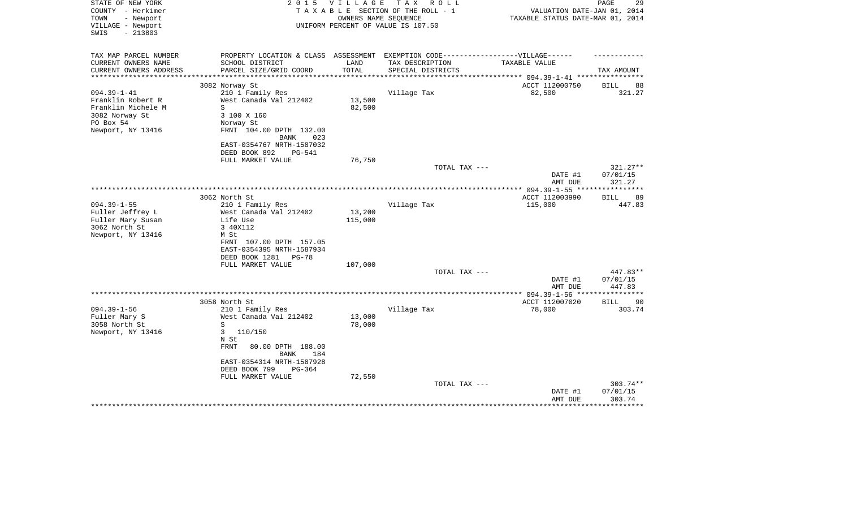| STATE OF NEW YORK<br>COUNTY - Herkimer<br>TOWN<br>- Newport<br>VILLAGE - Newport<br>$-213803$<br>SWIS | 2 0 1 5                                                                           | VILLAGE       | T A X<br>R O L L<br>TAXABLE SECTION OF THE ROLL - 1<br>OWNERS NAME SEQUENCE<br>UNIFORM PERCENT OF VALUE IS 107.50 | VALUATION DATE-JAN 01, 2014<br>TAXABLE STATUS DATE-MAR 01, 2014 | 29<br>PAGE         |
|-------------------------------------------------------------------------------------------------------|-----------------------------------------------------------------------------------|---------------|-------------------------------------------------------------------------------------------------------------------|-----------------------------------------------------------------|--------------------|
|                                                                                                       |                                                                                   |               |                                                                                                                   |                                                                 |                    |
| TAX MAP PARCEL NUMBER                                                                                 | PROPERTY LOCATION & CLASS ASSESSMENT EXEMPTION CODE-----------------VILLAGE------ |               |                                                                                                                   |                                                                 |                    |
| CURRENT OWNERS NAME<br>CURRENT OWNERS ADDRESS                                                         | SCHOOL DISTRICT<br>PARCEL SIZE/GRID COORD                                         | LAND<br>TOTAL | TAX DESCRIPTION<br>SPECIAL DISTRICTS                                                                              | TAXABLE VALUE                                                   | TAX AMOUNT         |
| **********************                                                                                | ****************************                                                      |               |                                                                                                                   |                                                                 |                    |
|                                                                                                       | 3082 Norway St                                                                    |               |                                                                                                                   | ACCT 112000750                                                  | <b>BILL</b><br>88  |
| $094.39 - 1 - 41$                                                                                     | 210 1 Family Res                                                                  |               | Village Tax                                                                                                       | 82,500                                                          | 321.27             |
| Franklin Robert R                                                                                     | West Canada Val 212402                                                            | 13,500        |                                                                                                                   |                                                                 |                    |
| Franklin Michele M                                                                                    | S                                                                                 | 82,500        |                                                                                                                   |                                                                 |                    |
| 3082 Norway St                                                                                        | 3 100 X 160                                                                       |               |                                                                                                                   |                                                                 |                    |
| PO Box 54                                                                                             | Norway St                                                                         |               |                                                                                                                   |                                                                 |                    |
| Newport, NY 13416                                                                                     | FRNT 104.00 DPTH 132.00                                                           |               |                                                                                                                   |                                                                 |                    |
|                                                                                                       | 023<br>BANK<br>EAST-0354767 NRTH-1587032                                          |               |                                                                                                                   |                                                                 |                    |
|                                                                                                       | DEED BOOK 892<br>PG-541                                                           |               |                                                                                                                   |                                                                 |                    |
|                                                                                                       | FULL MARKET VALUE                                                                 | 76,750        |                                                                                                                   |                                                                 |                    |
|                                                                                                       |                                                                                   |               | TOTAL TAX ---                                                                                                     |                                                                 | 321.27**           |
|                                                                                                       |                                                                                   |               |                                                                                                                   | DATE #1                                                         | 07/01/15           |
|                                                                                                       |                                                                                   |               |                                                                                                                   | AMT DUE                                                         | 321.27             |
|                                                                                                       |                                                                                   |               |                                                                                                                   |                                                                 |                    |
|                                                                                                       | 3062 North St                                                                     |               |                                                                                                                   | ACCT 112003990                                                  | <b>BILL</b><br>89  |
| $094.39 - 1 - 55$<br>Fuller Jeffrey L                                                                 | 210 1 Family Res<br>West Canada Val 212402                                        | 13,200        | Village Tax                                                                                                       | 115,000                                                         | 447.83             |
| Fuller Mary Susan                                                                                     | Life Use                                                                          | 115,000       |                                                                                                                   |                                                                 |                    |
| 3062 North St                                                                                         | 3 40X112                                                                          |               |                                                                                                                   |                                                                 |                    |
| Newport, NY 13416                                                                                     | M St                                                                              |               |                                                                                                                   |                                                                 |                    |
|                                                                                                       | FRNT 107.00 DPTH 157.05                                                           |               |                                                                                                                   |                                                                 |                    |
|                                                                                                       | EAST-0354395 NRTH-1587934                                                         |               |                                                                                                                   |                                                                 |                    |
|                                                                                                       | DEED BOOK 1281<br>PG-78                                                           |               |                                                                                                                   |                                                                 |                    |
|                                                                                                       | FULL MARKET VALUE                                                                 | 107,000       |                                                                                                                   |                                                                 |                    |
|                                                                                                       |                                                                                   |               | TOTAL TAX ---                                                                                                     |                                                                 | $447.83**$         |
|                                                                                                       |                                                                                   |               |                                                                                                                   | DATE #1<br>AMT DUE                                              | 07/01/15<br>447.83 |
|                                                                                                       |                                                                                   |               | *********************                                                                                             | *** 094.39-1-56 **                                              |                    |
|                                                                                                       | 3058 North St                                                                     |               |                                                                                                                   | ACCT 112007020                                                  | 90<br>BILL         |
| $094.39 - 1 - 56$                                                                                     | 210 1 Family Res                                                                  |               | Village Tax                                                                                                       | 78,000                                                          | 303.74             |
| Fuller Mary S                                                                                         | West Canada Val 212402                                                            | 13,000        |                                                                                                                   |                                                                 |                    |
| 3058 North St                                                                                         | S                                                                                 | 78,000        |                                                                                                                   |                                                                 |                    |
| Newport, NY 13416                                                                                     | 3<br>110/150                                                                      |               |                                                                                                                   |                                                                 |                    |
|                                                                                                       | N St<br><b>FRNT</b><br>80.00 DPTH 188.00                                          |               |                                                                                                                   |                                                                 |                    |
|                                                                                                       | <b>BANK</b><br>184                                                                |               |                                                                                                                   |                                                                 |                    |
|                                                                                                       | EAST-0354314 NRTH-1587928                                                         |               |                                                                                                                   |                                                                 |                    |
|                                                                                                       | DEED BOOK 799<br>$PG-364$                                                         |               |                                                                                                                   |                                                                 |                    |
|                                                                                                       | FULL MARKET VALUE                                                                 | 72,550        |                                                                                                                   |                                                                 |                    |
|                                                                                                       |                                                                                   |               | TOTAL TAX ---                                                                                                     |                                                                 | 303.74**           |
|                                                                                                       |                                                                                   |               |                                                                                                                   | DATE #1                                                         | 07/01/15           |
|                                                                                                       |                                                                                   |               |                                                                                                                   | AMT DUE                                                         | 303.74             |
|                                                                                                       |                                                                                   |               |                                                                                                                   |                                                                 |                    |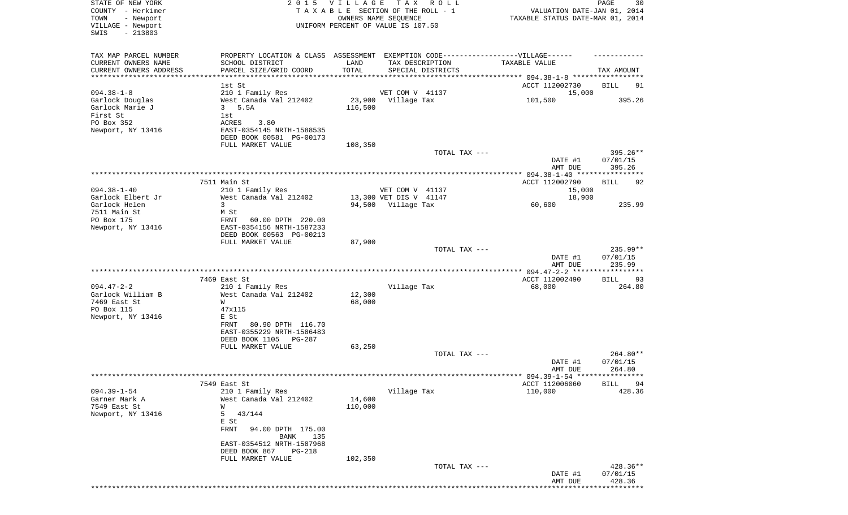| STATE OF NEW YORK                               | 2 0 1 5                                                                          | VILLAGE | TAX ROLL                                                   |                                         | PAGE<br>30           |
|-------------------------------------------------|----------------------------------------------------------------------------------|---------|------------------------------------------------------------|-----------------------------------------|----------------------|
| COUNTY - Herkimer                               |                                                                                  |         | TAXABLE SECTION OF THE ROLL - 1                            | VALUATION DATE-JAN 01, 2014             |                      |
| TOWN<br>- Newport<br>VILLAGE - Newport          |                                                                                  |         | OWNERS NAME SEQUENCE<br>UNIFORM PERCENT OF VALUE IS 107.50 | TAXABLE STATUS DATE-MAR 01, 2014        |                      |
| $-213803$<br>SWIS                               |                                                                                  |         |                                                            |                                         |                      |
|                                                 |                                                                                  |         |                                                            |                                         |                      |
|                                                 |                                                                                  |         |                                                            |                                         |                      |
| TAX MAP PARCEL NUMBER                           | PROPERTY LOCATION & CLASS ASSESSMENT EXEMPTION CODE----------------VILLAGE------ |         |                                                            |                                         |                      |
| CURRENT OWNERS NAME                             | SCHOOL DISTRICT                                                                  | LAND    | TAX DESCRIPTION                                            | TAXABLE VALUE                           |                      |
| CURRENT OWNERS ADDRESS<br>********************* | PARCEL SIZE/GRID COORD                                                           | TOTAL   | SPECIAL DISTRICTS                                          |                                         | TAX AMOUNT           |
|                                                 |                                                                                  |         |                                                            |                                         |                      |
|                                                 | 1st St                                                                           |         |                                                            | ACCT 112002730                          | BILL<br>91           |
| $094.38 - 1 - 8$                                | 210 1 Family Res                                                                 |         | VET COM V 41137                                            | 15,000                                  |                      |
| Garlock Douglas                                 | West Canada Val 212402                                                           | 23,900  | Village Tax                                                | 101,500                                 | 395.26               |
| Garlock Marie J                                 | 5.5A<br>3                                                                        | 116,500 |                                                            |                                         |                      |
| First St<br>PO Box 352                          | 1st                                                                              |         |                                                            |                                         |                      |
|                                                 | ACRES<br>3.80                                                                    |         |                                                            |                                         |                      |
| Newport, NY 13416                               | EAST-0354145 NRTH-1588535                                                        |         |                                                            |                                         |                      |
|                                                 | DEED BOOK 00581 PG-00173                                                         |         |                                                            |                                         |                      |
|                                                 | FULL MARKET VALUE                                                                | 108,350 |                                                            |                                         |                      |
|                                                 |                                                                                  |         | TOTAL TAX ---                                              |                                         | 395.26**             |
|                                                 |                                                                                  |         |                                                            | DATE #1<br>AMT DUE                      | 07/01/15<br>395.26   |
|                                                 |                                                                                  |         |                                                            |                                         |                      |
|                                                 | 7511 Main St                                                                     |         |                                                            | ACCT 112002790                          | BILL<br>92           |
| $094.38 - 1 - 40$                               | 210 1 Family Res                                                                 |         | VET COM V 41137                                            | 15,000                                  |                      |
| Garlock Elbert Jr                               | West Canada Val 212402                                                           |         | 13,300 VET DIS V 41147                                     | 18,900                                  |                      |
| Garlock Helen                                   | 3                                                                                |         | 94,500 Village Tax                                         | 60,600                                  | 235.99               |
| 7511 Main St                                    | M St                                                                             |         |                                                            |                                         |                      |
| PO Box 175                                      | 60.00 DPTH 220.00<br>FRNT                                                        |         |                                                            |                                         |                      |
| Newport, NY 13416                               | EAST-0354156 NRTH-1587233                                                        |         |                                                            |                                         |                      |
|                                                 | DEED BOOK 00563 PG-00213                                                         |         |                                                            |                                         |                      |
|                                                 | FULL MARKET VALUE                                                                | 87,900  |                                                            |                                         |                      |
|                                                 |                                                                                  |         | TOTAL TAX ---                                              |                                         | 235.99**             |
|                                                 |                                                                                  |         |                                                            | DATE #1                                 | 07/01/15             |
|                                                 |                                                                                  |         |                                                            | AMT DUE                                 | 235.99               |
|                                                 |                                                                                  |         |                                                            |                                         |                      |
|                                                 | 7469 East St                                                                     |         |                                                            | ACCT 112002490                          | 93<br>BILL           |
| $094.47 - 2 - 2$                                | 210 1 Family Res                                                                 |         | Village Tax                                                | 68,000                                  | 264.80               |
| Garlock William B                               | West Canada Val 212402                                                           | 12,300  |                                                            |                                         |                      |
| 7469 East St                                    | W                                                                                | 68,000  |                                                            |                                         |                      |
| PO Box 115                                      | 47x115                                                                           |         |                                                            |                                         |                      |
| Newport, NY 13416                               | E St                                                                             |         |                                                            |                                         |                      |
|                                                 | 80.90 DPTH 116.70<br>FRNT                                                        |         |                                                            |                                         |                      |
|                                                 | EAST-0355229 NRTH-1586483                                                        |         |                                                            |                                         |                      |
|                                                 | DEED BOOK 1105<br>PG-287                                                         |         |                                                            |                                         |                      |
|                                                 | FULL MARKET VALUE                                                                | 63,250  |                                                            |                                         |                      |
|                                                 |                                                                                  |         | TOTAL TAX ---                                              |                                         | 264.80**             |
|                                                 |                                                                                  |         |                                                            | DATE #1                                 | 07/01/15             |
|                                                 |                                                                                  |         |                                                            | AMT DUE                                 | 264.80               |
|                                                 |                                                                                  |         |                                                            | ********* 094.39-1-54 ***************** |                      |
|                                                 | 7549 East St                                                                     |         |                                                            | ACCT 112006060                          | <b>BILL</b><br>94    |
| $094.39 - 1 - 54$                               | 210 1 Family Res                                                                 |         | Village Tax                                                | 110,000                                 | 428.36               |
| Garner Mark A                                   | West Canada Val 212402                                                           | 14,600  |                                                            |                                         |                      |
| 7549 East St                                    | W                                                                                | 110,000 |                                                            |                                         |                      |
| Newport, NY 13416                               | 5<br>43/144                                                                      |         |                                                            |                                         |                      |
|                                                 | E St                                                                             |         |                                                            |                                         |                      |
|                                                 | FRNT<br>94.00 DPTH 175.00                                                        |         |                                                            |                                         |                      |
|                                                 | BANK<br>135                                                                      |         |                                                            |                                         |                      |
|                                                 | EAST-0354512 NRTH-1587968                                                        |         |                                                            |                                         |                      |
|                                                 | DEED BOOK 867<br>PG-218                                                          |         |                                                            |                                         |                      |
|                                                 | FULL MARKET VALUE                                                                | 102,350 |                                                            |                                         |                      |
|                                                 |                                                                                  |         | TOTAL TAX ---                                              | DATE #1                                 | 428.36**<br>07/01/15 |
|                                                 |                                                                                  |         |                                                            |                                         |                      |
|                                                 |                                                                                  |         |                                                            |                                         |                      |
|                                                 |                                                                                  |         |                                                            | AMT DUE                                 | 428.36               |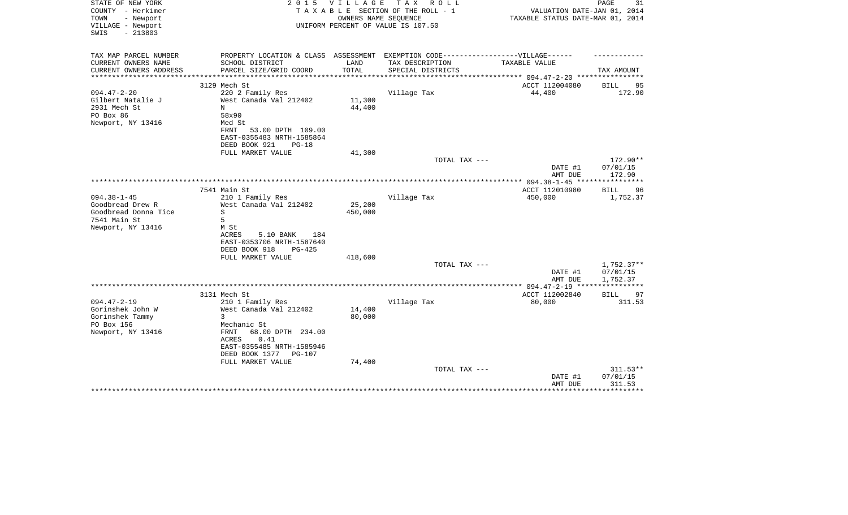| STATE OF NEW YORK<br>COUNTY - Herkimer<br>TOWN      | 2 0 1 5                                                                           | <b>VILLAGE</b>                  | T A X<br>R O L L<br>TAXABLE SECTION OF THE ROLL - 1<br>OWNERS NAME SEQUENCE | VALUATION DATE-JAN 01, 2014<br>TAXABLE STATUS DATE-MAR 01, 2014 | PAGE<br>31               |
|-----------------------------------------------------|-----------------------------------------------------------------------------------|---------------------------------|-----------------------------------------------------------------------------|-----------------------------------------------------------------|--------------------------|
| - Newport<br>VILLAGE - Newport<br>$-213803$<br>SWIS |                                                                                   |                                 | UNIFORM PERCENT OF VALUE IS 107.50                                          |                                                                 |                          |
| TAX MAP PARCEL NUMBER                               | PROPERTY LOCATION & CLASS ASSESSMENT EXEMPTION CODE-----------------VILLAGE------ |                                 |                                                                             |                                                                 |                          |
| CURRENT OWNERS NAME                                 | SCHOOL DISTRICT                                                                   | LAND                            | TAX DESCRIPTION                                                             | TAXABLE VALUE                                                   |                          |
| CURRENT OWNERS ADDRESS<br>**********************    | PARCEL SIZE/GRID COORD<br>***************************                             | TOTAL<br>********************** | SPECIAL DISTRICTS                                                           |                                                                 | TAX AMOUNT               |
|                                                     | 3129 Mech St                                                                      |                                 |                                                                             | ACCT 112004080                                                  | 95<br>BILL               |
| $094.47 - 2 - 20$                                   | 220 2 Family Res                                                                  |                                 | Village Tax                                                                 | 44,400                                                          | 172.90                   |
| Gilbert Natalie J                                   | West Canada Val 212402                                                            | 11,300                          |                                                                             |                                                                 |                          |
| 2931 Mech St                                        | N                                                                                 | 44,400                          |                                                                             |                                                                 |                          |
| PO Box 86<br>Newport, NY 13416                      | 58x90<br>Med St                                                                   |                                 |                                                                             |                                                                 |                          |
|                                                     | 53.00 DPTH 109.00<br>FRNT                                                         |                                 |                                                                             |                                                                 |                          |
|                                                     | EAST-0355483 NRTH-1585864                                                         |                                 |                                                                             |                                                                 |                          |
|                                                     | DEED BOOK 921<br>$PG-18$                                                          |                                 |                                                                             |                                                                 |                          |
|                                                     | FULL MARKET VALUE                                                                 | 41,300                          |                                                                             |                                                                 |                          |
|                                                     |                                                                                   |                                 | TOTAL TAX ---                                                               |                                                                 | 172.90**                 |
|                                                     |                                                                                   |                                 |                                                                             | DATE #1<br>AMT DUE                                              | 07/01/15<br>172.90       |
|                                                     |                                                                                   |                                 |                                                                             |                                                                 |                          |
|                                                     | 7541 Main St                                                                      |                                 |                                                                             | ACCT 112010980                                                  | <b>BILL</b><br>96        |
| $094.38 - 1 - 45$                                   | 210 1 Family Res                                                                  |                                 | Village Tax                                                                 | 450,000                                                         | 1,752.37                 |
| Goodbread Drew R                                    | West Canada Val 212402                                                            | 25,200                          |                                                                             |                                                                 |                          |
| Goodbread Donna Tice                                | S                                                                                 | 450,000                         |                                                                             |                                                                 |                          |
| 7541 Main St                                        | 5                                                                                 |                                 |                                                                             |                                                                 |                          |
| Newport, NY 13416                                   | M St<br>5.10 BANK<br>184<br>ACRES                                                 |                                 |                                                                             |                                                                 |                          |
|                                                     | EAST-0353706 NRTH-1587640                                                         |                                 |                                                                             |                                                                 |                          |
|                                                     | DEED BOOK 918<br>$PG-425$                                                         |                                 |                                                                             |                                                                 |                          |
|                                                     | FULL MARKET VALUE                                                                 | 418,600                         |                                                                             |                                                                 |                          |
|                                                     |                                                                                   |                                 | TOTAL TAX ---                                                               |                                                                 | 1,752.37**               |
|                                                     |                                                                                   |                                 |                                                                             | DATE #1                                                         | 07/01/15                 |
|                                                     |                                                                                   |                                 |                                                                             | AMT DUE<br>************* 094.47-2-19 ****                       | 1,752.37<br>************ |
|                                                     | 3131 Mech St                                                                      |                                 |                                                                             | ACCT 112002840                                                  | <b>BILL</b><br>97        |
| $094.47 - 2 - 19$                                   | 210 1 Family Res                                                                  |                                 | Village Tax                                                                 | 80,000                                                          | 311.53                   |
| Gorinshek John W                                    | West Canada Val 212402                                                            | 14,400                          |                                                                             |                                                                 |                          |
| Gorinshek Tammy                                     | 3                                                                                 | 80,000                          |                                                                             |                                                                 |                          |
| PO Box 156                                          | Mechanic St<br>FRNT<br>68.00 DPTH 234.00                                          |                                 |                                                                             |                                                                 |                          |
| Newport, NY 13416                                   | 0.41<br>ACRES                                                                     |                                 |                                                                             |                                                                 |                          |
|                                                     | EAST-0355485 NRTH-1585946                                                         |                                 |                                                                             |                                                                 |                          |
|                                                     | DEED BOOK 1377<br>PG-107                                                          |                                 |                                                                             |                                                                 |                          |
|                                                     | FULL MARKET VALUE                                                                 | 74,400                          |                                                                             |                                                                 |                          |
|                                                     |                                                                                   |                                 | TOTAL TAX ---                                                               |                                                                 | 311.53**                 |
|                                                     |                                                                                   |                                 |                                                                             | DATE #1<br>AMT DUE                                              | 07/01/15<br>311.53       |
|                                                     |                                                                                   |                                 |                                                                             |                                                                 |                          |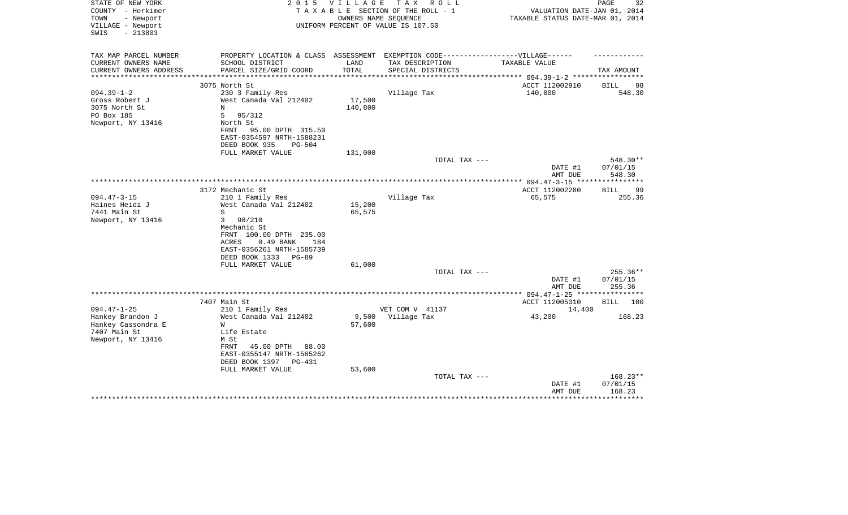| STATE OF NEW YORK<br>COUNTY - Herkimer<br>TOWN<br>- Newport<br>VILLAGE - Newport<br>$-213803$<br>SWIS | 2 0 1 5                                                                                                                                          | V I L L A G E     | TAX ROLL<br>TAXABLE SECTION OF THE ROLL - 1<br>OWNERS NAME SEQUENCE<br>UNIFORM PERCENT OF VALUE IS 107.50 | VALUATION DATE-JAN 01, 2014<br>TAXABLE STATUS DATE-MAR 01, 2014      | 32<br>PAGE                       |
|-------------------------------------------------------------------------------------------------------|--------------------------------------------------------------------------------------------------------------------------------------------------|-------------------|-----------------------------------------------------------------------------------------------------------|----------------------------------------------------------------------|----------------------------------|
| TAX MAP PARCEL NUMBER<br>CURRENT OWNERS NAME                                                          | PROPERTY LOCATION & CLASS ASSESSMENT EXEMPTION CODE----------------VILLAGE------<br>SCHOOL DISTRICT                                              | LAND              | TAX DESCRIPTION                                                                                           | TAXABLE VALUE                                                        |                                  |
| CURRENT OWNERS ADDRESS                                                                                | PARCEL SIZE/GRID COORD                                                                                                                           | TOTAL             | SPECIAL DISTRICTS                                                                                         |                                                                      | TAX AMOUNT                       |
|                                                                                                       | 3075 North St                                                                                                                                    |                   |                                                                                                           | ******************** 094.39-1-2 ******************<br>ACCT 112002910 | 98<br>BILL                       |
| $094.39 - 1 - 2$<br>Gross Robert J<br>3075 North St<br>PO Box 185<br>Newport, NY 13416                | 230 3 Family Res<br>West Canada Val 212402<br>N<br>5<br>95/312<br>North St<br>FRNT<br>95.00 DPTH 315.50<br>EAST-0354597 NRTH-1588231             | 17,500<br>140,800 | Village Tax                                                                                               | 140,800                                                              | 548.30                           |
|                                                                                                       | DEED BOOK 935<br>$PG-504$                                                                                                                        |                   |                                                                                                           |                                                                      |                                  |
|                                                                                                       | FULL MARKET VALUE                                                                                                                                | 131,000           | TOTAL TAX ---                                                                                             |                                                                      | 548.30**                         |
|                                                                                                       |                                                                                                                                                  |                   |                                                                                                           | DATE #1<br>AMT DUE                                                   | 07/01/15<br>548.30               |
|                                                                                                       |                                                                                                                                                  |                   |                                                                                                           | *************** 094.47-3-15 ***                                      | **********                       |
| $094.47 - 3 - 15$                                                                                     | 3172 Mechanic St<br>210 1 Family Res                                                                                                             |                   | Village Tax                                                                                               | ACCT 112002280<br>65,575                                             | 99<br>BILL<br>255.36             |
| Haines Heidi J<br>7441 Main St<br>Newport, NY 13416                                                   | West Canada Val 212402<br>S<br>3<br>98/210<br>Mechanic St<br>FRNT 100.00 DPTH 235.00<br>$0.49$ BANK<br>ACRES<br>184<br>EAST-0356261 NRTH-1585739 | 15,200<br>65,575  |                                                                                                           |                                                                      |                                  |
|                                                                                                       | DEED BOOK 1333<br>$PG-89$<br>FULL MARKET VALUE                                                                                                   | 61,000            |                                                                                                           |                                                                      |                                  |
|                                                                                                       |                                                                                                                                                  |                   | TOTAL TAX ---                                                                                             | DATE #1<br>AMT DUE                                                   | $255.36**$<br>07/01/15<br>255.36 |
|                                                                                                       |                                                                                                                                                  |                   |                                                                                                           | **************** 094.47-1-25 *****************                       |                                  |
|                                                                                                       | 7407 Main St                                                                                                                                     |                   |                                                                                                           | ACCT 112005310                                                       | BILL 100                         |
| $094.47 - 1 - 25$<br>Hankey Brandon J<br>Hankey Cassondra E                                           | 210 1 Family Res<br>West Canada Val 212402<br>W                                                                                                  | 9,500<br>57,600   | VET COM V 41137<br>Village Tax                                                                            | 14,400<br>43,200                                                     | 168.23                           |
| 7407 Main St<br>Newport, NY 13416                                                                     | Life Estate<br>M St<br>FRNT<br>45.00 DPTH 88.00<br>EAST-0355147 NRTH-1585262<br>DEED BOOK 1397<br>PG-431                                         |                   |                                                                                                           |                                                                      |                                  |
|                                                                                                       | FULL MARKET VALUE                                                                                                                                | 53,600            | TOTAL TAX ---                                                                                             | DATE #1<br>AMT DUE                                                   | 168.23**<br>07/01/15<br>168.23   |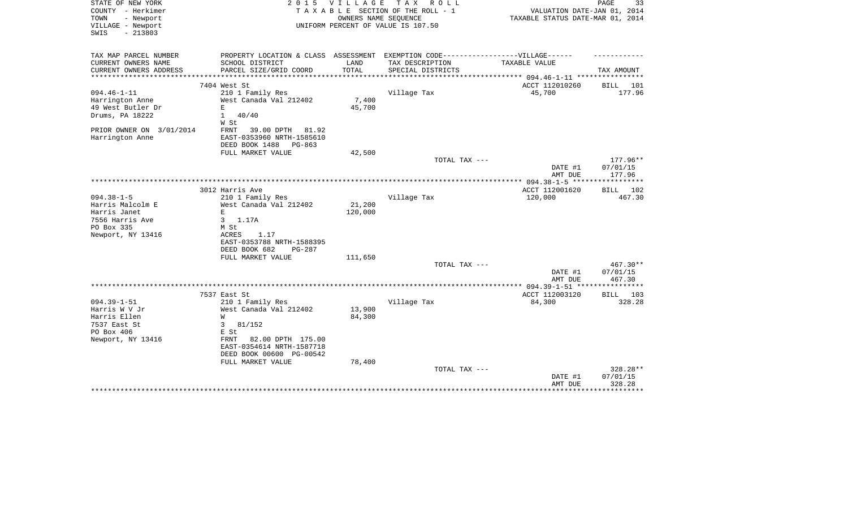| STATE OF NEW YORK<br>COUNTY - Herkimer<br>- Newport<br>TOWN<br>VILLAGE - Newport<br>$-213803$<br>SWIS | 2 0 1 5                                                                           | VILLAGE | T A X<br>R O L L<br>TAXABLE SECTION OF THE ROLL - 1<br>OWNERS NAME SEQUENCE<br>UNIFORM PERCENT OF VALUE IS 107.50 | VALUATION DATE-JAN 01, 2014<br>TAXABLE STATUS DATE-MAR 01, 2014 | 33<br>PAGE    |
|-------------------------------------------------------------------------------------------------------|-----------------------------------------------------------------------------------|---------|-------------------------------------------------------------------------------------------------------------------|-----------------------------------------------------------------|---------------|
| TAX MAP PARCEL NUMBER                                                                                 | PROPERTY LOCATION & CLASS ASSESSMENT EXEMPTION CODE-----------------VILLAGE------ |         |                                                                                                                   |                                                                 |               |
| CURRENT OWNERS NAME                                                                                   | SCHOOL DISTRICT                                                                   | LAND    | TAX DESCRIPTION                                                                                                   | TAXABLE VALUE                                                   |               |
| CURRENT OWNERS ADDRESS<br>*************************                                                   | PARCEL SIZE/GRID COORD                                                            | TOTAL   | SPECIAL DISTRICTS                                                                                                 |                                                                 | TAX AMOUNT    |
|                                                                                                       | 7404 West St                                                                      |         |                                                                                                                   | ACCT 112010260                                                  | BILL<br>- 101 |
| $094.46 - 1 - 11$                                                                                     | 210 1 Family Res                                                                  |         | Village Tax                                                                                                       | 45,700                                                          | 177.96        |
| Harrington Anne                                                                                       | West Canada Val 212402                                                            | 7,400   |                                                                                                                   |                                                                 |               |
| 49 West Butler Dr                                                                                     | $\mathbf{E}$                                                                      | 45,700  |                                                                                                                   |                                                                 |               |
| Drums, PA 18222                                                                                       | $\mathbf{1}$<br>40/40                                                             |         |                                                                                                                   |                                                                 |               |
|                                                                                                       | W St                                                                              |         |                                                                                                                   |                                                                 |               |
| PRIOR OWNER ON 3/01/2014                                                                              | FRNT<br>39.00 DPTH<br>81.92                                                       |         |                                                                                                                   |                                                                 |               |
| Harrington Anne                                                                                       | EAST-0353960 NRTH-1585610                                                         |         |                                                                                                                   |                                                                 |               |
|                                                                                                       | DEED BOOK 1488<br>$PG-863$                                                        |         |                                                                                                                   |                                                                 |               |
|                                                                                                       | FULL MARKET VALUE                                                                 | 42,500  |                                                                                                                   |                                                                 |               |
|                                                                                                       |                                                                                   |         | TOTAL TAX ---                                                                                                     |                                                                 | $177.96**$    |
|                                                                                                       |                                                                                   |         |                                                                                                                   | DATE #1                                                         | 07/01/15      |
|                                                                                                       |                                                                                   |         |                                                                                                                   | AMT DUE                                                         | 177.96        |
|                                                                                                       | 3012 Harris Ave                                                                   |         |                                                                                                                   | ACCT 112001620                                                  | 102<br>BILL   |
| $094.38 - 1 - 5$                                                                                      | 210 1 Family Res                                                                  |         | Village Tax                                                                                                       | 120,000                                                         | 467.30        |
| Harris Malcolm E                                                                                      | West Canada Val 212402                                                            | 21,200  |                                                                                                                   |                                                                 |               |
| Harris Janet                                                                                          | $\mathbf{E}$                                                                      | 120,000 |                                                                                                                   |                                                                 |               |
| 7556 Harris Ave                                                                                       | 3<br>1.17A                                                                        |         |                                                                                                                   |                                                                 |               |
| PO Box 335                                                                                            | M St                                                                              |         |                                                                                                                   |                                                                 |               |
| Newport, NY 13416                                                                                     | 1.17<br>ACRES                                                                     |         |                                                                                                                   |                                                                 |               |
|                                                                                                       | EAST-0353788 NRTH-1588395                                                         |         |                                                                                                                   |                                                                 |               |
|                                                                                                       | DEED BOOK 682<br>$PG-287$                                                         |         |                                                                                                                   |                                                                 |               |
|                                                                                                       | FULL MARKET VALUE                                                                 | 111,650 |                                                                                                                   |                                                                 |               |
|                                                                                                       |                                                                                   |         | TOTAL TAX ---                                                                                                     |                                                                 | 467.30**      |
|                                                                                                       |                                                                                   |         |                                                                                                                   | DATE #1                                                         | 07/01/15      |
|                                                                                                       |                                                                                   |         |                                                                                                                   | AMT DUE<br>***************** 094.39-1-51 *****************      | 467.30        |
|                                                                                                       | 7537 East St                                                                      |         |                                                                                                                   | ACCT 112003120                                                  | BILL 103      |
| $094.39 - 1 - 51$                                                                                     | 210 1 Family Res                                                                  |         | Village Tax                                                                                                       | 84,300                                                          | 328.28        |
| Harris W V Jr                                                                                         | West Canada Val 212402                                                            | 13,900  |                                                                                                                   |                                                                 |               |
| Harris Ellen                                                                                          | W                                                                                 | 84,300  |                                                                                                                   |                                                                 |               |
| 7537 East St                                                                                          | 3<br>81/152                                                                       |         |                                                                                                                   |                                                                 |               |
| PO Box 406                                                                                            | E St                                                                              |         |                                                                                                                   |                                                                 |               |
| Newport, NY 13416                                                                                     | 82.00 DPTH 175.00<br>FRNT                                                         |         |                                                                                                                   |                                                                 |               |
|                                                                                                       | EAST-0354614 NRTH-1587718                                                         |         |                                                                                                                   |                                                                 |               |
|                                                                                                       | DEED BOOK 00600 PG-00542                                                          |         |                                                                                                                   |                                                                 |               |
|                                                                                                       | FULL MARKET VALUE                                                                 | 78,400  |                                                                                                                   |                                                                 |               |
|                                                                                                       |                                                                                   |         | TOTAL TAX ---                                                                                                     |                                                                 | 328.28**      |
|                                                                                                       |                                                                                   |         |                                                                                                                   | DATE #1                                                         | 07/01/15      |
|                                                                                                       |                                                                                   |         |                                                                                                                   | AMT DUE                                                         | 328.28        |
|                                                                                                       |                                                                                   |         |                                                                                                                   |                                                                 |               |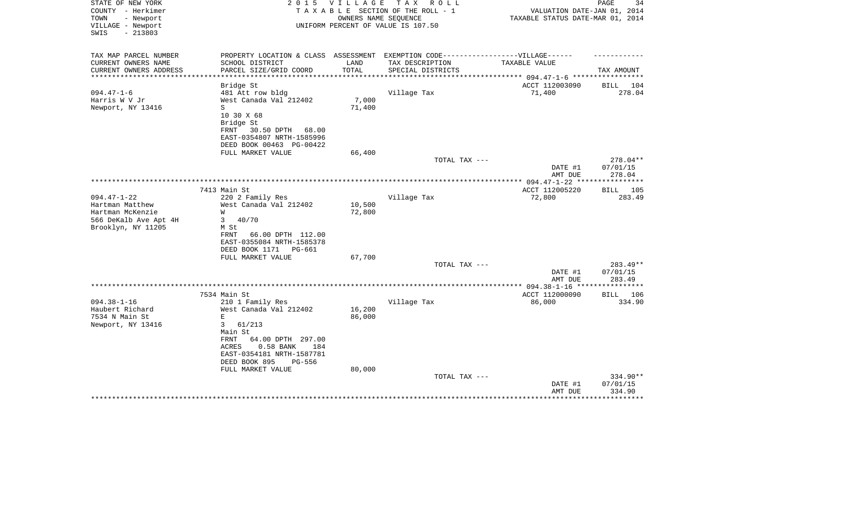| STATE OF NEW YORK      | 2 0 1 5                                                                           | <b>VILLAGE</b> | T A X<br>R O L L                   |                                  | 34<br>PAGE      |
|------------------------|-----------------------------------------------------------------------------------|----------------|------------------------------------|----------------------------------|-----------------|
| COUNTY - Herkimer      |                                                                                   |                | TAXABLE SECTION OF THE ROLL - 1    | VALUATION DATE-JAN 01, 2014      |                 |
| - Newport<br>TOWN      |                                                                                   |                | OWNERS NAME SEQUENCE               | TAXABLE STATUS DATE-MAR 01, 2014 |                 |
| VILLAGE - Newport      |                                                                                   |                | UNIFORM PERCENT OF VALUE IS 107.50 |                                  |                 |
| $-213803$<br>SWIS      |                                                                                   |                |                                    |                                  |                 |
|                        |                                                                                   |                |                                    |                                  |                 |
| TAX MAP PARCEL NUMBER  | PROPERTY LOCATION & CLASS ASSESSMENT EXEMPTION CODE-----------------VILLAGE------ |                |                                    |                                  |                 |
| CURRENT OWNERS NAME    | SCHOOL DISTRICT                                                                   | LAND           | TAX DESCRIPTION                    | TAXABLE VALUE                    |                 |
| CURRENT OWNERS ADDRESS | PARCEL SIZE/GRID COORD                                                            | TOTAL          | SPECIAL DISTRICTS                  | *********** 094.47-1-6 *****     | TAX AMOUNT      |
|                        | Bridge St                                                                         |                |                                    | ACCT 112003090                   | 104<br>BILL     |
| $094.47 - 1 - 6$       | 481 Att row bldg                                                                  |                | Village Tax                        | 71,400                           | 278.04          |
|                        |                                                                                   |                |                                    |                                  |                 |
| Harris W V Jr          | West Canada Val 212402                                                            | 7,000          |                                    |                                  |                 |
| Newport, NY 13416      | S                                                                                 | 71,400         |                                    |                                  |                 |
|                        | 10 30 X 68                                                                        |                |                                    |                                  |                 |
|                        | Bridge St                                                                         |                |                                    |                                  |                 |
|                        | 30.50 DPTH 68.00<br>FRNT                                                          |                |                                    |                                  |                 |
|                        | EAST-0354807 NRTH-1585996                                                         |                |                                    |                                  |                 |
|                        | DEED BOOK 00463 PG-00422                                                          |                |                                    |                                  |                 |
|                        | FULL MARKET VALUE                                                                 | 66,400         |                                    |                                  |                 |
|                        |                                                                                   |                | TOTAL TAX ---                      |                                  | 278.04**        |
|                        |                                                                                   |                |                                    | DATE #1                          | 07/01/15        |
|                        |                                                                                   |                |                                    | AMT DUE                          | 278.04          |
|                        |                                                                                   |                |                                    | ***** 094.47-1-22 ***            | ***********     |
|                        | 7413 Main St                                                                      |                |                                    | ACCT 112005220                   | <b>BILL</b> 105 |
| $094.47 - 1 - 22$      | 220 2 Family Res                                                                  |                | Village Tax                        | 72,800                           | 283.49          |
| Hartman Matthew        | West Canada Val 212402                                                            | 10,500         |                                    |                                  |                 |
| Hartman McKenzie       | W                                                                                 | 72,800         |                                    |                                  |                 |
| 566 DeKalb Ave Apt 4H  | 40/70<br>3 <sup>7</sup>                                                           |                |                                    |                                  |                 |
| Brooklyn, NY 11205     | M St                                                                              |                |                                    |                                  |                 |
|                        | FRNT<br>66.00 DPTH 112.00                                                         |                |                                    |                                  |                 |
|                        | EAST-0355084 NRTH-1585378                                                         |                |                                    |                                  |                 |
|                        | DEED BOOK 1171<br>PG-661                                                          |                |                                    |                                  |                 |
|                        | FULL MARKET VALUE                                                                 | 67,700         |                                    |                                  |                 |
|                        |                                                                                   |                | TOTAL TAX ---                      |                                  | 283.49**        |
|                        |                                                                                   |                |                                    | DATE #1                          | 07/01/15        |
|                        |                                                                                   |                |                                    | AMT DUE                          | 283.49          |
|                        |                                                                                   |                |                                    | * $094.38 - 1 - 16$ **           | *********       |
|                        | 7534 Main St                                                                      |                |                                    | ACCT 112000090                   | BILL<br>106     |
| $094.38 - 1 - 16$      | 210 1 Family Res                                                                  |                | Village Tax                        | 86,000                           | 334.90          |
| Haubert Richard        | West Canada Val 212402                                                            | 16,200         |                                    |                                  |                 |
| 7534 N Main St         | $\mathbf E$                                                                       | 86,000         |                                    |                                  |                 |
|                        | $3^{\circ}$<br>61/213                                                             |                |                                    |                                  |                 |
| Newport, NY 13416      |                                                                                   |                |                                    |                                  |                 |
|                        | Main St                                                                           |                |                                    |                                  |                 |
|                        | 64.00 DPTH 297.00<br>FRNT                                                         |                |                                    |                                  |                 |
|                        | 0.58 BANK<br>184<br>ACRES                                                         |                |                                    |                                  |                 |
|                        | EAST-0354181 NRTH-1587781                                                         |                |                                    |                                  |                 |
|                        | DEED BOOK 895<br>PG-556                                                           |                |                                    |                                  |                 |
|                        | FULL MARKET VALUE                                                                 | 80,000         |                                    |                                  |                 |
|                        |                                                                                   |                | TOTAL TAX ---                      |                                  | 334.90**        |
|                        |                                                                                   |                |                                    | DATE #1                          | 07/01/15        |
|                        |                                                                                   |                |                                    | AMT DUE                          | 334.90          |
|                        |                                                                                   |                |                                    |                                  |                 |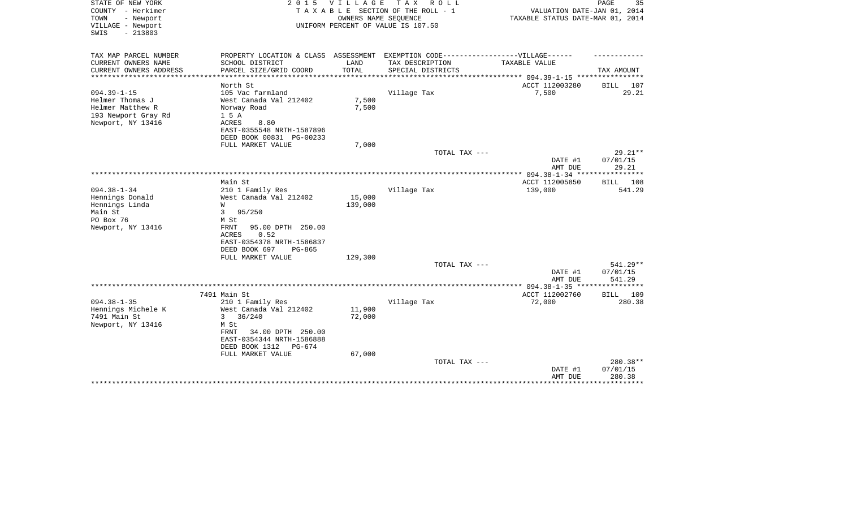| STATE OF NEW YORK<br>COUNTY - Herkimer<br>TOWN<br>- Newport<br>VILLAGE - Newport<br>$-213803$<br>SWIS | 2 0 1 5                                                 | <b>VILLAGE</b> | TAX ROLL<br>TAXABLE SECTION OF THE ROLL - 1<br>OWNERS NAME SEQUENCE<br>UNIFORM PERCENT OF VALUE IS 107.50 | VALUATION DATE-JAN 01, 2014<br>TAXABLE STATUS DATE-MAR 01, 2014 | PAGE<br>35        |
|-------------------------------------------------------------------------------------------------------|---------------------------------------------------------|----------------|-----------------------------------------------------------------------------------------------------------|-----------------------------------------------------------------|-------------------|
| TAX MAP PARCEL NUMBER<br>CURRENT OWNERS NAME                                                          | PROPERTY LOCATION & CLASS ASSESSMENT<br>SCHOOL DISTRICT | LAND           | EXEMPTION CODE------------------VILLAGE------                                                             | TAXABLE VALUE                                                   |                   |
| CURRENT OWNERS ADDRESS                                                                                | PARCEL SIZE/GRID COORD                                  | TOTAL          | TAX DESCRIPTION<br>SPECIAL DISTRICTS                                                                      |                                                                 | TAX AMOUNT        |
| **********************                                                                                | ***********************                                 |                |                                                                                                           |                                                                 |                   |
|                                                                                                       | North St                                                |                |                                                                                                           | ACCT 112003280                                                  | 107<br>BILL       |
| $094.39 - 1 - 15$                                                                                     | 105 Vac farmland                                        |                | Village Tax                                                                                               | 7,500                                                           | 29.21             |
| Helmer Thomas J                                                                                       | West Canada Val 212402                                  | 7,500          |                                                                                                           |                                                                 |                   |
| Helmer Matthew R                                                                                      | Norway Road                                             | 7,500          |                                                                                                           |                                                                 |                   |
| 193 Newport Gray Rd<br>Newport, NY 13416                                                              | 1 5 A<br>ACRES<br>8.80                                  |                |                                                                                                           |                                                                 |                   |
|                                                                                                       | EAST-0355548 NRTH-1587896                               |                |                                                                                                           |                                                                 |                   |
|                                                                                                       | DEED BOOK 00831 PG-00233                                |                |                                                                                                           |                                                                 |                   |
|                                                                                                       | FULL MARKET VALUE                                       | 7,000          |                                                                                                           |                                                                 |                   |
|                                                                                                       |                                                         |                | TOTAL TAX ---                                                                                             |                                                                 | $29.21**$         |
|                                                                                                       |                                                         |                |                                                                                                           | DATE #1                                                         | 07/01/15          |
|                                                                                                       |                                                         |                | ***********                                                                                               | AMT DUE                                                         | 29.21<br>******** |
|                                                                                                       | Main St                                                 |                |                                                                                                           | * $094.38 - 1 - 34$ ***<br>ACCT 112005850                       | 108<br>BILL       |
| $094.38 - 1 - 34$                                                                                     | 210 1 Family Res                                        |                | Village Tax                                                                                               | 139,000                                                         | 541.29            |
| Hennings Donald                                                                                       | West Canada Val 212402                                  | 15,000         |                                                                                                           |                                                                 |                   |
| Hennings Linda                                                                                        | W                                                       | 139,000        |                                                                                                           |                                                                 |                   |
| Main St                                                                                               | 3<br>95/250                                             |                |                                                                                                           |                                                                 |                   |
| PO Box 76                                                                                             | M St                                                    |                |                                                                                                           |                                                                 |                   |
| Newport, NY 13416                                                                                     | FRNT<br>95.00 DPTH 250.00                               |                |                                                                                                           |                                                                 |                   |
|                                                                                                       | 0.52<br>ACRES<br>EAST-0354378 NRTH-1586837              |                |                                                                                                           |                                                                 |                   |
|                                                                                                       | DEED BOOK 697<br>PG-865                                 |                |                                                                                                           |                                                                 |                   |
|                                                                                                       | FULL MARKET VALUE                                       | 129,300        |                                                                                                           |                                                                 |                   |
|                                                                                                       |                                                         |                | TOTAL TAX ---                                                                                             |                                                                 | $541.29**$        |
|                                                                                                       |                                                         |                |                                                                                                           | DATE #1                                                         | 07/01/15          |
|                                                                                                       |                                                         |                |                                                                                                           | AMT DUE                                                         | 541.29<br>******  |
|                                                                                                       | 7491 Main St                                            |                |                                                                                                           | $094.38 - 1 - 35$ ****<br>ACCT 112002760                        | BILL 109          |
| $094.38 - 1 - 35$                                                                                     | 210 1 Family Res                                        |                | Village Tax                                                                                               | 72,000                                                          | 280.38            |
| Hennings Michele K                                                                                    | West Canada Val 212402                                  | 11,900         |                                                                                                           |                                                                 |                   |
| 7491 Main St                                                                                          | 36/240<br>3                                             | 72,000         |                                                                                                           |                                                                 |                   |
| Newport, NY 13416                                                                                     | M St                                                    |                |                                                                                                           |                                                                 |                   |
|                                                                                                       | 34.00 DPTH 250.00<br>FRNT                               |                |                                                                                                           |                                                                 |                   |
|                                                                                                       | EAST-0354344 NRTH-1586888                               |                |                                                                                                           |                                                                 |                   |
|                                                                                                       | DEED BOOK 1312<br>PG-674<br>FULL MARKET VALUE           | 67,000         |                                                                                                           |                                                                 |                   |
|                                                                                                       |                                                         |                | TOTAL TAX ---                                                                                             |                                                                 | 280.38**          |
|                                                                                                       |                                                         |                |                                                                                                           | DATE #1                                                         | 07/01/15          |
|                                                                                                       |                                                         |                |                                                                                                           | AMT DUE                                                         | 280.38            |
|                                                                                                       |                                                         |                |                                                                                                           |                                                                 | ********          |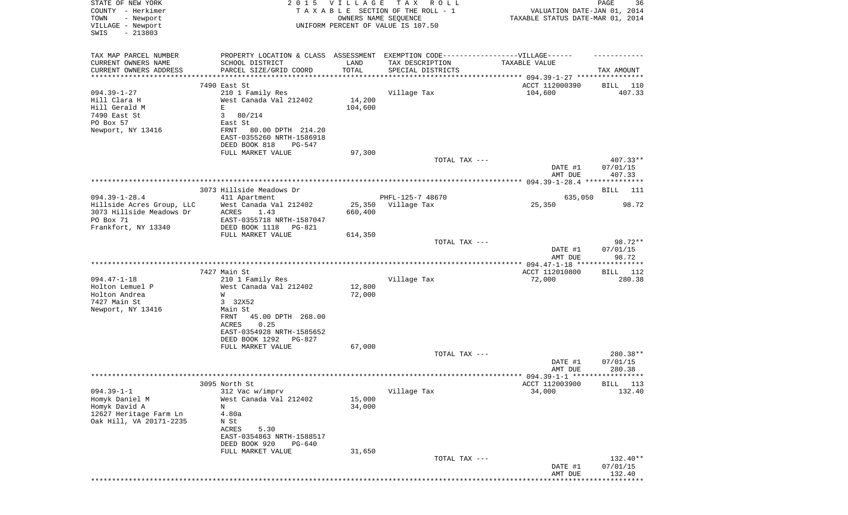| STATE OF NEW YORK                            | 2015 VILLAGE                                                                      | PAGE<br>36                       |                   |                                                            |                       |
|----------------------------------------------|-----------------------------------------------------------------------------------|----------------------------------|-------------------|------------------------------------------------------------|-----------------------|
| COUNTY - Herkimer                            | TAXABLE SECTION OF THE ROLL - 1                                                   | VALUATION DATE-JAN 01, 2014      |                   |                                                            |                       |
| TOWN<br>- Newport                            |                                                                                   | TAXABLE STATUS DATE-MAR 01, 2014 |                   |                                                            |                       |
| VILLAGE - Newport                            | UNIFORM PERCENT OF VALUE IS 107.50                                                |                                  |                   |                                                            |                       |
| SWIS<br>$-213803$                            |                                                                                   |                                  |                   |                                                            |                       |
|                                              |                                                                                   |                                  |                   |                                                            |                       |
| TAX MAP PARCEL NUMBER                        | PROPERTY LOCATION & CLASS ASSESSMENT EXEMPTION CODE-----------------VILLAGE------ |                                  |                   |                                                            |                       |
| CURRENT OWNERS NAME                          | SCHOOL DISTRICT                                                                   | LAND                             | TAX DESCRIPTION   | TAXABLE VALUE                                              |                       |
| CURRENT OWNERS ADDRESS<br>****************** | PARCEL SIZE/GRID COORD                                                            | TOTAL                            | SPECIAL DISTRICTS | ***************************** 094.39-1-27 **************** | TAX AMOUNT            |
|                                              | 7490 East St                                                                      |                                  |                   | ACCT 112000390                                             | 110                   |
| $094.39 - 1 - 27$                            | 210 1 Family Res                                                                  |                                  | Village Tax       | 104,600                                                    | BILL<br>407.33        |
| Hill Clara H                                 | West Canada Val 212402                                                            | 14,200                           |                   |                                                            |                       |
| Hill Gerald M                                | E                                                                                 | 104,600                          |                   |                                                            |                       |
| 7490 East St                                 | 80/214<br>$\mathbf{3}$                                                            |                                  |                   |                                                            |                       |
| PO Box 57                                    | East St                                                                           |                                  |                   |                                                            |                       |
| Newport, NY 13416                            | FRNT<br>80.00 DPTH 214.20                                                         |                                  |                   |                                                            |                       |
|                                              | EAST-0355260 NRTH-1586918                                                         |                                  |                   |                                                            |                       |
|                                              | DEED BOOK 818<br><b>PG-547</b>                                                    |                                  |                   |                                                            |                       |
|                                              | FULL MARKET VALUE                                                                 | 97,300                           |                   |                                                            |                       |
|                                              |                                                                                   |                                  | TOTAL TAX ---     |                                                            | $407.33**$            |
|                                              |                                                                                   |                                  |                   | DATE #1                                                    | 07/01/15              |
|                                              |                                                                                   |                                  |                   | AMT DUE                                                    | 407.33                |
|                                              |                                                                                   |                                  |                   |                                                            |                       |
|                                              | 3073 Hillside Meadows Dr                                                          |                                  |                   |                                                            | BILL<br>- 111         |
| $094.39 - 1 - 28.4$                          | 411 Apartment                                                                     |                                  | PHFL-125-7 48670  | 635,050                                                    |                       |
| Hillside Acres Group, LLC                    | West Canada Val 212402                                                            | 25,350                           | Village Tax       | 25,350                                                     | 98.72                 |
| 3073 Hillside Meadows Dr                     | ACRES<br>1.43                                                                     | 660,400                          |                   |                                                            |                       |
| PO Box 71                                    | EAST-0355718 NRTH-1587047                                                         |                                  |                   |                                                            |                       |
| Frankfort, NY 13340                          | DEED BOOK 1118<br>PG-821                                                          |                                  |                   |                                                            |                       |
|                                              | FULL MARKET VALUE                                                                 | 614,350                          |                   |                                                            |                       |
|                                              |                                                                                   |                                  | TOTAL TAX ---     | DATE #1                                                    | 98.72**               |
|                                              |                                                                                   |                                  |                   | AMT DUE                                                    | 07/01/15<br>98.72     |
|                                              |                                                                                   |                                  |                   | ************ 094.47-1-18 *****                             | * * * * * * * * * * * |
|                                              | 7427 Main St                                                                      |                                  |                   | ACCT 112010800                                             | 112<br>BILL           |
| $094.47 - 1 - 18$                            | 210 1 Family Res                                                                  |                                  | Village Tax       | 72,000                                                     | 280.38                |
| Holton Lemuel P                              | West Canada Val 212402                                                            | 12,800                           |                   |                                                            |                       |
| Holton Andrea                                | W                                                                                 | 72,000                           |                   |                                                            |                       |
| 7427 Main St                                 | 3 32X52                                                                           |                                  |                   |                                                            |                       |
| Newport, NY 13416                            | Main St                                                                           |                                  |                   |                                                            |                       |
|                                              | FRNT<br>45.00 DPTH 268.00                                                         |                                  |                   |                                                            |                       |
|                                              | ACRES<br>0.25                                                                     |                                  |                   |                                                            |                       |
|                                              | EAST-0354928 NRTH-1585652                                                         |                                  |                   |                                                            |                       |
|                                              | DEED BOOK 1292<br>PG-827                                                          |                                  |                   |                                                            |                       |
|                                              | FULL MARKET VALUE                                                                 | 67,000                           |                   |                                                            |                       |
|                                              |                                                                                   |                                  | TOTAL TAX ---     |                                                            | 280.38**              |
|                                              |                                                                                   |                                  |                   | DATE #1                                                    | 07/01/15              |
|                                              |                                                                                   |                                  |                   | AMT DUE                                                    | 280.38<br>*********** |
|                                              | 3095 North St                                                                     |                                  |                   | ********* 094.39-1-1 ****                                  |                       |
| $094.39 - 1 - 1$                             |                                                                                   |                                  |                   | ACCT 112003900<br>34,000                                   | BILL<br>113           |
| Homyk Daniel M                               | 312 Vac w/imprv                                                                   | 15,000                           | Village Tax       |                                                            | 132.40                |
| Homyk David A                                | West Canada Val 212402<br>Ν                                                       | 34,000                           |                   |                                                            |                       |
| 12627 Heritage Farm Ln                       | 4.80a                                                                             |                                  |                   |                                                            |                       |
| Oak Hill, VA 20171-2235                      | N St                                                                              |                                  |                   |                                                            |                       |
|                                              | ACRES<br>5.30                                                                     |                                  |                   |                                                            |                       |
|                                              | EAST-0354863 NRTH-1588517                                                         |                                  |                   |                                                            |                       |
|                                              | DEED BOOK 920<br>PG-640                                                           |                                  |                   |                                                            |                       |
|                                              | FULL MARKET VALUE                                                                 | 31,650                           |                   |                                                            |                       |
|                                              |                                                                                   |                                  | TOTAL TAX ---     |                                                            | 132.40**              |
|                                              |                                                                                   |                                  |                   | DATE #1                                                    | 07/01/15              |
|                                              |                                                                                   |                                  |                   | AMT DUE                                                    | 132.40                |
|                                              |                                                                                   |                                  |                   |                                                            |                       |
|                                              |                                                                                   |                                  |                   |                                                            |                       |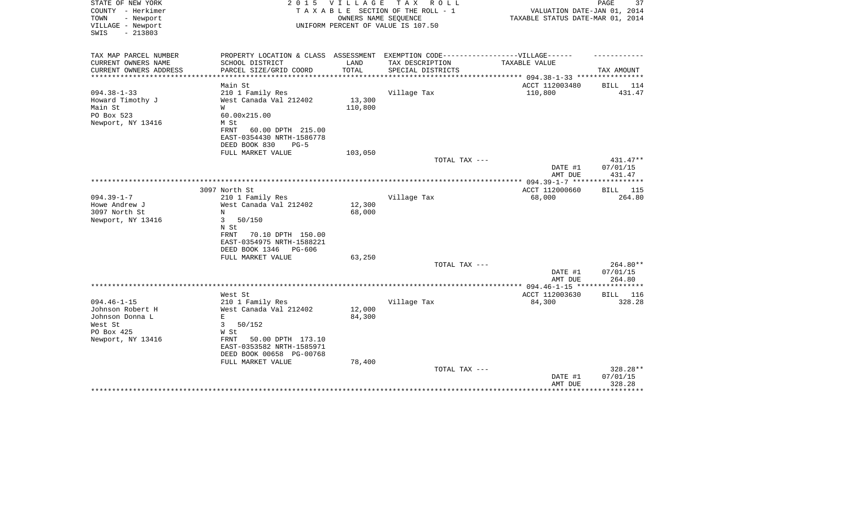| STATE OF NEW YORK<br>COUNTY - Herkimer<br>- Newport<br>TOWN<br>VILLAGE - Newport<br>$-213803$<br>SWIS  | 2 0 1 5                                                                                                                          | VILLAGE                      | T A X<br>R O L L<br>TAXABLE SECTION OF THE ROLL - 1<br>OWNERS NAME SEQUENCE<br>UNIFORM PERCENT OF VALUE IS 107.50 | VALUATION DATE-JAN 01, 2014<br>TAXABLE STATUS DATE-MAR 01, 2014   | PAGE<br>37                     |
|--------------------------------------------------------------------------------------------------------|----------------------------------------------------------------------------------------------------------------------------------|------------------------------|-------------------------------------------------------------------------------------------------------------------|-------------------------------------------------------------------|--------------------------------|
| TAX MAP PARCEL NUMBER                                                                                  | PROPERTY LOCATION & CLASS ASSESSMENT                                                                                             |                              | EXEMPTION CODE------------------VILLAGE------                                                                     |                                                                   |                                |
| CURRENT OWNERS NAME<br>CURRENT OWNERS ADDRESS<br>*********************                                 | SCHOOL DISTRICT<br>PARCEL SIZE/GRID COORD<br>*******************                                                                 | LAND<br>TOTAL<br>*********** | TAX DESCRIPTION<br>SPECIAL DISTRICTS                                                                              | TAXABLE VALUE                                                     | TAX AMOUNT                     |
|                                                                                                        | Main St                                                                                                                          |                              |                                                                                                                   | ***************** 094.38-1-33 *****************<br>ACCT 112003480 | <b>BILL</b> 114                |
| $094.38 - 1 - 33$<br>Howard Timothy J<br>Main St<br>PO Box 523<br>Newport, NY 13416                    | 210 1 Family Res<br>West Canada Val 212402<br>W<br>60.00x215.00<br>M St<br>FRNT<br>60.00 DPTH 215.00                             | 13,300<br>110,800            | Village Tax                                                                                                       | 110,800                                                           | 431.47                         |
|                                                                                                        | EAST-0354430 NRTH-1586778<br>DEED BOOK 830<br>$PG-5$                                                                             |                              |                                                                                                                   |                                                                   |                                |
|                                                                                                        | FULL MARKET VALUE                                                                                                                | 103,050                      |                                                                                                                   |                                                                   |                                |
|                                                                                                        |                                                                                                                                  |                              | TOTAL TAX ---                                                                                                     |                                                                   | 431.47**                       |
|                                                                                                        |                                                                                                                                  |                              |                                                                                                                   | DATE #1<br>AMT DUE                                                | 07/01/15<br>431.47             |
|                                                                                                        |                                                                                                                                  |                              |                                                                                                                   |                                                                   |                                |
| $094.39 - 1 - 7$                                                                                       | 3097 North St<br>210 1 Family Res                                                                                                |                              | Village Tax                                                                                                       | ACCT 112000660<br>68,000                                          | BILL 115<br>264.80             |
| Howe Andrew J<br>3097 North St                                                                         | West Canada Val 212402<br>N                                                                                                      | 12,300<br>68,000             |                                                                                                                   |                                                                   |                                |
| Newport, NY 13416                                                                                      | 3<br>50/150<br>N St<br>70.10 DPTH 150.00<br>FRNT<br>EAST-0354975 NRTH-1588221<br>DEED BOOK 1346<br>PG-606                        |                              |                                                                                                                   |                                                                   |                                |
|                                                                                                        | FULL MARKET VALUE                                                                                                                | 63,250                       |                                                                                                                   |                                                                   |                                |
|                                                                                                        |                                                                                                                                  |                              | TOTAL TAX ---                                                                                                     | DATE #1<br>AMT DUE                                                | 264.80**<br>07/01/15<br>264.80 |
|                                                                                                        |                                                                                                                                  |                              |                                                                                                                   | ***************** 094.46-1-15 ****************                    |                                |
|                                                                                                        | West St                                                                                                                          |                              |                                                                                                                   | ACCT 112003630                                                    | BILL<br>116                    |
| $094.46 - 1 - 15$<br>Johnson Robert H<br>Johnson Donna L<br>West St<br>PO Box 425<br>Newport, NY 13416 | 210 1 Family Res<br>West Canada Val 212402<br>E<br>3<br>50/152<br>W St<br>FRNT<br>50.00 DPTH 173.10<br>EAST-0353582 NRTH-1585971 | 12,000<br>84,300             | Village Tax                                                                                                       | 84,300                                                            | 328.28                         |
|                                                                                                        | DEED BOOK 00658 PG-00768                                                                                                         |                              |                                                                                                                   |                                                                   |                                |
|                                                                                                        | FULL MARKET VALUE                                                                                                                | 78,400                       | TOTAL TAX ---                                                                                                     | DATE #1<br>AMT DUE                                                | 328.28**<br>07/01/15<br>328.28 |
|                                                                                                        |                                                                                                                                  |                              |                                                                                                                   |                                                                   | *******                        |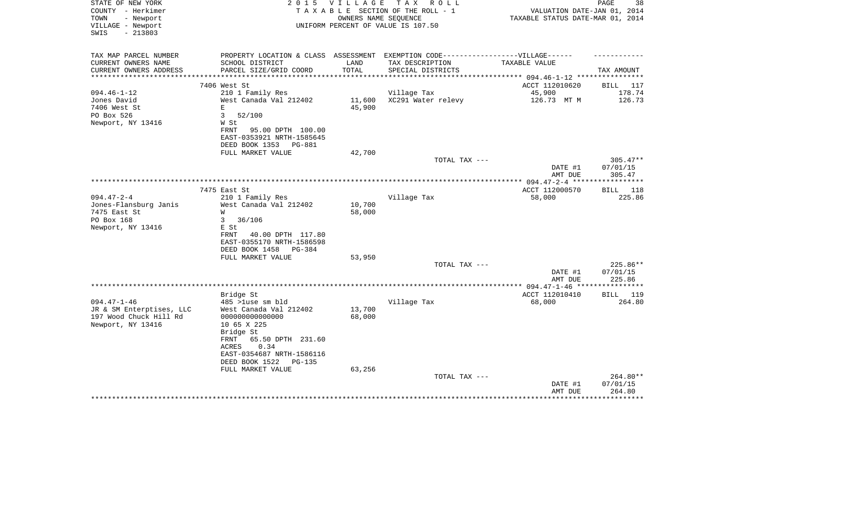| STATE OF NEW YORK<br>COUNTY - Herkimer<br>TOWN<br>- Newport<br>VILLAGE - Newport<br>$-213803$<br>SWIS |                                                                                   | 2015 VILLAGE     | TAX ROLL<br>TAXABLE SECTION OF THE ROLL - 1<br>OWNERS NAME SEQUENCE<br>UNIFORM PERCENT OF VALUE IS 107.50 | VALUATION DATE-JAN 01, 2014<br>TAXABLE STATUS DATE-MAR 01, 2014 | PAGE<br>38             |
|-------------------------------------------------------------------------------------------------------|-----------------------------------------------------------------------------------|------------------|-----------------------------------------------------------------------------------------------------------|-----------------------------------------------------------------|------------------------|
| TAX MAP PARCEL NUMBER                                                                                 | PROPERTY LOCATION & CLASS ASSESSMENT EXEMPTION CODE-----------------VILLAGE------ |                  |                                                                                                           |                                                                 |                        |
| CURRENT OWNERS NAME                                                                                   | SCHOOL DISTRICT                                                                   | LAND             | TAX DESCRIPTION                                                                                           | TAXABLE VALUE                                                   |                        |
| CURRENT OWNERS ADDRESS<br>*********************                                                       | PARCEL SIZE/GRID COORD                                                            | TOTAL            | SPECIAL DISTRICTS                                                                                         |                                                                 | TAX AMOUNT             |
|                                                                                                       | 7406 West St                                                                      |                  |                                                                                                           | ACCT 112010620                                                  | BILL<br>117            |
| $094.46 - 1 - 12$                                                                                     | 210 1 Family Res                                                                  |                  | Village Tax                                                                                               | 45,900                                                          | 178.74                 |
| Jones David                                                                                           | West Canada Val 212402                                                            | 11,600           | XC291 Water relevy                                                                                        | 126.73 MT M                                                     | 126.73                 |
| 7406 West St                                                                                          | E.                                                                                | 45,900           |                                                                                                           |                                                                 |                        |
| PO Box 526<br>Newport, NY 13416                                                                       | 3<br>52/100<br>W St                                                               |                  |                                                                                                           |                                                                 |                        |
|                                                                                                       | FRNT<br>95.00 DPTH 100.00                                                         |                  |                                                                                                           |                                                                 |                        |
|                                                                                                       | EAST-0353921 NRTH-1585645                                                         |                  |                                                                                                           |                                                                 |                        |
|                                                                                                       | DEED BOOK 1353<br>PG-881                                                          |                  |                                                                                                           |                                                                 |                        |
|                                                                                                       | FULL MARKET VALUE                                                                 | 42,700           |                                                                                                           |                                                                 |                        |
|                                                                                                       |                                                                                   |                  | TOTAL TAX ---                                                                                             | DATE #1                                                         | $305.47**$<br>07/01/15 |
|                                                                                                       |                                                                                   |                  |                                                                                                           | AMT DUE                                                         | 305.47                 |
|                                                                                                       |                                                                                   |                  |                                                                                                           |                                                                 |                        |
|                                                                                                       | 7475 East St                                                                      |                  |                                                                                                           | ACCT 112000570                                                  | BILL 118               |
| $094.47 - 2 - 4$                                                                                      | 210 1 Family Res                                                                  |                  | Village Tax                                                                                               | 58,000                                                          | 225.86                 |
| Jones-Flansburg Janis<br>7475 East St                                                                 | West Canada Val 212402<br>W                                                       | 10,700<br>58,000 |                                                                                                           |                                                                 |                        |
| PO Box 168                                                                                            | 36/106<br>3                                                                       |                  |                                                                                                           |                                                                 |                        |
| Newport, NY 13416                                                                                     | E St                                                                              |                  |                                                                                                           |                                                                 |                        |
|                                                                                                       | 40.00 DPTH 117.80<br>FRNT                                                         |                  |                                                                                                           |                                                                 |                        |
|                                                                                                       | EAST-0355170 NRTH-1586598<br>DEED BOOK 1458 PG-384                                |                  |                                                                                                           |                                                                 |                        |
|                                                                                                       | FULL MARKET VALUE                                                                 | 53,950           |                                                                                                           |                                                                 |                        |
|                                                                                                       |                                                                                   |                  | TOTAL TAX ---                                                                                             |                                                                 | 225.86**               |
|                                                                                                       |                                                                                   |                  |                                                                                                           | DATE #1                                                         | 07/01/15               |
|                                                                                                       |                                                                                   |                  |                                                                                                           | AMT DUE                                                         | 225.86<br>*********    |
|                                                                                                       | Bridge St                                                                         |                  |                                                                                                           | ** $094.47 - 1 - 46$ ***<br>ACCT 112010410                      | <b>BILL</b><br>119     |
| $094.47 - 1 - 46$                                                                                     | 485 >luse sm bld                                                                  |                  | Village Tax                                                                                               | 68,000                                                          | 264.80                 |
| JR & SM Enterptises, LLC                                                                              | West Canada Val 212402                                                            | 13,700           |                                                                                                           |                                                                 |                        |
| 197 Wood Chuck Hill Rd                                                                                | 00000000000000                                                                    | 68,000           |                                                                                                           |                                                                 |                        |
| Newport, NY 13416                                                                                     | 10 65 X 225                                                                       |                  |                                                                                                           |                                                                 |                        |
|                                                                                                       | Bridge St<br>FRNT<br>65.50 DPTH 231.60                                            |                  |                                                                                                           |                                                                 |                        |
|                                                                                                       | 0.34<br>ACRES                                                                     |                  |                                                                                                           |                                                                 |                        |
|                                                                                                       | EAST-0354687 NRTH-1586116                                                         |                  |                                                                                                           |                                                                 |                        |
|                                                                                                       | DEED BOOK 1522<br>PG-135                                                          |                  |                                                                                                           |                                                                 |                        |
|                                                                                                       | FULL MARKET VALUE                                                                 | 63,256           |                                                                                                           |                                                                 | 264.80**               |
|                                                                                                       |                                                                                   |                  | TOTAL TAX ---                                                                                             | DATE #1                                                         | 07/01/15               |
|                                                                                                       |                                                                                   |                  |                                                                                                           | AMT DUE                                                         | 264.80                 |
|                                                                                                       |                                                                                   |                  |                                                                                                           | ********************************                                |                        |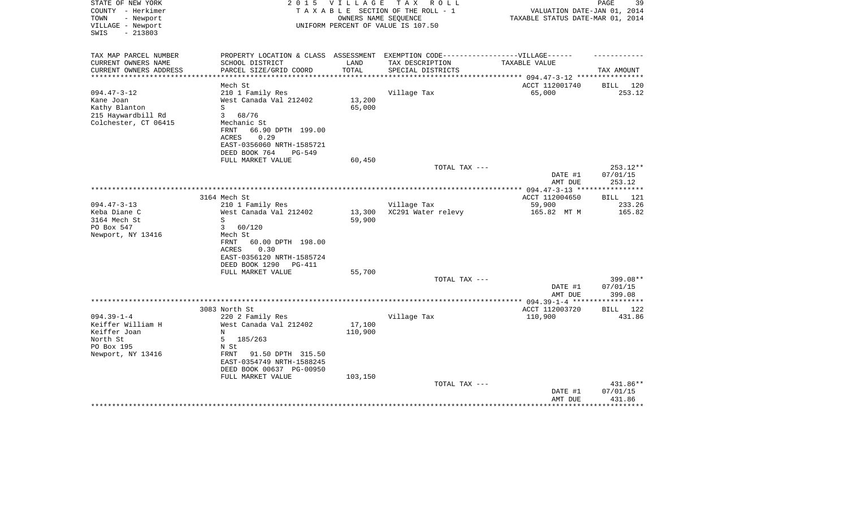| STATE OF NEW YORK<br>COUNTY - Herkimer<br>TOWN<br>- Newport<br>VILLAGE - Newport<br>$-213803$<br>SWIS | 2 0 1 5                                                                                                                                                        | VILLAGE                      | TAX ROLL<br>TAXABLE SECTION OF THE ROLL - 1<br>OWNERS NAME SEQUENCE<br>UNIFORM PERCENT OF VALUE IS 107.50 | VALUATION DATE-JAN 01, 2014<br>TAXABLE STATUS DATE-MAR 01, 2014 | PAGE<br>39                          |
|-------------------------------------------------------------------------------------------------------|----------------------------------------------------------------------------------------------------------------------------------------------------------------|------------------------------|-----------------------------------------------------------------------------------------------------------|-----------------------------------------------------------------|-------------------------------------|
| TAX MAP PARCEL NUMBER<br>CURRENT OWNERS NAME<br>CURRENT OWNERS ADDRESS                                | PROPERTY LOCATION & CLASS ASSESSMENT EXEMPTION CODE-----------------VILLAGE------<br>SCHOOL DISTRICT<br>PARCEL SIZE/GRID COORD                                 | LAND<br>TOTAL                | TAX DESCRIPTION<br>SPECIAL DISTRICTS                                                                      | TAXABLE VALUE                                                   | TAX AMOUNT                          |
| **********************                                                                                |                                                                                                                                                                |                              |                                                                                                           | ACCT 112001740                                                  | BILL 120                            |
| $094.47 - 3 - 12$<br>Kane Joan<br>Kathy Blanton<br>215 Haywardbill Rd<br>Colchester, CT 06415         | Mech St<br>210 1 Family Res<br>West Canada Val 212402<br>S<br>$\mathbf{3}$<br>68/76<br>Mechanic St                                                             | 13,200<br>65,000             | Village Tax                                                                                               | 65,000                                                          | 253.12                              |
|                                                                                                       | FRNT<br>66.90 DPTH 199.00<br>ACRES<br>0.29<br>EAST-0356060 NRTH-1585721<br>DEED BOOK 764<br>PG-549                                                             |                              |                                                                                                           |                                                                 |                                     |
|                                                                                                       | FULL MARKET VALUE                                                                                                                                              | 60,450                       | TOTAL TAX ---                                                                                             |                                                                 | 253.12**                            |
|                                                                                                       |                                                                                                                                                                |                              |                                                                                                           | DATE #1<br>AMT DUE                                              | 07/01/15<br>253.12                  |
|                                                                                                       |                                                                                                                                                                |                              |                                                                                                           |                                                                 |                                     |
| $094.47 - 3 - 13$<br>Keba Diane C<br>3164 Mech St                                                     | 3164 Mech St<br>210 1 Family Res<br>West Canada Val 212402<br>S                                                                                                | 13,300<br>59,900             | Village Tax<br>XC291 Water relevy                                                                         | ACCT 112004650<br>59,900<br>165.82 MT M                         | <b>BILL</b> 121<br>233.26<br>165.82 |
| PO Box 547<br>Newport, NY 13416                                                                       | 3<br>60/120<br>Mech St<br><b>FRNT</b><br>60.00 DPTH 198.00<br>0.30<br>ACRES<br>EAST-0356120 NRTH-1585724<br>DEED BOOK 1290<br>PG-411<br>FULL MARKET VALUE      | 55,700                       |                                                                                                           |                                                                 |                                     |
|                                                                                                       |                                                                                                                                                                |                              | TOTAL TAX ---                                                                                             | DATE #1                                                         | 399.08**<br>07/01/15                |
|                                                                                                       |                                                                                                                                                                |                              |                                                                                                           | AMT DUE                                                         | 399.08                              |
| $094.39 - 1 - 4$                                                                                      | 3083 North St<br>220 2 Family Res                                                                                                                              |                              | Village Tax                                                                                               | ACCT 112003720<br>110,900                                       | BILL<br>122<br>431.86               |
| Keiffer William H<br>Keiffer Joan<br>North St<br>PO Box 195<br>Newport, NY 13416                      | West Canada Val 212402<br>N<br>5<br>185/263<br>N St<br>91.50 DPTH 315.50<br>FRNT<br>EAST-0354749 NRTH-1588245<br>DEED BOOK 00637 PG-00950<br>FULL MARKET VALUE | 17,100<br>110,900<br>103,150 |                                                                                                           |                                                                 |                                     |
|                                                                                                       |                                                                                                                                                                |                              | TOTAL TAX ---                                                                                             | DATE #1<br>AMT DUE                                              | 431.86**<br>07/01/15<br>431.86      |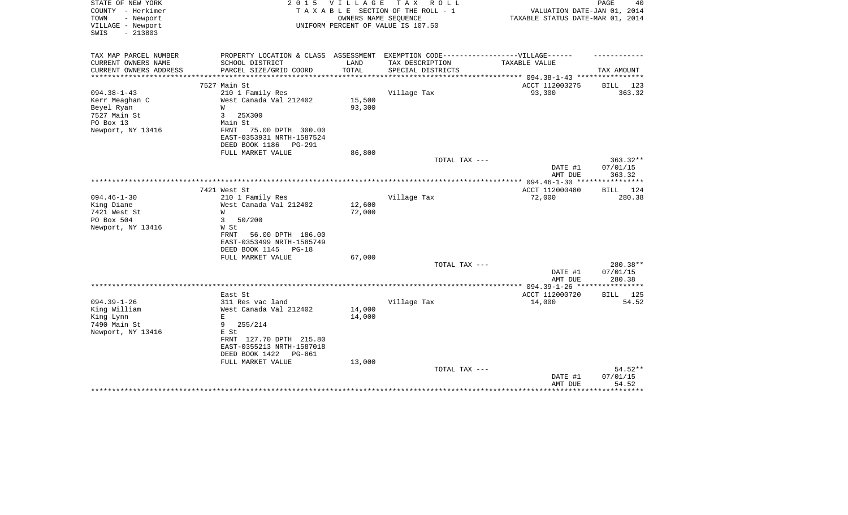| STATE OF NEW YORK<br>COUNTY - Herkimer<br>TOWN<br>- Newport<br>VILLAGE - Newport<br>$-213803$<br>SWIS | 2 0 1 5                                                                           | V I L L A G E               | TAX ROLL<br>TAXABLE SECTION OF THE ROLL - 1<br>OWNERS NAME SEQUENCE<br>UNIFORM PERCENT OF VALUE IS 107.50 | VALUATION DATE-JAN 01, 2014<br>TAXABLE STATUS DATE-MAR 01, 2014 | PAGE<br>40         |
|-------------------------------------------------------------------------------------------------------|-----------------------------------------------------------------------------------|-----------------------------|-----------------------------------------------------------------------------------------------------------|-----------------------------------------------------------------|--------------------|
| TAX MAP PARCEL NUMBER                                                                                 | PROPERTY LOCATION & CLASS ASSESSMENT EXEMPTION CODE-----------------VILLAGE------ |                             |                                                                                                           |                                                                 |                    |
| CURRENT OWNERS NAME                                                                                   | SCHOOL DISTRICT                                                                   | LAND                        | TAX DESCRIPTION                                                                                           | TAXABLE VALUE                                                   |                    |
| CURRENT OWNERS ADDRESS<br>***************                                                             | PARCEL SIZE/GRID COORD<br>**************************                              | TOTAL<br>****************** | SPECIAL DISTRICTS                                                                                         | ***************** 094.38-1-43 *****************                 | TAX AMOUNT         |
|                                                                                                       | 7527 Main St                                                                      |                             |                                                                                                           | ACCT 112003275                                                  | BILL 123           |
| $094.38 - 1 - 43$                                                                                     | 210 1 Family Res                                                                  |                             | Village Tax                                                                                               | 93,300                                                          | 363.32             |
| Kerr Meaghan C                                                                                        | West Canada Val 212402                                                            | 15,500                      |                                                                                                           |                                                                 |                    |
| Beyel Ryan                                                                                            | W                                                                                 | 93,300                      |                                                                                                           |                                                                 |                    |
| 7527 Main St                                                                                          | 3<br>25X300                                                                       |                             |                                                                                                           |                                                                 |                    |
| PO Box 13                                                                                             | Main St                                                                           |                             |                                                                                                           |                                                                 |                    |
| Newport, NY 13416                                                                                     | FRNT<br>75.00 DPTH 300.00                                                         |                             |                                                                                                           |                                                                 |                    |
|                                                                                                       | EAST-0353931 NRTH-1587524<br>DEED BOOK 1186                                       |                             |                                                                                                           |                                                                 |                    |
|                                                                                                       | <b>PG-291</b><br>FULL MARKET VALUE                                                | 86,800                      |                                                                                                           |                                                                 |                    |
|                                                                                                       |                                                                                   |                             | TOTAL TAX ---                                                                                             |                                                                 | 363.32**           |
|                                                                                                       |                                                                                   |                             |                                                                                                           | DATE #1<br>AMT DUE                                              | 07/01/15<br>363.32 |
|                                                                                                       |                                                                                   |                             |                                                                                                           |                                                                 |                    |
|                                                                                                       | 7421 West St                                                                      |                             |                                                                                                           | ACCT 112000480                                                  | BILL 124           |
| $094.46 - 1 - 30$                                                                                     | 210 1 Family Res                                                                  |                             | Village Tax                                                                                               | 72,000                                                          | 280.38             |
| King Diane                                                                                            | West Canada Val 212402                                                            | 12,600                      |                                                                                                           |                                                                 |                    |
| 7421 West St                                                                                          | W                                                                                 | 72,000                      |                                                                                                           |                                                                 |                    |
| PO Box 504                                                                                            | 50/200<br>3                                                                       |                             |                                                                                                           |                                                                 |                    |
| Newport, NY 13416                                                                                     | W St                                                                              |                             |                                                                                                           |                                                                 |                    |
|                                                                                                       | FRNT<br>56.00 DPTH 186.00                                                         |                             |                                                                                                           |                                                                 |                    |
|                                                                                                       | EAST-0353499 NRTH-1585749                                                         |                             |                                                                                                           |                                                                 |                    |
|                                                                                                       | DEED BOOK 1145<br>$PG-18$<br>FULL MARKET VALUE                                    | 67,000                      |                                                                                                           |                                                                 |                    |
|                                                                                                       |                                                                                   |                             | TOTAL TAX ---                                                                                             |                                                                 | 280.38**           |
|                                                                                                       |                                                                                   |                             |                                                                                                           | DATE #1                                                         | 07/01/15           |
|                                                                                                       |                                                                                   |                             |                                                                                                           | AMT DUE                                                         | 280.38             |
|                                                                                                       |                                                                                   |                             |                                                                                                           |                                                                 |                    |
|                                                                                                       | East St                                                                           |                             |                                                                                                           | ACCT 112000720                                                  | 125<br>BILL        |
| $094.39 - 1 - 26$                                                                                     | 311 Res vac land                                                                  |                             | Village Tax                                                                                               | 14,000                                                          | 54.52              |
| King William                                                                                          | West Canada Val 212402                                                            | 14,000                      |                                                                                                           |                                                                 |                    |
| King Lynn                                                                                             | E                                                                                 | 14,000                      |                                                                                                           |                                                                 |                    |
| 7490 Main St                                                                                          | 9<br>255/214<br>E St                                                              |                             |                                                                                                           |                                                                 |                    |
| Newport, NY 13416                                                                                     | FRNT 127.70 DPTH 215.80                                                           |                             |                                                                                                           |                                                                 |                    |
|                                                                                                       | EAST-0355213 NRTH-1587018                                                         |                             |                                                                                                           |                                                                 |                    |
|                                                                                                       | DEED BOOK 1422<br>PG-861                                                          |                             |                                                                                                           |                                                                 |                    |
|                                                                                                       | FULL MARKET VALUE                                                                 | 13,000                      |                                                                                                           |                                                                 |                    |
|                                                                                                       |                                                                                   |                             | TOTAL TAX ---                                                                                             |                                                                 | 54.52**            |
|                                                                                                       |                                                                                   |                             |                                                                                                           | DATE #1                                                         | 07/01/15           |
|                                                                                                       |                                                                                   |                             |                                                                                                           | AMT DUE                                                         | 54.52              |
|                                                                                                       |                                                                                   |                             |                                                                                                           |                                                                 |                    |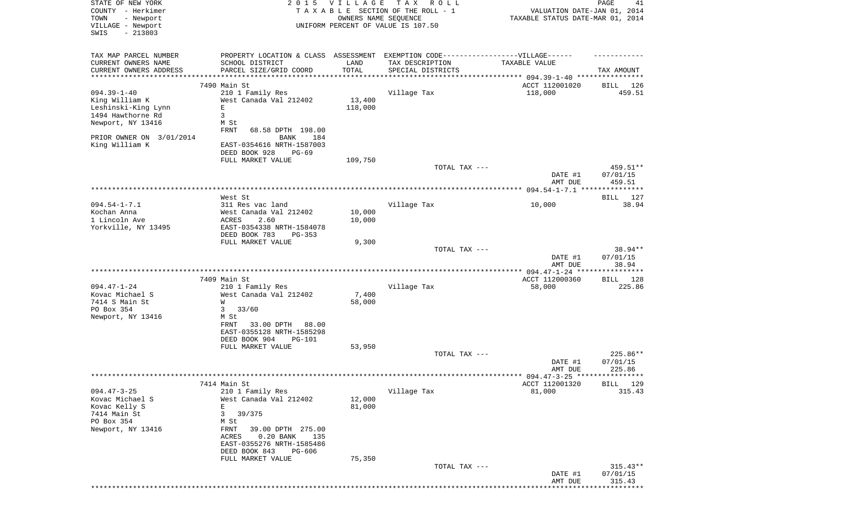| STATE OF NEW YORK        | 2 0 1 5                                                                          | <b>VILLAGE</b> | T A X<br>R O L L                   |                                            | 41<br>PAGE         |
|--------------------------|----------------------------------------------------------------------------------|----------------|------------------------------------|--------------------------------------------|--------------------|
| COUNTY - Herkimer        |                                                                                  |                | TAXABLE SECTION OF THE ROLL - 1    | VALUATION DATE-JAN 01, 2014                |                    |
| TOWN<br>- Newport        |                                                                                  |                | OWNERS NAME SEOUENCE               | TAXABLE STATUS DATE-MAR 01, 2014           |                    |
| VILLAGE - Newport        |                                                                                  |                | UNIFORM PERCENT OF VALUE IS 107.50 |                                            |                    |
| $-213803$<br>SWIS        |                                                                                  |                |                                    |                                            |                    |
|                          |                                                                                  |                |                                    |                                            |                    |
| TAX MAP PARCEL NUMBER    | PROPERTY LOCATION & CLASS ASSESSMENT EXEMPTION CODE----------------VILLAGE------ |                |                                    |                                            |                    |
| CURRENT OWNERS NAME      | SCHOOL DISTRICT                                                                  | LAND           | TAX DESCRIPTION                    | TAXABLE VALUE                              |                    |
| CURRENT OWNERS ADDRESS   | PARCEL SIZE/GRID COORD                                                           | TOTAL          | SPECIAL DISTRICTS                  |                                            | TAX AMOUNT         |
| *********************    |                                                                                  |                |                                    |                                            |                    |
|                          | 7490 Main St                                                                     |                |                                    | ACCT 112001020                             | 126<br>BILL        |
| $094.39 - 1 - 40$        | 210 1 Family Res                                                                 |                | Village Tax                        | 118,000                                    | 459.51             |
| King William K           | West Canada Val 212402                                                           | 13,400         |                                    |                                            |                    |
| Leshinski-King Lynn      | Ε                                                                                | 118,000        |                                    |                                            |                    |
| 1494 Hawthorne Rd        | 3                                                                                |                |                                    |                                            |                    |
| Newport, NY 13416        | M St                                                                             |                |                                    |                                            |                    |
|                          | FRNT<br>68.58 DPTH 198.00                                                        |                |                                    |                                            |                    |
| PRIOR OWNER ON 3/01/2014 | <b>BANK</b><br>184                                                               |                |                                    |                                            |                    |
| King William K           | EAST-0354616 NRTH-1587003                                                        |                |                                    |                                            |                    |
|                          | DEED BOOK 928<br>$PG-69$                                                         |                |                                    |                                            |                    |
|                          | FULL MARKET VALUE                                                                | 109,750        |                                    |                                            |                    |
|                          |                                                                                  |                | TOTAL TAX ---                      |                                            | 459.51**           |
|                          |                                                                                  |                |                                    | DATE #1                                    | 07/01/15           |
|                          |                                                                                  |                |                                    | AMT DUE                                    | 459.51             |
|                          |                                                                                  |                |                                    |                                            |                    |
|                          | West St                                                                          |                |                                    |                                            | BILL<br>127        |
| $094.54 - 1 - 7.1$       | 311 Res vac land                                                                 |                | Village Tax                        | 10,000                                     | 38.94              |
| Kochan Anna              | West Canada Val 212402                                                           | 10,000         |                                    |                                            |                    |
| 1 Lincoln Ave            | ACRES<br>2.60                                                                    | 10,000         |                                    |                                            |                    |
| Yorkville, NY 13495      | EAST-0354338 NRTH-1584078                                                        |                |                                    |                                            |                    |
|                          | DEED BOOK 783<br>$PG-353$                                                        |                |                                    |                                            |                    |
|                          | FULL MARKET VALUE                                                                | 9,300          |                                    |                                            |                    |
|                          |                                                                                  |                | TOTAL TAX ---                      |                                            | 38.94**            |
|                          |                                                                                  |                |                                    | DATE #1                                    | 07/01/15           |
|                          |                                                                                  |                |                                    | AMT DUE                                    | 38.94              |
|                          |                                                                                  |                |                                    |                                            |                    |
|                          | 7409 Main St                                                                     |                |                                    | ACCT 112000360                             | BILL 128           |
| $094.47 - 1 - 24$        | 210 1 Family Res                                                                 |                | Village Tax                        | 58,000                                     | 225.86             |
| Kovac Michael S          | West Canada Val 212402                                                           | 7,400          |                                    |                                            |                    |
| 7414 S Main St           | W                                                                                | 58,000         |                                    |                                            |                    |
| PO Box 354               | 33/60<br>3                                                                       |                |                                    |                                            |                    |
| Newport, NY 13416        | M St                                                                             |                |                                    |                                            |                    |
|                          | 33.00 DPTH<br>FRNT<br>88.00                                                      |                |                                    |                                            |                    |
|                          | EAST-0355128 NRTH-1585298                                                        |                |                                    |                                            |                    |
|                          | DEED BOOK 904<br>PG-101                                                          |                |                                    |                                            |                    |
|                          | FULL MARKET VALUE                                                                | 53,950         |                                    |                                            |                    |
|                          |                                                                                  |                | TOTAL TAX ---                      |                                            | $225.86**$         |
|                          |                                                                                  |                |                                    | DATE #1                                    | 07/01/15           |
|                          |                                                                                  |                |                                    | AMT DUE                                    | 225.86             |
|                          |                                                                                  |                |                                    | ************ 094.47-3-25 ***************** |                    |
|                          | 7414 Main St                                                                     |                |                                    | ACCT 112001320                             | 129<br><b>BILL</b> |
| $094.47 - 3 - 25$        | 210 1 Family Res                                                                 |                | Village Tax                        | 81,000                                     | 315.43             |
| Kovac Michael S          | West Canada Val 212402                                                           | 12,000         |                                    |                                            |                    |
| Kovac Kelly S            | E                                                                                | 81,000         |                                    |                                            |                    |
| 7414 Main St             | 3<br>39/375                                                                      |                |                                    |                                            |                    |
| PO Box 354               | M St                                                                             |                |                                    |                                            |                    |
| Newport, NY 13416        | FRNT<br>39.00 DPTH 275.00                                                        |                |                                    |                                            |                    |
|                          | 0.20 BANK<br>135<br>ACRES                                                        |                |                                    |                                            |                    |
|                          | EAST-0355276 NRTH-1585486                                                        |                |                                    |                                            |                    |
|                          | DEED BOOK 843<br>PG-606                                                          |                |                                    |                                            |                    |
|                          | FULL MARKET VALUE                                                                | 75,350         |                                    |                                            |                    |
|                          |                                                                                  |                | TOTAL TAX ---                      |                                            | $315.43**$         |
|                          |                                                                                  |                |                                    | DATE #1                                    | 07/01/15           |
|                          |                                                                                  |                |                                    | AMT DUE                                    | 315.43             |
|                          |                                                                                  |                |                                    |                                            | * * * * * * *      |
|                          |                                                                                  |                |                                    |                                            |                    |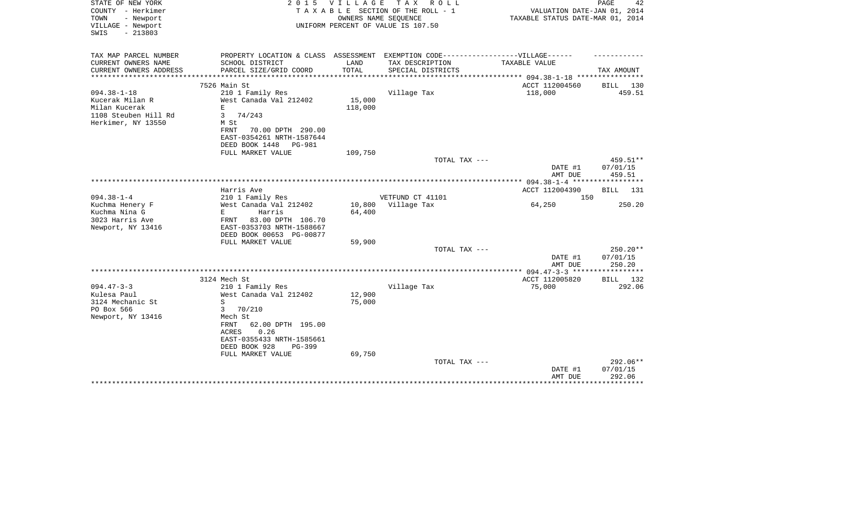| STATE OF NEW YORK<br>COUNTY - Herkimer<br>TOWN<br>- Newport<br>VILLAGE - Newport<br>$-213803$<br>SWIS | 2 0 1 5                                    | <b>VILLAGE</b><br>OWNERS NAME SEQUENCE | TAX ROLL<br>TAXABLE SECTION OF THE ROLL - 1<br>UNIFORM PERCENT OF VALUE IS 107.50                   | VALUATION DATE-JAN 01, 2014<br>TAXABLE STATUS DATE-MAR 01, 2014 | PAGE<br>42           |
|-------------------------------------------------------------------------------------------------------|--------------------------------------------|----------------------------------------|-----------------------------------------------------------------------------------------------------|-----------------------------------------------------------------|----------------------|
| TAX MAP PARCEL NUMBER<br>CURRENT OWNERS NAME                                                          | SCHOOL DISTRICT                            | LAND                                   | PROPERTY LOCATION & CLASS ASSESSMENT EXEMPTION CODE----------------VILLAGE------<br>TAX DESCRIPTION | TAXABLE VALUE                                                   |                      |
| CURRENT OWNERS ADDRESS                                                                                | PARCEL SIZE/GRID COORD                     | TOTAL                                  | SPECIAL DISTRICTS                                                                                   |                                                                 | TAX AMOUNT           |
| ***********************                                                                               |                                            |                                        |                                                                                                     |                                                                 |                      |
|                                                                                                       | 7526 Main St                               |                                        |                                                                                                     | ACCT 112004560                                                  | BILL 130             |
| $094.38 - 1 - 18$                                                                                     | 210 1 Family Res                           |                                        | Village Tax                                                                                         | 118,000                                                         | 459.51               |
| Kucerak Milan R                                                                                       | West Canada Val 212402                     | 15,000                                 |                                                                                                     |                                                                 |                      |
| Milan Kucerak<br>1108 Steuben Hill Rd                                                                 | E<br>74/243<br>3                           | 118,000                                |                                                                                                     |                                                                 |                      |
| Herkimer, NY 13550                                                                                    | M St                                       |                                        |                                                                                                     |                                                                 |                      |
|                                                                                                       | FRNT<br>70.00 DPTH 290.00                  |                                        |                                                                                                     |                                                                 |                      |
|                                                                                                       | EAST-0354261 NRTH-1587644                  |                                        |                                                                                                     |                                                                 |                      |
|                                                                                                       | DEED BOOK 1448<br>PG-981                   |                                        |                                                                                                     |                                                                 |                      |
|                                                                                                       | FULL MARKET VALUE                          | 109,750                                |                                                                                                     |                                                                 |                      |
|                                                                                                       |                                            |                                        | TOTAL TAX ---                                                                                       | DATE #1                                                         | 459.51**<br>07/01/15 |
|                                                                                                       |                                            |                                        |                                                                                                     | AMT DUE                                                         | 459.51               |
|                                                                                                       |                                            |                                        |                                                                                                     | ********* 094.38-1-4 ******                                     | **********           |
|                                                                                                       | Harris Ave                                 |                                        |                                                                                                     | ACCT 112004390                                                  | <b>BILL</b><br>131   |
| $094.38 - 1 - 4$                                                                                      | 210 1 Family Res                           |                                        | VETFUND CT 41101                                                                                    | 150                                                             |                      |
| Kuchma Henery F                                                                                       | West Canada Val 212402                     | 10,800                                 | Village Tax                                                                                         | 64,250                                                          | 250.20               |
| Kuchma Nina G<br>3023 Harris Ave                                                                      | E.<br>Harris<br>83.00 DPTH 106.70<br>FRNT  | 64,400                                 |                                                                                                     |                                                                 |                      |
| Newport, NY 13416                                                                                     | EAST-0353703 NRTH-1588667                  |                                        |                                                                                                     |                                                                 |                      |
|                                                                                                       | DEED BOOK 00653 PG-00877                   |                                        |                                                                                                     |                                                                 |                      |
|                                                                                                       | FULL MARKET VALUE                          | 59,900                                 |                                                                                                     |                                                                 |                      |
|                                                                                                       |                                            |                                        | TOTAL TAX ---                                                                                       |                                                                 | 250.20**             |
|                                                                                                       |                                            |                                        |                                                                                                     | DATE #1                                                         | 07/01/15             |
|                                                                                                       |                                            |                                        |                                                                                                     | AMT DUE                                                         | 250.20               |
|                                                                                                       | 3124 Mech St                               |                                        |                                                                                                     | ACCT 112005820                                                  | BILL 132             |
| $094.47 - 3 - 3$                                                                                      | 210 1 Family Res                           |                                        | Village Tax                                                                                         | 75,000                                                          | 292.06               |
| Kulesa Paul                                                                                           | West Canada Val 212402                     | 12,900                                 |                                                                                                     |                                                                 |                      |
| 3124 Mechanic St                                                                                      | S                                          | 75,000                                 |                                                                                                     |                                                                 |                      |
| PO Box 566                                                                                            | 3<br>70/210                                |                                        |                                                                                                     |                                                                 |                      |
| Newport, NY 13416                                                                                     | Mech St                                    |                                        |                                                                                                     |                                                                 |                      |
|                                                                                                       | FRNT<br>62.00 DPTH 195.00<br>0.26<br>ACRES |                                        |                                                                                                     |                                                                 |                      |
|                                                                                                       | EAST-0355433 NRTH-1585661                  |                                        |                                                                                                     |                                                                 |                      |
|                                                                                                       | DEED BOOK 928<br>$PG-399$                  |                                        |                                                                                                     |                                                                 |                      |
|                                                                                                       | FULL MARKET VALUE                          | 69,750                                 |                                                                                                     |                                                                 |                      |
|                                                                                                       |                                            |                                        | TOTAL TAX ---                                                                                       |                                                                 | 292.06**             |
|                                                                                                       |                                            |                                        |                                                                                                     | DATE #1                                                         | 07/01/15             |
|                                                                                                       |                                            |                                        |                                                                                                     | AMT DUE                                                         | 292.06               |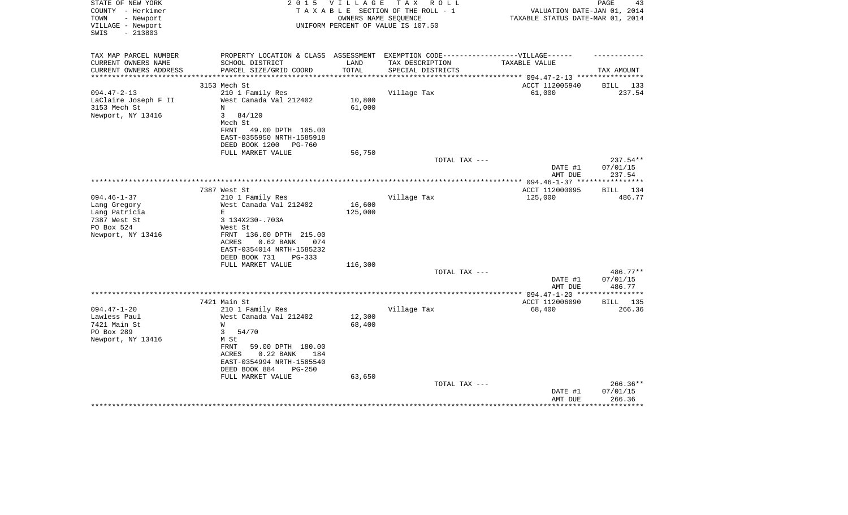| STATE OF NEW YORK<br>COUNTY - Herkimer<br>TOWN<br>- Newport | 2 0 1 5                                                                           | V I L L A G E | T A X<br>R O L L<br>TAXABLE SECTION OF THE ROLL - 1<br>OWNERS NAME SEQUENCE | VALUATION DATE-JAN 01, 2014<br>TAXABLE STATUS DATE-MAR 01, 2014 | PAGE<br>43         |
|-------------------------------------------------------------|-----------------------------------------------------------------------------------|---------------|-----------------------------------------------------------------------------|-----------------------------------------------------------------|--------------------|
| VILLAGE - Newport<br>SWIS<br>$-213803$                      |                                                                                   |               | UNIFORM PERCENT OF VALUE IS 107.50                                          |                                                                 |                    |
| TAX MAP PARCEL NUMBER                                       | PROPERTY LOCATION & CLASS ASSESSMENT EXEMPTION CODE-----------------VILLAGE------ |               |                                                                             |                                                                 |                    |
| CURRENT OWNERS NAME                                         | SCHOOL DISTRICT                                                                   | LAND          | TAX DESCRIPTION                                                             | <b>TAXABLE VALUE</b>                                            |                    |
| CURRENT OWNERS ADDRESS<br>**********************            | PARCEL SIZE/GRID COORD                                                            | TOTAL         | SPECIAL DISTRICTS                                                           |                                                                 | TAX AMOUNT         |
|                                                             | 3153 Mech St                                                                      |               |                                                                             | ACCT 112005940                                                  | BILL 133           |
| $094.47 - 2 - 13$                                           | 210 1 Family Res                                                                  |               | Village Tax                                                                 | 61,000                                                          | 237.54             |
| LaClaire Joseph F II                                        | West Canada Val 212402                                                            | 10,800        |                                                                             |                                                                 |                    |
| 3153 Mech St                                                | N                                                                                 | 61,000        |                                                                             |                                                                 |                    |
| Newport, NY 13416                                           | $\mathbf{3}$<br>84/120                                                            |               |                                                                             |                                                                 |                    |
|                                                             | Mech St                                                                           |               |                                                                             |                                                                 |                    |
|                                                             | FRNT<br>49.00 DPTH 105.00                                                         |               |                                                                             |                                                                 |                    |
|                                                             | EAST-0355950 NRTH-1585918                                                         |               |                                                                             |                                                                 |                    |
|                                                             | DEED BOOK 1200<br>PG-760                                                          |               |                                                                             |                                                                 |                    |
|                                                             | FULL MARKET VALUE                                                                 | 56,750        |                                                                             |                                                                 |                    |
|                                                             |                                                                                   |               | TOTAL TAX ---                                                               |                                                                 | 237.54**           |
|                                                             |                                                                                   |               |                                                                             | DATE #1<br>AMT DUE                                              | 07/01/15<br>237.54 |
|                                                             |                                                                                   |               |                                                                             | ** $094.46 - 1 - 37$ **                                         | *********          |
|                                                             | 7387 West St                                                                      |               |                                                                             | ACCT 112000095                                                  | <b>BILL</b><br>134 |
| $094.46 - 1 - 37$                                           | 210 1 Family Res                                                                  |               | Village Tax                                                                 | 125,000                                                         | 486.77             |
| Lang Gregory                                                | West Canada Val 212402                                                            | 16,600        |                                                                             |                                                                 |                    |
| Lang Patricia                                               | E                                                                                 | 125,000       |                                                                             |                                                                 |                    |
| 7387 West St                                                | 3 134X230-.703A                                                                   |               |                                                                             |                                                                 |                    |
| PO Box 524                                                  | West St                                                                           |               |                                                                             |                                                                 |                    |
| Newport, NY 13416                                           | FRNT 136.00 DPTH 215.00                                                           |               |                                                                             |                                                                 |                    |
|                                                             | ACRES<br>$0.62$ BANK<br>074<br>EAST-0354014 NRTH-1585232                          |               |                                                                             |                                                                 |                    |
|                                                             | DEED BOOK 731<br>PG-333                                                           |               |                                                                             |                                                                 |                    |
|                                                             | FULL MARKET VALUE                                                                 | 116,300       |                                                                             |                                                                 |                    |
|                                                             |                                                                                   |               | TOTAL TAX ---                                                               |                                                                 | 486.77**           |
|                                                             |                                                                                   |               |                                                                             | DATE #1                                                         | 07/01/15           |
|                                                             |                                                                                   |               |                                                                             | AMT DUE                                                         | 486.77             |
|                                                             |                                                                                   |               |                                                                             | *** 094.47-1-20 ***                                             | **********         |
|                                                             | 7421 Main St                                                                      |               |                                                                             | ACCT 112006090                                                  | <b>BILL</b> 135    |
| $094.47 - 1 - 20$                                           | 210 1 Family Res                                                                  |               | Village Tax                                                                 | 68,400                                                          | 266.36             |
| Lawless Paul<br>7421 Main St                                | West Canada Val 212402                                                            | 12,300        |                                                                             |                                                                 |                    |
| PO Box 289                                                  | W<br>3<br>54/70                                                                   | 68,400        |                                                                             |                                                                 |                    |
| Newport, NY 13416                                           | M St                                                                              |               |                                                                             |                                                                 |                    |
|                                                             | FRNT<br>59.00 DPTH 180.00                                                         |               |                                                                             |                                                                 |                    |
|                                                             | $0.22$ BANK<br>ACRES<br>184                                                       |               |                                                                             |                                                                 |                    |
|                                                             | EAST-0354994 NRTH-1585540                                                         |               |                                                                             |                                                                 |                    |
|                                                             | DEED BOOK 884<br>$PG-250$                                                         |               |                                                                             |                                                                 |                    |
|                                                             | FULL MARKET VALUE                                                                 | 63,650        |                                                                             |                                                                 |                    |
|                                                             |                                                                                   |               | TOTAL TAX ---                                                               |                                                                 | $266.36**$         |
|                                                             |                                                                                   |               |                                                                             | DATE #1                                                         | 07/01/15           |
|                                                             |                                                                                   |               |                                                                             | AMT DUE                                                         | 266.36             |
|                                                             |                                                                                   |               |                                                                             |                                                                 |                    |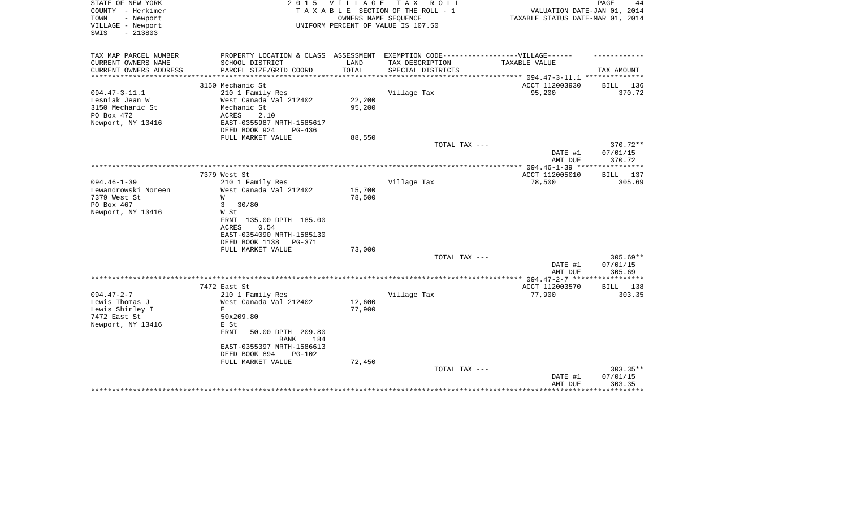| STATE OF NEW YORK<br>COUNTY - Herkimer<br>- Newport<br>TOWN<br>VILLAGE - Newport<br>$-213803$<br>SWIS | 2 0 1 5                                                                                                                                                                                                | <b>VILLAGE</b><br>OWNERS NAME SEQUENCE | TAX ROLL<br>TAXABLE SECTION OF THE ROLL - 1<br>UNIFORM PERCENT OF VALUE IS 107.50 | VALUATION DATE-JAN 01, 2014<br>TAXABLE STATUS DATE-MAR 01, 2014 | PAGE<br>44                                   |
|-------------------------------------------------------------------------------------------------------|--------------------------------------------------------------------------------------------------------------------------------------------------------------------------------------------------------|----------------------------------------|-----------------------------------------------------------------------------------|-----------------------------------------------------------------|----------------------------------------------|
| TAX MAP PARCEL NUMBER<br>CURRENT OWNERS NAME                                                          | PROPERTY LOCATION & CLASS ASSESSMENT EXEMPTION CODE-----------------VILLAGE------<br>SCHOOL DISTRICT                                                                                                   | LAND                                   | TAX DESCRIPTION                                                                   | TAXABLE VALUE                                                   |                                              |
| CURRENT OWNERS ADDRESS                                                                                | PARCEL SIZE/GRID COORD                                                                                                                                                                                 | TOTAL                                  | SPECIAL DISTRICTS                                                                 |                                                                 | TAX AMOUNT                                   |
| *******************                                                                                   | ***********************                                                                                                                                                                                | * * * * * * * * * * *                  |                                                                                   | ************* 094.47-3-11.1 ***************                     |                                              |
|                                                                                                       | 3150 Mechanic St                                                                                                                                                                                       |                                        |                                                                                   | ACCT 112003930                                                  | BILL 136                                     |
| $094.47 - 3 - 11.1$<br>Lesniak Jean W<br>3150 Mechanic St<br>PO Box 472<br>Newport, NY 13416          | 210 1 Family Res<br>West Canada Val 212402<br>Mechanic St<br><b>ACRES</b><br>2.10<br>EAST-0355987 NRTH-1585617<br>DEED BOOK 924<br>PG-436                                                              | 22,200<br>95,200                       | Village Tax                                                                       | 95,200                                                          | 370.72                                       |
|                                                                                                       | FULL MARKET VALUE                                                                                                                                                                                      | 88,550                                 |                                                                                   |                                                                 |                                              |
|                                                                                                       |                                                                                                                                                                                                        |                                        | TOTAL TAX ---                                                                     | DATE #1<br>AMT DUE                                              | 370.72**<br>07/01/15<br>370.72               |
|                                                                                                       |                                                                                                                                                                                                        |                                        |                                                                                   |                                                                 |                                              |
|                                                                                                       | 7379 West St                                                                                                                                                                                           |                                        |                                                                                   | ACCT 112005010                                                  | BILL 137                                     |
| $094.46 - 1 - 39$<br>Lewandrowski Noreen<br>7379 West St<br>PO Box 467<br>Newport, NY 13416           | 210 1 Family Res<br>West Canada Val 212402<br>W<br>3<br>30/80<br>W St<br>FRNT 135.00 DPTH 185.00<br>0.54<br>ACRES<br>EAST-0354090 NRTH-1585130<br>DEED BOOK 1138<br>PG-371                             | 15,700<br>78,500                       | Village Tax                                                                       | 78,500                                                          | 305.69                                       |
|                                                                                                       | FULL MARKET VALUE                                                                                                                                                                                      | 73,000                                 |                                                                                   |                                                                 |                                              |
|                                                                                                       |                                                                                                                                                                                                        |                                        | TOTAL TAX ---                                                                     | DATE #1<br>AMT DUE                                              | $305.69**$<br>07/01/15<br>305.69             |
|                                                                                                       |                                                                                                                                                                                                        |                                        |                                                                                   | ************ 094.47-2-7 ******                                  | *********                                    |
|                                                                                                       | 7472 East St                                                                                                                                                                                           |                                        |                                                                                   | ACCT 112003570                                                  | <b>BILL</b><br>138                           |
| $094.47 - 2 - 7$<br>Lewis Thomas J<br>Lewis Shirley I<br>7472 East St<br>Newport, NY 13416            | 210 1 Family Res<br>West Canada Val 212402<br>E<br>50x209.80<br>E St<br><b>FRNT</b><br>50.00 DPTH 209.80<br>184<br>BANK<br>EAST-0355397 NRTH-1586613<br>DEED BOOK 894<br>$PG-102$<br>FULL MARKET VALUE | 12,600<br>77,900<br>72,450             | Village Tax                                                                       | 77,900                                                          | 303.35                                       |
|                                                                                                       |                                                                                                                                                                                                        |                                        | TOTAL TAX ---                                                                     | DATE #1<br>AMT DUE                                              | $303.35**$<br>07/01/15<br>303.35<br>******** |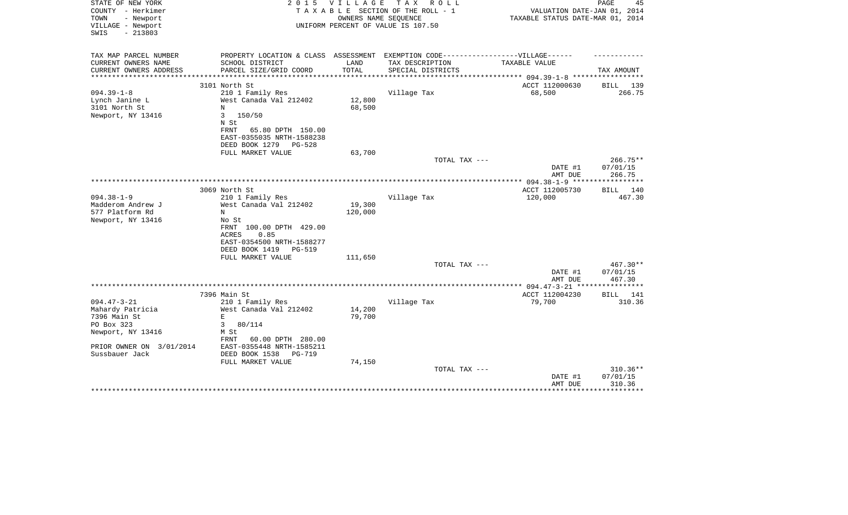| STATE OF NEW YORK<br>COUNTY - Herkimer<br>TOWN<br>- Newport<br>VILLAGE - Newport<br>$-213803$<br>SWIS | 2 0 1 5                                                                           | VILLAGE                         | T A X<br>R O L L<br>TAXABLE SECTION OF THE ROLL - 1<br>OWNERS NAME SEQUENCE<br>UNIFORM PERCENT OF VALUE IS 107.50 | VALUATION DATE-JAN 01, 2014<br>TAXABLE STATUS DATE-MAR 01, 2014 | PAGE<br>45             |
|-------------------------------------------------------------------------------------------------------|-----------------------------------------------------------------------------------|---------------------------------|-------------------------------------------------------------------------------------------------------------------|-----------------------------------------------------------------|------------------------|
| TAX MAP PARCEL NUMBER                                                                                 | PROPERTY LOCATION & CLASS ASSESSMENT EXEMPTION CODE-----------------VILLAGE------ |                                 |                                                                                                                   |                                                                 |                        |
| CURRENT OWNERS NAME<br>CURRENT OWNERS ADDRESS                                                         | SCHOOL DISTRICT<br>PARCEL SIZE/GRID COORD                                         | LAND<br>TOTAL                   | TAX DESCRIPTION<br>SPECIAL DISTRICTS                                                                              | TAXABLE VALUE                                                   |                        |
| *************                                                                                         | **************************                                                        | **************                  |                                                                                                                   | *************** 094.39-1-8 ******************                   | TAX AMOUNT             |
|                                                                                                       | 3101 North St                                                                     |                                 |                                                                                                                   | ACCT 112000630                                                  | BILL 139               |
| $094.39 - 1 - 8$                                                                                      | 210 1 Family Res                                                                  |                                 | Village Tax                                                                                                       | 68,500                                                          | 266.75                 |
| Lynch Janine L                                                                                        | West Canada Val 212402                                                            | 12,800                          |                                                                                                                   |                                                                 |                        |
| 3101 North St                                                                                         | N                                                                                 | 68,500                          |                                                                                                                   |                                                                 |                        |
| Newport, NY 13416                                                                                     | 3<br>150/50<br>N St                                                               |                                 |                                                                                                                   |                                                                 |                        |
|                                                                                                       | 65.80 DPTH 150.00<br>FRNT                                                         |                                 |                                                                                                                   |                                                                 |                        |
|                                                                                                       | EAST-0355035 NRTH-1588238                                                         |                                 |                                                                                                                   |                                                                 |                        |
|                                                                                                       | DEED BOOK 1279<br>PG-528                                                          |                                 |                                                                                                                   |                                                                 |                        |
|                                                                                                       | FULL MARKET VALUE                                                                 | 63,700                          |                                                                                                                   |                                                                 |                        |
|                                                                                                       |                                                                                   |                                 | TOTAL TAX ---                                                                                                     | DATE #1                                                         | $266.75**$<br>07/01/15 |
|                                                                                                       |                                                                                   |                                 |                                                                                                                   | AMT DUE                                                         | 266.75                 |
|                                                                                                       |                                                                                   | ******************************* |                                                                                                                   | ******* 094.38-1-9 *****                                        | ***********            |
|                                                                                                       | 3069 North St                                                                     |                                 |                                                                                                                   | ACCT 112005730                                                  | BILL 140               |
| $094.38 - 1 - 9$                                                                                      | 210 1 Family Res                                                                  |                                 | Village Tax                                                                                                       | 120,000                                                         | 467.30                 |
| Madderom Andrew J                                                                                     | West Canada Val 212402                                                            | 19,300                          |                                                                                                                   |                                                                 |                        |
| 577 Platform Rd                                                                                       | N<br>No St                                                                        | 120,000                         |                                                                                                                   |                                                                 |                        |
| Newport, NY 13416                                                                                     | FRNT 100.00 DPTH 429.00                                                           |                                 |                                                                                                                   |                                                                 |                        |
|                                                                                                       | <b>ACRES</b><br>0.85                                                              |                                 |                                                                                                                   |                                                                 |                        |
|                                                                                                       | EAST-0354500 NRTH-1588277                                                         |                                 |                                                                                                                   |                                                                 |                        |
|                                                                                                       | DEED BOOK 1419<br>PG-519                                                          |                                 |                                                                                                                   |                                                                 |                        |
|                                                                                                       | FULL MARKET VALUE                                                                 | 111,650                         |                                                                                                                   |                                                                 |                        |
|                                                                                                       |                                                                                   |                                 | TOTAL TAX ---                                                                                                     |                                                                 | $467.30**$<br>07/01/15 |
|                                                                                                       |                                                                                   |                                 |                                                                                                                   | DATE #1<br>AMT DUE                                              | 467.30                 |
|                                                                                                       |                                                                                   |                                 |                                                                                                                   |                                                                 |                        |
|                                                                                                       | 7396 Main St                                                                      |                                 |                                                                                                                   | ACCT 112004230                                                  | BILL 141               |
| $094.47 - 3 - 21$                                                                                     | 210 1 Family Res                                                                  |                                 | Village Tax                                                                                                       | 79,700                                                          | 310.36                 |
| Mahardy Patricia                                                                                      | West Canada Val 212402                                                            | 14,200                          |                                                                                                                   |                                                                 |                        |
| 7396 Main St<br>PO Box 323                                                                            | E<br>3<br>80/114                                                                  | 79,700                          |                                                                                                                   |                                                                 |                        |
| Newport, NY 13416                                                                                     | M St                                                                              |                                 |                                                                                                                   |                                                                 |                        |
|                                                                                                       | FRNT<br>60.00 DPTH 280.00                                                         |                                 |                                                                                                                   |                                                                 |                        |
| PRIOR OWNER ON 3/01/2014                                                                              | EAST-0355448 NRTH-1585211                                                         |                                 |                                                                                                                   |                                                                 |                        |
| Sussbauer Jack                                                                                        | DEED BOOK 1538<br>$PG-719$                                                        |                                 |                                                                                                                   |                                                                 |                        |
|                                                                                                       | FULL MARKET VALUE                                                                 | 74,150                          |                                                                                                                   |                                                                 |                        |
|                                                                                                       |                                                                                   |                                 | TOTAL TAX ---                                                                                                     | DATE #1                                                         | $310.36**$<br>07/01/15 |
|                                                                                                       |                                                                                   |                                 |                                                                                                                   | AMT DUE                                                         | 310.36                 |
|                                                                                                       |                                                                                   |                                 |                                                                                                                   |                                                                 |                        |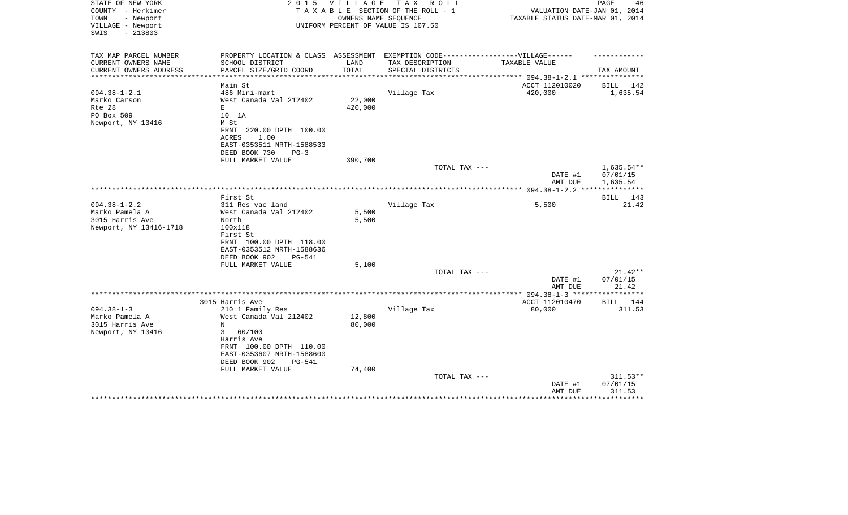| STATE OF NEW YORK<br>COUNTY - Herkimer<br>- Newport<br>TOWN<br>VILLAGE - Newport<br>SWIS<br>$-213803$ | 2 0 1 5                                                                           | V I L L A G E        | TAX ROLL<br>TAXABLE SECTION OF THE ROLL - 1<br>OWNERS NAME SEQUENCE<br>UNIFORM PERCENT OF VALUE IS 107.50 | VALUATION DATE-JAN 01, 2014<br>TAXABLE STATUS DATE-MAR 01, 2014 | PAGE<br>46             |
|-------------------------------------------------------------------------------------------------------|-----------------------------------------------------------------------------------|----------------------|-----------------------------------------------------------------------------------------------------------|-----------------------------------------------------------------|------------------------|
|                                                                                                       |                                                                                   |                      |                                                                                                           |                                                                 |                        |
| TAX MAP PARCEL NUMBER                                                                                 | PROPERTY LOCATION & CLASS ASSESSMENT EXEMPTION CODE-----------------VILLAGE------ |                      |                                                                                                           |                                                                 |                        |
| CURRENT OWNERS NAME                                                                                   | SCHOOL DISTRICT                                                                   | LAND                 | TAX DESCRIPTION                                                                                           | TAXABLE VALUE                                                   |                        |
| CURRENT OWNERS ADDRESS<br>****************                                                            | PARCEL SIZE/GRID COORD                                                            | TOTAL<br>*********** | SPECIAL DISTRICTS                                                                                         | ******************** 094.38-1-2.1 **********                    | TAX AMOUNT             |
|                                                                                                       | Main St                                                                           |                      |                                                                                                           | ACCT 112010020                                                  | 142<br>BILL            |
| $094.38 - 1 - 2.1$                                                                                    | 486 Mini-mart                                                                     |                      | Village Tax                                                                                               | 420,000                                                         | 1,635.54               |
| Marko Carson                                                                                          | West Canada Val 212402                                                            | 22,000               |                                                                                                           |                                                                 |                        |
| Rte 28                                                                                                | E                                                                                 | 420,000              |                                                                                                           |                                                                 |                        |
| PO Box 509                                                                                            | 10 1A                                                                             |                      |                                                                                                           |                                                                 |                        |
| Newport, NY 13416                                                                                     | M St                                                                              |                      |                                                                                                           |                                                                 |                        |
|                                                                                                       | FRNT 220.00 DPTH 100.00                                                           |                      |                                                                                                           |                                                                 |                        |
|                                                                                                       | 1.00<br>ACRES                                                                     |                      |                                                                                                           |                                                                 |                        |
|                                                                                                       | EAST-0353511 NRTH-1588533                                                         |                      |                                                                                                           |                                                                 |                        |
|                                                                                                       | DEED BOOK 730<br>$PG-3$<br>FULL MARKET VALUE                                      | 390,700              |                                                                                                           |                                                                 |                        |
|                                                                                                       |                                                                                   |                      | TOTAL TAX ---                                                                                             |                                                                 | 1,635.54**             |
|                                                                                                       |                                                                                   |                      |                                                                                                           | DATE #1                                                         | 07/01/15               |
|                                                                                                       |                                                                                   |                      |                                                                                                           | AMT DUE                                                         | 1,635.54               |
|                                                                                                       |                                                                                   |                      |                                                                                                           |                                                                 |                        |
|                                                                                                       | First St                                                                          |                      |                                                                                                           |                                                                 | <b>BILL</b><br>143     |
| $094.38 - 1 - 2.2$                                                                                    | 311 Res vac land                                                                  |                      | Village Tax                                                                                               | 5,500                                                           | 21.42                  |
| Marko Pamela A                                                                                        | West Canada Val 212402                                                            | 5,500                |                                                                                                           |                                                                 |                        |
| 3015 Harris Ave                                                                                       | North                                                                             | 5,500                |                                                                                                           |                                                                 |                        |
| Newport, NY 13416-1718                                                                                | 100x118                                                                           |                      |                                                                                                           |                                                                 |                        |
|                                                                                                       | First St<br>FRNT 100.00 DPTH 118.00                                               |                      |                                                                                                           |                                                                 |                        |
|                                                                                                       | EAST-0353512 NRTH-1588636                                                         |                      |                                                                                                           |                                                                 |                        |
|                                                                                                       | DEED BOOK 902<br><b>PG-541</b>                                                    |                      |                                                                                                           |                                                                 |                        |
|                                                                                                       | FULL MARKET VALUE                                                                 | 5,100                |                                                                                                           |                                                                 |                        |
|                                                                                                       |                                                                                   |                      | TOTAL TAX ---                                                                                             |                                                                 | $21.42**$              |
|                                                                                                       |                                                                                   |                      |                                                                                                           | DATE #1                                                         | 07/01/15               |
|                                                                                                       |                                                                                   |                      |                                                                                                           | AMT DUE                                                         | 21.42                  |
|                                                                                                       |                                                                                   |                      |                                                                                                           |                                                                 |                        |
|                                                                                                       | 3015 Harris Ave                                                                   |                      |                                                                                                           | ACCT 112010470                                                  | BILL 144               |
| $094.38 - 1 - 3$<br>Marko Pamela A                                                                    | 210 1 Family Res<br>West Canada Val 212402                                        | 12,800               | Village Tax                                                                                               | 80,000                                                          | 311.53                 |
| 3015 Harris Ave                                                                                       | N                                                                                 | 80,000               |                                                                                                           |                                                                 |                        |
| Newport, NY 13416                                                                                     | 3<br>60/100                                                                       |                      |                                                                                                           |                                                                 |                        |
|                                                                                                       | Harris Ave                                                                        |                      |                                                                                                           |                                                                 |                        |
|                                                                                                       | FRNT 100.00 DPTH 110.00                                                           |                      |                                                                                                           |                                                                 |                        |
|                                                                                                       | EAST-0353607 NRTH-1588600                                                         |                      |                                                                                                           |                                                                 |                        |
|                                                                                                       | DEED BOOK 902<br>PG-541                                                           |                      |                                                                                                           |                                                                 |                        |
|                                                                                                       | FULL MARKET VALUE                                                                 | 74,400               |                                                                                                           |                                                                 |                        |
|                                                                                                       |                                                                                   |                      | TOTAL TAX ---                                                                                             |                                                                 | $311.53**$             |
|                                                                                                       |                                                                                   |                      |                                                                                                           | DATE #1                                                         | 07/01/15               |
|                                                                                                       |                                                                                   |                      |                                                                                                           | AMT DUE<br>*******************                                  | 311.53<br>************ |
|                                                                                                       |                                                                                   |                      |                                                                                                           |                                                                 |                        |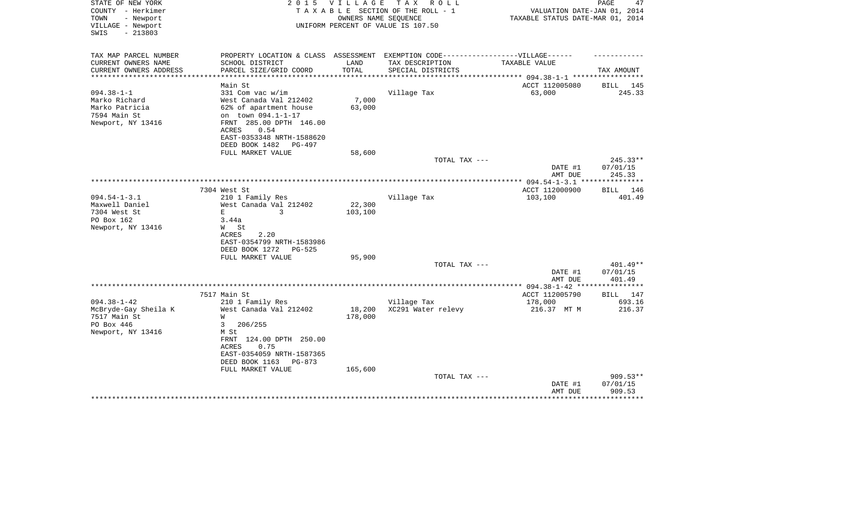| STATE OF NEW YORK<br>COUNTY - Herkimer | 2 0 1 5                              | <b>VILLAGE</b>       | T A X<br>R O L L<br>TAXABLE SECTION OF THE ROLL - 1 | VALUATION DATE-JAN 01, 2014           | 47<br>PAGE            |
|----------------------------------------|--------------------------------------|----------------------|-----------------------------------------------------|---------------------------------------|-----------------------|
| - Newport<br>TOWN                      |                                      | OWNERS NAME SEQUENCE |                                                     | TAXABLE STATUS DATE-MAR 01, 2014      |                       |
| VILLAGE - Newport                      |                                      |                      | UNIFORM PERCENT OF VALUE IS 107.50                  |                                       |                       |
| SWIS<br>$-213803$                      |                                      |                      |                                                     |                                       |                       |
|                                        |                                      |                      |                                                     |                                       |                       |
|                                        |                                      |                      |                                                     |                                       |                       |
| TAX MAP PARCEL NUMBER                  | PROPERTY LOCATION & CLASS ASSESSMENT |                      | EXEMPTION CODE-----------------VILLAGE------        |                                       |                       |
| CURRENT OWNERS NAME                    | SCHOOL DISTRICT                      | LAND                 | TAX DESCRIPTION                                     | TAXABLE VALUE                         |                       |
| CURRENT OWNERS ADDRESS                 | PARCEL SIZE/GRID COORD               | TOTAL                | SPECIAL DISTRICTS                                   | *********** 094.38-1-1 ************** | TAX AMOUNT            |
|                                        | Main St                              |                      |                                                     | ACCT 112005080                        | 145<br>BILL           |
| $094.38 - 1 - 1$                       | 331 Com vac w/im                     |                      | Village Tax                                         | 63,000                                | 245.33                |
| Marko Richard                          | West Canada Val 212402               | 7,000                |                                                     |                                       |                       |
| Marko Patricia                         | 62% of apartment house               | 63,000               |                                                     |                                       |                       |
| 7594 Main St                           | on town 094.1-1-17                   |                      |                                                     |                                       |                       |
| Newport, NY 13416                      | FRNT 285.00 DPTH 146.00              |                      |                                                     |                                       |                       |
|                                        | 0.54<br>ACRES                        |                      |                                                     |                                       |                       |
|                                        | EAST-0353348 NRTH-1588620            |                      |                                                     |                                       |                       |
|                                        | DEED BOOK 1482<br>PG-497             |                      |                                                     |                                       |                       |
|                                        | FULL MARKET VALUE                    | 58,600               |                                                     |                                       |                       |
|                                        |                                      |                      | TOTAL TAX ---                                       |                                       | 245.33**              |
|                                        |                                      |                      |                                                     | DATE #1                               | 07/01/15              |
|                                        |                                      |                      |                                                     | AMT DUE                               | 245.33                |
|                                        |                                      |                      |                                                     | **************** 094.54-1-3.1 **      | * * * * * * * * * * * |
|                                        | 7304 West St                         |                      |                                                     | ACCT 112000900                        | <b>BILL</b> 146       |
| $094.54 - 1 - 3.1$                     | 210 1 Family Res                     |                      | Village Tax                                         | 103,100                               | 401.49                |
| Maxwell Daniel                         | West Canada Val 212402               | 22,300               |                                                     |                                       |                       |
| 7304 West St                           | 3<br>E.                              | 103,100              |                                                     |                                       |                       |
| PO Box 162                             | 3.44a                                |                      |                                                     |                                       |                       |
| Newport, NY 13416                      | W St                                 |                      |                                                     |                                       |                       |
|                                        | 2.20<br>ACRES                        |                      |                                                     |                                       |                       |
|                                        | EAST-0354799 NRTH-1583986            |                      |                                                     |                                       |                       |
|                                        | DEED BOOK 1272<br>PG-525             | 95,900               |                                                     |                                       |                       |
|                                        | FULL MARKET VALUE                    |                      | TOTAL TAX ---                                       |                                       | 401.49**              |
|                                        |                                      |                      |                                                     | DATE #1                               | 07/01/15              |
|                                        |                                      |                      |                                                     | AMT DUE                               | 401.49                |
|                                        |                                      |                      |                                                     | ** 094.38-1-42 **                     | * * * * * * * * *     |
|                                        | 7517 Main St                         |                      |                                                     | ACCT 112005790                        | BILL 147              |
| $094.38 - 1 - 42$                      | 210 1 Family Res                     |                      | Village Tax                                         | 178,000                               | 693.16                |
| McBryde-Gay Sheila K                   | West Canada Val 212402               | 18,200               | XC291 Water relevy                                  | 216.37 MT M                           | 216.37                |
| 7517 Main St                           | W                                    | 178,000              |                                                     |                                       |                       |
| PO Box 446                             | 3<br>206/255                         |                      |                                                     |                                       |                       |
| Newport, NY 13416                      | M St                                 |                      |                                                     |                                       |                       |
|                                        | FRNT 124.00 DPTH 250.00              |                      |                                                     |                                       |                       |
|                                        | ACRES<br>0.75                        |                      |                                                     |                                       |                       |
|                                        | EAST-0354059 NRTH-1587365            |                      |                                                     |                                       |                       |
|                                        | DEED BOOK 1163<br>PG-873             |                      |                                                     |                                       |                       |
|                                        | FULL MARKET VALUE                    | 165,600              |                                                     |                                       |                       |
|                                        |                                      |                      | TOTAL TAX ---                                       |                                       | 909.53**              |
|                                        |                                      |                      |                                                     | DATE #1                               | 07/01/15              |
|                                        |                                      |                      |                                                     | AMT DUE                               | 909.53                |
|                                        |                                      |                      |                                                     |                                       |                       |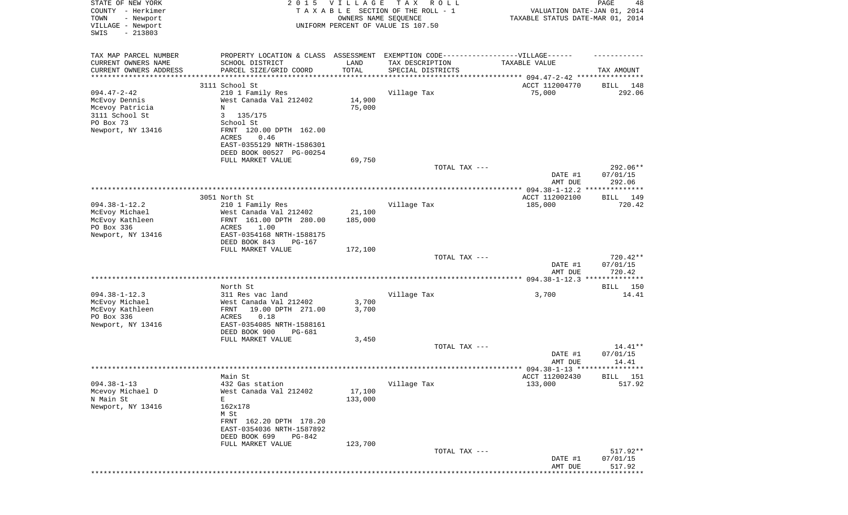| STATE OF NEW YORK<br>COUNTY - Herkimer<br>- Newport<br>TOWN<br>VILLAGE - Newport<br>SWIS<br>$-213803$     | 2 0 1 5                                                                                                                                                                           | <b>VILLAGE</b><br>OWNERS NAME SEQUENCE | T A X<br>R O L L<br>TAXABLE SECTION OF THE ROLL - 1<br>UNIFORM PERCENT OF VALUE IS 107.50 | VALUATION DATE-JAN 01, 2014<br>TAXABLE STATUS DATE-MAR 01, 2014 | PAGE<br>48                     |
|-----------------------------------------------------------------------------------------------------------|-----------------------------------------------------------------------------------------------------------------------------------------------------------------------------------|----------------------------------------|-------------------------------------------------------------------------------------------|-----------------------------------------------------------------|--------------------------------|
| TAX MAP PARCEL NUMBER<br>CURRENT OWNERS NAME<br>CURRENT OWNERS ADDRESS<br>***********************         | PROPERTY LOCATION & CLASS ASSESSMENT<br>SCHOOL DISTRICT<br>PARCEL SIZE/GRID COORD<br>**********************                                                                       | LAND<br>TOTAL                          | EXEMPTION CODE------------------VILLAGE------<br>TAX DESCRIPTION<br>SPECIAL DISTRICTS     | TAXABLE VALUE                                                   | TAX AMOUNT                     |
|                                                                                                           | 3111 School St                                                                                                                                                                    |                                        |                                                                                           | ACCT 112004770                                                  | BILL<br>148                    |
| $094.47 - 2 - 42$<br>McEvoy Dennis<br>Mcevoy Patricia<br>3111 School St<br>PO Box 73<br>Newport, NY 13416 | 210 1 Family Res<br>West Canada Val 212402<br>N<br>3<br>135/175<br>School St<br>FRNT 120.00 DPTH 162.00<br>ACRES<br>0.46<br>EAST-0355129 NRTH-1586301<br>DEED BOOK 00527 PG-00254 | 14,900<br>75,000                       | Village Tax                                                                               | 75,000                                                          | 292.06                         |
|                                                                                                           | FULL MARKET VALUE                                                                                                                                                                 | 69,750                                 |                                                                                           |                                                                 |                                |
|                                                                                                           |                                                                                                                                                                                   |                                        | TOTAL TAX ---                                                                             | DATE #1                                                         | 292.06**<br>07/01/15           |
|                                                                                                           |                                                                                                                                                                                   |                                        |                                                                                           | AMT DUE                                                         | 292.06                         |
| $094.38 - 1 - 12.2$                                                                                       | 3051 North St<br>210 1 Family Res                                                                                                                                                 |                                        | Village Tax                                                                               | ACCT 112002100<br>185,000                                       | 149<br>BILL<br>720.42          |
| McEvoy Michael<br>McEvoy Kathleen<br>PO Box 336                                                           | West Canada Val 212402<br>FRNT 161.00 DPTH 280.00<br>ACRES<br>1.00                                                                                                                | 21,100<br>185,000                      |                                                                                           |                                                                 |                                |
| Newport, NY 13416                                                                                         | EAST-0354168 NRTH-1588175<br>DEED BOOK 843<br>$PG-167$                                                                                                                            |                                        |                                                                                           |                                                                 |                                |
|                                                                                                           | FULL MARKET VALUE                                                                                                                                                                 | 172,100                                |                                                                                           |                                                                 |                                |
|                                                                                                           |                                                                                                                                                                                   |                                        | TOTAL TAX ---                                                                             | DATE #1<br>AMT DUE                                              | 720.42**<br>07/01/15<br>720.42 |
|                                                                                                           |                                                                                                                                                                                   |                                        |                                                                                           |                                                                 |                                |
|                                                                                                           | North St                                                                                                                                                                          |                                        |                                                                                           |                                                                 | 150<br>BILL                    |
| $094.38 - 1 - 12.3$<br>McEvoy Michael<br>McEvoy Kathleen<br>PO Box 336<br>Newport, NY 13416               | 311 Res vac land<br>West Canada Val 212402<br>FRNT<br>19.00 DPTH 271.00<br>0.18<br>ACRES<br>EAST-0354085 NRTH-1588161                                                             | 3,700<br>3,700                         | Village Tax                                                                               | 3,700                                                           | 14.41                          |
|                                                                                                           | DEED BOOK 900<br>PG-681<br>FULL MARKET VALUE                                                                                                                                      | 3,450                                  |                                                                                           |                                                                 |                                |
|                                                                                                           |                                                                                                                                                                                   |                                        | TOTAL TAX ---                                                                             | DATE #1                                                         | $14.41**$<br>07/01/15          |
|                                                                                                           | Main St                                                                                                                                                                           |                                        |                                                                                           | AMT DUE<br>ACCT 112002430                                       | 14.41<br><b>BILL</b> 151       |
| $094.38 - 1 - 13$<br>Mcevoy Michael D<br>N Main St<br>Newport, NY 13416                                   | 432 Gas station<br>West Canada Val 212402<br>E<br>162x178<br>M St<br>FRNT 162.20 DPTH 178.20<br>EAST-0354036 NRTH-1587892<br>DEED BOOK 699<br>PG-842                              | 17,100<br>133,000                      | Village Tax                                                                               | 133,000                                                         | 517.92                         |
|                                                                                                           | FULL MARKET VALUE                                                                                                                                                                 | 123,700                                | TOTAL TAX ---                                                                             | DATE #1<br>AMT DUE                                              | 517.92**<br>07/01/15<br>517.92 |
|                                                                                                           |                                                                                                                                                                                   |                                        |                                                                                           |                                                                 |                                |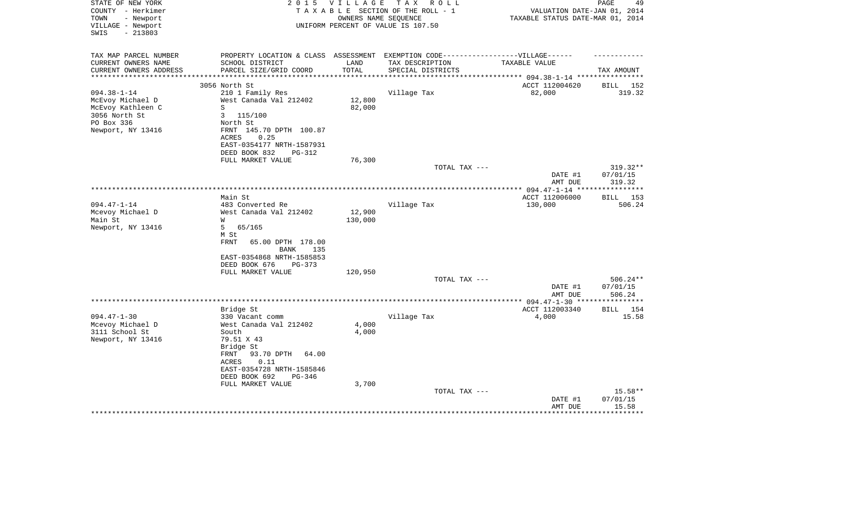| STATE OF NEW YORK<br>COUNTY - Herkimer<br>- Newport<br>TOWN<br>VILLAGE - Newport<br>SWIS<br>$-213803$          | 2 0 1 5                                                                                                                                                                                            | <b>VILLAGE</b>    | T A X<br>R O L L<br>TAXABLE SECTION OF THE ROLL - 1<br>OWNERS NAME SEQUENCE<br>UNIFORM PERCENT OF VALUE IS 107.50 | VALUATION DATE-JAN 01, 2014<br>TAXABLE STATUS DATE-MAR 01, 2014 | PAGE<br>49                     |
|----------------------------------------------------------------------------------------------------------------|----------------------------------------------------------------------------------------------------------------------------------------------------------------------------------------------------|-------------------|-------------------------------------------------------------------------------------------------------------------|-----------------------------------------------------------------|--------------------------------|
| TAX MAP PARCEL NUMBER<br>CURRENT OWNERS NAME<br>CURRENT OWNERS ADDRESS                                         | PROPERTY LOCATION & CLASS ASSESSMENT<br>SCHOOL DISTRICT<br>PARCEL SIZE/GRID COORD                                                                                                                  | LAND<br>TOTAL     | EXEMPTION CODE------------------VILLAGE------<br>TAX DESCRIPTION<br>SPECIAL DISTRICTS                             | TAXABLE VALUE<br>******** 094.38-1-14 ************              | TAX AMOUNT                     |
|                                                                                                                | 3056 North St                                                                                                                                                                                      |                   |                                                                                                                   | ACCT 112004620                                                  | 152<br>BILL                    |
| $094.38 - 1 - 14$<br>McEvoy Michael D<br>McEvoy Kathleen C<br>3056 North St<br>PO Box 336<br>Newport, NY 13416 | 210 1 Family Res<br>West Canada Val 212402<br>S<br>3<br>115/100<br>North St<br>FRNT 145.70 DPTH 100.87<br>0.25<br>ACRES<br>EAST-0354177 NRTH-1587931<br>DEED BOOK 832<br>PG-312                    | 12,800<br>82,000  | Village Tax                                                                                                       | 82,000                                                          | 319.32                         |
|                                                                                                                | FULL MARKET VALUE                                                                                                                                                                                  | 76,300            |                                                                                                                   |                                                                 |                                |
|                                                                                                                |                                                                                                                                                                                                    |                   | TOTAL TAX ---                                                                                                     | DATE #1<br>AMT DUE                                              | 319.32**<br>07/01/15<br>319.32 |
|                                                                                                                |                                                                                                                                                                                                    |                   |                                                                                                                   |                                                                 |                                |
| $094.47 - 1 - 14$                                                                                              | Main St<br>483 Converted Re                                                                                                                                                                        |                   |                                                                                                                   | ACCT 112006000                                                  | 153<br>BILL<br>506.24          |
| Mcevoy Michael D<br>Main St<br>Newport, NY 13416                                                               | West Canada Val 212402<br>W<br>5<br>65/165<br>M St                                                                                                                                                 | 12,900<br>130,000 | Village Tax                                                                                                       | 130,000                                                         |                                |
|                                                                                                                | <b>FRNT</b><br>65.00 DPTH 178.00<br><b>BANK</b><br>135<br>EAST-0354868 NRTH-1585853<br>DEED BOOK 676<br>PG-373<br>FULL MARKET VALUE                                                                | 120,950           |                                                                                                                   |                                                                 |                                |
|                                                                                                                |                                                                                                                                                                                                    |                   | TOTAL TAX ---                                                                                                     | DATE #1<br>AMT DUE                                              | 506.24**<br>07/01/15<br>506.24 |
|                                                                                                                |                                                                                                                                                                                                    |                   |                                                                                                                   |                                                                 |                                |
| $094.47 - 1 - 30$<br>Mcevoy Michael D<br>3111 School St<br>Newport, NY 13416                                   | Bridge St<br>330 Vacant comm<br>West Canada Val 212402<br>South<br>79.51 X 43<br>Bridge St<br>93.70 DPTH<br>FRNT<br>64.00<br>0.11<br>ACRES<br>EAST-0354728 NRTH-1585846<br>DEED BOOK 692<br>PG-346 | 4,000<br>4,000    | Village Tax                                                                                                       | ACCT 112003340<br>4,000                                         | 154<br><b>BILL</b><br>15.58    |
|                                                                                                                | FULL MARKET VALUE                                                                                                                                                                                  | 3,700             | TOTAL TAX ---                                                                                                     | DATE #1<br>AMT DUE                                              | $15.58**$<br>07/01/15<br>15.58 |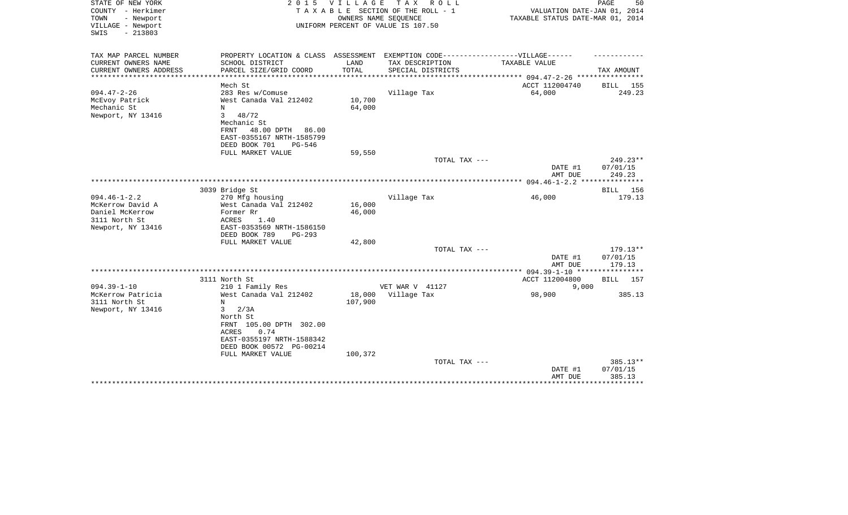| STATE OF NEW YORK<br>COUNTY - Herkimer<br>TOWN<br>- Newport<br>VILLAGE - Newport<br>$-213803$<br>SWIS | 2 0 1 5                                                                                              | <b>VILLAGE</b> | TAX ROLL<br>TAXABLE SECTION OF THE ROLL - 1<br>OWNERS NAME SEQUENCE<br>UNIFORM PERCENT OF VALUE IS 107.50 | VALUATION DATE-JAN 01, 2014<br>TAXABLE STATUS DATE-MAR 01, 2014 | PAGE<br>50         |
|-------------------------------------------------------------------------------------------------------|------------------------------------------------------------------------------------------------------|----------------|-----------------------------------------------------------------------------------------------------------|-----------------------------------------------------------------|--------------------|
| TAX MAP PARCEL NUMBER<br>CURRENT OWNERS NAME                                                          | PROPERTY LOCATION & CLASS ASSESSMENT EXEMPTION CODE-----------------VILLAGE------<br>SCHOOL DISTRICT | LAND           | TAX DESCRIPTION                                                                                           | TAXABLE VALUE                                                   |                    |
| CURRENT OWNERS ADDRESS                                                                                | PARCEL SIZE/GRID COORD                                                                               | TOTAL          | SPECIAL DISTRICTS                                                                                         |                                                                 | TAX AMOUNT         |
| **********************                                                                                | ************************                                                                             |                |                                                                                                           |                                                                 |                    |
| $094.47 - 2 - 26$                                                                                     | Mech St<br>283 Res w/Comuse                                                                          |                | Village Tax                                                                                               | ACCT 112004740<br>64,000                                        | BILL 155<br>249.23 |
| McEvoy Patrick                                                                                        | West Canada Val 212402                                                                               | 10,700         |                                                                                                           |                                                                 |                    |
| Mechanic St                                                                                           | N                                                                                                    | 64,000         |                                                                                                           |                                                                 |                    |
| Newport, NY 13416                                                                                     | 3<br>48/72                                                                                           |                |                                                                                                           |                                                                 |                    |
|                                                                                                       | Mechanic St                                                                                          |                |                                                                                                           |                                                                 |                    |
|                                                                                                       | 48.00 DPTH<br>FRNT<br>86.00                                                                          |                |                                                                                                           |                                                                 |                    |
|                                                                                                       | EAST-0355167 NRTH-1585799                                                                            |                |                                                                                                           |                                                                 |                    |
|                                                                                                       | DEED BOOK 701<br>PG-546                                                                              |                |                                                                                                           |                                                                 |                    |
|                                                                                                       | FULL MARKET VALUE                                                                                    | 59,550         | TOTAL TAX ---                                                                                             |                                                                 | 249.23**           |
|                                                                                                       |                                                                                                      |                |                                                                                                           | DATE #1                                                         | 07/01/15           |
|                                                                                                       |                                                                                                      |                |                                                                                                           | AMT DUE                                                         | 249.23             |
|                                                                                                       |                                                                                                      |                |                                                                                                           | ************** 094.46-1-2.2 ***                                 | ********           |
|                                                                                                       | 3039 Bridge St                                                                                       |                |                                                                                                           |                                                                 | <b>BILL</b><br>156 |
| $094.46 - 1 - 2.2$                                                                                    | 270 Mfg housing                                                                                      |                | Village Tax                                                                                               | 46,000                                                          | 179.13             |
| McKerrow David A                                                                                      | West Canada Val 212402                                                                               | 16,000         |                                                                                                           |                                                                 |                    |
| Daniel McKerrow<br>3111 North St                                                                      | Former Rr<br>ACRES<br>1.40                                                                           | 46,000         |                                                                                                           |                                                                 |                    |
| Newport, NY 13416                                                                                     | EAST-0353569 NRTH-1586150                                                                            |                |                                                                                                           |                                                                 |                    |
|                                                                                                       | DEED BOOK 789<br>$PG-293$                                                                            |                |                                                                                                           |                                                                 |                    |
|                                                                                                       | FULL MARKET VALUE                                                                                    | 42,800         |                                                                                                           |                                                                 |                    |
|                                                                                                       |                                                                                                      |                | TOTAL TAX ---                                                                                             |                                                                 | $179.13**$         |
|                                                                                                       |                                                                                                      |                |                                                                                                           | DATE #1                                                         | 07/01/15           |
|                                                                                                       |                                                                                                      |                |                                                                                                           | AMT DUE                                                         | 179.13             |
|                                                                                                       | 3111 North St                                                                                        |                |                                                                                                           | ACCT 112004800                                                  | 157                |
| $094.39 - 1 - 10$                                                                                     | 210 1 Family Res                                                                                     |                | VET WAR V 41127                                                                                           | 9.000                                                           | BILL               |
| McKerrow Patricia                                                                                     | West Canada Val 212402                                                                               | 18,000         | Village Tax                                                                                               | 98,900                                                          | 385.13             |
| 3111 North St                                                                                         | N                                                                                                    | 107,900        |                                                                                                           |                                                                 |                    |
| Newport, NY 13416                                                                                     | 3<br>2/3A                                                                                            |                |                                                                                                           |                                                                 |                    |
|                                                                                                       | North St                                                                                             |                |                                                                                                           |                                                                 |                    |
|                                                                                                       | FRNT 105.00 DPTH 302.00                                                                              |                |                                                                                                           |                                                                 |                    |
|                                                                                                       | <b>ACRES</b><br>0.74<br>EAST-0355197 NRTH-1588342                                                    |                |                                                                                                           |                                                                 |                    |
|                                                                                                       | DEED BOOK 00572 PG-00214                                                                             |                |                                                                                                           |                                                                 |                    |
|                                                                                                       | FULL MARKET VALUE                                                                                    | 100,372        |                                                                                                           |                                                                 |                    |
|                                                                                                       |                                                                                                      |                | TOTAL TAX ---                                                                                             |                                                                 | 385.13**           |
|                                                                                                       |                                                                                                      |                |                                                                                                           | DATE #1                                                         | 07/01/15           |
|                                                                                                       |                                                                                                      |                |                                                                                                           | AMT DUE                                                         | 385.13             |
|                                                                                                       |                                                                                                      |                |                                                                                                           |                                                                 | * * * * * * * * *  |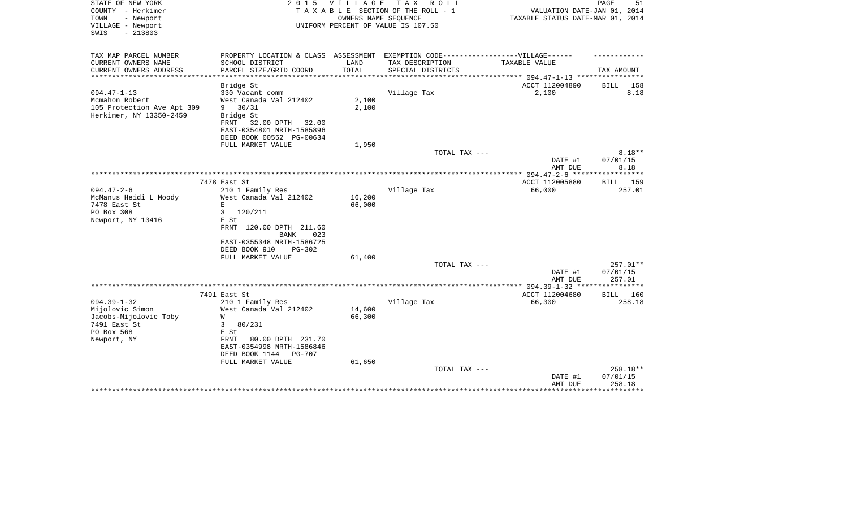| STATE OF NEW YORK<br>COUNTY - Herkimer    | 2 0 1 5                                           | VILLAGE              | T A X<br>R O L L<br>TAXABLE SECTION OF THE ROLL - 1        | VALUATION DATE-JAN 01, 2014                        | 51<br>PAGE  |
|-------------------------------------------|---------------------------------------------------|----------------------|------------------------------------------------------------|----------------------------------------------------|-------------|
| TOWN<br>- Newport<br>VILLAGE - Newport    |                                                   |                      | OWNERS NAME SEQUENCE<br>UNIFORM PERCENT OF VALUE IS 107.50 | TAXABLE STATUS DATE-MAR 01, 2014                   |             |
| $-213803$<br>SWIS                         |                                                   |                      |                                                            |                                                    |             |
| TAX MAP PARCEL NUMBER                     | PROPERTY LOCATION & CLASS ASSESSMENT              |                      | EXEMPTION CODE------------------VILLAGE------              |                                                    |             |
| CURRENT OWNERS NAME                       | SCHOOL DISTRICT                                   | LAND                 | TAX DESCRIPTION                                            | TAXABLE VALUE                                      |             |
| CURRENT OWNERS ADDRESS<br>*************** | PARCEL SIZE/GRID COORD<br>*********************** | TOTAL<br>*********** | SPECIAL DISTRICTS                                          | ******************** 094.47-1-13 ***************** | TAX AMOUNT  |
|                                           | Bridge St                                         |                      |                                                            | ACCT 112004890                                     | 158<br>BILL |
| $094.47 - 1 - 13$                         | 330 Vacant comm                                   |                      | Village Tax                                                | 2,100                                              | 8.18        |
| Mcmahon Robert                            | West Canada Val 212402                            | 2,100                |                                                            |                                                    |             |
| 105 Protection Ave Apt 309                | 30/31<br>9                                        | 2,100                |                                                            |                                                    |             |
| Herkimer, NY 13350-2459                   | Bridge St                                         |                      |                                                            |                                                    |             |
|                                           | FRNT<br>32.00 DPTH 32.00                          |                      |                                                            |                                                    |             |
|                                           | EAST-0354801 NRTH-1585896                         |                      |                                                            |                                                    |             |
|                                           | DEED BOOK 00552 PG-00634                          |                      |                                                            |                                                    |             |
|                                           | FULL MARKET VALUE                                 | 1,950                |                                                            |                                                    |             |
|                                           |                                                   |                      | TOTAL TAX ---                                              |                                                    | $8.18**$    |
|                                           |                                                   |                      |                                                            | DATE #1                                            | 07/01/15    |
|                                           |                                                   |                      |                                                            | AMT DUE                                            | 8.18        |
|                                           |                                                   |                      |                                                            |                                                    |             |
| $094.47 - 2 - 6$                          | 7478 East St                                      |                      |                                                            | ACCT 112005880<br>66,000                           | 159<br>BILL |
| McManus Heidi L Moody                     | 210 1 Family Res<br>West Canada Val 212402        | 16,200               | Village Tax                                                |                                                    | 257.01      |
| 7478 East St                              | $\mathbf E$                                       | 66,000               |                                                            |                                                    |             |
| PO Box 308                                | 3<br>120/211                                      |                      |                                                            |                                                    |             |
| Newport, NY 13416                         | E St                                              |                      |                                                            |                                                    |             |
|                                           | FRNT 120.00 DPTH 211.60                           |                      |                                                            |                                                    |             |
|                                           | 023<br><b>BANK</b>                                |                      |                                                            |                                                    |             |
|                                           | EAST-0355348 NRTH-1586725                         |                      |                                                            |                                                    |             |
|                                           | DEED BOOK 910<br>PG-302                           |                      |                                                            |                                                    |             |
|                                           | FULL MARKET VALUE                                 | 61,400               |                                                            |                                                    |             |
|                                           |                                                   |                      | TOTAL TAX ---                                              |                                                    | $257.01**$  |
|                                           |                                                   |                      |                                                            | DATE #1                                            | 07/01/15    |
|                                           |                                                   |                      |                                                            | AMT DUE                                            | 257.01      |
|                                           |                                                   |                      |                                                            | ********** 094.39-1-32 ****************            |             |
|                                           | 7491 East St                                      |                      |                                                            | ACCT 112004680                                     | BILL 160    |
| $094.39 - 1 - 32$                         | 210 1 Family Res                                  |                      | Village Tax                                                | 66,300                                             | 258.18      |
| Mijolovic Simon                           | West Canada Val 212402                            | 14,600               |                                                            |                                                    |             |
| Jacobs-Mijolovic Toby                     | W                                                 | 66,300               |                                                            |                                                    |             |
| 7491 East St<br>PO Box 568                | 3<br>80/231<br>E St                               |                      |                                                            |                                                    |             |
| Newport, NY                               | 80.00 DPTH 231.70<br>FRNT                         |                      |                                                            |                                                    |             |
|                                           | EAST-0354998 NRTH-1586846                         |                      |                                                            |                                                    |             |
|                                           | DEED BOOK 1144<br>PG-707                          |                      |                                                            |                                                    |             |
|                                           | FULL MARKET VALUE                                 | 61,650               |                                                            |                                                    |             |
|                                           |                                                   |                      | TOTAL TAX ---                                              |                                                    | 258.18**    |
|                                           |                                                   |                      |                                                            | DATE #1                                            | 07/01/15    |
|                                           |                                                   |                      |                                                            | AMT DUE                                            | 258.18      |
|                                           |                                                   |                      |                                                            |                                                    |             |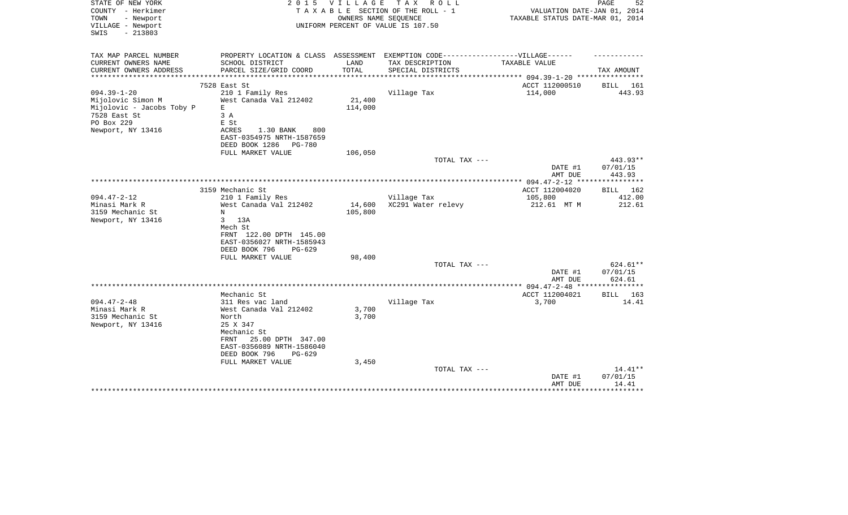| STATE OF NEW YORK<br>COUNTY - Herkimer<br>- Newport<br>TOWN | 2 0 1 5                                                                          | <b>VILLAGE</b> | T A X<br>R O L L<br>TAXABLE SECTION OF THE ROLL - 1<br>OWNERS NAME SEQUENCE | VALUATION DATE-JAN 01, 2014<br>TAXABLE STATUS DATE-MAR 01, 2014 | PAGE<br>52         |
|-------------------------------------------------------------|----------------------------------------------------------------------------------|----------------|-----------------------------------------------------------------------------|-----------------------------------------------------------------|--------------------|
| VILLAGE - Newport<br>$-213803$<br>SWIS                      |                                                                                  |                | UNIFORM PERCENT OF VALUE IS 107.50                                          |                                                                 |                    |
| TAX MAP PARCEL NUMBER                                       | PROPERTY LOCATION & CLASS ASSESSMENT EXEMPTION CODE----------------VILLAGE------ |                |                                                                             |                                                                 |                    |
| CURRENT OWNERS NAME                                         | SCHOOL DISTRICT                                                                  | LAND           | TAX DESCRIPTION                                                             | TAXABLE VALUE                                                   |                    |
| CURRENT OWNERS ADDRESS                                      | PARCEL SIZE/GRID COORD                                                           | TOTAL          | SPECIAL DISTRICTS                                                           |                                                                 | TAX AMOUNT         |
|                                                             | 7528 East St                                                                     |                |                                                                             | ACCT 112000510                                                  | BILL<br>161        |
| $094.39 - 1 - 20$                                           | 210 1 Family Res                                                                 |                | Village Tax                                                                 | 114,000                                                         | 443.93             |
| Mijolovic Simon M                                           | West Canada Val 212402                                                           | 21,400         |                                                                             |                                                                 |                    |
| Mijolovic - Jacobs Toby P                                   | $\mathbf E$                                                                      | 114,000        |                                                                             |                                                                 |                    |
| 7528 East St<br>PO Box 229                                  | 3A<br>E St                                                                       |                |                                                                             |                                                                 |                    |
| Newport, NY 13416                                           | ACRES<br>1.30 BANK<br>800                                                        |                |                                                                             |                                                                 |                    |
|                                                             | EAST-0354975 NRTH-1587659                                                        |                |                                                                             |                                                                 |                    |
|                                                             | DEED BOOK 1286<br><b>PG-780</b>                                                  |                |                                                                             |                                                                 |                    |
|                                                             | FULL MARKET VALUE                                                                | 106,050        |                                                                             |                                                                 |                    |
|                                                             |                                                                                  |                | TOTAL TAX ---                                                               |                                                                 | 443.93**           |
|                                                             |                                                                                  |                |                                                                             | DATE #1                                                         | 07/01/15           |
|                                                             |                                                                                  |                |                                                                             | AMT DUE                                                         | 443.93             |
|                                                             | 3159 Mechanic St                                                                 |                |                                                                             | ACCT 112004020                                                  | 162<br>BILL        |
| $094.47 - 2 - 12$                                           | 210 1 Family Res                                                                 |                | Village Tax                                                                 | 105,800                                                         | 412.00             |
| Minasi Mark R                                               | West Canada Val 212402                                                           | 14,600         | XC291 Water relevy                                                          | 212.61 MT M                                                     | 212.61             |
| 3159 Mechanic St                                            | N                                                                                | 105,800        |                                                                             |                                                                 |                    |
| Newport, NY 13416                                           | 3<br>13A                                                                         |                |                                                                             |                                                                 |                    |
|                                                             | Mech St<br>FRNT 122.00 DPTH 145.00                                               |                |                                                                             |                                                                 |                    |
|                                                             | EAST-0356027 NRTH-1585943                                                        |                |                                                                             |                                                                 |                    |
|                                                             | DEED BOOK 796<br>$PG-629$                                                        |                |                                                                             |                                                                 |                    |
|                                                             | FULL MARKET VALUE                                                                | 98,400         |                                                                             |                                                                 |                    |
|                                                             |                                                                                  |                | TOTAL TAX ---                                                               |                                                                 | 624.61**           |
|                                                             |                                                                                  |                |                                                                             | DATE #1                                                         | 07/01/15           |
|                                                             |                                                                                  |                |                                                                             | AMT DUE<br>************** 094.47-2-48 ********                  | 624.61<br>*****    |
|                                                             | Mechanic St                                                                      |                |                                                                             | ACCT 112004021                                                  | 163<br><b>BILL</b> |
| $094.47 - 2 - 48$                                           | 311 Res vac land                                                                 |                | Village Tax                                                                 | 3,700                                                           | 14.41              |
| Minasi Mark R                                               | West Canada Val 212402                                                           | 3,700          |                                                                             |                                                                 |                    |
| 3159 Mechanic St                                            | North                                                                            | 3,700          |                                                                             |                                                                 |                    |
| Newport, NY 13416                                           | 25 X 347                                                                         |                |                                                                             |                                                                 |                    |
|                                                             | Mechanic St                                                                      |                |                                                                             |                                                                 |                    |
|                                                             | 25.00 DPTH 347.00<br>FRNT<br>EAST-0356089 NRTH-1586040                           |                |                                                                             |                                                                 |                    |
|                                                             | DEED BOOK 796<br>$PG-629$                                                        |                |                                                                             |                                                                 |                    |
|                                                             | FULL MARKET VALUE                                                                | 3,450          |                                                                             |                                                                 |                    |
|                                                             |                                                                                  |                | TOTAL TAX ---                                                               |                                                                 | $14.41**$          |
|                                                             |                                                                                  |                |                                                                             | DATE #1                                                         | 07/01/15           |
|                                                             |                                                                                  |                |                                                                             | AMT DUE                                                         | 14.41              |
|                                                             |                                                                                  |                |                                                                             |                                                                 |                    |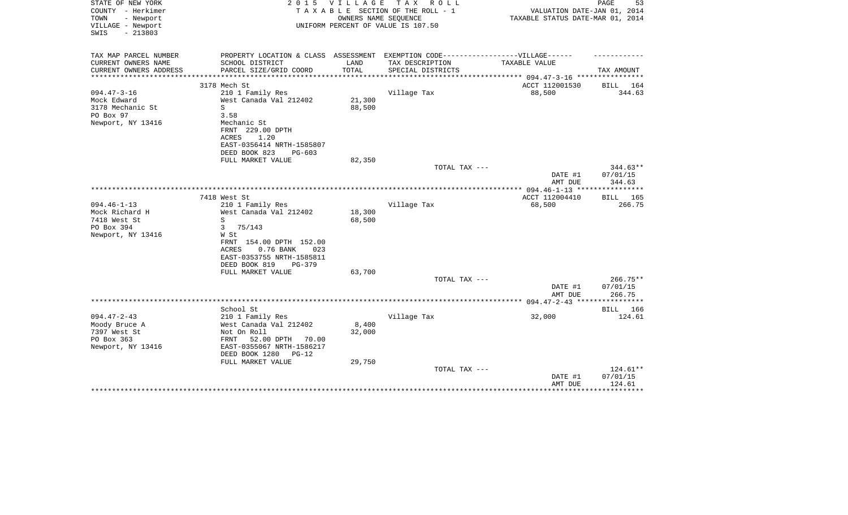| STATE OF NEW YORK<br>COUNTY - Herkimer<br>- Newport<br>TOWN<br>VILLAGE - Newport | 2 0 1 5                                                                          | <b>VILLAGE</b><br>OWNERS NAME SEQUENCE | T A X<br>R O L L<br>TAXABLE SECTION OF THE ROLL - 1<br>UNIFORM PERCENT OF VALUE IS 107.50 | VALUATION DATE-JAN 01, 2014<br>TAXABLE STATUS DATE-MAR 01, 2014 | PAGE<br>53         |
|----------------------------------------------------------------------------------|----------------------------------------------------------------------------------|----------------------------------------|-------------------------------------------------------------------------------------------|-----------------------------------------------------------------|--------------------|
| $-213803$<br>SWIS                                                                |                                                                                  |                                        |                                                                                           |                                                                 |                    |
| TAX MAP PARCEL NUMBER                                                            | PROPERTY LOCATION & CLASS ASSESSMENT EXEMPTION CODE----------------VILLAGE------ |                                        |                                                                                           |                                                                 |                    |
| CURRENT OWNERS NAME                                                              | SCHOOL DISTRICT                                                                  | LAND                                   | TAX DESCRIPTION                                                                           | TAXABLE VALUE                                                   |                    |
| CURRENT OWNERS ADDRESS                                                           | PARCEL SIZE/GRID COORD                                                           | TOTAL                                  | SPECIAL DISTRICTS                                                                         |                                                                 | TAX AMOUNT         |
|                                                                                  | 3178 Mech St                                                                     |                                        |                                                                                           | ACCT 112001530                                                  | BILL 164           |
| $094.47 - 3 - 16$                                                                | 210 1 Family Res                                                                 |                                        | Village Tax                                                                               | 88,500                                                          | 344.63             |
| Mock Edward                                                                      | West Canada Val 212402                                                           | 21,300                                 |                                                                                           |                                                                 |                    |
| 3178 Mechanic St                                                                 | S                                                                                | 88,500                                 |                                                                                           |                                                                 |                    |
| PO Box 97<br>Newport, NY 13416                                                   | 3.58<br>Mechanic St                                                              |                                        |                                                                                           |                                                                 |                    |
|                                                                                  | FRNT 229.00 DPTH                                                                 |                                        |                                                                                           |                                                                 |                    |
|                                                                                  | 1.20<br>ACRES                                                                    |                                        |                                                                                           |                                                                 |                    |
|                                                                                  | EAST-0356414 NRTH-1585807                                                        |                                        |                                                                                           |                                                                 |                    |
|                                                                                  | DEED BOOK 823<br>$PG-603$                                                        |                                        |                                                                                           |                                                                 |                    |
|                                                                                  | FULL MARKET VALUE                                                                | 82,350                                 |                                                                                           |                                                                 |                    |
|                                                                                  |                                                                                  |                                        | TOTAL TAX ---                                                                             | DATE #1                                                         | $344.63**$         |
|                                                                                  |                                                                                  |                                        |                                                                                           | AMT DUE                                                         | 07/01/15<br>344.63 |
|                                                                                  |                                                                                  |                                        |                                                                                           |                                                                 |                    |
|                                                                                  | 7418 West St                                                                     |                                        |                                                                                           | ACCT 112004410                                                  | BILL<br>165        |
| $094.46 - 1 - 13$                                                                | 210 1 Family Res                                                                 |                                        | Village Tax                                                                               | 68,500                                                          | 266.75             |
| Mock Richard H                                                                   | West Canada Val 212402                                                           | 18,300                                 |                                                                                           |                                                                 |                    |
| 7418 West St                                                                     | S                                                                                | 68,500                                 |                                                                                           |                                                                 |                    |
| PO Box 394<br>Newport, NY 13416                                                  | 3<br>75/143<br>W St                                                              |                                        |                                                                                           |                                                                 |                    |
|                                                                                  | FRNT 154.00 DPTH 152.00                                                          |                                        |                                                                                           |                                                                 |                    |
|                                                                                  | ACRES<br>0.76 BANK<br>023                                                        |                                        |                                                                                           |                                                                 |                    |
|                                                                                  | EAST-0353755 NRTH-1585811                                                        |                                        |                                                                                           |                                                                 |                    |
|                                                                                  | DEED BOOK 819<br>PG-379                                                          |                                        |                                                                                           |                                                                 |                    |
|                                                                                  | FULL MARKET VALUE                                                                | 63,700                                 |                                                                                           |                                                                 |                    |
|                                                                                  |                                                                                  |                                        | TOTAL TAX ---                                                                             |                                                                 | 266.75**           |
|                                                                                  |                                                                                  |                                        |                                                                                           | DATE #1<br>AMT DUE                                              | 07/01/15<br>266.75 |
|                                                                                  |                                                                                  |                                        |                                                                                           |                                                                 | **********         |
|                                                                                  | School St                                                                        |                                        |                                                                                           |                                                                 | BILL 166           |
| $094.47 - 2 - 43$                                                                | 210 1 Family Res                                                                 |                                        | Village Tax                                                                               | 32,000                                                          | 124.61             |
| Moody Bruce A                                                                    | West Canada Val 212402                                                           | 8,400                                  |                                                                                           |                                                                 |                    |
| 7397 West St                                                                     | Not On Roll                                                                      | 32,000                                 |                                                                                           |                                                                 |                    |
| PO Box 363                                                                       | 52.00 DPTH 70.00<br>FRNT                                                         |                                        |                                                                                           |                                                                 |                    |
| Newport, NY 13416                                                                | EAST-0355067 NRTH-1586217<br>DEED BOOK 1280<br>$PG-12$                           |                                        |                                                                                           |                                                                 |                    |
|                                                                                  | FULL MARKET VALUE                                                                | 29,750                                 |                                                                                           |                                                                 |                    |
|                                                                                  |                                                                                  |                                        | TOTAL TAX ---                                                                             |                                                                 | 124.61**           |
|                                                                                  |                                                                                  |                                        |                                                                                           | DATE #1                                                         | 07/01/15           |
|                                                                                  |                                                                                  |                                        |                                                                                           | AMT DUE                                                         | 124.61             |
|                                                                                  |                                                                                  |                                        |                                                                                           |                                                                 | **********         |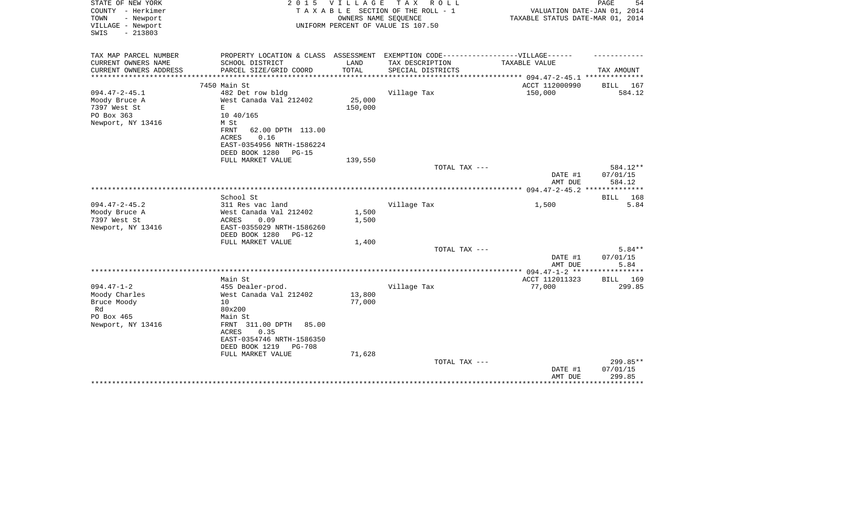| STATE OF NEW YORK<br>COUNTY - Herkimer<br>TOWN<br>- Newport<br>VILLAGE - Newport<br>$-213803$<br>SWIS | 2 0 1 5                                                                                              | <b>VILLAGE</b><br>OWNERS NAME SEQUENCE | T A X<br>R O L L<br>TAXABLE SECTION OF THE ROLL - 1<br>UNIFORM PERCENT OF VALUE IS 107.50 | VALUATION DATE-JAN 01, 2014<br>TAXABLE STATUS DATE-MAR 01, 2014 | PAGE<br>54         |
|-------------------------------------------------------------------------------------------------------|------------------------------------------------------------------------------------------------------|----------------------------------------|-------------------------------------------------------------------------------------------|-----------------------------------------------------------------|--------------------|
| TAX MAP PARCEL NUMBER<br>CURRENT OWNERS NAME                                                          | PROPERTY LOCATION & CLASS ASSESSMENT EXEMPTION CODE-----------------VILLAGE------<br>SCHOOL DISTRICT | LAND                                   | TAX DESCRIPTION                                                                           | TAXABLE VALUE                                                   |                    |
| CURRENT OWNERS ADDRESS                                                                                | PARCEL SIZE/GRID COORD                                                                               | TOTAL                                  | SPECIAL DISTRICTS                                                                         |                                                                 | TAX AMOUNT         |
| ***********************                                                                               |                                                                                                      |                                        |                                                                                           |                                                                 |                    |
|                                                                                                       | 7450 Main St                                                                                         |                                        |                                                                                           | ACCT 112000990                                                  | BILL 167           |
| $094.47 - 2 - 45.1$                                                                                   | 482 Det row bldg                                                                                     |                                        | Village Tax                                                                               | 150,000                                                         | 584.12             |
| Moody Bruce A                                                                                         | West Canada Val 212402                                                                               | 25,000                                 |                                                                                           |                                                                 |                    |
| 7397 West St<br>PO Box 363                                                                            | E<br>10 40/165                                                                                       | 150,000                                |                                                                                           |                                                                 |                    |
| Newport, NY 13416                                                                                     | M St                                                                                                 |                                        |                                                                                           |                                                                 |                    |
|                                                                                                       | FRNT<br>62.00 DPTH 113.00                                                                            |                                        |                                                                                           |                                                                 |                    |
|                                                                                                       | 0.16<br><b>ACRES</b>                                                                                 |                                        |                                                                                           |                                                                 |                    |
|                                                                                                       | EAST-0354956 NRTH-1586224                                                                            |                                        |                                                                                           |                                                                 |                    |
|                                                                                                       | DEED BOOK 1280<br>$PG-15$                                                                            |                                        |                                                                                           |                                                                 |                    |
|                                                                                                       | FULL MARKET VALUE                                                                                    | 139,550                                | TOTAL TAX ---                                                                             |                                                                 | $584.12**$         |
|                                                                                                       |                                                                                                      |                                        |                                                                                           | DATE #1                                                         | 07/01/15           |
|                                                                                                       |                                                                                                      |                                        |                                                                                           | AMT DUE                                                         | 584.12             |
|                                                                                                       |                                                                                                      |                                        |                                                                                           |                                                                 | **************     |
|                                                                                                       | School St                                                                                            |                                        |                                                                                           |                                                                 | 168<br>BILL        |
| $094.47 - 2 - 45.2$                                                                                   | 311 Res vac land                                                                                     |                                        | Village Tax                                                                               | 1,500                                                           | 5.84               |
| Moody Bruce A<br>7397 West St                                                                         | West Canada Val 212402<br>ACRES<br>0.09                                                              | 1,500<br>1,500                         |                                                                                           |                                                                 |                    |
| Newport, NY 13416                                                                                     | EAST-0355029 NRTH-1586260                                                                            |                                        |                                                                                           |                                                                 |                    |
|                                                                                                       | DEED BOOK 1280<br>$PG-12$                                                                            |                                        |                                                                                           |                                                                 |                    |
|                                                                                                       | FULL MARKET VALUE                                                                                    | 1,400                                  |                                                                                           |                                                                 |                    |
|                                                                                                       |                                                                                                      |                                        | TOTAL TAX ---                                                                             |                                                                 | $5.84**$           |
|                                                                                                       |                                                                                                      |                                        |                                                                                           | DATE #1<br>AMT DUE                                              | 07/01/15<br>5.84   |
|                                                                                                       |                                                                                                      |                                        |                                                                                           |                                                                 |                    |
|                                                                                                       | Main St                                                                                              |                                        |                                                                                           | ACCT 112011323                                                  | BILL 169           |
| $094.47 - 1 - 2$                                                                                      | 455 Dealer-prod.                                                                                     |                                        | Village Tax                                                                               | 77,000                                                          | 299.85             |
| Moody Charles                                                                                         | West Canada Val 212402                                                                               | 13,800                                 |                                                                                           |                                                                 |                    |
| Bruce Moody                                                                                           | 10                                                                                                   | 77,000                                 |                                                                                           |                                                                 |                    |
| Rd                                                                                                    | 80x200                                                                                               |                                        |                                                                                           |                                                                 |                    |
| PO Box 465<br>Newport, NY 13416                                                                       | Main St<br>FRNT 311.00 DPTH<br>85.00                                                                 |                                        |                                                                                           |                                                                 |                    |
|                                                                                                       | ACRES<br>0.35                                                                                        |                                        |                                                                                           |                                                                 |                    |
|                                                                                                       | EAST-0354746 NRTH-1586350                                                                            |                                        |                                                                                           |                                                                 |                    |
|                                                                                                       | DEED BOOK 1219<br><b>PG-708</b>                                                                      |                                        |                                                                                           |                                                                 |                    |
|                                                                                                       | FULL MARKET VALUE                                                                                    | 71,628                                 |                                                                                           |                                                                 |                    |
|                                                                                                       |                                                                                                      |                                        | TOTAL TAX ---                                                                             |                                                                 | 299.85**           |
|                                                                                                       |                                                                                                      |                                        |                                                                                           | DATE #1<br>AMT DUE                                              | 07/01/15<br>299.85 |
|                                                                                                       |                                                                                                      |                                        |                                                                                           |                                                                 |                    |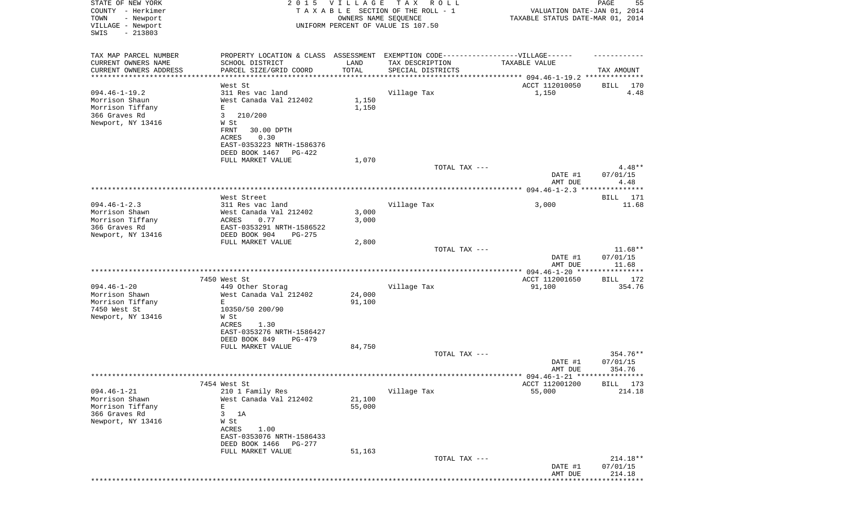| STATE OF NEW YORK<br>COUNTY - Herkimer          |                                                                                  | 2015 VILLAGE                   | TAX ROLL<br>TAXABLE SECTION OF THE ROLL - 1 | VALUATION DATE-JAN 01, 2014      | PAGE<br>55            |
|-------------------------------------------------|----------------------------------------------------------------------------------|--------------------------------|---------------------------------------------|----------------------------------|-----------------------|
| - Newport<br>TOWN<br>VILLAGE - Newport          |                                                                                  | OWNERS NAME SEQUENCE           | UNIFORM PERCENT OF VALUE IS 107.50          | TAXABLE STATUS DATE-MAR 01, 2014 |                       |
| SWIS<br>$-213803$                               |                                                                                  |                                |                                             |                                  |                       |
| TAX MAP PARCEL NUMBER                           | PROPERTY LOCATION & CLASS ASSESSMENT EXEMPTION CODE----------------VILLAGE------ |                                |                                             |                                  |                       |
| CURRENT OWNERS NAME                             | SCHOOL DISTRICT                                                                  | LAND                           | TAX DESCRIPTION                             | TAXABLE VALUE                    |                       |
| CURRENT OWNERS ADDRESS<br>********************* | PARCEL SIZE/GRID COORD                                                           | TOTAL<br>* * * * * * * * * * * | SPECIAL DISTRICTS                           |                                  | TAX AMOUNT            |
|                                                 | West St                                                                          |                                |                                             | ACCT 112010050                   | BILL<br>170           |
| $094.46 - 1 - 19.2$                             | 311 Res vac land                                                                 |                                | Village Tax                                 | 1,150                            | 4.48                  |
| Morrison Shaun                                  | West Canada Val 212402                                                           | 1,150                          |                                             |                                  |                       |
| Morrison Tiffany                                | E                                                                                | 1,150                          |                                             |                                  |                       |
| 366 Graves Rd<br>Newport, NY 13416              | 3<br>210/200<br>W St                                                             |                                |                                             |                                  |                       |
|                                                 | 30.00 DPTH<br>FRNT                                                               |                                |                                             |                                  |                       |
|                                                 | ACRES<br>0.30                                                                    |                                |                                             |                                  |                       |
|                                                 | EAST-0353223 NRTH-1586376                                                        |                                |                                             |                                  |                       |
|                                                 | DEED BOOK 1467<br>PG-422                                                         |                                |                                             |                                  |                       |
|                                                 | FULL MARKET VALUE                                                                | 1,070                          |                                             |                                  |                       |
|                                                 |                                                                                  |                                | TOTAL TAX ---                               | DATE #1                          | $4.48**$<br>07/01/15  |
|                                                 |                                                                                  |                                |                                             | AMT DUE                          | 4.48                  |
|                                                 |                                                                                  |                                |                                             |                                  |                       |
|                                                 | West Street                                                                      |                                |                                             |                                  | BILL 171              |
| $094.46 - 1 - 2.3$                              | 311 Res vac land                                                                 |                                | Village Tax                                 | 3,000                            | 11.68                 |
| Morrison Shawn<br>Morrison Tiffany              | West Canada Val 212402<br>0.77<br>ACRES                                          | 3,000<br>3,000                 |                                             |                                  |                       |
| 366 Graves Rd                                   | EAST-0353291 NRTH-1586522                                                        |                                |                                             |                                  |                       |
| Newport, NY 13416                               | DEED BOOK 904<br>$PG-275$                                                        |                                |                                             |                                  |                       |
|                                                 | FULL MARKET VALUE                                                                | 2,800                          |                                             |                                  |                       |
|                                                 |                                                                                  |                                | TOTAL TAX ---                               |                                  | $11.68**$             |
|                                                 |                                                                                  |                                |                                             | DATE #1<br>AMT DUE               | 07/01/15<br>11.68     |
|                                                 |                                                                                  |                                |                                             |                                  | * * * * * * * * * * * |
|                                                 | 7450 West St                                                                     |                                |                                             | ACCT 112001650                   | BILL 172              |
| $094.46 - 1 - 20$                               | 449 Other Storag                                                                 |                                | Village Tax                                 | 91,100                           | 354.76                |
| Morrison Shawn                                  | West Canada Val 212402                                                           | 24,000                         |                                             |                                  |                       |
| Morrison Tiffany<br>7450 West St                | E<br>10350/50 200/90                                                             | 91,100                         |                                             |                                  |                       |
| Newport, NY 13416                               | W St                                                                             |                                |                                             |                                  |                       |
|                                                 | ACRES<br>1.30                                                                    |                                |                                             |                                  |                       |
|                                                 | EAST-0353276 NRTH-1586427                                                        |                                |                                             |                                  |                       |
|                                                 | DEED BOOK 849<br>$PG-479$                                                        |                                |                                             |                                  |                       |
|                                                 | FULL MARKET VALUE                                                                | 84,750                         | TOTAL TAX ---                               |                                  |                       |
|                                                 |                                                                                  |                                |                                             | DATE #1                          | 354.76**<br>07/01/15  |
|                                                 |                                                                                  |                                |                                             | AMT DUE                          | 354.76                |
|                                                 |                                                                                  |                                |                                             |                                  |                       |
|                                                 | 7454 West St                                                                     |                                |                                             | ACCT 112001200                   | 173<br><b>BILL</b>    |
| $094.46 - 1 - 21$                               | 210 1 Family Res                                                                 |                                | Village Tax                                 | 55,000                           | 214.18                |
| Morrison Shawn<br>Morrison Tiffany              | West Canada Val 212402<br>Ε                                                      | 21,100<br>55,000               |                                             |                                  |                       |
| 366 Graves Rd                                   | 3<br>1A                                                                          |                                |                                             |                                  |                       |
| Newport, NY 13416                               | W St                                                                             |                                |                                             |                                  |                       |
|                                                 | 1.00<br>ACRES                                                                    |                                |                                             |                                  |                       |
|                                                 | EAST-0353076 NRTH-1586433                                                        |                                |                                             |                                  |                       |
|                                                 | DEED BOOK 1466<br><b>PG-277</b>                                                  |                                |                                             |                                  |                       |
|                                                 | FULL MARKET VALUE                                                                | 51,163                         | TOTAL TAX ---                               |                                  | 214.18**              |
|                                                 |                                                                                  |                                |                                             | DATE #1                          | 07/01/15              |
|                                                 |                                                                                  |                                |                                             | AMT DUE                          | 214.18                |
|                                                 |                                                                                  |                                |                                             |                                  |                       |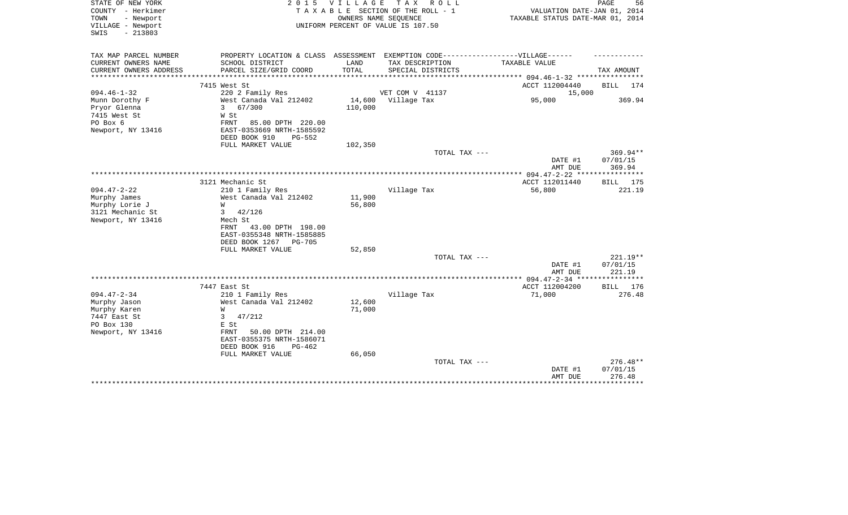| STATE OF NEW YORK<br>COUNTY - Herkimer<br>TOWN<br>- Newport<br>VILLAGE - Newport<br>$-213803$<br>SWIS | 2 0 1 5                                                                                                                                                                            | V I L L A G E<br>OWNERS NAME SEQUENCE | T A X<br>R O L L<br>TAXABLE SECTION OF THE ROLL - 1<br>UNIFORM PERCENT OF VALUE IS 107.50            | VALUATION DATE-JAN 01, 2014<br>TAXABLE STATUS DATE-MAR 01, 2014 | PAGE<br>56                       |
|-------------------------------------------------------------------------------------------------------|------------------------------------------------------------------------------------------------------------------------------------------------------------------------------------|---------------------------------------|------------------------------------------------------------------------------------------------------|-----------------------------------------------------------------|----------------------------------|
| TAX MAP PARCEL NUMBER<br>CURRENT OWNERS NAME                                                          | SCHOOL DISTRICT                                                                                                                                                                    | LAND                                  | PROPERTY LOCATION & CLASS ASSESSMENT EXEMPTION CODE-----------------VILLAGE------<br>TAX DESCRIPTION | TAXABLE VALUE                                                   |                                  |
| CURRENT OWNERS ADDRESS                                                                                | PARCEL SIZE/GRID COORD                                                                                                                                                             | TOTAL                                 | SPECIAL DISTRICTS                                                                                    |                                                                 | TAX AMOUNT                       |
| *******************                                                                                   |                                                                                                                                                                                    |                                       |                                                                                                      |                                                                 |                                  |
|                                                                                                       | 7415 West St                                                                                                                                                                       |                                       |                                                                                                      | ACCT 112004440                                                  | BILL<br>174                      |
| $094.46 - 1 - 32$                                                                                     | 220 2 Family Res                                                                                                                                                                   |                                       | VET COM V 41137                                                                                      | 15,000                                                          |                                  |
| Munn Dorothy F<br>Pryor Glenna<br>7415 West St<br>PO Box 6<br>Newport, NY 13416                       | West Canada Val 212402<br>$\mathbf{3}$<br>67/300<br>W St<br>FRNT<br>85.00 DPTH 220.00<br>EAST-0353669 NRTH-1585592                                                                 | 14,600<br>110,000                     | Village Tax                                                                                          | 95,000                                                          | 369.94                           |
|                                                                                                       | DEED BOOK 910<br>$PG-552$                                                                                                                                                          |                                       |                                                                                                      |                                                                 |                                  |
|                                                                                                       | FULL MARKET VALUE                                                                                                                                                                  | 102,350                               | TOTAL TAX ---                                                                                        |                                                                 | $369.94**$                       |
|                                                                                                       |                                                                                                                                                                                    |                                       |                                                                                                      | DATE #1<br>AMT DUE                                              | 07/01/15<br>369.94               |
|                                                                                                       |                                                                                                                                                                                    |                                       |                                                                                                      |                                                                 |                                  |
| $094.47 - 2 - 22$                                                                                     | 3121 Mechanic St<br>210 1 Family Res                                                                                                                                               |                                       | Village Tax                                                                                          | ACCT 112011440<br>56,800                                        | BILL 175<br>221.19               |
| Murphy James<br>Murphy Lorie J<br>3121 Mechanic St<br>Newport, NY 13416                               | West Canada Val 212402<br>W<br>42/126<br>3<br>Mech St<br>43.00 DPTH 198.00<br>FRNT<br>EAST-0355348 NRTH-1585885<br>DEED BOOK 1267<br><b>PG-705</b><br>FULL MARKET VALUE            | 11,900<br>56,800<br>52,850            |                                                                                                      |                                                                 |                                  |
|                                                                                                       |                                                                                                                                                                                    |                                       | TOTAL TAX ---                                                                                        |                                                                 | 221.19**                         |
|                                                                                                       |                                                                                                                                                                                    |                                       |                                                                                                      | DATE #1<br>AMT DUE                                              | 07/01/15<br>221.19               |
|                                                                                                       |                                                                                                                                                                                    |                                       |                                                                                                      |                                                                 |                                  |
|                                                                                                       | 7447 East St                                                                                                                                                                       |                                       |                                                                                                      | ACCT 112004200                                                  | 176<br>BILL                      |
| $094.47 - 2 - 34$<br>Murphy Jason<br>Murphy Karen<br>7447 East St<br>PO Box 130<br>Newport, NY 13416  | 210 1 Family Res<br>West Canada Val 212402<br>W<br>47/212<br>3<br>E St<br>50.00 DPTH 214.00<br>FRNT<br>EAST-0355375 NRTH-1586071<br>DEED BOOK 916<br>$PG-462$<br>FULL MARKET VALUE | 12,600<br>71,000<br>66,050            | Village Tax                                                                                          | 71,000                                                          | 276.48                           |
|                                                                                                       |                                                                                                                                                                                    |                                       | TOTAL TAX ---                                                                                        | DATE #1<br>AMT DUE                                              | $276.48**$<br>07/01/15<br>276.48 |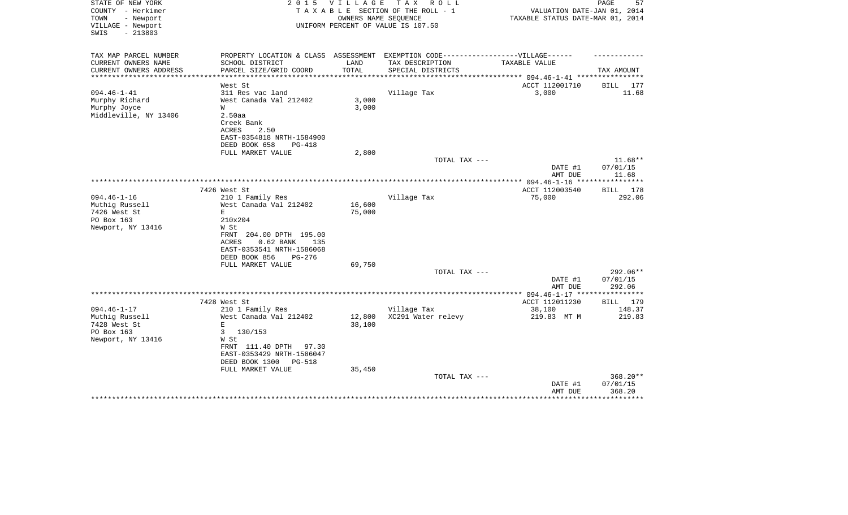| STATE OF NEW YORK<br>COUNTY - Herkimer | 2 0 1 5                                                                          | V I L L A G E | TAX ROLL<br>TAXABLE SECTION OF THE ROLL - 1 | VALUATION DATE-JAN 01, 2014                | 57<br>PAGE         |
|----------------------------------------|----------------------------------------------------------------------------------|---------------|---------------------------------------------|--------------------------------------------|--------------------|
| - Newport<br>TOWN                      |                                                                                  |               | OWNERS NAME SEQUENCE                        | TAXABLE STATUS DATE-MAR 01, 2014           |                    |
| VILLAGE - Newport                      |                                                                                  |               | UNIFORM PERCENT OF VALUE IS 107.50          |                                            |                    |
| $-213803$<br>SWIS                      |                                                                                  |               |                                             |                                            |                    |
| TAX MAP PARCEL NUMBER                  | PROPERTY LOCATION & CLASS ASSESSMENT EXEMPTION CODE----------------VILLAGE------ |               |                                             |                                            |                    |
| CURRENT OWNERS NAME                    | SCHOOL DISTRICT                                                                  | LAND          | TAX DESCRIPTION                             | TAXABLE VALUE                              |                    |
| CURRENT OWNERS ADDRESS                 | PARCEL SIZE/GRID COORD                                                           | TOTAL         | SPECIAL DISTRICTS                           |                                            | TAX AMOUNT         |
| **********************                 |                                                                                  | ************* |                                             |                                            |                    |
|                                        | West St                                                                          |               |                                             | ACCT 112001710                             | 177<br>BILL        |
| $094.46 - 1 - 41$                      | 311 Res vac land                                                                 |               | Village Tax                                 | 3,000                                      | 11.68              |
| Murphy Richard                         | West Canada Val 212402                                                           | 3,000         |                                             |                                            |                    |
| Murphy Joyce                           | W                                                                                | 3,000         |                                             |                                            |                    |
| Middleville, NY 13406                  | 2.50aa                                                                           |               |                                             |                                            |                    |
|                                        | Creek Bank                                                                       |               |                                             |                                            |                    |
|                                        | <b>ACRES</b><br>2.50                                                             |               |                                             |                                            |                    |
|                                        | EAST-0354818 NRTH-1584900                                                        |               |                                             |                                            |                    |
|                                        | DEED BOOK 658<br><b>PG-418</b>                                                   |               |                                             |                                            |                    |
|                                        | FULL MARKET VALUE                                                                | 2,800         |                                             |                                            |                    |
|                                        |                                                                                  |               | TOTAL TAX ---                               |                                            | 11.68**            |
|                                        |                                                                                  |               |                                             | DATE #1                                    | 07/01/15           |
|                                        |                                                                                  |               |                                             | AMT DUE                                    | 11.68              |
|                                        | 7426 West St                                                                     |               |                                             | ACCT 112003540                             | BILL 178           |
| $094.46 - 1 - 16$                      | 210 1 Family Res                                                                 |               | Village Tax                                 | 75,000                                     | 292.06             |
| Muthig Russell                         | West Canada Val 212402                                                           | 16,600        |                                             |                                            |                    |
| 7426 West St                           | Е                                                                                | 75,000        |                                             |                                            |                    |
| PO Box 163                             | 210x204                                                                          |               |                                             |                                            |                    |
| Newport, NY 13416                      | W St                                                                             |               |                                             |                                            |                    |
|                                        | FRNT 204.00 DPTH 195.00                                                          |               |                                             |                                            |                    |
|                                        | <b>ACRES</b><br>$0.62$ BANK<br>135                                               |               |                                             |                                            |                    |
|                                        | EAST-0353541 NRTH-1586068                                                        |               |                                             |                                            |                    |
|                                        | DEED BOOK 856<br>PG-276                                                          |               |                                             |                                            |                    |
|                                        | FULL MARKET VALUE                                                                | 69,750        |                                             |                                            |                    |
|                                        |                                                                                  |               | TOTAL TAX ---                               |                                            | $292.06**$         |
|                                        |                                                                                  |               |                                             | DATE #1                                    | 07/01/15           |
|                                        |                                                                                  |               |                                             | AMT DUE                                    | 292.06             |
|                                        |                                                                                  |               |                                             | ************ 094.46-1-17 ***************** |                    |
| $094.46 - 1 - 17$                      | 7428 West St                                                                     |               |                                             | ACCT 112011230                             | BILL 179<br>148.37 |
| Muthig Russell                         | 210 1 Family Res<br>West Canada Val 212402                                       | 12,800        | Village Tax<br>XC291 Water relevy           | 38,100<br>219.83 MT M                      | 219.83             |
| 7428 West St                           | $\mathbf E$                                                                      | 38,100        |                                             |                                            |                    |
| PO Box 163                             | 3<br>130/153                                                                     |               |                                             |                                            |                    |
| Newport, NY 13416                      | W St                                                                             |               |                                             |                                            |                    |
|                                        | FRNT 111.40 DPTH<br>97.30                                                        |               |                                             |                                            |                    |
|                                        | EAST-0353429 NRTH-1586047                                                        |               |                                             |                                            |                    |
|                                        | DEED BOOK 1300<br>PG-518                                                         |               |                                             |                                            |                    |
|                                        | FULL MARKET VALUE                                                                | 35,450        |                                             |                                            |                    |
|                                        |                                                                                  |               | TOTAL TAX ---                               |                                            | 368.20**           |
|                                        |                                                                                  |               |                                             | DATE #1                                    | 07/01/15           |
|                                        |                                                                                  |               |                                             | AMT DUE                                    | 368.20             |
|                                        |                                                                                  |               |                                             |                                            |                    |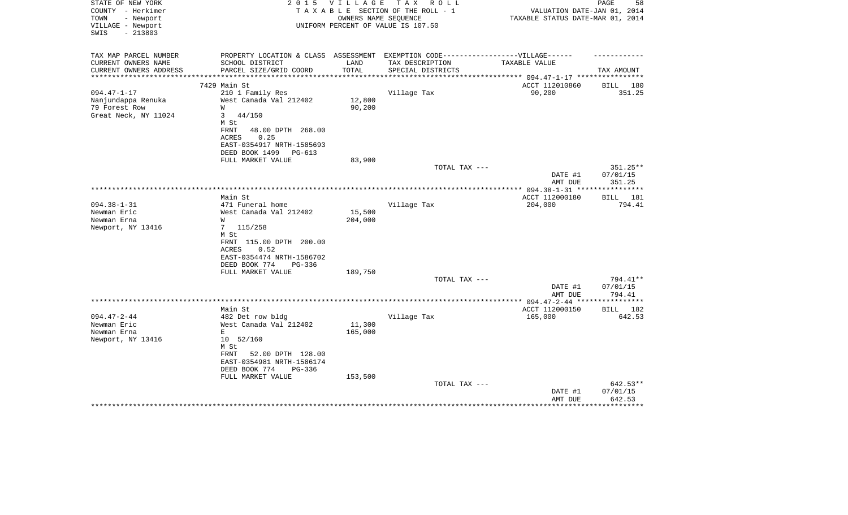| STATE OF NEW YORK<br>COUNTY - Herkimer<br>TOWN<br>- Newport<br>VILLAGE - Newport<br>SWIS<br>$-213803$ | 2 0 1 5                                                                          | VILLAGE | TAX ROLL<br>TAXABLE SECTION OF THE ROLL - 1<br>OWNERS NAME SEQUENCE<br>UNIFORM PERCENT OF VALUE IS 107.50 | VALUATION DATE-JAN 01, 2014<br>TAXABLE STATUS DATE-MAR 01, 2014 | PAGE<br>58         |
|-------------------------------------------------------------------------------------------------------|----------------------------------------------------------------------------------|---------|-----------------------------------------------------------------------------------------------------------|-----------------------------------------------------------------|--------------------|
|                                                                                                       |                                                                                  |         |                                                                                                           |                                                                 |                    |
| TAX MAP PARCEL NUMBER                                                                                 | PROPERTY LOCATION & CLASS ASSESSMENT EXEMPTION CODE----------------VILLAGE------ |         |                                                                                                           |                                                                 |                    |
| CURRENT OWNERS NAME                                                                                   | SCHOOL DISTRICT                                                                  | LAND    | TAX DESCRIPTION                                                                                           | TAXABLE VALUE                                                   |                    |
| CURRENT OWNERS ADDRESS<br>**********************                                                      | PARCEL SIZE/GRID COORD                                                           | TOTAL   | SPECIAL DISTRICTS                                                                                         |                                                                 | TAX AMOUNT         |
|                                                                                                       | 7429 Main St                                                                     |         |                                                                                                           | ACCT 112010860                                                  | BILL 180           |
| $094.47 - 1 - 17$                                                                                     | 210 1 Family Res                                                                 |         | Village Tax                                                                                               | 90,200                                                          | 351.25             |
| Nanjundappa Renuka                                                                                    | West Canada Val 212402                                                           | 12,800  |                                                                                                           |                                                                 |                    |
| 79 Forest Row                                                                                         | W                                                                                | 90,200  |                                                                                                           |                                                                 |                    |
| Great Neck, NY 11024                                                                                  | 44/150<br>3                                                                      |         |                                                                                                           |                                                                 |                    |
|                                                                                                       | M St                                                                             |         |                                                                                                           |                                                                 |                    |
|                                                                                                       | FRNT<br>48.00 DPTH 268.00                                                        |         |                                                                                                           |                                                                 |                    |
|                                                                                                       | <b>ACRES</b><br>0.25                                                             |         |                                                                                                           |                                                                 |                    |
|                                                                                                       | EAST-0354917 NRTH-1585693                                                        |         |                                                                                                           |                                                                 |                    |
|                                                                                                       | DEED BOOK 1499<br>PG-613                                                         |         |                                                                                                           |                                                                 |                    |
|                                                                                                       | FULL MARKET VALUE                                                                | 83,900  | TOTAL TAX ---                                                                                             |                                                                 | 351.25**           |
|                                                                                                       |                                                                                  |         |                                                                                                           | DATE #1                                                         | 07/01/15           |
|                                                                                                       |                                                                                  |         |                                                                                                           | AMT DUE                                                         | 351.25             |
|                                                                                                       |                                                                                  |         |                                                                                                           |                                                                 |                    |
|                                                                                                       | Main St                                                                          |         |                                                                                                           | ACCT 112000180                                                  | BILL<br>181        |
| $094.38 - 1 - 31$                                                                                     | 471 Funeral home                                                                 |         | Village Tax                                                                                               | 204,000                                                         | 794.41             |
| Newman Eric                                                                                           | West Canada Val 212402                                                           | 15,500  |                                                                                                           |                                                                 |                    |
| Newman Erna                                                                                           | W                                                                                | 204,000 |                                                                                                           |                                                                 |                    |
| Newport, NY 13416                                                                                     | $7\phantom{.0}$<br>115/258<br>M St                                               |         |                                                                                                           |                                                                 |                    |
|                                                                                                       | FRNT 115.00 DPTH 200.00                                                          |         |                                                                                                           |                                                                 |                    |
|                                                                                                       | 0.52<br>ACRES                                                                    |         |                                                                                                           |                                                                 |                    |
|                                                                                                       | EAST-0354474 NRTH-1586702                                                        |         |                                                                                                           |                                                                 |                    |
|                                                                                                       | DEED BOOK 774<br>PG-336                                                          |         |                                                                                                           |                                                                 |                    |
|                                                                                                       | FULL MARKET VALUE                                                                | 189,750 |                                                                                                           |                                                                 |                    |
|                                                                                                       |                                                                                  |         | TOTAL TAX ---                                                                                             |                                                                 | 794.41**           |
|                                                                                                       |                                                                                  |         |                                                                                                           | DATE #1                                                         | 07/01/15           |
|                                                                                                       |                                                                                  |         |                                                                                                           | AMT DUE                                                         | 794.41             |
|                                                                                                       | Main St                                                                          |         |                                                                                                           | ACCT 112000150                                                  | <b>BILL</b><br>182 |
| $094.47 - 2 - 44$                                                                                     | 482 Det row bldg                                                                 |         | Village Tax                                                                                               | 165,000                                                         | 642.53             |
| Newman Eric                                                                                           | West Canada Val 212402                                                           | 11,300  |                                                                                                           |                                                                 |                    |
| Newman Erna                                                                                           | E                                                                                | 165,000 |                                                                                                           |                                                                 |                    |
| Newport, NY 13416                                                                                     | 10 52/160                                                                        |         |                                                                                                           |                                                                 |                    |
|                                                                                                       | M St                                                                             |         |                                                                                                           |                                                                 |                    |
|                                                                                                       | 52.00 DPTH 128.00<br>FRNT                                                        |         |                                                                                                           |                                                                 |                    |
|                                                                                                       | EAST-0354981 NRTH-1586174                                                        |         |                                                                                                           |                                                                 |                    |
|                                                                                                       | DEED BOOK 774<br>$PG-336$                                                        |         |                                                                                                           |                                                                 |                    |
|                                                                                                       | FULL MARKET VALUE                                                                | 153,500 | TOTAL TAX ---                                                                                             |                                                                 | 642.53**           |
|                                                                                                       |                                                                                  |         |                                                                                                           | DATE #1                                                         | 07/01/15           |
|                                                                                                       |                                                                                  |         |                                                                                                           | AMT DUE                                                         | 642.53             |
|                                                                                                       |                                                                                  |         |                                                                                                           |                                                                 | ************       |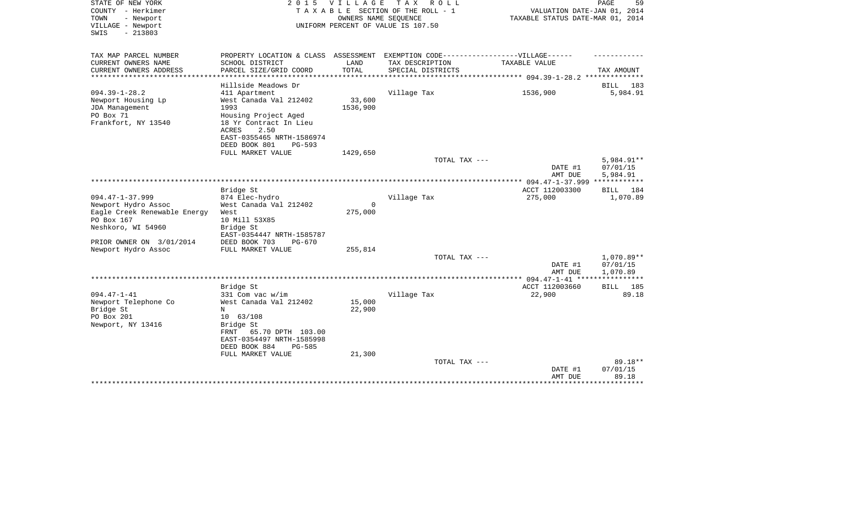| TAX MAP PARCEL NUMBER<br>PROPERTY LOCATION & CLASS<br>ASSESSMENT EXEMPTION CODE------------------VILLAGE------                                                                                                                                                                                                                 |                                    |
|--------------------------------------------------------------------------------------------------------------------------------------------------------------------------------------------------------------------------------------------------------------------------------------------------------------------------------|------------------------------------|
| CURRENT OWNERS NAME<br>SCHOOL DISTRICT<br>LAND<br>TAX DESCRIPTION<br>TAXABLE VALUE                                                                                                                                                                                                                                             |                                    |
| PARCEL SIZE/GRID COORD<br>TOTAL<br>CURRENT OWNERS ADDRESS<br>SPECIAL DISTRICTS<br>************ 094.39-1-28.2 **************                                                                                                                                                                                                    | TAX AMOUNT                         |
| Hillside Meadows Dr                                                                                                                                                                                                                                                                                                            | <b>BILL</b><br>183                 |
| $094.39 - 1 - 28.2$<br>411 Apartment<br>Village Tax<br>1536,900<br>West Canada Val 212402<br>33,600<br>Newport Housing Lp<br>1993<br>1536,900<br>JDA Management<br>PO Box 71<br>Housing Project Aged<br>Frankfort, NY 13540<br>18 Yr Contract In Lieu<br>ACRES<br>2.50<br>EAST-0355465 NRTH-1586974<br>DEED BOOK 801<br>PG-593 | 5,984.91                           |
| FULL MARKET VALUE<br>1429,650                                                                                                                                                                                                                                                                                                  |                                    |
| TOTAL TAX ---<br>DATE #1<br>AMT DUE                                                                                                                                                                                                                                                                                            | 5,984.91**<br>07/01/15<br>5,984.91 |
|                                                                                                                                                                                                                                                                                                                                |                                    |
| Bridge St<br>ACCT 112003300                                                                                                                                                                                                                                                                                                    | 184<br>BILL                        |
| $094.47 - 1 - 37.999$<br>874 Elec-hydro<br>Village Tax<br>275,000<br>West Canada Val 212402<br>Newport Hydro Assoc<br>$\Omega$                                                                                                                                                                                                 | 1,070.89                           |
| Eagle Creek Renewable Energy<br>275,000<br>West<br>PO Box 167<br>10 Mill 53X85                                                                                                                                                                                                                                                 |                                    |
| Neshkoro, WI 54960<br>Bridge St<br>EAST-0354447 NRTH-1585787                                                                                                                                                                                                                                                                   |                                    |
| PRIOR OWNER ON 3/01/2014<br>DEED BOOK 703<br>$PG-670$                                                                                                                                                                                                                                                                          |                                    |
| Newport Hydro Assoc<br>255,814<br>FULL MARKET VALUE<br>TOTAL TAX ---                                                                                                                                                                                                                                                           | $1.070.89**$                       |
| DATE #1<br>AMT DUE                                                                                                                                                                                                                                                                                                             | 07/01/15<br>1,070.89               |
| ******************************<br>************ 094.47-1-41 ***                                                                                                                                                                                                                                                                 | ***********                        |
| ACCT 112003660<br>Bridge St                                                                                                                                                                                                                                                                                                    | 185<br><b>BILL</b>                 |
| $094.47 - 1 - 41$<br>331 Com vac w/im<br>Village Tax<br>22,900<br>Newport Telephone Co<br>West Canada Val 212402<br>15,000                                                                                                                                                                                                     | 89.18                              |
| 22,900<br>Bridge St<br>N                                                                                                                                                                                                                                                                                                       |                                    |
| PO Box 201<br>10 63/108                                                                                                                                                                                                                                                                                                        |                                    |
| Newport, NY 13416<br>Bridge St<br>FRNT<br>65.70 DPTH 103.00<br>EAST-0354497 NRTH-1585998<br>DEED BOOK 884<br><b>PG-585</b><br>21,300<br>FULL MARKET VALUE                                                                                                                                                                      |                                    |
| TOTAL TAX ---                                                                                                                                                                                                                                                                                                                  | 89.18**                            |
| DATE #1<br>AMT DUE                                                                                                                                                                                                                                                                                                             | 07/01/15<br>89.18                  |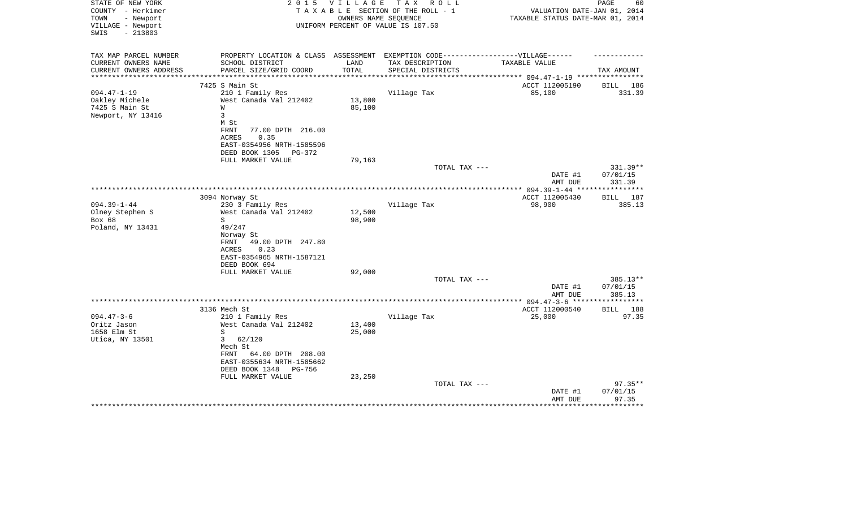| STATE OF NEW YORK<br>COUNTY - Herkimer<br>TOWN<br>- Newport<br>VILLAGE - Newport<br>$-213803$<br>SWIS | 2 0 1 5                                                                                              | <b>VILLAGE</b> | T A X<br>R O L L<br>TAXABLE SECTION OF THE ROLL - 1<br>OWNERS NAME SEOUENCE<br>UNIFORM PERCENT OF VALUE IS 107.50 | VALUATION DATE-JAN 01, 2014<br>TAXABLE STATUS DATE-MAR 01, 2014 | PAGE<br>60           |
|-------------------------------------------------------------------------------------------------------|------------------------------------------------------------------------------------------------------|----------------|-------------------------------------------------------------------------------------------------------------------|-----------------------------------------------------------------|----------------------|
| TAX MAP PARCEL NUMBER<br>CURRENT OWNERS NAME                                                          | PROPERTY LOCATION & CLASS ASSESSMENT EXEMPTION CODE-----------------VILLAGE------<br>SCHOOL DISTRICT | LAND           | TAX DESCRIPTION                                                                                                   | TAXABLE VALUE                                                   |                      |
| CURRENT OWNERS ADDRESS<br>***********************                                                     | PARCEL SIZE/GRID COORD                                                                               | TOTAL          | SPECIAL DISTRICTS                                                                                                 |                                                                 | TAX AMOUNT           |
|                                                                                                       | 7425 S Main St                                                                                       |                |                                                                                                                   | ACCT 112005190                                                  |                      |
| $094.47 - 1 - 19$                                                                                     | 210 1 Family Res                                                                                     |                | Village Tax                                                                                                       | 85,100                                                          | BILL 186<br>331.39   |
| Oakley Michele                                                                                        | West Canada Val 212402                                                                               | 13,800         |                                                                                                                   |                                                                 |                      |
| 7425 S Main St                                                                                        | W                                                                                                    | 85,100         |                                                                                                                   |                                                                 |                      |
| Newport, NY 13416                                                                                     | 3                                                                                                    |                |                                                                                                                   |                                                                 |                      |
|                                                                                                       | M St                                                                                                 |                |                                                                                                                   |                                                                 |                      |
|                                                                                                       | FRNT<br>77.00 DPTH 216.00                                                                            |                |                                                                                                                   |                                                                 |                      |
|                                                                                                       | 0.35<br><b>ACRES</b>                                                                                 |                |                                                                                                                   |                                                                 |                      |
|                                                                                                       | EAST-0354956 NRTH-1585596                                                                            |                |                                                                                                                   |                                                                 |                      |
|                                                                                                       | DEED BOOK 1305<br>PG-372                                                                             |                |                                                                                                                   |                                                                 |                      |
|                                                                                                       | FULL MARKET VALUE                                                                                    | 79,163         |                                                                                                                   |                                                                 |                      |
|                                                                                                       |                                                                                                      |                | TOTAL TAX ---                                                                                                     | DATE #1                                                         | 331.39**<br>07/01/15 |
|                                                                                                       |                                                                                                      |                |                                                                                                                   | AMT DUE                                                         | 331.39               |
|                                                                                                       |                                                                                                      |                |                                                                                                                   |                                                                 | ***********          |
|                                                                                                       | 3094 Norway St                                                                                       |                |                                                                                                                   | ACCT 112005430                                                  | <b>BILL</b><br>187   |
| $094.39 - 1 - 44$                                                                                     | 230 3 Family Res                                                                                     |                | Village Tax                                                                                                       | 98,900                                                          | 385.13               |
| Olney Stephen S                                                                                       | West Canada Val 212402                                                                               | 12,500         |                                                                                                                   |                                                                 |                      |
| Box 68                                                                                                | S                                                                                                    | 98,900         |                                                                                                                   |                                                                 |                      |
| Poland, NY 13431                                                                                      | 49/247                                                                                               |                |                                                                                                                   |                                                                 |                      |
|                                                                                                       | Norway St                                                                                            |                |                                                                                                                   |                                                                 |                      |
|                                                                                                       | FRNT<br>49.00 DPTH 247.80                                                                            |                |                                                                                                                   |                                                                 |                      |
|                                                                                                       | 0.23<br>ACRES                                                                                        |                |                                                                                                                   |                                                                 |                      |
|                                                                                                       | EAST-0354965 NRTH-1587121                                                                            |                |                                                                                                                   |                                                                 |                      |
|                                                                                                       | DEED BOOK 694                                                                                        |                |                                                                                                                   |                                                                 |                      |
|                                                                                                       | FULL MARKET VALUE                                                                                    | 92,000         | TOTAL TAX ---                                                                                                     |                                                                 | $385.13**$           |
|                                                                                                       |                                                                                                      |                |                                                                                                                   | DATE #1                                                         | 07/01/15             |
|                                                                                                       |                                                                                                      |                |                                                                                                                   | AMT DUE                                                         | 385.13               |
|                                                                                                       |                                                                                                      |                |                                                                                                                   |                                                                 | ***********          |
|                                                                                                       | 3136 Mech St                                                                                         |                |                                                                                                                   | ACCT 112000540                                                  | BILL 188             |
| $094.47 - 3 - 6$                                                                                      | 210 1 Family Res                                                                                     |                | Village Tax                                                                                                       | 25,000                                                          | 97.35                |
| Oritz Jason                                                                                           | West Canada Val 212402                                                                               | 13,400         |                                                                                                                   |                                                                 |                      |
| 1658 Elm St                                                                                           | S                                                                                                    | 25,000         |                                                                                                                   |                                                                 |                      |
| Utica, NY 13501                                                                                       | 62/120<br>$\mathbf{3}$                                                                               |                |                                                                                                                   |                                                                 |                      |
|                                                                                                       | Mech St                                                                                              |                |                                                                                                                   |                                                                 |                      |
|                                                                                                       | 64.00 DPTH 208.00<br>FRNT                                                                            |                |                                                                                                                   |                                                                 |                      |
|                                                                                                       | EAST-0355634 NRTH-1585662                                                                            |                |                                                                                                                   |                                                                 |                      |
|                                                                                                       | DEED BOOK 1348<br>PG-756                                                                             |                |                                                                                                                   |                                                                 |                      |
|                                                                                                       | FULL MARKET VALUE                                                                                    | 23,250         |                                                                                                                   |                                                                 |                      |
|                                                                                                       |                                                                                                      |                | TOTAL TAX ---                                                                                                     |                                                                 | $97.35**$            |
|                                                                                                       |                                                                                                      |                |                                                                                                                   | DATE #1<br>AMT DUE                                              | 07/01/15<br>97.35    |
|                                                                                                       |                                                                                                      |                |                                                                                                                   |                                                                 | *******              |
|                                                                                                       |                                                                                                      |                |                                                                                                                   |                                                                 |                      |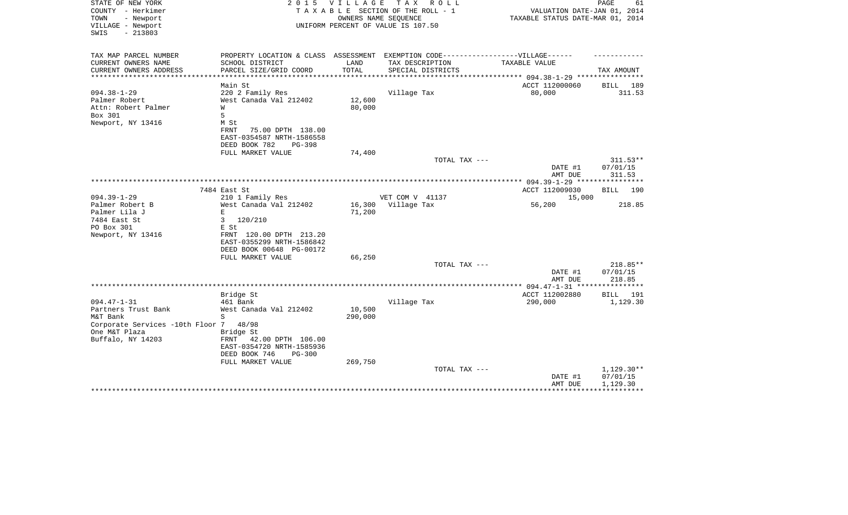| STATE OF NEW YORK<br>COUNTY - Herkimer<br>TOWN<br>- Newport | 2 0 1 5                                            | V I L L A G E              | T A X<br>R O L L<br>TAXABLE SECTION OF THE ROLL - 1<br>OWNERS NAME SEQUENCE       | VALUATION DATE-JAN 01, 2014<br>TAXABLE STATUS DATE-MAR 01, 2014 | PAGE<br>61           |
|-------------------------------------------------------------|----------------------------------------------------|----------------------------|-----------------------------------------------------------------------------------|-----------------------------------------------------------------|----------------------|
| VILLAGE - Newport<br>$-213803$<br>SWIS                      |                                                    |                            | UNIFORM PERCENT OF VALUE IS 107.50                                                |                                                                 |                      |
| TAX MAP PARCEL NUMBER                                       |                                                    |                            | PROPERTY LOCATION & CLASS ASSESSMENT EXEMPTION CODE-----------------VILLAGE------ |                                                                 |                      |
| CURRENT OWNERS NAME                                         | SCHOOL DISTRICT                                    | LAND                       | TAX DESCRIPTION                                                                   | TAXABLE VALUE                                                   |                      |
| CURRENT OWNERS ADDRESS<br>*********************             | PARCEL SIZE/GRID COORD<br>************************ | TOTAL<br>***************** | SPECIAL DISTRICTS                                                                 |                                                                 | TAX AMOUNT           |
|                                                             | Main St                                            |                            |                                                                                   | ACCT 112000060                                                  | BILL 189             |
| $094.38 - 1 - 29$                                           | 220 2 Family Res                                   |                            | Village Tax                                                                       | 80,000                                                          | 311.53               |
| Palmer Robert                                               | West Canada Val 212402                             | 12,600                     |                                                                                   |                                                                 |                      |
| Attn: Robert Palmer                                         | W                                                  | 80,000                     |                                                                                   |                                                                 |                      |
| Box 301                                                     | 5                                                  |                            |                                                                                   |                                                                 |                      |
| Newport, NY 13416                                           | M St                                               |                            |                                                                                   |                                                                 |                      |
|                                                             | 75.00 DPTH 138.00<br>FRNT                          |                            |                                                                                   |                                                                 |                      |
|                                                             | EAST-0354587 NRTH-1586558                          |                            |                                                                                   |                                                                 |                      |
|                                                             | DEED BOOK 782<br>$PG-398$                          |                            |                                                                                   |                                                                 |                      |
|                                                             | FULL MARKET VALUE                                  | 74,400                     |                                                                                   |                                                                 |                      |
|                                                             |                                                    |                            | TOTAL TAX ---                                                                     |                                                                 | 311.53**             |
|                                                             |                                                    |                            |                                                                                   | DATE #1<br>AMT DUE                                              | 07/01/15<br>311.53   |
|                                                             |                                                    |                            |                                                                                   |                                                                 |                      |
|                                                             | 7484 East St                                       |                            |                                                                                   | ACCT 112009030                                                  | BILL 190             |
| $094.39 - 1 - 29$                                           | 210 1 Family Res                                   |                            | VET COM V 41137                                                                   | 15,000                                                          |                      |
| Palmer Robert B                                             | West Canada Val 212402                             | 16,300                     | Village Tax                                                                       | 56,200                                                          | 218.85               |
| Palmer Lila J                                               | $\mathbf E$                                        | 71,200                     |                                                                                   |                                                                 |                      |
| 7484 East St                                                | 3<br>120/210                                       |                            |                                                                                   |                                                                 |                      |
| PO Box 301                                                  | E St                                               |                            |                                                                                   |                                                                 |                      |
| Newport, NY 13416                                           | FRNT 120.00 DPTH 213.20                            |                            |                                                                                   |                                                                 |                      |
|                                                             | EAST-0355299 NRTH-1586842                          |                            |                                                                                   |                                                                 |                      |
|                                                             | DEED BOOK 00648 PG-00172                           |                            |                                                                                   |                                                                 |                      |
|                                                             | FULL MARKET VALUE                                  | 66,250                     |                                                                                   |                                                                 |                      |
|                                                             |                                                    |                            | TOTAL TAX ---                                                                     | DATE #1                                                         | 218.85**<br>07/01/15 |
|                                                             |                                                    |                            |                                                                                   | AMT DUE                                                         | 218.85               |
|                                                             |                                                    |                            |                                                                                   | **************** 094.47-1-31 *****************                  |                      |
|                                                             | Bridge St                                          |                            |                                                                                   | ACCT 112002880                                                  | <b>BILL</b><br>191   |
| $094.47 - 1 - 31$                                           | 461 Bank                                           |                            | Village Tax                                                                       | 290,000                                                         | 1,129.30             |
| Partners Trust Bank                                         | West Canada Val 212402                             | 10,500                     |                                                                                   |                                                                 |                      |
| M&T Bank                                                    | S                                                  | 290,000                    |                                                                                   |                                                                 |                      |
| Corporate Services -10th Floor 7                            | 48/98                                              |                            |                                                                                   |                                                                 |                      |
| One M&T Plaza                                               | Bridge St                                          |                            |                                                                                   |                                                                 |                      |
| Buffalo, NY 14203                                           | FRNT<br>42.00 DPTH 106.00                          |                            |                                                                                   |                                                                 |                      |
|                                                             | EAST-0354720 NRTH-1585936                          |                            |                                                                                   |                                                                 |                      |
|                                                             | DEED BOOK 746<br>$PG-300$                          |                            |                                                                                   |                                                                 |                      |
|                                                             | FULL MARKET VALUE                                  | 269,750                    | TOTAL TAX ---                                                                     |                                                                 | $1,129.30**$         |
|                                                             |                                                    |                            |                                                                                   | DATE #1                                                         | 07/01/15             |
|                                                             |                                                    |                            |                                                                                   | AMT DUE                                                         | 1,129.30             |
|                                                             |                                                    |                            |                                                                                   |                                                                 |                      |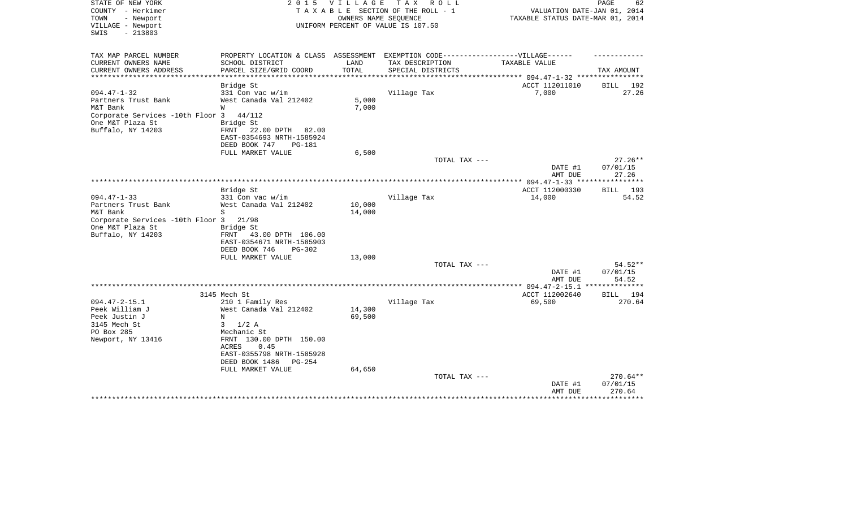| STATE OF NEW YORK<br>COUNTY - Herkimer<br>TOWN<br>- Newport<br>VILLAGE - Newport<br>SWIS<br>$-213803$ | 2 0 1 5                                                                           | VILLAGE                | TAX ROLL<br>TAXABLE SECTION OF THE ROLL - 1<br>OWNERS NAME SEQUENCE<br>UNIFORM PERCENT OF VALUE IS 107.50 | VALUATION DATE-JAN 01, 2014<br>TAXABLE STATUS DATE-MAR 01, 2014 | PAGE<br>62           |
|-------------------------------------------------------------------------------------------------------|-----------------------------------------------------------------------------------|------------------------|-----------------------------------------------------------------------------------------------------------|-----------------------------------------------------------------|----------------------|
| TAX MAP PARCEL NUMBER                                                                                 | PROPERTY LOCATION & CLASS ASSESSMENT EXEMPTION CODE-----------------VILLAGE------ |                        |                                                                                                           |                                                                 |                      |
| CURRENT OWNERS NAME                                                                                   | SCHOOL DISTRICT                                                                   | LAND                   | TAX DESCRIPTION                                                                                           | TAXABLE VALUE                                                   |                      |
| CURRENT OWNERS ADDRESS<br>*********************                                                       | PARCEL SIZE/GRID COORD                                                            | TOTAL<br>************* | SPECIAL DISTRICTS                                                                                         |                                                                 | TAX AMOUNT           |
|                                                                                                       | Bridge St                                                                         |                        |                                                                                                           | ACCT 112011010                                                  | BILL 192             |
| $094.47 - 1 - 32$                                                                                     | 331 Com vac w/im                                                                  |                        | Village Tax                                                                                               | 7,000                                                           | 27.26                |
| Partners Trust Bank                                                                                   | West Canada Val 212402                                                            | 5,000                  |                                                                                                           |                                                                 |                      |
| M&T Bank                                                                                              | W                                                                                 | 7,000                  |                                                                                                           |                                                                 |                      |
| Corporate Services -10th Floor 3                                                                      | 44/112                                                                            |                        |                                                                                                           |                                                                 |                      |
| One M&T Plaza St<br>Buffalo, NY 14203                                                                 | Bridge St<br>FRNT 22.00 DPTH 82.00                                                |                        |                                                                                                           |                                                                 |                      |
|                                                                                                       | EAST-0354693 NRTH-1585924                                                         |                        |                                                                                                           |                                                                 |                      |
|                                                                                                       | DEED BOOK 747<br>PG-181                                                           |                        |                                                                                                           |                                                                 |                      |
|                                                                                                       | FULL MARKET VALUE                                                                 | 6,500                  |                                                                                                           |                                                                 |                      |
|                                                                                                       |                                                                                   |                        | TOTAL TAX ---                                                                                             |                                                                 | $27.26**$            |
|                                                                                                       |                                                                                   |                        |                                                                                                           | DATE #1                                                         | 07/01/15             |
|                                                                                                       |                                                                                   |                        |                                                                                                           | AMT DUE                                                         | 27.26<br>*********** |
|                                                                                                       | Bridge St                                                                         |                        |                                                                                                           | ACCT 112000330                                                  | <b>BILL</b> 193      |
| $094.47 - 1 - 33$                                                                                     | $331$ Com vac w/im                                                                |                        | Village Tax                                                                                               | 14,000                                                          | 54.52                |
| Partners Trust Bank                                                                                   | West Canada Val 212402                                                            | 10,000                 |                                                                                                           |                                                                 |                      |
| M&T Bank                                                                                              | S                                                                                 | 14,000                 |                                                                                                           |                                                                 |                      |
| Corporate Services -10th Floor 3                                                                      | 21/98                                                                             |                        |                                                                                                           |                                                                 |                      |
| One M&T Plaza St                                                                                      | Bridge St                                                                         |                        |                                                                                                           |                                                                 |                      |
| Buffalo, NY 14203                                                                                     | FRNT 43.00 DPTH 106.00                                                            |                        |                                                                                                           |                                                                 |                      |
|                                                                                                       | EAST-0354671 NRTH-1585903<br>DEED BOOK 746<br>$PG-302$                            |                        |                                                                                                           |                                                                 |                      |
|                                                                                                       | FULL MARKET VALUE                                                                 | 13,000                 |                                                                                                           |                                                                 |                      |
|                                                                                                       |                                                                                   |                        | TOTAL TAX ---                                                                                             |                                                                 | 54.52**              |
|                                                                                                       |                                                                                   |                        |                                                                                                           | DATE #1                                                         | 07/01/15             |
|                                                                                                       |                                                                                   |                        |                                                                                                           | AMT DUE                                                         | 54.52                |
|                                                                                                       |                                                                                   |                        |                                                                                                           | **** 094.47-2-15.1                                              | * * * * * * * *      |
| $094.47 - 2 - 15.1$                                                                                   | 3145 Mech St                                                                      |                        |                                                                                                           | ACCT 112002640                                                  | 194<br>BILL          |
| Peek William J                                                                                        | 210 1 Family Res<br>West Canada Val 212402                                        | 14,300                 | Village Tax                                                                                               | 69,500                                                          | 270.64               |
| Peek Justin J                                                                                         | N                                                                                 | 69,500                 |                                                                                                           |                                                                 |                      |
| 3145 Mech St                                                                                          | $3 \frac{1}{2}$ A                                                                 |                        |                                                                                                           |                                                                 |                      |
| PO Box 285                                                                                            | Mechanic St                                                                       |                        |                                                                                                           |                                                                 |                      |
| Newport, NY 13416                                                                                     | FRNT 130.00 DPTH 150.00                                                           |                        |                                                                                                           |                                                                 |                      |
|                                                                                                       | 0.45<br>ACRES                                                                     |                        |                                                                                                           |                                                                 |                      |
|                                                                                                       | EAST-0355798 NRTH-1585928                                                         |                        |                                                                                                           |                                                                 |                      |
|                                                                                                       | DEED BOOK 1486<br>PG-254<br>FULL MARKET VALUE                                     | 64,650                 |                                                                                                           |                                                                 |                      |
|                                                                                                       |                                                                                   |                        | TOTAL TAX ---                                                                                             |                                                                 | $270.64**$           |
|                                                                                                       |                                                                                   |                        |                                                                                                           | DATE #1                                                         | 07/01/15             |
|                                                                                                       |                                                                                   |                        |                                                                                                           | AMT DUE                                                         | 270.64               |
|                                                                                                       |                                                                                   |                        |                                                                                                           |                                                                 |                      |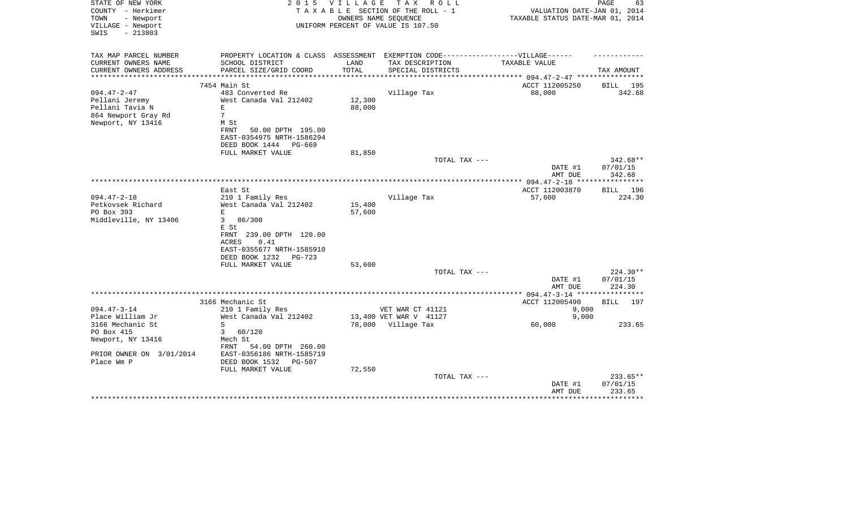| STATE OF NEW YORK<br>COUNTY - Herkimer<br>- Newport<br>TOWN<br>VILLAGE - Newport<br>$-213803$<br>SWIS | 2 0 1 5                                               | <b>VILLAGE</b>               | T A X<br>R O L L<br>TAXABLE SECTION OF THE ROLL - 1<br>OWNERS NAME SEQUENCE<br>UNIFORM PERCENT OF VALUE IS 107.50 | VALUATION DATE-JAN 01, 2014<br>TAXABLE STATUS DATE-MAR 01, 2014 | PAGE<br>63           |
|-------------------------------------------------------------------------------------------------------|-------------------------------------------------------|------------------------------|-------------------------------------------------------------------------------------------------------------------|-----------------------------------------------------------------|----------------------|
| TAX MAP PARCEL NUMBER                                                                                 | PROPERTY LOCATION & CLASS ASSESSMENT                  |                              | EXEMPTION CODE------------------VILLAGE------                                                                     |                                                                 |                      |
| CURRENT OWNERS NAME                                                                                   | SCHOOL DISTRICT                                       | LAND                         | TAX DESCRIPTION                                                                                                   | TAXABLE VALUE                                                   |                      |
| CURRENT OWNERS ADDRESS<br>*******************                                                         | PARCEL SIZE/GRID COORD                                | TOTAL<br>* * * * * * * * * * | SPECIAL DISTRICTS                                                                                                 |                                                                 | TAX AMOUNT           |
|                                                                                                       | 7454 Main St                                          |                              |                                                                                                                   | ******************* 094.47-2-47 ****<br>ACCT 112005250          | BILL 195             |
| $094.47 - 2 - 47$                                                                                     | 483 Converted Re                                      |                              | Village Tax                                                                                                       | 88,000                                                          | 342.68               |
| Pellani Jeremy                                                                                        | West Canada Val 212402                                | 12,300                       |                                                                                                                   |                                                                 |                      |
| Pellani Tavia N                                                                                       | E                                                     | 88,000                       |                                                                                                                   |                                                                 |                      |
| 864 Newport Gray Rd                                                                                   | $7\overline{ }$                                       |                              |                                                                                                                   |                                                                 |                      |
| Newport, NY 13416                                                                                     | M St                                                  |                              |                                                                                                                   |                                                                 |                      |
|                                                                                                       | FRNT<br>50.00 DPTH 195.00                             |                              |                                                                                                                   |                                                                 |                      |
|                                                                                                       | EAST-0354975 NRTH-1586294<br>DEED BOOK 1444<br>PG-669 |                              |                                                                                                                   |                                                                 |                      |
|                                                                                                       | FULL MARKET VALUE                                     | 81,850                       |                                                                                                                   |                                                                 |                      |
|                                                                                                       |                                                       |                              | TOTAL TAX ---                                                                                                     |                                                                 | 342.68**             |
|                                                                                                       |                                                       |                              |                                                                                                                   | DATE #1                                                         | 07/01/15             |
|                                                                                                       |                                                       |                              |                                                                                                                   | AMT DUE                                                         | 342.68<br>********** |
|                                                                                                       | East St                                               |                              |                                                                                                                   | ACCT 112003870                                                  | BILL 196             |
| $094.47 - 2 - 18$                                                                                     | 210 1 Family Res                                      |                              | Village Tax                                                                                                       | 57,600                                                          | 224.30               |
| Petkovsek Richard                                                                                     | West Canada Val 212402                                | 15,400                       |                                                                                                                   |                                                                 |                      |
| PO Box 393                                                                                            | E                                                     | 57,600                       |                                                                                                                   |                                                                 |                      |
| Middleville, NY 13406                                                                                 | 3<br>86/300                                           |                              |                                                                                                                   |                                                                 |                      |
|                                                                                                       | E St                                                  |                              |                                                                                                                   |                                                                 |                      |
|                                                                                                       | FRNT 239.00 DPTH 120.00                               |                              |                                                                                                                   |                                                                 |                      |
|                                                                                                       | 0.41<br>ACRES                                         |                              |                                                                                                                   |                                                                 |                      |
|                                                                                                       | EAST-0355677 NRTH-1585910                             |                              |                                                                                                                   |                                                                 |                      |
|                                                                                                       | DEED BOOK 1232<br>$PG-723$<br>FULL MARKET VALUE       | 53,600                       |                                                                                                                   |                                                                 |                      |
|                                                                                                       |                                                       |                              | TOTAL TAX ---                                                                                                     |                                                                 | $224.30**$           |
|                                                                                                       |                                                       |                              |                                                                                                                   | DATE #1                                                         | 07/01/15             |
|                                                                                                       |                                                       |                              |                                                                                                                   | AMT DUE                                                         | 224.30               |
|                                                                                                       |                                                       |                              |                                                                                                                   | ***************** 094.47-3-14 *****************                 |                      |
|                                                                                                       | 3166 Mechanic St                                      |                              |                                                                                                                   | ACCT 112005490                                                  | BILL 197             |
| $094.47 - 3 - 14$                                                                                     | 210 1 Family Res                                      |                              | VET WAR CT 41121                                                                                                  | 9,000                                                           |                      |
| Place William Jr                                                                                      | West Canada Val 212402                                |                              | 13,400 VET WAR V 41127                                                                                            | 9,000                                                           |                      |
| 3166 Mechanic St<br>PO Box 415                                                                        | S<br>3<br>60/120                                      |                              | 78,000 Village Tax                                                                                                | 60,000                                                          | 233.65               |
| Newport, NY 13416                                                                                     | Mech St                                               |                              |                                                                                                                   |                                                                 |                      |
|                                                                                                       | 54.00 DPTH 260.00<br>FRNT                             |                              |                                                                                                                   |                                                                 |                      |
| PRIOR OWNER ON 3/01/2014                                                                              | EAST-0356186 NRTH-1585719                             |                              |                                                                                                                   |                                                                 |                      |
| Place Wm P                                                                                            | DEED BOOK 1532<br>PG-507                              |                              |                                                                                                                   |                                                                 |                      |
|                                                                                                       | FULL MARKET VALUE                                     | 72,550                       |                                                                                                                   |                                                                 |                      |
|                                                                                                       |                                                       |                              | TOTAL TAX ---                                                                                                     |                                                                 | 233.65**             |
|                                                                                                       |                                                       |                              |                                                                                                                   | DATE #1                                                         | 07/01/15             |
|                                                                                                       |                                                       |                              |                                                                                                                   | AMT DUE                                                         | 233.65               |
|                                                                                                       |                                                       |                              |                                                                                                                   |                                                                 |                      |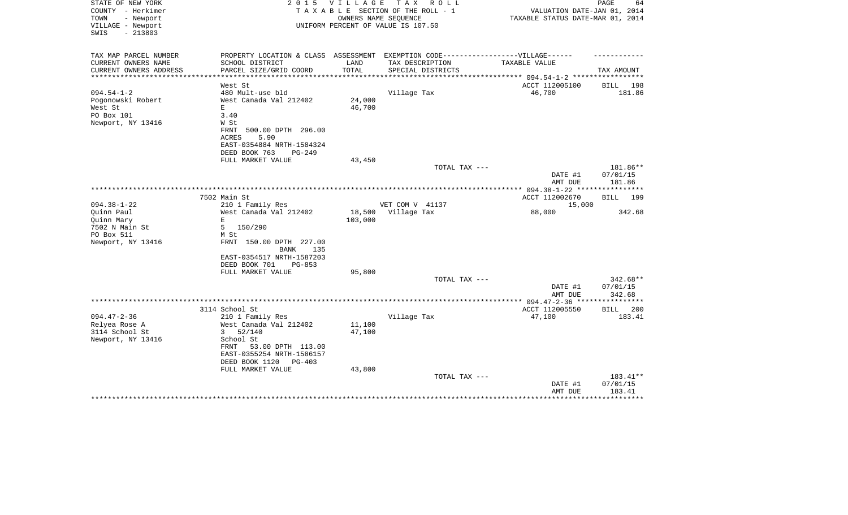| STATE OF NEW YORK<br>COUNTY - Herkimer<br>TOWN<br>- Newport<br>VILLAGE - Newport<br>$-213803$<br>SWIS | 2 0 1 5                                                                           | VILLAGE | TAX ROLL<br>TAXABLE SECTION OF THE ROLL - 1<br>OWNERS NAME SEQUENCE<br>UNIFORM PERCENT OF VALUE IS 107.50 | VALUATION DATE-JAN 01, 2014<br>TAXABLE STATUS DATE-MAR 01, 2014 | $\mathop{\mathtt{PAGE}}$<br>64 |
|-------------------------------------------------------------------------------------------------------|-----------------------------------------------------------------------------------|---------|-----------------------------------------------------------------------------------------------------------|-----------------------------------------------------------------|--------------------------------|
|                                                                                                       |                                                                                   |         |                                                                                                           |                                                                 |                                |
| TAX MAP PARCEL NUMBER                                                                                 | PROPERTY LOCATION & CLASS ASSESSMENT EXEMPTION CODE-----------------VILLAGE------ |         |                                                                                                           |                                                                 |                                |
| CURRENT OWNERS NAME                                                                                   | SCHOOL DISTRICT                                                                   | LAND    | TAX DESCRIPTION                                                                                           | TAXABLE VALUE                                                   |                                |
| CURRENT OWNERS ADDRESS<br>**********************                                                      | PARCEL SIZE/GRID COORD                                                            | TOTAL   | SPECIAL DISTRICTS                                                                                         | ****************************** 094.54-1-2 *****************     | TAX AMOUNT                     |
|                                                                                                       | West St                                                                           |         |                                                                                                           | ACCT 112005100                                                  | BILL 198                       |
| $094.54 - 1 - 2$                                                                                      | 480 Mult-use bld                                                                  |         | Village Tax                                                                                               | 46,700                                                          | 181.86                         |
| Pogonowski Robert                                                                                     | West Canada Val 212402                                                            | 24,000  |                                                                                                           |                                                                 |                                |
| West St                                                                                               | E                                                                                 | 46,700  |                                                                                                           |                                                                 |                                |
| PO Box 101                                                                                            | 3.40                                                                              |         |                                                                                                           |                                                                 |                                |
| Newport, NY 13416                                                                                     | W St                                                                              |         |                                                                                                           |                                                                 |                                |
|                                                                                                       | FRNT<br>500.00 DPTH 296.00<br>5.90<br><b>ACRES</b>                                |         |                                                                                                           |                                                                 |                                |
|                                                                                                       | EAST-0354884 NRTH-1584324                                                         |         |                                                                                                           |                                                                 |                                |
|                                                                                                       | DEED BOOK 763<br>PG-249                                                           |         |                                                                                                           |                                                                 |                                |
|                                                                                                       | FULL MARKET VALUE                                                                 | 43,450  |                                                                                                           |                                                                 |                                |
|                                                                                                       |                                                                                   |         | TOTAL TAX ---                                                                                             |                                                                 | 181.86**                       |
|                                                                                                       |                                                                                   |         |                                                                                                           | DATE #1                                                         | 07/01/15                       |
|                                                                                                       |                                                                                   |         |                                                                                                           | AMT DUE<br>*** 094.38-1-22 ****************                     | 181.86                         |
|                                                                                                       | 7502 Main St                                                                      |         |                                                                                                           | ACCT 112002670                                                  | 199<br>BILL                    |
| $094.38 - 1 - 22$                                                                                     | 210 1 Family Res                                                                  |         | VET COM V 41137                                                                                           | 15,000                                                          |                                |
| Quinn Paul                                                                                            | West Canada Val 212402                                                            | 18,500  | Village Tax                                                                                               | 88,000                                                          | 342.68                         |
| Quinn Mary                                                                                            | E                                                                                 | 103,000 |                                                                                                           |                                                                 |                                |
| 7502 N Main St                                                                                        | 5 150/290                                                                         |         |                                                                                                           |                                                                 |                                |
| PO Box 511                                                                                            | M St                                                                              |         |                                                                                                           |                                                                 |                                |
| Newport, NY 13416                                                                                     | FRNT 150.00 DPTH 227.00<br><b>BANK</b><br>135                                     |         |                                                                                                           |                                                                 |                                |
|                                                                                                       | EAST-0354517 NRTH-1587203<br>DEED BOOK 701<br>$PG-853$                            |         |                                                                                                           |                                                                 |                                |
|                                                                                                       | FULL MARKET VALUE                                                                 | 95,800  |                                                                                                           |                                                                 |                                |
|                                                                                                       |                                                                                   |         | TOTAL TAX ---                                                                                             |                                                                 | $342.68**$                     |
|                                                                                                       |                                                                                   |         |                                                                                                           | DATE #1                                                         | 07/01/15                       |
|                                                                                                       |                                                                                   |         |                                                                                                           | AMT DUE                                                         | 342.68<br>*********            |
|                                                                                                       | 3114 School St                                                                    |         |                                                                                                           | ACCT 112005550                                                  | <b>BILL</b><br>200             |
| $094.47 - 2 - 36$                                                                                     | 210 1 Family Res                                                                  |         | Village Tax                                                                                               | 47,100                                                          | 183.41                         |
| Relyea Rose A                                                                                         | West Canada Val 212402                                                            | 11,100  |                                                                                                           |                                                                 |                                |
| 3114 School St                                                                                        | 3<br>52/140                                                                       | 47,100  |                                                                                                           |                                                                 |                                |
| Newport, NY 13416                                                                                     | School St                                                                         |         |                                                                                                           |                                                                 |                                |
|                                                                                                       | FRNT<br>53.00 DPTH 113.00                                                         |         |                                                                                                           |                                                                 |                                |
|                                                                                                       | EAST-0355254 NRTH-1586157                                                         |         |                                                                                                           |                                                                 |                                |
|                                                                                                       | DEED BOOK 1120<br>$PG-403$<br>FULL MARKET VALUE                                   | 43,800  |                                                                                                           |                                                                 |                                |
|                                                                                                       |                                                                                   |         | TOTAL TAX ---                                                                                             |                                                                 | 183.41**                       |
|                                                                                                       |                                                                                   |         |                                                                                                           | DATE #1                                                         | 07/01/15                       |
|                                                                                                       |                                                                                   |         |                                                                                                           | AMT DUE                                                         | 183.41                         |
|                                                                                                       |                                                                                   |         |                                                                                                           |                                                                 | ************                   |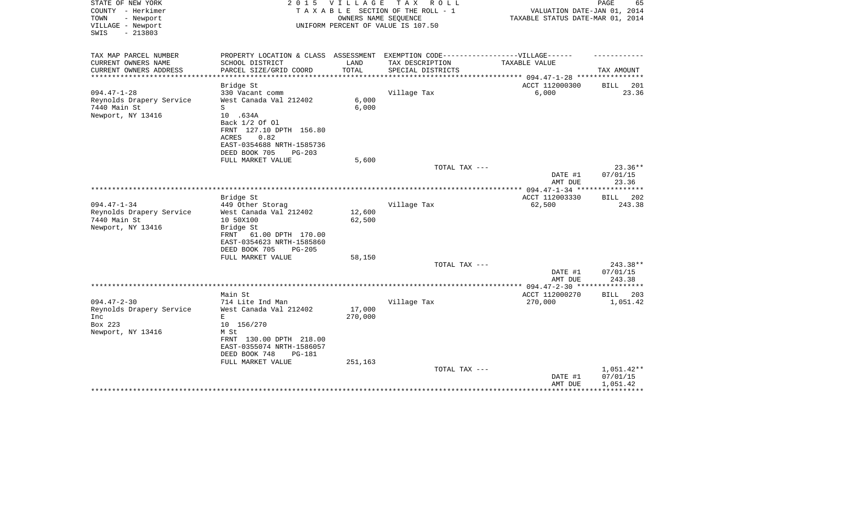| STATE OF NEW YORK<br>COUNTY - Herkimer<br>- Newport<br>TOWN<br>VILLAGE - Newport<br>$-213803$<br>SWIS | 2 0 1 5                                              | VILLAGE       | TAX ROLL<br>TAXABLE SECTION OF THE ROLL - 1<br>OWNERS NAME SEQUENCE<br>UNIFORM PERCENT OF VALUE IS 107.50 | VALUATION DATE-JAN 01, 2014<br>TAXABLE STATUS DATE-MAR 01, 2014 | PAGE<br>65             |
|-------------------------------------------------------------------------------------------------------|------------------------------------------------------|---------------|-----------------------------------------------------------------------------------------------------------|-----------------------------------------------------------------|------------------------|
| TAX MAP PARCEL NUMBER                                                                                 | PROPERTY LOCATION & CLASS ASSESSMENT                 |               | EXEMPTION CODE------------------VILLAGE------                                                             |                                                                 |                        |
| CURRENT OWNERS NAME                                                                                   | SCHOOL DISTRICT                                      | LAND<br>TOTAL | TAX DESCRIPTION                                                                                           | TAXABLE VALUE                                                   |                        |
| CURRENT OWNERS ADDRESS<br>****************                                                            | PARCEL SIZE/GRID COORD                               |               | SPECIAL DISTRICTS                                                                                         |                                                                 | TAX AMOUNT             |
|                                                                                                       | Bridge St                                            |               |                                                                                                           | ACCT 112000300                                                  | BILL<br>201            |
| $094.47 - 1 - 28$                                                                                     | 330 Vacant comm                                      |               | Village Tax                                                                                               | 6,000                                                           | 23.36                  |
| Reynolds Drapery Service                                                                              | West Canada Val 212402                               | 6,000         |                                                                                                           |                                                                 |                        |
| 7440 Main St                                                                                          | S                                                    | 6,000         |                                                                                                           |                                                                 |                        |
| Newport, NY 13416                                                                                     | 10 .634A                                             |               |                                                                                                           |                                                                 |                        |
|                                                                                                       | Back 1/2 Of 01<br>FRNT 127.10 DPTH 156.80            |               |                                                                                                           |                                                                 |                        |
|                                                                                                       | 0.82<br>ACRES                                        |               |                                                                                                           |                                                                 |                        |
|                                                                                                       | EAST-0354688 NRTH-1585736                            |               |                                                                                                           |                                                                 |                        |
|                                                                                                       | DEED BOOK 705<br>$PG-203$                            |               |                                                                                                           |                                                                 |                        |
|                                                                                                       | FULL MARKET VALUE                                    | 5,600         |                                                                                                           |                                                                 |                        |
|                                                                                                       |                                                      |               | TOTAL TAX ---                                                                                             |                                                                 | $23.36**$              |
|                                                                                                       |                                                      |               |                                                                                                           | DATE #1                                                         | 07/01/15               |
| ******************************                                                                        |                                                      |               |                                                                                                           | AMT DUE                                                         | 23.36                  |
|                                                                                                       |                                                      |               |                                                                                                           | ACCT 112003330                                                  | * * * * * * * *<br>202 |
| $094.47 - 1 - 34$                                                                                     | Bridge St<br>449 Other Storag                        |               | Village Tax                                                                                               | 62,500                                                          | BILL<br>243.38         |
| Reynolds Drapery Service                                                                              | West Canada Val 212402                               | 12,600        |                                                                                                           |                                                                 |                        |
| 7440 Main St                                                                                          | 10 50X100                                            | 62,500        |                                                                                                           |                                                                 |                        |
| Newport, NY 13416                                                                                     | Bridge St                                            |               |                                                                                                           |                                                                 |                        |
|                                                                                                       | 61.00 DPTH 170.00<br>FRNT                            |               |                                                                                                           |                                                                 |                        |
|                                                                                                       | EAST-0354623 NRTH-1585860                            |               |                                                                                                           |                                                                 |                        |
|                                                                                                       | DEED BOOK 705<br>$PG-205$                            |               |                                                                                                           |                                                                 |                        |
|                                                                                                       | FULL MARKET VALUE                                    | 58,150        |                                                                                                           |                                                                 |                        |
|                                                                                                       |                                                      |               | TOTAL TAX ---                                                                                             |                                                                 | 243.38**<br>07/01/15   |
|                                                                                                       |                                                      |               |                                                                                                           | DATE #1<br>AMT DUE                                              | 243.38                 |
|                                                                                                       |                                                      |               |                                                                                                           | *********** 094.47-2-30 *****************                       |                        |
|                                                                                                       | Main St                                              |               |                                                                                                           | ACCT 112000270                                                  | BILL<br>203            |
| $094.47 - 2 - 30$                                                                                     | 714 Lite Ind Man                                     |               | Village Tax                                                                                               | 270,000                                                         | 1,051.42               |
| Reynolds Drapery Service                                                                              | West Canada Val 212402                               | 17,000        |                                                                                                           |                                                                 |                        |
| Inc                                                                                                   | E                                                    | 270,000       |                                                                                                           |                                                                 |                        |
| Box 223                                                                                               | 10 156/270                                           |               |                                                                                                           |                                                                 |                        |
| Newport, NY 13416                                                                                     | M St                                                 |               |                                                                                                           |                                                                 |                        |
|                                                                                                       | FRNT 130.00 DPTH 218.00<br>EAST-0355074 NRTH-1586057 |               |                                                                                                           |                                                                 |                        |
|                                                                                                       | DEED BOOK 748<br><b>PG-181</b>                       |               |                                                                                                           |                                                                 |                        |
|                                                                                                       | FULL MARKET VALUE                                    | 251,163       |                                                                                                           |                                                                 |                        |
|                                                                                                       |                                                      |               | TOTAL TAX ---                                                                                             |                                                                 | $1,051.42**$           |
|                                                                                                       |                                                      |               |                                                                                                           | DATE #1                                                         | 07/01/15               |
|                                                                                                       |                                                      |               |                                                                                                           | AMT DUE                                                         | 1,051.42               |
|                                                                                                       |                                                      |               |                                                                                                           |                                                                 |                        |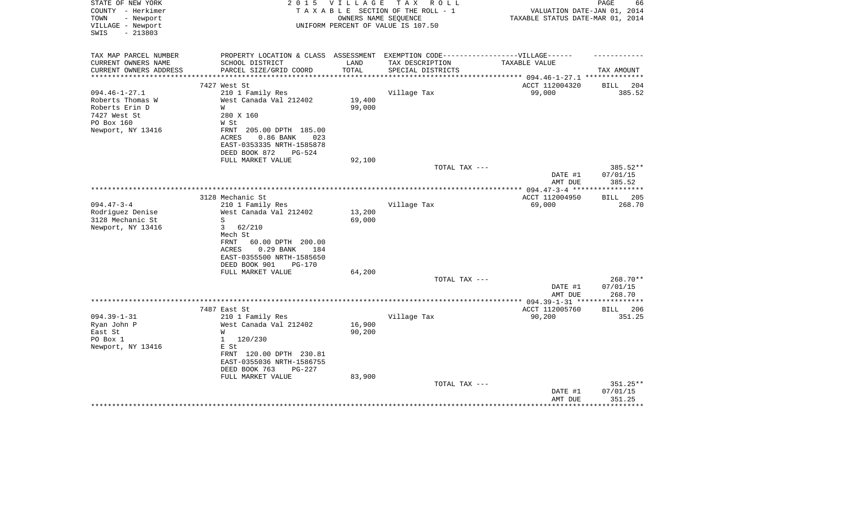| STATE OF NEW YORK<br>COUNTY - Herkimer<br>TOWN<br>- Newport | 2 0 1 5                                                                          | V I L L A G E    | T A X<br>R O L L<br>TAXABLE SECTION OF THE ROLL - 1<br>OWNERS NAME SEQUENCE | VALUATION DATE-JAN 01, 2014<br>TAXABLE STATUS DATE-MAR 01, 2014 | PAGE<br>66              |
|-------------------------------------------------------------|----------------------------------------------------------------------------------|------------------|-----------------------------------------------------------------------------|-----------------------------------------------------------------|-------------------------|
| VILLAGE - Newport<br>SWIS<br>$-213803$                      |                                                                                  |                  | UNIFORM PERCENT OF VALUE IS 107.50                                          |                                                                 |                         |
| TAX MAP PARCEL NUMBER                                       | PROPERTY LOCATION & CLASS ASSESSMENT EXEMPTION CODE----------------VILLAGE------ |                  |                                                                             |                                                                 |                         |
| CURRENT OWNERS NAME                                         | SCHOOL DISTRICT                                                                  | LAND             | TAX DESCRIPTION                                                             | <b>TAXABLE VALUE</b>                                            |                         |
| CURRENT OWNERS ADDRESS                                      | PARCEL SIZE/GRID COORD                                                           | TOTAL            | SPECIAL DISTRICTS                                                           |                                                                 | TAX AMOUNT              |
| **********************                                      |                                                                                  |                  |                                                                             |                                                                 |                         |
| $094.46 - 1 - 27.1$                                         | 7427 West St<br>210 1 Family Res                                                 |                  | Village Tax                                                                 | ACCT 112004320<br>99,000                                        | BILL<br>204<br>385.52   |
| Roberts Thomas W                                            | West Canada Val 212402                                                           | 19,400           |                                                                             |                                                                 |                         |
| Roberts Erin D                                              | W                                                                                | 99,000           |                                                                             |                                                                 |                         |
| 7427 West St                                                | 280 X 160                                                                        |                  |                                                                             |                                                                 |                         |
| PO Box 160                                                  | W St                                                                             |                  |                                                                             |                                                                 |                         |
| Newport, NY 13416                                           | FRNT 205.00 DPTH 185.00                                                          |                  |                                                                             |                                                                 |                         |
|                                                             | <b>ACRES</b><br>0.86 BANK<br>023                                                 |                  |                                                                             |                                                                 |                         |
|                                                             | EAST-0353335 NRTH-1585878                                                        |                  |                                                                             |                                                                 |                         |
|                                                             | DEED BOOK 872<br>$PG-524$                                                        |                  |                                                                             |                                                                 |                         |
|                                                             | FULL MARKET VALUE                                                                | 92,100           |                                                                             |                                                                 |                         |
|                                                             |                                                                                  |                  | TOTAL TAX ---                                                               | DATE #1                                                         | 385.52**<br>07/01/15    |
|                                                             |                                                                                  |                  |                                                                             | AMT DUE                                                         | 385.52                  |
|                                                             |                                                                                  |                  |                                                                             |                                                                 |                         |
|                                                             | 3128 Mechanic St                                                                 |                  |                                                                             | ACCT 112004950                                                  | <b>BILL</b><br>205      |
| $094.47 - 3 - 4$                                            | 210 1 Family Res                                                                 |                  | Village Tax                                                                 | 69,000                                                          | 268.70                  |
| Rodriguez Denise                                            | West Canada Val 212402                                                           | 13,200           |                                                                             |                                                                 |                         |
| 3128 Mechanic St                                            | S                                                                                | 69,000           |                                                                             |                                                                 |                         |
| Newport, NY 13416                                           | 3<br>62/210                                                                      |                  |                                                                             |                                                                 |                         |
|                                                             | Mech St                                                                          |                  |                                                                             |                                                                 |                         |
|                                                             | FRNT<br>60.00 DPTH 200.00<br>0.29 BANK<br>ACRES<br>184                           |                  |                                                                             |                                                                 |                         |
|                                                             | EAST-0355500 NRTH-1585650                                                        |                  |                                                                             |                                                                 |                         |
|                                                             | DEED BOOK 901<br><b>PG-170</b>                                                   |                  |                                                                             |                                                                 |                         |
|                                                             | FULL MARKET VALUE                                                                | 64,200           |                                                                             |                                                                 |                         |
|                                                             |                                                                                  |                  | TOTAL TAX ---                                                               |                                                                 | 268.70**                |
|                                                             |                                                                                  |                  |                                                                             | DATE #1                                                         | 07/01/15                |
|                                                             |                                                                                  |                  |                                                                             | AMT DUE                                                         | 268.70                  |
|                                                             |                                                                                  |                  |                                                                             |                                                                 |                         |
|                                                             | 7487 East St                                                                     |                  |                                                                             | ACCT 112005760                                                  | <b>BILL</b><br>206      |
| $094.39 - 1 - 31$                                           | 210 1 Family Res                                                                 |                  | Village Tax                                                                 | 90,200                                                          | 351.25                  |
| Ryan John P<br>East St                                      | West Canada Val 212402<br>W                                                      | 16,900<br>90,200 |                                                                             |                                                                 |                         |
| PO Box 1                                                    | 120/230<br>$\mathbf{1}$                                                          |                  |                                                                             |                                                                 |                         |
| Newport, NY 13416                                           | E St                                                                             |                  |                                                                             |                                                                 |                         |
|                                                             | FRNT 120.00 DPTH 230.81                                                          |                  |                                                                             |                                                                 |                         |
|                                                             | EAST-0355036 NRTH-1586755                                                        |                  |                                                                             |                                                                 |                         |
|                                                             | DEED BOOK 763<br>$PG-227$                                                        |                  |                                                                             |                                                                 |                         |
|                                                             | FULL MARKET VALUE                                                                | 83,900           |                                                                             |                                                                 |                         |
|                                                             |                                                                                  |                  | TOTAL TAX ---                                                               |                                                                 | 351.25**                |
|                                                             |                                                                                  |                  |                                                                             | DATE #1                                                         | 07/01/15                |
|                                                             |                                                                                  |                  |                                                                             | AMT DUE                                                         | 351.25<br>************* |
|                                                             |                                                                                  |                  |                                                                             |                                                                 |                         |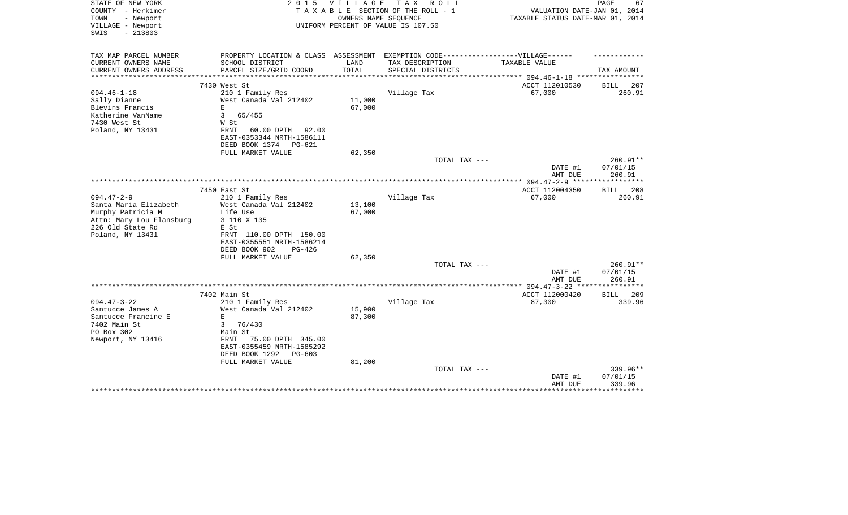| STATE OF NEW YORK<br>COUNTY - Herkimer<br>- Newport<br>TOWN | 2 0 1 5                                                                           | <b>VILLAGE</b> | T A X<br>R O L L<br>TAXABLE SECTION OF THE ROLL - 1<br>OWNERS NAME SEQUENCE | VALUATION DATE-JAN 01, 2014<br>TAXABLE STATUS DATE-MAR 01, 2014 | PAGE<br>67            |
|-------------------------------------------------------------|-----------------------------------------------------------------------------------|----------------|-----------------------------------------------------------------------------|-----------------------------------------------------------------|-----------------------|
| VILLAGE - Newport<br>$-213803$<br>SWIS                      |                                                                                   |                | UNIFORM PERCENT OF VALUE IS 107.50                                          |                                                                 |                       |
| TAX MAP PARCEL NUMBER                                       | PROPERTY LOCATION & CLASS ASSESSMENT EXEMPTION CODE-----------------VILLAGE------ |                |                                                                             |                                                                 |                       |
| CURRENT OWNERS NAME                                         | SCHOOL DISTRICT                                                                   | LAND           | TAX DESCRIPTION                                                             | TAXABLE VALUE                                                   |                       |
| CURRENT OWNERS ADDRESS                                      | PARCEL SIZE/GRID COORD                                                            | TOTAL          | SPECIAL DISTRICTS                                                           |                                                                 | TAX AMOUNT            |
|                                                             | 7430 West St                                                                      |                |                                                                             | ACCT 112010530                                                  | BILL<br>207           |
| $094.46 - 1 - 18$                                           | 210 1 Family Res                                                                  |                | Village Tax                                                                 | 67,000                                                          | 260.91                |
| Sally Dianne                                                | West Canada Val 212402                                                            | 11,000         |                                                                             |                                                                 |                       |
| Blevins Francis                                             | $\mathbf E$                                                                       | 67,000         |                                                                             |                                                                 |                       |
| Katherine VanName                                           | 3<br>65/455                                                                       |                |                                                                             |                                                                 |                       |
| 7430 West St                                                | W St                                                                              |                |                                                                             |                                                                 |                       |
| Poland, NY 13431                                            | 60.00 DPTH<br>92.00<br>FRNT                                                       |                |                                                                             |                                                                 |                       |
|                                                             | EAST-0353344 NRTH-1586111<br>DEED BOOK 1374<br>PG-621                             |                |                                                                             |                                                                 |                       |
|                                                             | FULL MARKET VALUE                                                                 | 62,350         |                                                                             |                                                                 |                       |
|                                                             |                                                                                   |                | TOTAL TAX ---                                                               |                                                                 | 260.91**              |
|                                                             |                                                                                   |                |                                                                             | DATE #1                                                         | 07/01/15              |
|                                                             |                                                                                   |                |                                                                             | AMT DUE                                                         | 260.91                |
|                                                             |                                                                                   |                |                                                                             |                                                                 |                       |
| $094.47 - 2 - 9$                                            | 7450 East St<br>210 1 Family Res                                                  |                | Village Tax                                                                 | ACCT 112004350<br>67,000                                        | BILL<br>208<br>260.91 |
| Santa Maria Elizabeth                                       | West Canada Val 212402                                                            | 13,100         |                                                                             |                                                                 |                       |
| Murphy Patricia M                                           | Life Use                                                                          | 67,000         |                                                                             |                                                                 |                       |
| Attn: Mary Lou Flansburg                                    | 3 110 X 135                                                                       |                |                                                                             |                                                                 |                       |
| 226 Old State Rd                                            | E St                                                                              |                |                                                                             |                                                                 |                       |
| Poland, NY 13431                                            | FRNT 110.00 DPTH 150.00                                                           |                |                                                                             |                                                                 |                       |
|                                                             | EAST-0355551 NRTH-1586214                                                         |                |                                                                             |                                                                 |                       |
|                                                             | DEED BOOK 902<br>$PG-426$                                                         |                |                                                                             |                                                                 |                       |
|                                                             | FULL MARKET VALUE                                                                 | 62,350         |                                                                             |                                                                 |                       |
|                                                             |                                                                                   |                | TOTAL TAX ---                                                               | DATE #1                                                         | 260.91**<br>07/01/15  |
|                                                             |                                                                                   |                |                                                                             | AMT DUE                                                         | 260.91                |
|                                                             |                                                                                   |                |                                                                             | ************ 094.47-3-22 *****************                      |                       |
|                                                             | 7402 Main St                                                                      |                |                                                                             | ACCT 112000420                                                  | 209<br>BILL           |
| $094.47 - 3 - 22$                                           | 210 1 Family Res                                                                  |                | Village Tax                                                                 | 87,300                                                          | 339.96                |
| Santucce James A                                            | West Canada Val 212402                                                            | 15,900         |                                                                             |                                                                 |                       |
| Santucce Francine E                                         | E                                                                                 | 87,300         |                                                                             |                                                                 |                       |
| 7402 Main St<br>PO Box 302                                  | 76/430<br>3<br>Main St                                                            |                |                                                                             |                                                                 |                       |
| Newport, NY 13416                                           | 75.00 DPTH 345.00<br>FRNT                                                         |                |                                                                             |                                                                 |                       |
|                                                             | EAST-0355459 NRTH-1585292                                                         |                |                                                                             |                                                                 |                       |
|                                                             | DEED BOOK 1292<br>PG-603                                                          |                |                                                                             |                                                                 |                       |
|                                                             | FULL MARKET VALUE                                                                 | 81,200         |                                                                             |                                                                 |                       |
|                                                             |                                                                                   |                | TOTAL TAX ---                                                               |                                                                 | 339.96**              |
|                                                             |                                                                                   |                |                                                                             | DATE #1                                                         | 07/01/15              |
|                                                             |                                                                                   |                |                                                                             | AMT DUE                                                         | 339.96                |
|                                                             |                                                                                   |                |                                                                             |                                                                 |                       |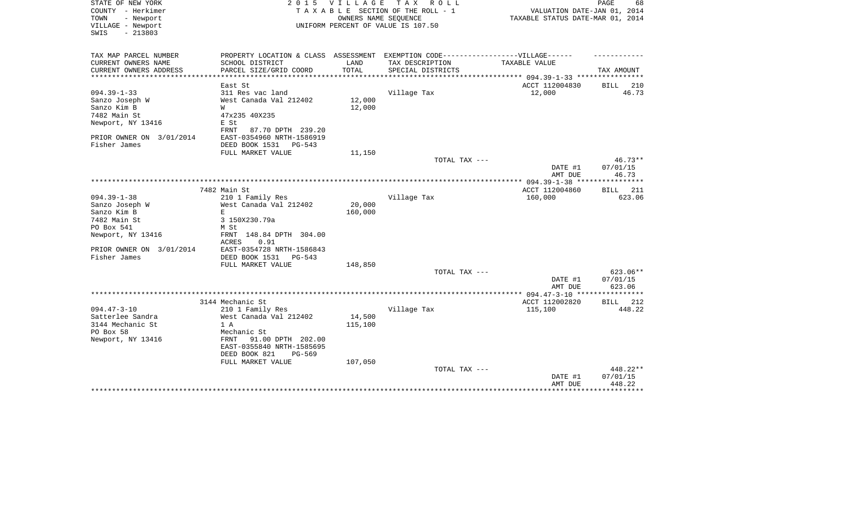| STATE OF NEW YORK<br>COUNTY - Herkimer<br>- Newport<br>TOWN<br>VILLAGE - Newport | 2 0 1 5                                                                           | V I L L A G E | тах<br>R O L L<br>TAXABLE SECTION OF THE ROLL - 1<br>OWNERS NAME SEQUENCE<br>UNIFORM PERCENT OF VALUE IS 107.50 | VALUATION DATE-JAN 01, 2014<br>TAXABLE STATUS DATE-MAR 01, 2014 | PAGE<br>68            |
|----------------------------------------------------------------------------------|-----------------------------------------------------------------------------------|---------------|-----------------------------------------------------------------------------------------------------------------|-----------------------------------------------------------------|-----------------------|
| $-213803$<br>SWIS                                                                |                                                                                   |               |                                                                                                                 |                                                                 |                       |
| TAX MAP PARCEL NUMBER                                                            | PROPERTY LOCATION & CLASS ASSESSMENT EXEMPTION CODE-----------------VILLAGE------ |               |                                                                                                                 |                                                                 |                       |
| CURRENT OWNERS NAME                                                              | SCHOOL DISTRICT                                                                   | LAND          | TAX DESCRIPTION                                                                                                 | TAXABLE VALUE                                                   |                       |
| CURRENT OWNERS ADDRESS                                                           | PARCEL SIZE/GRID COORD                                                            | TOTAL         | SPECIAL DISTRICTS                                                                                               | ****************** 094.39-1-33 ****************                 | TAX AMOUNT            |
|                                                                                  | East St                                                                           |               |                                                                                                                 | ACCT 112004830                                                  | BILL 210              |
| $094.39 - 1 - 33$                                                                | 311 Res vac land                                                                  |               | Village Tax                                                                                                     | 12,000                                                          | 46.73                 |
| Sanzo Joseph W                                                                   | West Canada Val 212402                                                            | 12,000        |                                                                                                                 |                                                                 |                       |
| Sanzo Kim B                                                                      | W                                                                                 | 12,000        |                                                                                                                 |                                                                 |                       |
| 7482 Main St                                                                     | 47x235 40X235                                                                     |               |                                                                                                                 |                                                                 |                       |
| Newport, NY 13416                                                                | E St                                                                              |               |                                                                                                                 |                                                                 |                       |
|                                                                                  | 87.70 DPTH 239.20<br>FRNT                                                         |               |                                                                                                                 |                                                                 |                       |
| PRIOR OWNER ON 3/01/2014                                                         | EAST-0354960 NRTH-1586919                                                         |               |                                                                                                                 |                                                                 |                       |
| Fisher James                                                                     | DEED BOOK 1531<br>PG-543                                                          |               |                                                                                                                 |                                                                 |                       |
|                                                                                  | FULL MARKET VALUE                                                                 | 11,150        |                                                                                                                 |                                                                 |                       |
|                                                                                  |                                                                                   |               | TOTAL TAX ---                                                                                                   |                                                                 | $46.73**$             |
|                                                                                  |                                                                                   |               |                                                                                                                 | DATE #1                                                         | 07/01/15              |
|                                                                                  |                                                                                   |               |                                                                                                                 | AMT DUE                                                         | 46.73<br>***********  |
|                                                                                  |                                                                                   |               |                                                                                                                 | ************** 094.39-1-38 ****                                 |                       |
| $094.39 - 1 - 38$                                                                | 7482 Main St<br>210 1 Family Res                                                  |               | Village Tax                                                                                                     | ACCT 112004860<br>160,000                                       | 211<br>BILL<br>623.06 |
| Sanzo Joseph W                                                                   | West Canada Val 212402                                                            | 20,000        |                                                                                                                 |                                                                 |                       |
| Sanzo Kim B                                                                      | E                                                                                 | 160,000       |                                                                                                                 |                                                                 |                       |
| 7482 Main St                                                                     | 3 150X230.79a                                                                     |               |                                                                                                                 |                                                                 |                       |
| PO Box 541                                                                       | M St                                                                              |               |                                                                                                                 |                                                                 |                       |
| Newport, NY 13416                                                                | FRNT 148.84 DPTH 304.00                                                           |               |                                                                                                                 |                                                                 |                       |
|                                                                                  | 0.91<br>ACRES                                                                     |               |                                                                                                                 |                                                                 |                       |
| PRIOR OWNER ON 3/01/2014                                                         | EAST-0354728 NRTH-1586843                                                         |               |                                                                                                                 |                                                                 |                       |
| Fisher James                                                                     | DEED BOOK 1531<br>PG-543                                                          |               |                                                                                                                 |                                                                 |                       |
|                                                                                  | FULL MARKET VALUE                                                                 | 148,850       |                                                                                                                 |                                                                 |                       |
|                                                                                  |                                                                                   |               | TOTAL TAX ---                                                                                                   |                                                                 | 623.06**              |
|                                                                                  |                                                                                   |               |                                                                                                                 | DATE #1<br>AMT DUE                                              | 07/01/15<br>623.06    |
|                                                                                  |                                                                                   |               |                                                                                                                 |                                                                 |                       |
|                                                                                  | 3144 Mechanic St                                                                  |               |                                                                                                                 | ACCT 112002820                                                  | BILL 212              |
| $094.47 - 3 - 10$                                                                | 210 1 Family Res                                                                  |               | Village Tax                                                                                                     | 115,100                                                         | 448.22                |
| Satterlee Sandra                                                                 | West Canada Val 212402                                                            | 14,500        |                                                                                                                 |                                                                 |                       |
| 3144 Mechanic St                                                                 | 1 A                                                                               | 115,100       |                                                                                                                 |                                                                 |                       |
| PO Box 58                                                                        | Mechanic St                                                                       |               |                                                                                                                 |                                                                 |                       |
| Newport, NY 13416                                                                | 91.00 DPTH 202.00<br>FRNT                                                         |               |                                                                                                                 |                                                                 |                       |
|                                                                                  | EAST-0355840 NRTH-1585695                                                         |               |                                                                                                                 |                                                                 |                       |
|                                                                                  | DEED BOOK 821<br>PG-569                                                           |               |                                                                                                                 |                                                                 |                       |
|                                                                                  | FULL MARKET VALUE                                                                 | 107,050       |                                                                                                                 |                                                                 |                       |
|                                                                                  |                                                                                   |               | TOTAL TAX ---                                                                                                   |                                                                 | 448.22**              |
|                                                                                  |                                                                                   |               |                                                                                                                 | DATE #1                                                         | 07/01/15              |
|                                                                                  |                                                                                   |               |                                                                                                                 | AMT DUE                                                         | 448.22                |
|                                                                                  |                                                                                   |               |                                                                                                                 |                                                                 | * * * * * * * * * * * |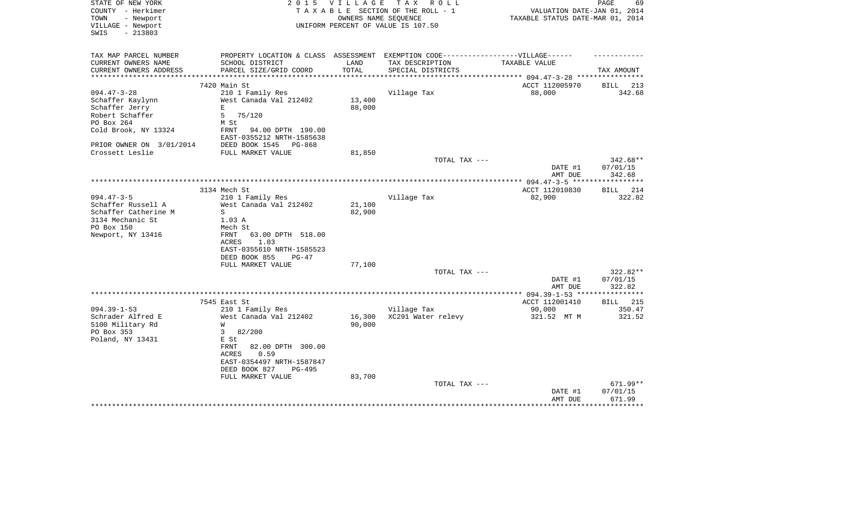| STATE OF NEW YORK<br>COUNTY - Herkimer<br>- Newport<br>TOWN<br>VILLAGE - Newport<br>$-213803$<br>SWIS | 2 0 1 5                                                                           | VILLAGE<br>OWNERS NAME SEQUENCE | T A X<br>R O L L<br>TAXABLE SECTION OF THE ROLL - 1<br>UNIFORM PERCENT OF VALUE IS 107.50 | VALUATION DATE-JAN 01, 2014<br>TAXABLE STATUS DATE-MAR 01, 2014 | PAGE<br>69                    |
|-------------------------------------------------------------------------------------------------------|-----------------------------------------------------------------------------------|---------------------------------|-------------------------------------------------------------------------------------------|-----------------------------------------------------------------|-------------------------------|
| TAX MAP PARCEL NUMBER                                                                                 | PROPERTY LOCATION & CLASS ASSESSMENT EXEMPTION CODE-----------------VILLAGE------ |                                 |                                                                                           |                                                                 |                               |
| CURRENT OWNERS NAME                                                                                   | SCHOOL DISTRICT                                                                   | LAND                            | TAX DESCRIPTION                                                                           | TAXABLE VALUE                                                   |                               |
| CURRENT OWNERS ADDRESS<br>***********************                                                     | PARCEL SIZE/GRID COORD                                                            | TOTAL                           | SPECIAL DISTRICTS                                                                         |                                                                 | TAX AMOUNT                    |
|                                                                                                       | 7420 Main St                                                                      |                                 |                                                                                           | ACCT 112005970                                                  | <b>BILL</b><br>213            |
| $094.47 - 3 - 28$                                                                                     | 210 1 Family Res                                                                  |                                 | Village Tax                                                                               | 88,000                                                          | 342.68                        |
| Schaffer Kaylynn                                                                                      | West Canada Val 212402                                                            | 13,400                          |                                                                                           |                                                                 |                               |
| Schaffer Jerry                                                                                        | E                                                                                 | 88,000                          |                                                                                           |                                                                 |                               |
| Robert Schaffer                                                                                       | 75/120<br>5                                                                       |                                 |                                                                                           |                                                                 |                               |
| PO Box 264                                                                                            | M St                                                                              |                                 |                                                                                           |                                                                 |                               |
| Cold Brook, NY 13324                                                                                  | FRNT<br>94.00 DPTH 190.00<br>EAST-0355212 NRTH-1585638                            |                                 |                                                                                           |                                                                 |                               |
| PRIOR OWNER ON 3/01/2014<br>Crossett Leslie                                                           | DEED BOOK 1545<br>PG-868<br>FULL MARKET VALUE                                     | 81,850                          |                                                                                           |                                                                 |                               |
|                                                                                                       |                                                                                   |                                 | TOTAL TAX ---                                                                             |                                                                 | 342.68**                      |
|                                                                                                       |                                                                                   |                                 |                                                                                           | DATE #1                                                         | 07/01/15                      |
|                                                                                                       |                                                                                   |                                 |                                                                                           | AMT DUE                                                         | 342.68                        |
|                                                                                                       | * * * * * * * * * * * * *                                                         |                                 |                                                                                           | ************ 094.47-3-5 ***                                     | **********                    |
|                                                                                                       | 3134 Mech St                                                                      |                                 |                                                                                           | ACCT 112010830                                                  | 214<br><b>BILL</b>            |
| $094.47 - 3 - 5$<br>Schaffer Russell A                                                                | 210 1 Family Res<br>West Canada Val 212402                                        | 21,100                          | Village Tax                                                                               | 82,900                                                          | 322.82                        |
| Schaffer Catherine M                                                                                  | S                                                                                 | 82,900                          |                                                                                           |                                                                 |                               |
| 3134 Mechanic St                                                                                      | 1.03 A                                                                            |                                 |                                                                                           |                                                                 |                               |
| PO Box 150                                                                                            | Mech St                                                                           |                                 |                                                                                           |                                                                 |                               |
| Newport, NY 13416                                                                                     | FRNT<br>63.00 DPTH 518.00                                                         |                                 |                                                                                           |                                                                 |                               |
|                                                                                                       | ACRES<br>1.03                                                                     |                                 |                                                                                           |                                                                 |                               |
|                                                                                                       | EAST-0355610 NRTH-1585523                                                         |                                 |                                                                                           |                                                                 |                               |
|                                                                                                       | DEED BOOK 855<br>$PG-47$                                                          |                                 |                                                                                           |                                                                 |                               |
|                                                                                                       | FULL MARKET VALUE                                                                 | 77,100                          |                                                                                           |                                                                 |                               |
|                                                                                                       |                                                                                   |                                 | TOTAL TAX ---                                                                             |                                                                 | 322.82**                      |
|                                                                                                       |                                                                                   |                                 |                                                                                           | DATE #1                                                         | 07/01/15                      |
|                                                                                                       |                                                                                   |                                 | *************************                                                                 | AMT DUE<br>******* 094.39-1-53 **                               | 322.82<br>* * * * * * * * * * |
|                                                                                                       | 7545 East St                                                                      |                                 |                                                                                           | ACCT 112001410                                                  | <b>BILL</b> 215               |
| $094.39 - 1 - 53$                                                                                     | 210 1 Family Res                                                                  |                                 | Village Tax                                                                               | 90,000                                                          | 350.47                        |
| Schrader Alfred E                                                                                     | West Canada Val 212402                                                            | 16,300                          | XC291 Water relevy                                                                        | 321.52 MT M                                                     | 321.52                        |
| 5100 Military Rd                                                                                      | W                                                                                 | 90,000                          |                                                                                           |                                                                 |                               |
| PO Box 353                                                                                            | 3<br>82/200                                                                       |                                 |                                                                                           |                                                                 |                               |
| Poland, NY 13431                                                                                      | E St                                                                              |                                 |                                                                                           |                                                                 |                               |
|                                                                                                       | FRNT<br>82.00 DPTH 300.00                                                         |                                 |                                                                                           |                                                                 |                               |
|                                                                                                       | 0.59<br>ACRES                                                                     |                                 |                                                                                           |                                                                 |                               |
|                                                                                                       | EAST-0354497 NRTH-1587847                                                         |                                 |                                                                                           |                                                                 |                               |
|                                                                                                       | DEED BOOK 827<br>$PG-495$                                                         |                                 |                                                                                           |                                                                 |                               |
|                                                                                                       | FULL MARKET VALUE                                                                 | 83,700                          |                                                                                           |                                                                 | 671.99**                      |
|                                                                                                       |                                                                                   |                                 | TOTAL TAX ---                                                                             | DATE #1                                                         | 07/01/15                      |
|                                                                                                       |                                                                                   |                                 |                                                                                           | AMT DUE                                                         | 671.99                        |
|                                                                                                       |                                                                                   |                                 |                                                                                           |                                                                 |                               |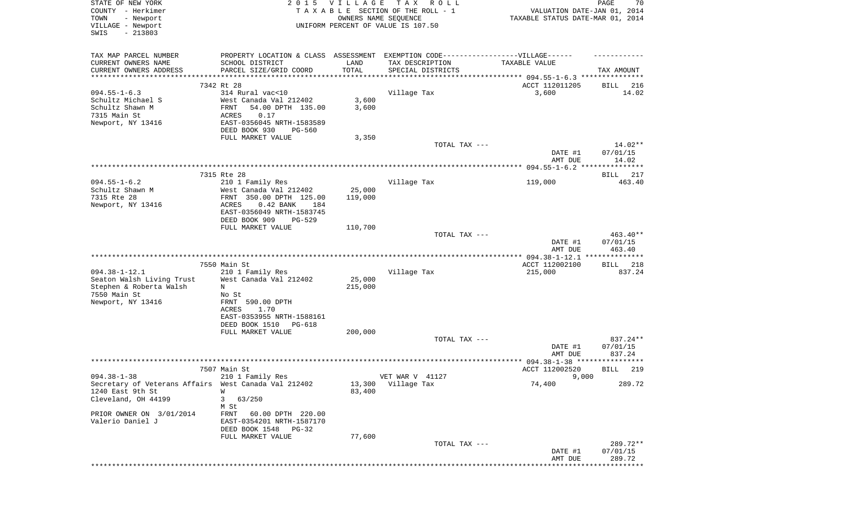| STATE OF NEW YORK<br>COUNTY - Herkimer<br>TOWN<br>- Newport<br>VILLAGE - Newport<br>$-213803$<br>SWIS                | 2 0 1 5                                                                                                                                                 | V I L L A G E<br>OWNERS NAME SEQUENCE | T A X<br>R O L L<br>TAXABLE SECTION OF THE ROLL - 1<br>UNIFORM PERCENT OF VALUE IS 107.50 | VALUATION DATE-JAN 01, 2014<br>TAXABLE STATUS DATE-MAR 01, 2014 | PAGE<br>70                     |
|----------------------------------------------------------------------------------------------------------------------|---------------------------------------------------------------------------------------------------------------------------------------------------------|---------------------------------------|-------------------------------------------------------------------------------------------|-----------------------------------------------------------------|--------------------------------|
| TAX MAP PARCEL NUMBER<br>CURRENT OWNERS NAME<br>CURRENT OWNERS ADDRESS<br>**********************                     | PROPERTY LOCATION & CLASS ASSESSMENT EXEMPTION CODE-----------------VILLAGE------<br>SCHOOL DISTRICT<br>PARCEL SIZE/GRID COORD<br>********************* | LAND<br>TOTAL                         | TAX DESCRIPTION<br>SPECIAL DISTRICTS                                                      | TAXABLE VALUE                                                   | TAX AMOUNT                     |
|                                                                                                                      | 7342 Rt 28                                                                                                                                              |                                       |                                                                                           | ACCT 112011205                                                  | BILL 216                       |
| $094.55 - 1 - 6.3$<br>Schultz Michael S<br>Schultz Shawn M<br>7315 Main St<br>Newport, NY 13416                      | 314 Rural vac<10<br>West Canada Val 212402<br>54.00 DPTH 135.00<br>FRNT<br><b>ACRES</b><br>0.17<br>EAST-0356045 NRTH-1583589<br>DEED BOOK 930<br>PG-560 | 3,600<br>3,600                        | Village Tax                                                                               | 3,600                                                           | 14.02                          |
|                                                                                                                      | FULL MARKET VALUE                                                                                                                                       | 3,350                                 |                                                                                           |                                                                 |                                |
|                                                                                                                      |                                                                                                                                                         |                                       | TOTAL TAX ---                                                                             | DATE #1<br>AMT DUE                                              | 14.02**<br>07/01/15<br>14.02   |
|                                                                                                                      |                                                                                                                                                         |                                       |                                                                                           |                                                                 |                                |
| $094.55 - 1 - 6.2$                                                                                                   | 7315 Rte 28<br>210 1 Family Res                                                                                                                         |                                       | Village Tax                                                                               | 119,000                                                         | 217<br>BILL<br>463.40          |
| Schultz Shawn M<br>7315 Rte 28<br>Newport, NY 13416                                                                  | West Canada Val 212402<br>FRNT 350.00 DPTH 125.00<br>0.42 BANK<br>184<br>ACRES<br>EAST-0356049 NRTH-1583745<br>DEED BOOK 909<br>$PG-529$                | 25,000<br>119,000                     |                                                                                           |                                                                 |                                |
|                                                                                                                      | FULL MARKET VALUE                                                                                                                                       | 110,700                               |                                                                                           |                                                                 |                                |
|                                                                                                                      |                                                                                                                                                         |                                       | TOTAL TAX ---                                                                             | DATE #1<br>AMT DUE                                              | 463.40**<br>07/01/15<br>463.40 |
|                                                                                                                      | 7550 Main St                                                                                                                                            |                                       |                                                                                           | ACCT 112002100                                                  | 218<br>BILL                    |
| $094.38 - 1 - 12.1$<br>Seaton Walsh Living Trust<br>Stephen & Roberta Walsh                                          | 210 1 Family Res<br>West Canada Val 212402<br>N                                                                                                         | 25,000<br>215,000                     | Village Tax                                                                               | 215,000                                                         | 837.24                         |
| 7550 Main St<br>Newport, NY 13416                                                                                    | No St<br>FRNT 590.00 DPTH<br><b>ACRES</b><br>1.70<br>EAST-0353955 NRTH-1588161<br>DEED BOOK 1510<br>PG-618                                              |                                       |                                                                                           |                                                                 |                                |
|                                                                                                                      | FULL MARKET VALUE                                                                                                                                       | 200,000                               | TOTAL TAX ---                                                                             | DATE #1                                                         | 837.24**<br>07/01/15           |
|                                                                                                                      | 7507 Main St                                                                                                                                            |                                       |                                                                                           | AMT DUE<br>ACCT 112002520                                       | 837.24<br>219<br>BILL          |
| $094.38 - 1 - 38$<br>Secretary of Veterans Affairs West Canada Val 212402<br>1240 East 9th St<br>Cleveland, OH 44199 | 210 1 Family Res<br>W<br>3<br>63/250                                                                                                                    | 13,300<br>83,400                      | VET WAR V 41127<br>Village Tax                                                            | 9,000<br>74,400                                                 | 289.72                         |
| PRIOR OWNER ON 3/01/2014<br>Valerio Daniel J                                                                         | M St<br>FRNT 60.00 DPTH 220.00<br>EAST-0354201 NRTH-1587170<br>DEED BOOK 1548 PG-32<br>FULL MARKET VALUE                                                | 77,600                                |                                                                                           |                                                                 |                                |
|                                                                                                                      |                                                                                                                                                         |                                       | TOTAL TAX ---                                                                             | DATE #1<br>AMT DUE                                              | 289.72**<br>07/01/15<br>289.72 |
|                                                                                                                      |                                                                                                                                                         |                                       |                                                                                           |                                                                 | ************                   |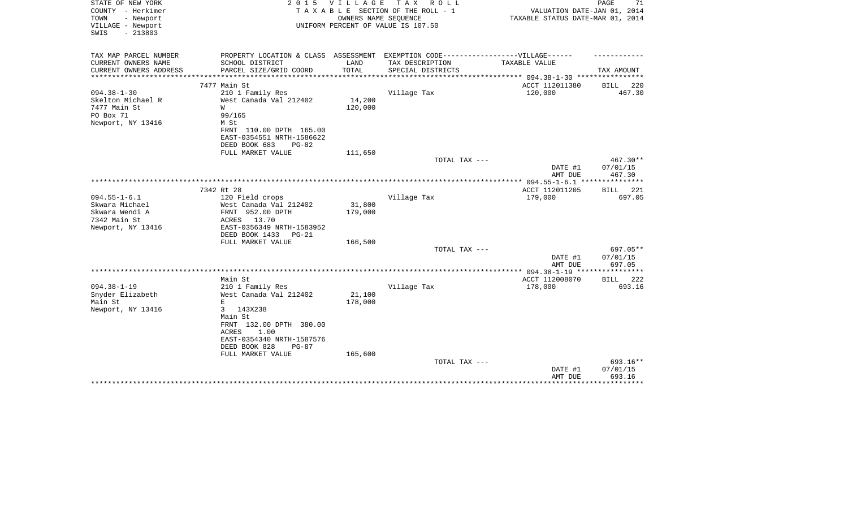| STATE OF NEW YORK<br>COUNTY - Herkimer<br>TOWN<br>- Newport<br>VILLAGE - Newport<br>$-213803$<br>SWIS | 2 0 1 5                                                                           | V I L L A G E | TAX ROLL<br>T A X A B L E SECTION OF THE ROLL - 1<br>OWNERS NAME SEQUENCE<br>UNIFORM PERCENT OF VALUE IS 107.50 | VALUATION DATE-JAN 01, 2014<br>TAXABLE STATUS DATE-MAR 01, 2014 | 71<br>PAGE                  |
|-------------------------------------------------------------------------------------------------------|-----------------------------------------------------------------------------------|---------------|-----------------------------------------------------------------------------------------------------------------|-----------------------------------------------------------------|-----------------------------|
| TAX MAP PARCEL NUMBER                                                                                 | PROPERTY LOCATION & CLASS ASSESSMENT EXEMPTION CODE-----------------VILLAGE------ |               |                                                                                                                 |                                                                 |                             |
| CURRENT OWNERS NAME                                                                                   | SCHOOL DISTRICT                                                                   | LAND          | TAX DESCRIPTION                                                                                                 | TAXABLE VALUE                                                   |                             |
| CURRENT OWNERS ADDRESS                                                                                | PARCEL SIZE/GRID COORD                                                            | TOTAL         | SPECIAL DISTRICTS                                                                                               |                                                                 | TAX AMOUNT                  |
| **********************                                                                                | ***************************                                                       |               |                                                                                                                 |                                                                 |                             |
|                                                                                                       | 7477 Main St                                                                      |               |                                                                                                                 | ACCT 112011380                                                  | BILL<br>220                 |
| $094.38 - 1 - 30$<br>Skelton Michael R                                                                | 210 1 Family Res<br>West Canada Val 212402                                        | 14,200        | Village Tax                                                                                                     | 120,000                                                         | 467.30                      |
| 7477 Main St                                                                                          | W                                                                                 | 120,000       |                                                                                                                 |                                                                 |                             |
| PO Box 71                                                                                             | 99/165                                                                            |               |                                                                                                                 |                                                                 |                             |
| Newport, NY 13416                                                                                     | M St                                                                              |               |                                                                                                                 |                                                                 |                             |
|                                                                                                       | FRNT 110.00 DPTH 165.00                                                           |               |                                                                                                                 |                                                                 |                             |
|                                                                                                       | EAST-0354551 NRTH-1586622                                                         |               |                                                                                                                 |                                                                 |                             |
|                                                                                                       | DEED BOOK 683<br>$PG-82$                                                          |               |                                                                                                                 |                                                                 |                             |
|                                                                                                       | FULL MARKET VALUE                                                                 | 111,650       |                                                                                                                 |                                                                 |                             |
|                                                                                                       |                                                                                   |               | TOTAL TAX ---                                                                                                   | DATE #1                                                         | 467.30**<br>07/01/15        |
|                                                                                                       |                                                                                   |               |                                                                                                                 | AMT DUE                                                         | 467.30                      |
| *************************************                                                                 |                                                                                   |               |                                                                                                                 |                                                                 |                             |
|                                                                                                       | 7342 Rt 28                                                                        |               |                                                                                                                 | ACCT 112011205                                                  | BILL<br>221                 |
| $094.55 - 1 - 6.1$                                                                                    | 120 Field crops                                                                   |               | Village Tax                                                                                                     | 179,000                                                         | 697.05                      |
| Skwara Michael                                                                                        | West Canada Val 212402                                                            | 31,800        |                                                                                                                 |                                                                 |                             |
| Skwara Wendi A<br>7342 Main St                                                                        | FRNT 952.00 DPTH                                                                  | 179,000       |                                                                                                                 |                                                                 |                             |
| Newport, NY 13416                                                                                     | 13.70<br>ACRES<br>EAST-0356349 NRTH-1583952                                       |               |                                                                                                                 |                                                                 |                             |
|                                                                                                       | DEED BOOK 1433<br>$PG-21$                                                         |               |                                                                                                                 |                                                                 |                             |
|                                                                                                       | FULL MARKET VALUE                                                                 | 166,500       |                                                                                                                 |                                                                 |                             |
|                                                                                                       |                                                                                   |               | TOTAL TAX ---                                                                                                   |                                                                 | 697.05**                    |
|                                                                                                       |                                                                                   |               |                                                                                                                 | DATE #1                                                         | 07/01/15                    |
|                                                                                                       |                                                                                   |               |                                                                                                                 | AMT DUE                                                         | 697.05                      |
|                                                                                                       | Main St                                                                           |               |                                                                                                                 | ****** 094.38-1-19 ****************<br>ACCT 112008070           | BILL<br>222                 |
| $094.38 - 1 - 19$                                                                                     | 210 1 Family Res                                                                  |               | Village Tax                                                                                                     | 178,000                                                         | 693.16                      |
| Snyder Elizabeth                                                                                      | West Canada Val 212402                                                            | 21,100        |                                                                                                                 |                                                                 |                             |
| Main St                                                                                               | $\mathbf E$                                                                       | 178,000       |                                                                                                                 |                                                                 |                             |
| Newport, NY 13416                                                                                     | 143X238<br>3                                                                      |               |                                                                                                                 |                                                                 |                             |
|                                                                                                       | Main St                                                                           |               |                                                                                                                 |                                                                 |                             |
|                                                                                                       | FRNT 132.00 DPTH 380.00                                                           |               |                                                                                                                 |                                                                 |                             |
|                                                                                                       | 1.00<br>ACRES<br>EAST-0354340 NRTH-1587576                                        |               |                                                                                                                 |                                                                 |                             |
|                                                                                                       | DEED BOOK 828<br>$PG-87$                                                          |               |                                                                                                                 |                                                                 |                             |
|                                                                                                       | FULL MARKET VALUE                                                                 | 165,600       |                                                                                                                 |                                                                 |                             |
|                                                                                                       |                                                                                   |               | TOTAL TAX ---                                                                                                   |                                                                 | 693.16**                    |
|                                                                                                       |                                                                                   |               |                                                                                                                 | DATE #1                                                         | 07/01/15                    |
|                                                                                                       |                                                                                   |               |                                                                                                                 | AMT DUE                                                         | 693.16<br>* * * * * * * * * |
|                                                                                                       |                                                                                   |               |                                                                                                                 |                                                                 |                             |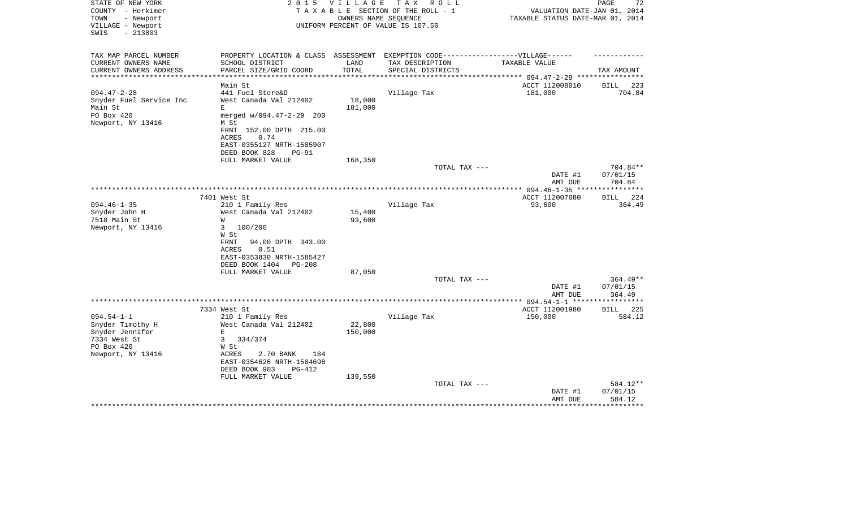| STATE OF NEW YORK<br>COUNTY - Herkimer<br>- Newport<br>TOWN<br>VILLAGE - Newport<br>$-213803$<br>SWIS | 2 0 1 5                                                                           | VILLAGE<br>OWNERS NAME SEQUENCE | TAX ROLL<br>TAXABLE SECTION OF THE ROLL - 1<br>UNIFORM PERCENT OF VALUE IS 107.50 | TAXABLE STATUS DATE-MAR 01, 2014 | PAGE<br>72<br>VALUATION DATE-JAN 01, 2014 |
|-------------------------------------------------------------------------------------------------------|-----------------------------------------------------------------------------------|---------------------------------|-----------------------------------------------------------------------------------|----------------------------------|-------------------------------------------|
| TAX MAP PARCEL NUMBER                                                                                 | PROPERTY LOCATION & CLASS ASSESSMENT EXEMPTION CODE-----------------VILLAGE------ |                                 |                                                                                   |                                  |                                           |
| CURRENT OWNERS NAME                                                                                   | SCHOOL DISTRICT                                                                   | LAND                            | TAX DESCRIPTION                                                                   | TAXABLE VALUE                    |                                           |
| CURRENT OWNERS ADDRESS                                                                                | PARCEL SIZE/GRID COORD                                                            | TOTAL                           | SPECIAL DISTRICTS                                                                 |                                  | TAX AMOUNT                                |
| *************************                                                                             |                                                                                   |                                 |                                                                                   |                                  |                                           |
|                                                                                                       | Main St                                                                           |                                 |                                                                                   | ACCT 112008010                   | 223<br>BILL                               |
| $094.47 - 2 - 28$                                                                                     | 441 Fuel Store&D                                                                  |                                 | Village Tax                                                                       | 181,000                          | 704.84                                    |
| Snyder Fuel Service Inc                                                                               | West Canada Val 212402                                                            | 18,000                          |                                                                                   |                                  |                                           |
| Main St                                                                                               | E                                                                                 | 181,000                         |                                                                                   |                                  |                                           |
| PO Box 420                                                                                            | merged w/094.47-2-29 200                                                          |                                 |                                                                                   |                                  |                                           |
| Newport, NY 13416                                                                                     | M St                                                                              |                                 |                                                                                   |                                  |                                           |
|                                                                                                       | FRNT 152.00 DPTH 215.00<br><b>ACRES</b><br>0.74                                   |                                 |                                                                                   |                                  |                                           |
|                                                                                                       | EAST-0355127 NRTH-1585907                                                         |                                 |                                                                                   |                                  |                                           |
|                                                                                                       | DEED BOOK 828<br>$PG-91$                                                          |                                 |                                                                                   |                                  |                                           |
|                                                                                                       | FULL MARKET VALUE                                                                 | 168,350                         |                                                                                   |                                  |                                           |
|                                                                                                       |                                                                                   |                                 | TOTAL TAX ---                                                                     |                                  | 704.84**                                  |
|                                                                                                       |                                                                                   |                                 |                                                                                   | DATE #1                          | 07/01/15                                  |
|                                                                                                       |                                                                                   |                                 |                                                                                   | AMT DUE                          | 704.84                                    |
|                                                                                                       |                                                                                   |                                 |                                                                                   |                                  |                                           |
|                                                                                                       | 7401 West St                                                                      |                                 |                                                                                   | ACCT 112007080                   | 224<br>BILL                               |
| $094.46 - 1 - 35$                                                                                     | 210 1 Family Res                                                                  |                                 | Village Tax                                                                       | 93,600                           | 364.49                                    |
| Snyder John H                                                                                         | West Canada Val 212402                                                            | 15,400                          |                                                                                   |                                  |                                           |
| 7518 Main St                                                                                          | W                                                                                 | 93,600                          |                                                                                   |                                  |                                           |
| Newport, NY 13416                                                                                     | 100/200<br>3                                                                      |                                 |                                                                                   |                                  |                                           |
|                                                                                                       | W St<br>94.00 DPTH 343.00<br>FRNT                                                 |                                 |                                                                                   |                                  |                                           |
|                                                                                                       | 0.51<br>ACRES                                                                     |                                 |                                                                                   |                                  |                                           |
|                                                                                                       | EAST-0353830 NRTH-1585427                                                         |                                 |                                                                                   |                                  |                                           |
|                                                                                                       | DEED BOOK 1404<br>PG-208                                                          |                                 |                                                                                   |                                  |                                           |
|                                                                                                       | FULL MARKET VALUE                                                                 | 87,050                          |                                                                                   |                                  |                                           |
|                                                                                                       |                                                                                   |                                 | TOTAL TAX ---                                                                     |                                  | 364.49**                                  |
|                                                                                                       |                                                                                   |                                 |                                                                                   | DATE #1                          | 07/01/15                                  |
|                                                                                                       |                                                                                   |                                 |                                                                                   | AMT DUE                          | 364.49                                    |
|                                                                                                       |                                                                                   |                                 |                                                                                   |                                  |                                           |
|                                                                                                       | 7334 West St                                                                      |                                 |                                                                                   | ACCT 112001980                   | 225<br><b>BILL</b>                        |
| $094.54 - 1 - 1$                                                                                      | 210 1 Family Res                                                                  |                                 | Village Tax                                                                       | 150,000                          | 584.12                                    |
| Snyder Timothy H                                                                                      | West Canada Val 212402                                                            | 22,800                          |                                                                                   |                                  |                                           |
| Snyder Jennifer                                                                                       | E                                                                                 | 150,000                         |                                                                                   |                                  |                                           |
| 7334 West St                                                                                          | 334/374<br>3                                                                      |                                 |                                                                                   |                                  |                                           |
| PO Box 420                                                                                            | W St                                                                              |                                 |                                                                                   |                                  |                                           |
| Newport, NY 13416                                                                                     | ACRES<br>2.70 BANK<br>184<br>EAST-0354626 NRTH-1584698                            |                                 |                                                                                   |                                  |                                           |
|                                                                                                       | DEED BOOK 903<br>$PG-412$                                                         |                                 |                                                                                   |                                  |                                           |
|                                                                                                       | FULL MARKET VALUE                                                                 | 139,550                         |                                                                                   |                                  |                                           |
|                                                                                                       |                                                                                   |                                 | TOTAL TAX ---                                                                     |                                  | 584.12**                                  |
|                                                                                                       |                                                                                   |                                 |                                                                                   | DATE #1                          | 07/01/15                                  |
|                                                                                                       |                                                                                   |                                 |                                                                                   | AMT DUE                          | 584.12                                    |
|                                                                                                       |                                                                                   |                                 |                                                                                   |                                  | ************                              |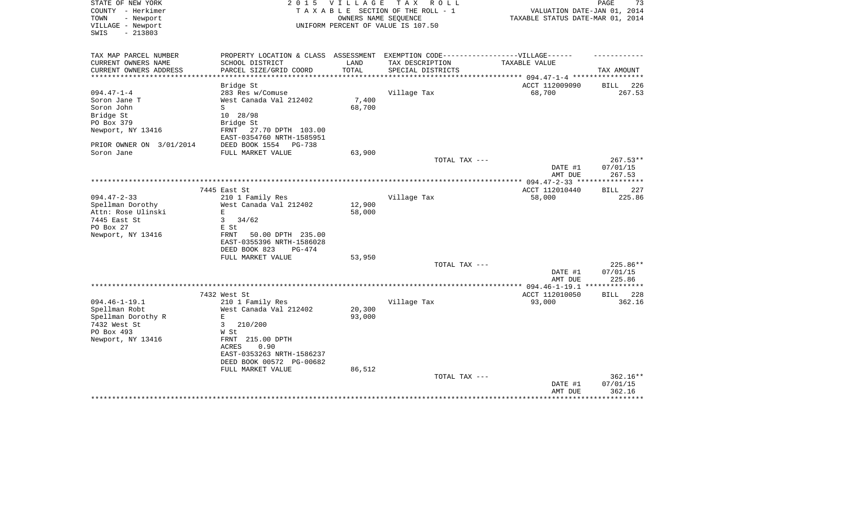| STATE OF NEW YORK<br>COUNTY - Herkimer<br>TOWN<br>- Newport<br>VILLAGE - Newport<br>$-213803$<br>SWIS | 2 0 1 5                              | V I L L A G E    | T A X<br>R O L L<br>TAXABLE SECTION OF THE ROLL - 1<br>OWNERS NAME SEQUENCE<br>UNIFORM PERCENT OF VALUE IS 107.50 | VALUATION DATE-JAN 01, 2014<br>TAXABLE STATUS DATE-MAR 01, 2014 | PAGE<br>73         |
|-------------------------------------------------------------------------------------------------------|--------------------------------------|------------------|-------------------------------------------------------------------------------------------------------------------|-----------------------------------------------------------------|--------------------|
| TAX MAP PARCEL NUMBER                                                                                 | PROPERTY LOCATION & CLASS ASSESSMENT |                  | EXEMPTION CODE------------------VILLAGE------                                                                     |                                                                 |                    |
| CURRENT OWNERS NAME                                                                                   | SCHOOL DISTRICT                      | LAND             | TAX DESCRIPTION                                                                                                   | <b>TAXABLE VALUE</b>                                            |                    |
| CURRENT OWNERS ADDRESS                                                                                | PARCEL SIZE/GRID COORD               | TOTAL            | SPECIAL DISTRICTS                                                                                                 | *********** 094.47-1-4 ****                                     | TAX AMOUNT         |
|                                                                                                       | Bridge St                            |                  |                                                                                                                   | ACCT 112009090                                                  | 226<br><b>BILL</b> |
| $094.47 - 1 - 4$                                                                                      | 283 Res w/Comuse                     |                  | Village Tax                                                                                                       | 68,700                                                          | 267.53             |
| Soron Jane T                                                                                          | West Canada Val 212402               | 7,400            |                                                                                                                   |                                                                 |                    |
| Soron John                                                                                            | S                                    | 68,700           |                                                                                                                   |                                                                 |                    |
| Bridge St                                                                                             | 10 28/98                             |                  |                                                                                                                   |                                                                 |                    |
| PO Box 379                                                                                            | Bridge St                            |                  |                                                                                                                   |                                                                 |                    |
| Newport, NY 13416                                                                                     | FRNT<br>27.70 DPTH 103.00            |                  |                                                                                                                   |                                                                 |                    |
|                                                                                                       | EAST-0354760 NRTH-1585951            |                  |                                                                                                                   |                                                                 |                    |
| PRIOR OWNER ON 3/01/2014                                                                              | DEED BOOK 1554<br>PG-738             |                  |                                                                                                                   |                                                                 |                    |
| Soron Jane                                                                                            | FULL MARKET VALUE                    | 63,900           | TOTAL TAX ---                                                                                                     |                                                                 | $267.53**$         |
|                                                                                                       |                                      |                  |                                                                                                                   | DATE #1<br>AMT DUE                                              | 07/01/15<br>267.53 |
|                                                                                                       |                                      |                  | ********************                                                                                              | ** 094.47-2-33 **                                               |                    |
|                                                                                                       | 7445 East St                         |                  |                                                                                                                   | ACCT 112010440                                                  | 227<br>BILL        |
| $094.47 - 2 - 33$                                                                                     | 210 1 Family Res                     |                  | Village Tax                                                                                                       | 58,000                                                          | 225.86             |
| Spellman Dorothy                                                                                      | West Canada Val 212402               | 12,900           |                                                                                                                   |                                                                 |                    |
| Attn: Rose Ulinski                                                                                    | $\mathbf E$                          | 58,000           |                                                                                                                   |                                                                 |                    |
| 7445 East St                                                                                          | 3<br>34/62                           |                  |                                                                                                                   |                                                                 |                    |
| PO Box 27<br>Newport, NY 13416                                                                        | E St<br>50.00 DPTH 235.00<br>FRNT    |                  |                                                                                                                   |                                                                 |                    |
|                                                                                                       | EAST-0355396 NRTH-1586028            |                  |                                                                                                                   |                                                                 |                    |
|                                                                                                       | DEED BOOK 823<br>PG-474              |                  |                                                                                                                   |                                                                 |                    |
|                                                                                                       | FULL MARKET VALUE                    | 53,950           |                                                                                                                   |                                                                 |                    |
|                                                                                                       |                                      |                  | TOTAL TAX ---                                                                                                     |                                                                 | 225.86**           |
|                                                                                                       |                                      |                  |                                                                                                                   | DATE #1                                                         | 07/01/15           |
|                                                                                                       |                                      |                  |                                                                                                                   | AMT DUE                                                         | 225.86             |
|                                                                                                       |                                      |                  |                                                                                                                   | $* 094.46 - 1 - 19.1$                                           | ********           |
|                                                                                                       | 7432 West St                         |                  |                                                                                                                   | ACCT 112010050                                                  | 228<br><b>BILL</b> |
| $094.46 - 1 - 19.1$                                                                                   | 210 1 Family Res                     |                  | Village Tax                                                                                                       | 93,000                                                          | 362.16             |
| Spellman Robt<br>Spellman Dorothy R                                                                   | West Canada Val 212402<br>E          | 20,300<br>93,000 |                                                                                                                   |                                                                 |                    |
| 7432 West St                                                                                          | 3<br>210/200                         |                  |                                                                                                                   |                                                                 |                    |
| PO Box 493                                                                                            | W St                                 |                  |                                                                                                                   |                                                                 |                    |
| Newport, NY 13416                                                                                     | FRNT 215.00 DPTH                     |                  |                                                                                                                   |                                                                 |                    |
|                                                                                                       | ACRES<br>0.90                        |                  |                                                                                                                   |                                                                 |                    |
|                                                                                                       | EAST-0353263 NRTH-1586237            |                  |                                                                                                                   |                                                                 |                    |
|                                                                                                       | DEED BOOK 00572 PG-00682             |                  |                                                                                                                   |                                                                 |                    |
|                                                                                                       | FULL MARKET VALUE                    | 86,512           |                                                                                                                   |                                                                 |                    |
|                                                                                                       |                                      |                  | TOTAL TAX ---                                                                                                     |                                                                 | 362.16**           |
|                                                                                                       |                                      |                  |                                                                                                                   | DATE #1                                                         | 07/01/15           |
|                                                                                                       |                                      |                  |                                                                                                                   | AMT DUE                                                         | 362.16             |
|                                                                                                       |                                      |                  |                                                                                                                   |                                                                 |                    |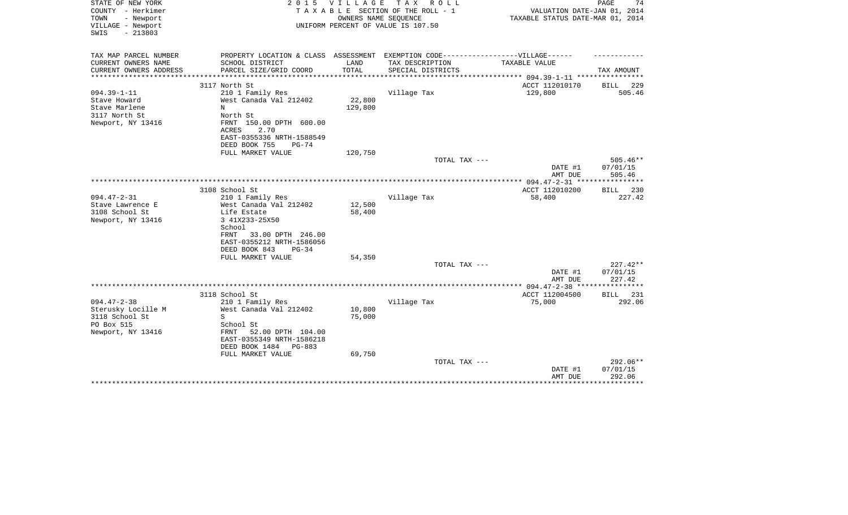| STATE OF NEW YORK<br>COUNTY - Herkimer<br>TOWN<br>- Newport<br>VILLAGE - Newport<br>$-213803$<br>SWIS | 2 0 1 5                                                                                                                                                                     | <b>VILLAGE</b><br>OWNERS NAME SEQUENCE | TAX ROLL<br>TAXABLE SECTION OF THE ROLL - 1<br>UNIFORM PERCENT OF VALUE IS 107.50                    | VALUATION DATE-JAN 01, 2014<br>TAXABLE STATUS DATE-MAR 01, 2014 | 74<br>PAGE                                          |
|-------------------------------------------------------------------------------------------------------|-----------------------------------------------------------------------------------------------------------------------------------------------------------------------------|----------------------------------------|------------------------------------------------------------------------------------------------------|-----------------------------------------------------------------|-----------------------------------------------------|
| TAX MAP PARCEL NUMBER<br>CURRENT OWNERS NAME                                                          | SCHOOL DISTRICT                                                                                                                                                             | LAND                                   | PROPERTY LOCATION & CLASS ASSESSMENT EXEMPTION CODE-----------------VILLAGE------<br>TAX DESCRIPTION | TAXABLE VALUE                                                   |                                                     |
| CURRENT OWNERS ADDRESS                                                                                | PARCEL SIZE/GRID COORD                                                                                                                                                      | TOTAL                                  | SPECIAL DISTRICTS                                                                                    |                                                                 | TAX AMOUNT                                          |
| **********************                                                                                | ****************************                                                                                                                                                |                                        |                                                                                                      |                                                                 |                                                     |
|                                                                                                       | 3117 North St                                                                                                                                                               |                                        |                                                                                                      | ACCT 112010170                                                  | 229<br>BILL                                         |
| $094.39 - 1 - 11$<br>Stave Howard<br>Stave Marlene<br>3117 North St<br>Newport, NY 13416              | 210 1 Family Res<br>West Canada Val 212402<br>N<br>North St<br>FRNT 150.00 DPTH 600.00<br>2.70<br><b>ACRES</b><br>EAST-0355336 NRTH-1588549                                 | 22,800<br>129,800                      | Village Tax                                                                                          | 129,800                                                         | 505.46                                              |
|                                                                                                       | DEED BOOK 755<br>$PG-74$                                                                                                                                                    |                                        |                                                                                                      |                                                                 |                                                     |
|                                                                                                       | FULL MARKET VALUE                                                                                                                                                           | 120,750                                |                                                                                                      |                                                                 |                                                     |
|                                                                                                       |                                                                                                                                                                             |                                        | TOTAL TAX ---                                                                                        | DATE #1<br>AMT DUE                                              | 505.46**<br>07/01/15<br>505.46                      |
|                                                                                                       |                                                                                                                                                                             |                                        |                                                                                                      | $******$ 094.47-2-31 ***                                        | * * * * * * * * *                                   |
|                                                                                                       | 3108 School St                                                                                                                                                              |                                        |                                                                                                      | ACCT 112010200                                                  | <b>BILL</b><br>230                                  |
| $094.47 - 2 - 31$<br>Stave Lawrence E<br>3108 School St<br>Newport, NY 13416                          | 210 1 Family Res<br>West Canada Val 212402<br>Life Estate<br>3 41X233-25X50<br>School<br>33.00 DPTH 246.00<br>FRNT<br>EAST-0355212 NRTH-1586056<br>DEED BOOK 843<br>$PG-34$ | 12,500<br>58,400                       | Village Tax                                                                                          | 58,400                                                          | 227.42                                              |
|                                                                                                       | FULL MARKET VALUE                                                                                                                                                           | 54,350                                 |                                                                                                      |                                                                 |                                                     |
|                                                                                                       |                                                                                                                                                                             |                                        | TOTAL TAX ---                                                                                        | DATE #1<br>AMT DUE                                              | $227.42**$<br>07/01/15<br>227.42                    |
|                                                                                                       |                                                                                                                                                                             |                                        |                                                                                                      |                                                                 | *******                                             |
|                                                                                                       | 3118 School St                                                                                                                                                              |                                        |                                                                                                      | ACCT 112004500                                                  | 231<br>BILL                                         |
| $094.47 - 2 - 38$<br>Sterusky Locille M<br>3118 School St<br>PO Box 515<br>Newport, NY 13416          | 210 1 Family Res<br>West Canada Val 212402<br>S<br>School St<br>52.00 DPTH 104.00<br>FRNT<br>EAST-0355349 NRTH-1586218<br>DEED BOOK 1484<br>PG-883<br>FULL MARKET VALUE     | 10,800<br>75,000<br>69,750             | Village Tax                                                                                          | 75,000                                                          | 292.06                                              |
|                                                                                                       |                                                                                                                                                                             |                                        | TOTAL TAX ---                                                                                        | DATE #1<br>AMT DUE                                              | 292.06**<br>07/01/15<br>292.06<br>* * * * * * * * * |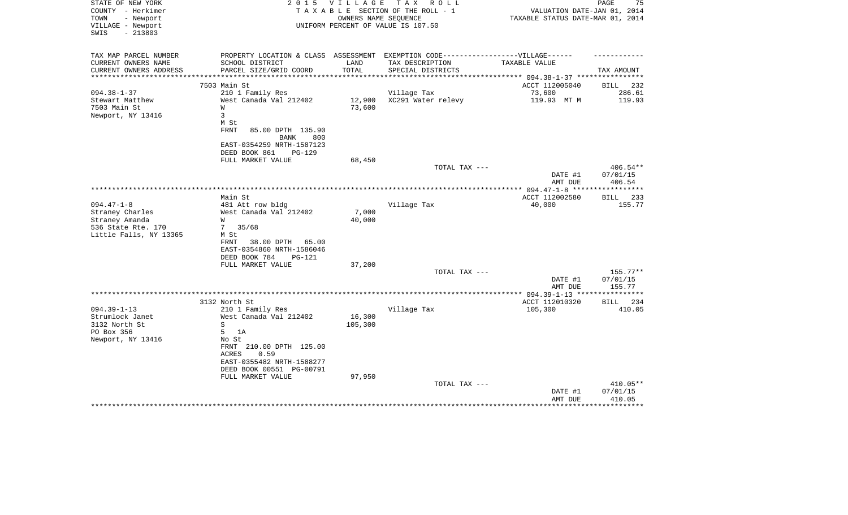| STATE OF NEW YORK<br>COUNTY - Herkimer<br>TOWN<br>- Newport<br>VILLAGE - Newport<br>$-213803$<br>SWIS | 2 0 1 5                                                                           | V I L L A G E | T A X<br>R O L L<br>TAXABLE SECTION OF THE ROLL - 1<br>OWNERS NAME SEQUENCE<br>UNIFORM PERCENT OF VALUE IS 107.50 | VALUATION DATE-JAN 01, 2014<br>TAXABLE STATUS DATE-MAR 01, 2014 | PAGE<br>75             |
|-------------------------------------------------------------------------------------------------------|-----------------------------------------------------------------------------------|---------------|-------------------------------------------------------------------------------------------------------------------|-----------------------------------------------------------------|------------------------|
| TAX MAP PARCEL NUMBER                                                                                 | PROPERTY LOCATION & CLASS ASSESSMENT EXEMPTION CODE-----------------VILLAGE------ |               |                                                                                                                   |                                                                 |                        |
| CURRENT OWNERS NAME                                                                                   | SCHOOL DISTRICT                                                                   | LAND          | TAX DESCRIPTION                                                                                                   | TAXABLE VALUE                                                   |                        |
| CURRENT OWNERS ADDRESS<br>**********************                                                      | PARCEL SIZE/GRID COORD                                                            | TOTAL         | SPECIAL DISTRICTS                                                                                                 |                                                                 | TAX AMOUNT             |
|                                                                                                       | 7503 Main St                                                                      |               |                                                                                                                   | ACCT 112005040                                                  |                        |
| $094.38 - 1 - 37$                                                                                     | 210 1 Family Res                                                                  |               | Village Tax                                                                                                       | 73,600                                                          | BILL<br>232<br>286.61  |
| Stewart Matthew                                                                                       | West Canada Val 212402                                                            | 12,900        | XC291 Water relevy                                                                                                | 119.93 MT M                                                     | 119.93                 |
| 7503 Main St                                                                                          | W                                                                                 | 73,600        |                                                                                                                   |                                                                 |                        |
| Newport, NY 13416                                                                                     | 3                                                                                 |               |                                                                                                                   |                                                                 |                        |
|                                                                                                       | M St                                                                              |               |                                                                                                                   |                                                                 |                        |
|                                                                                                       | <b>FRNT</b><br>85.00 DPTH 135.90                                                  |               |                                                                                                                   |                                                                 |                        |
|                                                                                                       | <b>BANK</b><br>800                                                                |               |                                                                                                                   |                                                                 |                        |
|                                                                                                       | EAST-0354259 NRTH-1587123                                                         |               |                                                                                                                   |                                                                 |                        |
|                                                                                                       | DEED BOOK 861<br>PG-129                                                           |               |                                                                                                                   |                                                                 |                        |
|                                                                                                       | FULL MARKET VALUE                                                                 | 68,450        |                                                                                                                   |                                                                 |                        |
|                                                                                                       |                                                                                   |               | TOTAL TAX ---                                                                                                     |                                                                 | 406.54**               |
|                                                                                                       |                                                                                   |               |                                                                                                                   | DATE #1                                                         | 07/01/15               |
|                                                                                                       |                                                                                   |               |                                                                                                                   | AMT DUE                                                         | 406.54                 |
|                                                                                                       | Main St                                                                           |               |                                                                                                                   | ACCT 112002580                                                  | 233<br>BILL            |
| $094.47 - 1 - 8$                                                                                      | 481 Att row bldg                                                                  |               | Village Tax                                                                                                       | 40,000                                                          | 155.77                 |
| Straney Charles                                                                                       | West Canada Val 212402                                                            | 7,000         |                                                                                                                   |                                                                 |                        |
| Straney Amanda                                                                                        | W                                                                                 | 40,000        |                                                                                                                   |                                                                 |                        |
| 536 State Rte. 170                                                                                    | 35/68<br>7                                                                        |               |                                                                                                                   |                                                                 |                        |
| Little Falls, NY 13365                                                                                | M St                                                                              |               |                                                                                                                   |                                                                 |                        |
|                                                                                                       | 38.00 DPTH<br>FRNT<br>65.00                                                       |               |                                                                                                                   |                                                                 |                        |
|                                                                                                       | EAST-0354860 NRTH-1586046                                                         |               |                                                                                                                   |                                                                 |                        |
|                                                                                                       | DEED BOOK 784<br><b>PG-121</b>                                                    |               |                                                                                                                   |                                                                 |                        |
|                                                                                                       | FULL MARKET VALUE                                                                 | 37,200        |                                                                                                                   |                                                                 |                        |
|                                                                                                       |                                                                                   |               | TOTAL TAX ---                                                                                                     | DATE #1                                                         | $155.77**$<br>07/01/15 |
|                                                                                                       |                                                                                   |               |                                                                                                                   | AMT DUE                                                         | 155.77                 |
|                                                                                                       |                                                                                   |               | **********************                                                                                            | $* 094.39 - 1 - 13$ ***                                         |                        |
|                                                                                                       | 3132 North St                                                                     |               |                                                                                                                   | ACCT 112010320                                                  | 234<br>BILL            |
| $094.39 - 1 - 13$                                                                                     | 210 1 Family Res                                                                  |               | Village Tax                                                                                                       | 105,300                                                         | 410.05                 |
| Strumlock Janet                                                                                       | West Canada Val 212402                                                            | 16,300        |                                                                                                                   |                                                                 |                        |
| 3132 North St                                                                                         | S                                                                                 | 105,300       |                                                                                                                   |                                                                 |                        |
| PO Box 356                                                                                            | 5<br>1A                                                                           |               |                                                                                                                   |                                                                 |                        |
| Newport, NY 13416                                                                                     | No St                                                                             |               |                                                                                                                   |                                                                 |                        |
|                                                                                                       | FRNT 210.00 DPTH 125.00                                                           |               |                                                                                                                   |                                                                 |                        |
|                                                                                                       | ACRES<br>0.59                                                                     |               |                                                                                                                   |                                                                 |                        |
|                                                                                                       | EAST-0355482 NRTH-1588277<br>DEED BOOK 00551 PG-00791                             |               |                                                                                                                   |                                                                 |                        |
|                                                                                                       | FULL MARKET VALUE                                                                 | 97,950        |                                                                                                                   |                                                                 |                        |
|                                                                                                       |                                                                                   |               | TOTAL TAX ---                                                                                                     |                                                                 | 410.05**               |
|                                                                                                       |                                                                                   |               |                                                                                                                   | DATE #1                                                         | 07/01/15               |
|                                                                                                       |                                                                                   |               |                                                                                                                   | AMT DUE                                                         | 410.05                 |
|                                                                                                       |                                                                                   |               |                                                                                                                   |                                                                 |                        |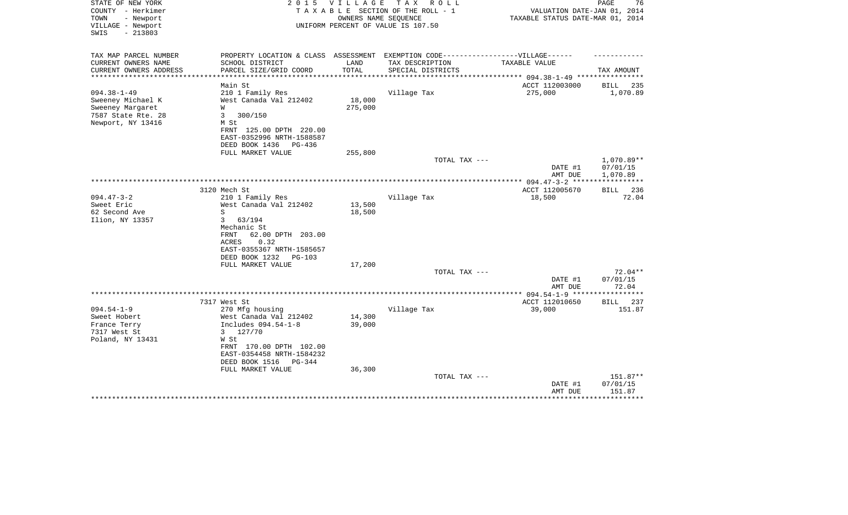| STATE OF NEW YORK<br>COUNTY - Herkimer<br>- Newport<br>TOWN<br>VILLAGE - Newport<br>$-213803$<br>SWIS | 2 0 1 5                                   | <b>VILLAGE</b>      | T A X<br>R O L L<br>TAXABLE SECTION OF THE ROLL - 1<br>OWNERS NAME SEQUENCE<br>UNIFORM PERCENT OF VALUE IS 107.50 | VALUATION DATE-JAN 01, 2014<br>TAXABLE STATUS DATE-MAR 01, 2014 | 76<br>PAGE         |
|-------------------------------------------------------------------------------------------------------|-------------------------------------------|---------------------|-------------------------------------------------------------------------------------------------------------------|-----------------------------------------------------------------|--------------------|
|                                                                                                       |                                           |                     |                                                                                                                   |                                                                 |                    |
| TAX MAP PARCEL NUMBER                                                                                 | PROPERTY LOCATION & CLASS ASSESSMENT      |                     | EXEMPTION CODE------------------VILLAGE------                                                                     |                                                                 |                    |
| CURRENT OWNERS NAME                                                                                   | SCHOOL DISTRICT                           | LAND                | TAX DESCRIPTION                                                                                                   | TAXABLE VALUE                                                   |                    |
| CURRENT OWNERS ADDRESS<br>****************                                                            | PARCEL SIZE/GRID COORD                    | TOTAL<br>********** | SPECIAL DISTRICTS                                                                                                 | ******************** 094.38-1-49 ****                           | TAX AMOUNT         |
|                                                                                                       | Main St                                   |                     |                                                                                                                   | ACCT 112003000                                                  | <b>BILL</b><br>235 |
| $094.38 - 1 - 49$                                                                                     | 210 1 Family Res                          |                     | Village Tax                                                                                                       | 275,000                                                         | 1,070.89           |
| Sweeney Michael K                                                                                     | West Canada Val 212402                    | 18,000              |                                                                                                                   |                                                                 |                    |
| Sweeney Margaret                                                                                      | W                                         | 275,000             |                                                                                                                   |                                                                 |                    |
| 7587 State Rte. 28                                                                                    | 3<br>300/150                              |                     |                                                                                                                   |                                                                 |                    |
| Newport, NY 13416                                                                                     | M St                                      |                     |                                                                                                                   |                                                                 |                    |
|                                                                                                       | FRNT 125.00 DPTH 220.00                   |                     |                                                                                                                   |                                                                 |                    |
|                                                                                                       | EAST-0352996 NRTH-1588587                 |                     |                                                                                                                   |                                                                 |                    |
|                                                                                                       | DEED BOOK 1436<br>PG-436                  |                     |                                                                                                                   |                                                                 |                    |
|                                                                                                       | FULL MARKET VALUE                         | 255,800             | TOTAL TAX ---                                                                                                     |                                                                 | 1,070.89**         |
|                                                                                                       |                                           |                     |                                                                                                                   | DATE #1                                                         | 07/01/15           |
|                                                                                                       |                                           |                     |                                                                                                                   | AMT DUE                                                         | 1,070.89           |
|                                                                                                       |                                           |                     |                                                                                                                   |                                                                 | ***********        |
|                                                                                                       | 3120 Mech St                              |                     |                                                                                                                   | ACCT 112005670                                                  | BILL 236           |
| $094.47 - 3 - 2$                                                                                      | 210 1 Family Res                          |                     | Village Tax                                                                                                       | 18,500                                                          | 72.04              |
| Sweet Eric                                                                                            | West Canada Val 212402                    | 13,500              |                                                                                                                   |                                                                 |                    |
| 62 Second Ave                                                                                         | S                                         | 18,500              |                                                                                                                   |                                                                 |                    |
| Ilion, NY 13357                                                                                       | $\mathbf{3}$<br>63/194                    |                     |                                                                                                                   |                                                                 |                    |
|                                                                                                       | Mechanic St<br>62.00 DPTH 203.00<br>FRNT  |                     |                                                                                                                   |                                                                 |                    |
|                                                                                                       | 0.32<br>ACRES                             |                     |                                                                                                                   |                                                                 |                    |
|                                                                                                       | EAST-0355367 NRTH-1585657                 |                     |                                                                                                                   |                                                                 |                    |
|                                                                                                       | DEED BOOK 1232<br>$PG-103$                |                     |                                                                                                                   |                                                                 |                    |
|                                                                                                       | FULL MARKET VALUE                         | 17,200              |                                                                                                                   |                                                                 |                    |
|                                                                                                       |                                           |                     | TOTAL TAX ---                                                                                                     |                                                                 | $72.04**$          |
|                                                                                                       |                                           |                     |                                                                                                                   | DATE #1                                                         | 07/01/15           |
|                                                                                                       |                                           |                     |                                                                                                                   | AMT DUE                                                         | 72.04              |
|                                                                                                       |                                           |                     |                                                                                                                   | ***************** 094.54-1-9 *****                              | ***********        |
| $094.54 - 1 - 9$                                                                                      | 7317 West St                              |                     |                                                                                                                   | ACCT 112010650                                                  | 237<br><b>BILL</b> |
| Sweet Hobert                                                                                          | 270 Mfg housing<br>West Canada Val 212402 | 14,300              | Village Tax                                                                                                       | 39,000                                                          | 151.87             |
| France Terry                                                                                          | Includes 094.54-1-8                       | 39,000              |                                                                                                                   |                                                                 |                    |
| 7317 West St                                                                                          | 127/70<br>3                               |                     |                                                                                                                   |                                                                 |                    |
| Poland, NY 13431                                                                                      | W St                                      |                     |                                                                                                                   |                                                                 |                    |
|                                                                                                       | FRNT 170.00 DPTH 102.00                   |                     |                                                                                                                   |                                                                 |                    |
|                                                                                                       | EAST-0354458 NRTH-1584232                 |                     |                                                                                                                   |                                                                 |                    |
|                                                                                                       | DEED BOOK 1516<br>PG-344                  |                     |                                                                                                                   |                                                                 |                    |
|                                                                                                       | FULL MARKET VALUE                         | 36,300              |                                                                                                                   |                                                                 |                    |
|                                                                                                       |                                           |                     | TOTAL TAX ---                                                                                                     |                                                                 | 151.87**           |
|                                                                                                       |                                           |                     |                                                                                                                   | DATE #1                                                         | 07/01/15           |
|                                                                                                       |                                           |                     |                                                                                                                   | AMT DUE                                                         | 151.87             |
|                                                                                                       |                                           |                     |                                                                                                                   |                                                                 |                    |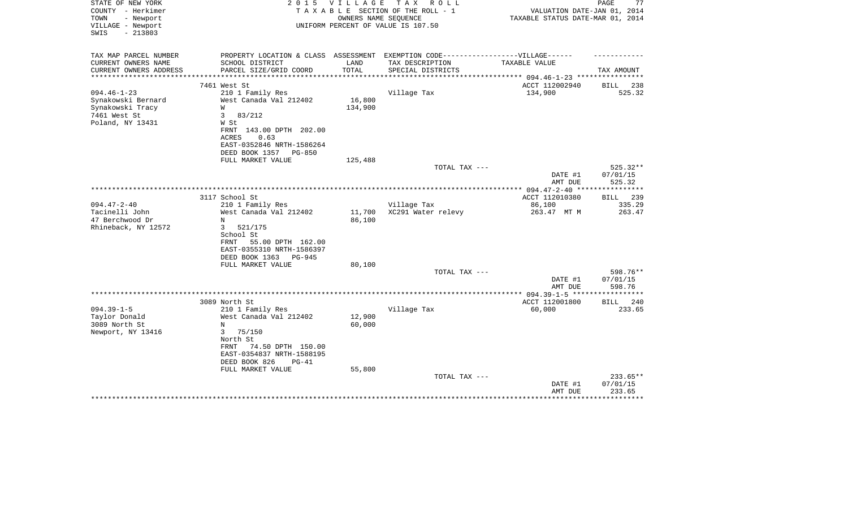| STATE OF NEW YORK<br>COUNTY - Herkimer<br>TOWN<br>- Newport<br>VILLAGE - Newport | 2 0 1 5                                                                          |         | VILLAGE TAX ROLL<br>TAXABLE SECTION OF THE ROLL - 1<br>OWNERS NAME SEQUENCE<br>UNIFORM PERCENT OF VALUE IS 107.50 | VALUATION DATE-JAN 01, 2014<br>TAXABLE STATUS DATE-MAR 01, 2014 | PAGE<br>77         |
|----------------------------------------------------------------------------------|----------------------------------------------------------------------------------|---------|-------------------------------------------------------------------------------------------------------------------|-----------------------------------------------------------------|--------------------|
| $-213803$<br>SWIS                                                                |                                                                                  |         |                                                                                                                   |                                                                 |                    |
| TAX MAP PARCEL NUMBER                                                            | PROPERTY LOCATION & CLASS ASSESSMENT EXEMPTION CODE----------------VILLAGE------ |         |                                                                                                                   |                                                                 |                    |
| CURRENT OWNERS NAME                                                              | SCHOOL DISTRICT                                                                  | LAND    | TAX DESCRIPTION                                                                                                   | TAXABLE VALUE                                                   |                    |
| CURRENT OWNERS ADDRESS<br>*********************                                  | PARCEL SIZE/GRID COORD                                                           | TOTAL   | SPECIAL DISTRICTS                                                                                                 |                                                                 | TAX AMOUNT         |
|                                                                                  | 7461 West St                                                                     |         |                                                                                                                   | ACCT 112002940                                                  | <b>BILL</b><br>238 |
| $094.46 - 1 - 23$                                                                | 210 1 Family Res                                                                 |         | Village Tax                                                                                                       | 134,900                                                         | 525.32             |
| Synakowski Bernard                                                               | West Canada Val 212402                                                           | 16,800  |                                                                                                                   |                                                                 |                    |
| Synakowski Tracy                                                                 | W                                                                                | 134,900 |                                                                                                                   |                                                                 |                    |
| 7461 West St                                                                     | $\overline{3}$<br>83/212                                                         |         |                                                                                                                   |                                                                 |                    |
| Poland, NY 13431                                                                 | W St                                                                             |         |                                                                                                                   |                                                                 |                    |
|                                                                                  | FRNT 143.00 DPTH 202.00                                                          |         |                                                                                                                   |                                                                 |                    |
|                                                                                  | 0.63<br>ACRES                                                                    |         |                                                                                                                   |                                                                 |                    |
|                                                                                  | EAST-0352846 NRTH-1586264                                                        |         |                                                                                                                   |                                                                 |                    |
|                                                                                  | DEED BOOK 1357<br>PG-850                                                         |         |                                                                                                                   |                                                                 |                    |
|                                                                                  | FULL MARKET VALUE                                                                | 125,488 | TOTAL TAX ---                                                                                                     |                                                                 | 525.32**           |
|                                                                                  |                                                                                  |         |                                                                                                                   | DATE #1<br>AMT DUE                                              | 07/01/15<br>525.32 |
|                                                                                  |                                                                                  |         |                                                                                                                   |                                                                 |                    |
|                                                                                  | 3117 School St                                                                   |         |                                                                                                                   | ACCT 112010380                                                  | BILL 239           |
| $094.47 - 2 - 40$                                                                | 210 1 Family Res                                                                 |         | Village Tax                                                                                                       | 86,100                                                          | 335.29             |
| Tacinelli John                                                                   | West Canada Val 212402                                                           | 11,700  | XC291 Water relevy                                                                                                | 263.47 MT M                                                     | 263.47             |
| 47 Berchwood Dr                                                                  | N                                                                                | 86,100  |                                                                                                                   |                                                                 |                    |
| Rhineback, NY 12572                                                              | 3<br>521/175                                                                     |         |                                                                                                                   |                                                                 |                    |
|                                                                                  | School St                                                                        |         |                                                                                                                   |                                                                 |                    |
|                                                                                  | FRNT<br>55.00 DPTH 162.00<br>EAST-0355310 NRTH-1586397                           |         |                                                                                                                   |                                                                 |                    |
|                                                                                  | DEED BOOK 1363<br>PG-945                                                         |         |                                                                                                                   |                                                                 |                    |
|                                                                                  | FULL MARKET VALUE                                                                | 80,100  |                                                                                                                   |                                                                 |                    |
|                                                                                  |                                                                                  |         | TOTAL TAX ---                                                                                                     |                                                                 | 598.76**           |
|                                                                                  |                                                                                  |         |                                                                                                                   | DATE #1                                                         | 07/01/15           |
|                                                                                  |                                                                                  |         |                                                                                                                   | AMT DUE                                                         | 598.76             |
|                                                                                  |                                                                                  |         |                                                                                                                   |                                                                 |                    |
|                                                                                  | 3089 North St                                                                    |         |                                                                                                                   | ACCT 112001800                                                  | BILL 240           |
| $094.39 - 1 - 5$                                                                 | 210 1 Family Res                                                                 |         | Village Tax                                                                                                       | 60,000                                                          | 233.65             |
| Taylor Donald                                                                    | West Canada Val 212402                                                           | 12,900  |                                                                                                                   |                                                                 |                    |
| 3089 North St                                                                    | $_{\rm N}$                                                                       | 60,000  |                                                                                                                   |                                                                 |                    |
| Newport, NY 13416                                                                | 3<br>75/150<br>North St                                                          |         |                                                                                                                   |                                                                 |                    |
|                                                                                  | 74.50 DPTH 150.00<br>FRNT                                                        |         |                                                                                                                   |                                                                 |                    |
|                                                                                  | EAST-0354837 NRTH-1588195                                                        |         |                                                                                                                   |                                                                 |                    |
|                                                                                  | DEED BOOK 826<br>$PG-41$                                                         |         |                                                                                                                   |                                                                 |                    |
|                                                                                  | FULL MARKET VALUE                                                                | 55,800  |                                                                                                                   |                                                                 |                    |
|                                                                                  |                                                                                  |         | TOTAL TAX ---                                                                                                     |                                                                 | 233.65**           |
|                                                                                  |                                                                                  |         |                                                                                                                   | DATE #1                                                         | 07/01/15           |
|                                                                                  |                                                                                  |         |                                                                                                                   | AMT DUE                                                         | 233.65             |
|                                                                                  |                                                                                  |         |                                                                                                                   |                                                                 |                    |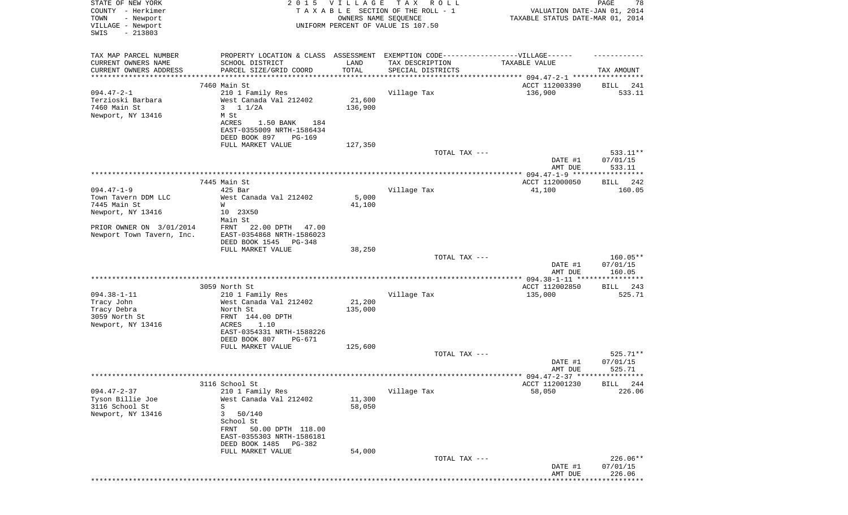| STATE OF NEW YORK         | 2 0 1 5                   | VILLAGE | TAX ROLL                                                                          |                                  | PAGE<br>78         |
|---------------------------|---------------------------|---------|-----------------------------------------------------------------------------------|----------------------------------|--------------------|
| COUNTY - Herkimer         |                           |         | TAXABLE SECTION OF THE ROLL - 1                                                   | VALUATION DATE-JAN 01, 2014      |                    |
| - Newport<br>TOWN         |                           |         | OWNERS NAME SEQUENCE                                                              | TAXABLE STATUS DATE-MAR 01, 2014 |                    |
| VILLAGE - Newport         |                           |         | UNIFORM PERCENT OF VALUE IS 107.50                                                |                                  |                    |
| SWIS<br>$-213803$         |                           |         |                                                                                   |                                  |                    |
|                           |                           |         |                                                                                   |                                  |                    |
| TAX MAP PARCEL NUMBER     |                           |         | PROPERTY LOCATION & CLASS ASSESSMENT EXEMPTION CODE-----------------VILLAGE------ |                                  |                    |
| CURRENT OWNERS NAME       | SCHOOL DISTRICT           | LAND    | TAX DESCRIPTION                                                                   | TAXABLE VALUE                    |                    |
| CURRENT OWNERS ADDRESS    | PARCEL SIZE/GRID COORD    | TOTAL   | SPECIAL DISTRICTS                                                                 |                                  | TAX AMOUNT         |
| **********************    | *********************     |         |                                                                                   |                                  |                    |
|                           | 7460 Main St              |         |                                                                                   | ACCT 112003390                   | 241<br>BILL        |
| $094.47 - 2 - 1$          | 210 1 Family Res          |         | Village Tax                                                                       | 136,900                          | 533.11             |
| Terzioski Barbara         | West Canada Val 212402    | 21,600  |                                                                                   |                                  |                    |
| 7460 Main St              | 3 $11/2A$                 | 136,900 |                                                                                   |                                  |                    |
| Newport, NY 13416         | M St                      |         |                                                                                   |                                  |                    |
|                           | ACRES<br>1.50 BANK<br>184 |         |                                                                                   |                                  |                    |
|                           | EAST-0355009 NRTH-1586434 |         |                                                                                   |                                  |                    |
|                           | DEED BOOK 897<br>PG-169   |         |                                                                                   |                                  |                    |
|                           | FULL MARKET VALUE         | 127,350 |                                                                                   |                                  |                    |
|                           |                           |         | TOTAL TAX ---                                                                     |                                  | 533.11**           |
|                           |                           |         |                                                                                   | DATE #1                          | 07/01/15           |
|                           |                           |         |                                                                                   | AMT DUE                          | 533.11             |
|                           |                           |         |                                                                                   |                                  |                    |
|                           | 7445 Main St              |         |                                                                                   | ACCT 112000050                   | BILL 242           |
| $094.47 - 1 - 9$          | $425$ Bar                 |         | Village Tax                                                                       | 41,100                           | 160.05             |
| Town Tavern DDM LLC       | West Canada Val 212402    | 5,000   |                                                                                   |                                  |                    |
| 7445 Main St              | W                         | 41,100  |                                                                                   |                                  |                    |
| Newport, NY 13416         | 10 23X50                  |         |                                                                                   |                                  |                    |
|                           | Main St                   |         |                                                                                   |                                  |                    |
| PRIOR OWNER ON 3/01/2014  | FRNT<br>22.00 DPTH 47.00  |         |                                                                                   |                                  |                    |
| Newport Town Tavern, Inc. | EAST-0354868 NRTH-1586023 |         |                                                                                   |                                  |                    |
|                           | DEED BOOK 1545<br>PG-348  |         |                                                                                   |                                  |                    |
|                           | FULL MARKET VALUE         | 38,250  |                                                                                   |                                  |                    |
|                           |                           |         | TOTAL TAX ---                                                                     |                                  | 160.05**           |
|                           |                           |         |                                                                                   | DATE #1                          | 07/01/15           |
|                           |                           |         |                                                                                   | AMT DUE                          | 160.05             |
|                           |                           |         |                                                                                   |                                  |                    |
|                           | 3059 North St             |         |                                                                                   | ACCT 112002850                   | BILL<br>243        |
| $094.38 - 1 - 11$         | 210 1 Family Res          |         | Village Tax                                                                       | 135,000                          | 525.71             |
| Tracy John                | West Canada Val 212402    | 21,200  |                                                                                   |                                  |                    |
| Tracy Debra               | North St                  | 135,000 |                                                                                   |                                  |                    |
| 3059 North St             | FRNT 144.00 DPTH          |         |                                                                                   |                                  |                    |
| Newport, NY 13416         | ACRES<br>1.10             |         |                                                                                   |                                  |                    |
|                           | EAST-0354331 NRTH-1588226 |         |                                                                                   |                                  |                    |
|                           | DEED BOOK 807<br>PG-671   |         |                                                                                   |                                  |                    |
|                           | FULL MARKET VALUE         | 125,600 |                                                                                   |                                  |                    |
|                           |                           |         | TOTAL TAX ---                                                                     |                                  | $525.71**$         |
|                           |                           |         |                                                                                   | DATE #1                          | 07/01/15           |
|                           |                           |         |                                                                                   | AMT DUE                          | 525.71             |
|                           |                           |         |                                                                                   |                                  |                    |
|                           | 3116 School St            |         |                                                                                   | ACCT 112001230                   | 244<br><b>BILL</b> |
| $094.47 - 2 - 37$         | 210 1 Family Res          |         | Village Tax                                                                       | 58,050                           | 226.06             |
| Tyson Billie Joe          | West Canada Val 212402    | 11,300  |                                                                                   |                                  |                    |
| 3116 School St            | S                         | 58,050  |                                                                                   |                                  |                    |
| Newport, NY 13416         | 3<br>50/140               |         |                                                                                   |                                  |                    |
|                           | School St                 |         |                                                                                   |                                  |                    |
|                           | FRNT<br>50.00 DPTH 118.00 |         |                                                                                   |                                  |                    |
|                           | EAST-0355303 NRTH-1586181 |         |                                                                                   |                                  |                    |
|                           | DEED BOOK 1485<br>PG-382  |         |                                                                                   |                                  |                    |
|                           | FULL MARKET VALUE         | 54,000  |                                                                                   |                                  |                    |
|                           |                           |         | TOTAL TAX ---                                                                     |                                  | 226.06**           |
|                           |                           |         |                                                                                   | DATE #1<br>AMT DUE               | 07/01/15<br>226.06 |
|                           |                           |         |                                                                                   |                                  |                    |
|                           |                           |         |                                                                                   |                                  |                    |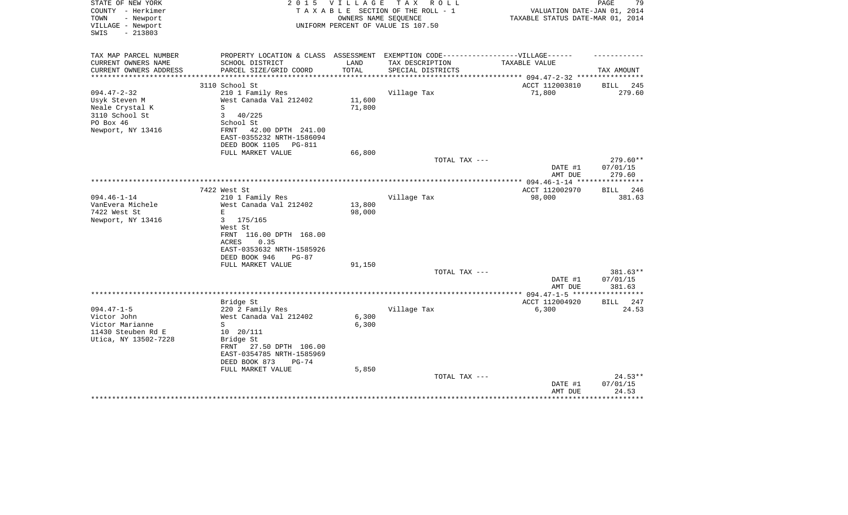| STATE OF NEW YORK<br>COUNTY - Herkimer                      | 2 0 1 5                                                                           | V I L L A G E    | T A X<br>R O L L<br>TAXABLE SECTION OF THE ROLL - 1        | VALUATION DATE-JAN 01, 2014                                       | 79<br>PAGE         |
|-------------------------------------------------------------|-----------------------------------------------------------------------------------|------------------|------------------------------------------------------------|-------------------------------------------------------------------|--------------------|
| - Newport<br>TOWN<br>VILLAGE - Newport<br>$-213803$<br>SWIS |                                                                                   |                  | OWNERS NAME SEQUENCE<br>UNIFORM PERCENT OF VALUE IS 107.50 | TAXABLE STATUS DATE-MAR 01, 2014                                  |                    |
| TAX MAP PARCEL NUMBER                                       | PROPERTY LOCATION & CLASS ASSESSMENT EXEMPTION CODE-----------------VILLAGE------ |                  |                                                            |                                                                   |                    |
| CURRENT OWNERS NAME<br>CURRENT OWNERS ADDRESS               | SCHOOL DISTRICT<br>PARCEL SIZE/GRID COORD                                         | LAND<br>TOTAL    | TAX DESCRIPTION<br>SPECIAL DISTRICTS                       | TAXABLE VALUE                                                     | TAX AMOUNT         |
|                                                             |                                                                                   |                  |                                                            | ********** 094.47-2-32 ****                                       |                    |
|                                                             | 3110 School St                                                                    |                  |                                                            | ACCT 112003810                                                    | 245<br>BILL        |
| $094.47 - 2 - 32$                                           | 210 1 Family Res                                                                  |                  | Village Tax                                                | 71,800                                                            | 279.60             |
| Usyk Steven M<br>Neale Crystal K                            | West Canada Val 212402<br>S                                                       | 11,600<br>71,800 |                                                            |                                                                   |                    |
| 3110 School St                                              | 3<br>40/225                                                                       |                  |                                                            |                                                                   |                    |
| PO Box 46                                                   | School St                                                                         |                  |                                                            |                                                                   |                    |
| Newport, NY 13416                                           | FRNT<br>42.00 DPTH 241.00                                                         |                  |                                                            |                                                                   |                    |
|                                                             | EAST-0355232 NRTH-1586094                                                         |                  |                                                            |                                                                   |                    |
|                                                             | DEED BOOK 1105<br>PG-811                                                          |                  |                                                            |                                                                   |                    |
|                                                             | FULL MARKET VALUE                                                                 | 66,800           | TOTAL TAX ---                                              |                                                                   | $279.60**$         |
|                                                             |                                                                                   |                  |                                                            | DATE #1<br>AMT DUE                                                | 07/01/15<br>279.60 |
|                                                             |                                                                                   |                  |                                                            |                                                                   | **********         |
|                                                             | 7422 West St                                                                      |                  |                                                            | ACCT 112002970                                                    | BILL 246           |
| $094.46 - 1 - 14$                                           | 210 1 Family Res                                                                  |                  | Village Tax                                                | 98,000                                                            | 381.63             |
| VanEvera Michele<br>7422 West St                            | West Canada Val 212402<br>E                                                       | 13,800<br>98,000 |                                                            |                                                                   |                    |
| Newport, NY 13416                                           | 3<br>175/165                                                                      |                  |                                                            |                                                                   |                    |
|                                                             | West St                                                                           |                  |                                                            |                                                                   |                    |
|                                                             | FRNT 116.00 DPTH 168.00                                                           |                  |                                                            |                                                                   |                    |
|                                                             | 0.35<br>ACRES                                                                     |                  |                                                            |                                                                   |                    |
|                                                             | EAST-0353632 NRTH-1585926                                                         |                  |                                                            |                                                                   |                    |
|                                                             | DEED BOOK 946<br>$PG-87$<br>FULL MARKET VALUE                                     | 91,150           |                                                            |                                                                   |                    |
|                                                             |                                                                                   |                  | TOTAL TAX ---                                              |                                                                   | 381.63**           |
|                                                             |                                                                                   |                  |                                                            | DATE #1                                                           | 07/01/15           |
|                                                             |                                                                                   |                  |                                                            | AMT DUE                                                           | 381.63             |
|                                                             | Bridge St                                                                         |                  |                                                            | ***************** 094.47-1-5 ******************<br>ACCT 112004920 | BILL<br>247        |
| $094.47 - 1 - 5$                                            | 220 2 Family Res                                                                  |                  | Village Tax                                                | 6,300                                                             | 24.53              |
| Victor John                                                 | West Canada Val 212402                                                            | 6,300            |                                                            |                                                                   |                    |
| Victor Marianne                                             | S                                                                                 | 6,300            |                                                            |                                                                   |                    |
| 11430 Steuben Rd E                                          | $10 \t 20/111$                                                                    |                  |                                                            |                                                                   |                    |
| Utica, NY 13502-7228                                        | Bridge St                                                                         |                  |                                                            |                                                                   |                    |
|                                                             | 27.50 DPTH 106.00<br>FRNT<br>EAST-0354785 NRTH-1585969                            |                  |                                                            |                                                                   |                    |
|                                                             | DEED BOOK 873<br>$PG-74$                                                          |                  |                                                            |                                                                   |                    |
|                                                             | FULL MARKET VALUE                                                                 | 5,850            |                                                            |                                                                   |                    |
|                                                             |                                                                                   |                  | TOTAL TAX ---                                              |                                                                   | $24.53**$          |
|                                                             |                                                                                   |                  |                                                            | DATE #1                                                           | 07/01/15           |
|                                                             |                                                                                   |                  |                                                            | AMT DUE                                                           | 24.53              |
|                                                             |                                                                                   |                  |                                                            |                                                                   |                    |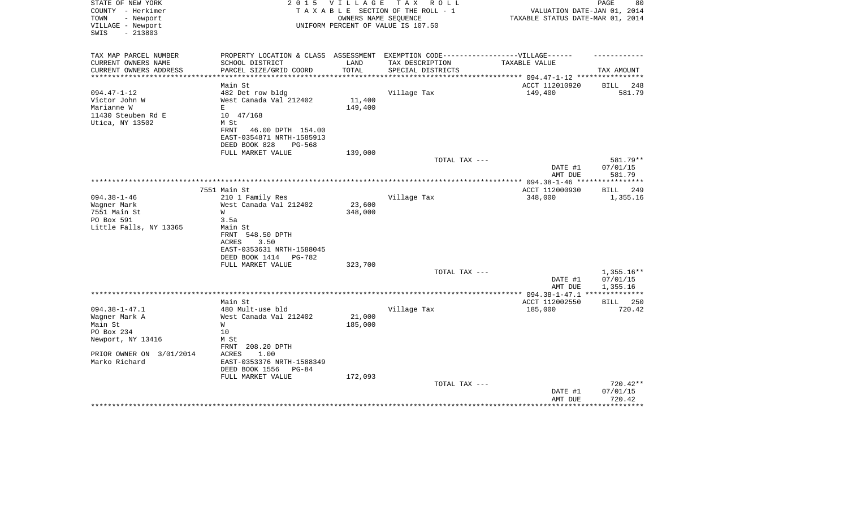| STATE OF NEW YORK<br>COUNTY - Herkimer                      | 2 0 1 5                                                | <b>VILLAGE</b> | TAX ROLL<br>TAXABLE SECTION OF THE ROLL - 1                | VALUATION DATE-JAN 01, 2014                   | PAGE<br>80         |
|-------------------------------------------------------------|--------------------------------------------------------|----------------|------------------------------------------------------------|-----------------------------------------------|--------------------|
| TOWN<br>- Newport<br>VILLAGE - Newport<br>$-213803$<br>SWIS |                                                        |                | OWNERS NAME SEQUENCE<br>UNIFORM PERCENT OF VALUE IS 107.50 | TAXABLE STATUS DATE-MAR 01, 2014              |                    |
| TAX MAP PARCEL NUMBER                                       | PROPERTY LOCATION & CLASS ASSESSMENT                   |                |                                                            | EXEMPTION CODE------------------VILLAGE------ |                    |
| CURRENT OWNERS NAME                                         | SCHOOL DISTRICT                                        | LAND           | TAX DESCRIPTION                                            | TAXABLE VALUE                                 |                    |
| CURRENT OWNERS ADDRESS                                      | PARCEL SIZE/GRID COORD                                 | TOTAL          | SPECIAL DISTRICTS                                          |                                               | TAX AMOUNT         |
| **********************                                      |                                                        |                |                                                            |                                               |                    |
|                                                             | Main St                                                |                |                                                            | ACCT 112010920                                | 248<br>BILL        |
| $094.47 - 1 - 12$                                           | 482 Det row bldg                                       |                | Village Tax                                                | 149,400                                       | 581.79             |
| Victor John W                                               | West Canada Val 212402                                 | 11,400         |                                                            |                                               |                    |
| Marianne W                                                  | E                                                      | 149,400        |                                                            |                                               |                    |
| 11430 Steuben Rd E                                          | 10 47/168                                              |                |                                                            |                                               |                    |
| Utica, NY 13502                                             | M St                                                   |                |                                                            |                                               |                    |
|                                                             | FRNT<br>46.00 DPTH 154.00<br>EAST-0354871 NRTH-1585913 |                |                                                            |                                               |                    |
|                                                             | DEED BOOK 828<br>PG-568                                |                |                                                            |                                               |                    |
|                                                             | FULL MARKET VALUE                                      | 139,000        |                                                            |                                               |                    |
|                                                             |                                                        |                | TOTAL TAX ---                                              |                                               | 581.79**           |
|                                                             |                                                        |                |                                                            | DATE #1                                       | 07/01/15           |
|                                                             |                                                        |                |                                                            | AMT DUE                                       | 581.79             |
|                                                             |                                                        |                |                                                            | ** 094.38-1-46 **                             | *********          |
|                                                             | 7551 Main St                                           |                |                                                            | ACCT 112000930                                | 249<br>BILL        |
| $094.38 - 1 - 46$                                           | 210 1 Family Res                                       |                | Village Tax                                                | 348,000                                       | 1,355.16           |
| Wagner Mark                                                 | West Canada Val 212402                                 | 23,600         |                                                            |                                               |                    |
| 7551 Main St                                                | W                                                      | 348,000        |                                                            |                                               |                    |
| PO Box 591                                                  | 3.5a                                                   |                |                                                            |                                               |                    |
| Little Falls, NY 13365                                      | Main St                                                |                |                                                            |                                               |                    |
|                                                             | FRNT 548.50 DPTH                                       |                |                                                            |                                               |                    |
|                                                             | 3.50<br>ACRES                                          |                |                                                            |                                               |                    |
|                                                             | EAST-0353631 NRTH-1588045                              |                |                                                            |                                               |                    |
|                                                             | DEED BOOK 1414<br>PG-782<br>FULL MARKET VALUE          | 323,700        |                                                            |                                               |                    |
|                                                             |                                                        |                | TOTAL TAX ---                                              |                                               | $1,355.16**$       |
|                                                             |                                                        |                |                                                            | DATE #1                                       | 07/01/15           |
|                                                             |                                                        |                |                                                            | AMT DUE                                       | 1,355.16           |
|                                                             |                                                        |                | ********************                                       | ** 094.38-1-47.1                              |                    |
|                                                             | Main St                                                |                |                                                            | ACCT 112002550                                | <b>BILL</b> 250    |
| $094.38 - 1 - 47.1$                                         | 480 Mult-use bld                                       |                | Village Tax                                                | 185,000                                       | 720.42             |
| Wagner Mark A                                               | West Canada Val 212402                                 | 21,000         |                                                            |                                               |                    |
| Main St                                                     | W                                                      | 185,000        |                                                            |                                               |                    |
| PO Box 234                                                  | 10                                                     |                |                                                            |                                               |                    |
| Newport, NY 13416                                           | M St                                                   |                |                                                            |                                               |                    |
|                                                             | FRNT<br>208.20 DPTH                                    |                |                                                            |                                               |                    |
| PRIOR OWNER ON 3/01/2014                                    | <b>ACRES</b><br>1.00                                   |                |                                                            |                                               |                    |
| Marko Richard                                               | EAST-0353376 NRTH-1588349                              |                |                                                            |                                               |                    |
|                                                             | DEED BOOK 1556<br>PG-84                                |                |                                                            |                                               |                    |
|                                                             | FULL MARKET VALUE                                      | 172,093        |                                                            |                                               |                    |
|                                                             |                                                        |                | TOTAL TAX ---                                              |                                               | 720.42**           |
|                                                             |                                                        |                |                                                            | DATE #1                                       | 07/01/15<br>720.42 |
|                                                             |                                                        |                |                                                            | AMT DUE                                       |                    |
|                                                             |                                                        |                |                                                            |                                               |                    |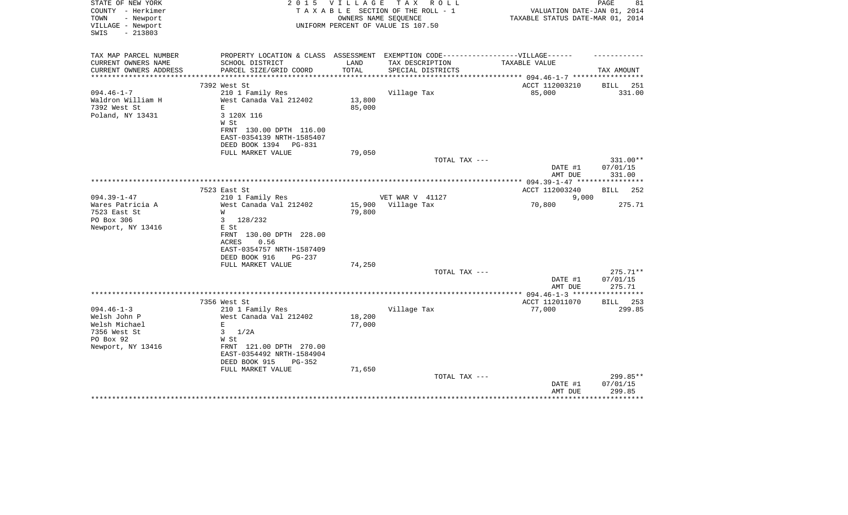| STATE OF NEW YORK<br>COUNTY - Herkimer                      | 2 0 1 5                                                                           | V I L L A G E | T A X<br>R O L L<br>TAXABLE SECTION OF THE ROLL - 1        | VALUATION DATE-JAN 01, 2014                | 81<br>PAGE           |
|-------------------------------------------------------------|-----------------------------------------------------------------------------------|---------------|------------------------------------------------------------|--------------------------------------------|----------------------|
| - Newport<br>TOWN<br>VILLAGE - Newport<br>$-213803$<br>SWIS |                                                                                   |               | OWNERS NAME SEQUENCE<br>UNIFORM PERCENT OF VALUE IS 107.50 | TAXABLE STATUS DATE-MAR 01, 2014           |                      |
| TAX MAP PARCEL NUMBER                                       | PROPERTY LOCATION & CLASS ASSESSMENT EXEMPTION CODE-----------------VILLAGE------ |               |                                                            |                                            |                      |
| CURRENT OWNERS NAME                                         | SCHOOL DISTRICT                                                                   | LAND          | TAX DESCRIPTION                                            | TAXABLE VALUE                              |                      |
| CURRENT OWNERS ADDRESS                                      | PARCEL SIZE/GRID COORD                                                            | TOTAL         | SPECIAL DISTRICTS                                          | ********** 094.46-1-7 *****                | TAX AMOUNT           |
|                                                             | 7392 West St                                                                      |               |                                                            | ACCT 112003210                             | 251<br>BILL          |
| $094.46 - 1 - 7$                                            | 210 1 Family Res                                                                  |               | Village Tax                                                | 85,000                                     | 331.00               |
| Waldron William H                                           | West Canada Val 212402                                                            | 13,800        |                                                            |                                            |                      |
| 7392 West St                                                | Ε                                                                                 | 85,000        |                                                            |                                            |                      |
| Poland, NY 13431                                            | 3 120X 116                                                                        |               |                                                            |                                            |                      |
|                                                             | W St                                                                              |               |                                                            |                                            |                      |
|                                                             | FRNT 130.00 DPTH 116.00                                                           |               |                                                            |                                            |                      |
|                                                             | EAST-0354139 NRTH-1585407                                                         |               |                                                            |                                            |                      |
|                                                             | DEED BOOK 1394<br>PG-831                                                          |               |                                                            |                                            |                      |
|                                                             | FULL MARKET VALUE                                                                 | 79,050        |                                                            |                                            |                      |
|                                                             |                                                                                   |               | TOTAL TAX ---                                              | DATE #1                                    | 331.00**<br>07/01/15 |
|                                                             |                                                                                   |               |                                                            | AMT DUE                                    | 331.00               |
|                                                             |                                                                                   |               |                                                            | ************ 094.39-1-47 ***************** |                      |
|                                                             | 7523 East St                                                                      |               |                                                            | ACCT 112003240                             | 252<br>BILL          |
| $094.39 - 1 - 47$                                           | 210 1 Family Res                                                                  |               | VET WAR V 41127                                            | 9,000                                      |                      |
| Wares Patricia A                                            | West Canada Val 212402                                                            | 15,900        | Village Tax                                                | 70,800                                     | 275.71               |
| 7523 East St                                                | W                                                                                 | 79,800        |                                                            |                                            |                      |
| PO Box 306                                                  | 3<br>128/232                                                                      |               |                                                            |                                            |                      |
| Newport, NY 13416                                           | E St                                                                              |               |                                                            |                                            |                      |
|                                                             | FRNT 130.00 DPTH 228.00                                                           |               |                                                            |                                            |                      |
|                                                             | <b>ACRES</b><br>0.56                                                              |               |                                                            |                                            |                      |
|                                                             | EAST-0354757 NRTH-1587409                                                         |               |                                                            |                                            |                      |
|                                                             | DEED BOOK 916<br>PG-237                                                           |               |                                                            |                                            |                      |
|                                                             | FULL MARKET VALUE                                                                 | 74,250        | TOTAL TAX ---                                              |                                            | $275.71**$           |
|                                                             |                                                                                   |               |                                                            | DATE #1                                    | 07/01/15             |
|                                                             |                                                                                   |               |                                                            | AMT DUE                                    | 275.71               |
|                                                             |                                                                                   |               |                                                            |                                            |                      |
|                                                             | 7356 West St                                                                      |               |                                                            | ACCT 112011070                             | <b>BILL</b> 253      |
| $094.46 - 1 - 3$                                            | 210 1 Family Res                                                                  |               | Village Tax                                                | 77,000                                     | 299.85               |
| Welsh John P                                                | West Canada Val 212402                                                            | 18,200        |                                                            |                                            |                      |
| Welsh Michael                                               | E                                                                                 | 77,000        |                                                            |                                            |                      |
| 7356 West St                                                | 3<br>1/2A                                                                         |               |                                                            |                                            |                      |
| PO Box 92                                                   | W St                                                                              |               |                                                            |                                            |                      |
| Newport, NY 13416                                           | FRNT 121.00 DPTH 270.00                                                           |               |                                                            |                                            |                      |
|                                                             | EAST-0354492 NRTH-1584904                                                         |               |                                                            |                                            |                      |
|                                                             | DEED BOOK 915<br>PG-352                                                           |               |                                                            |                                            |                      |
|                                                             | FULL MARKET VALUE                                                                 | 71,650        |                                                            |                                            |                      |
|                                                             |                                                                                   |               | TOTAL TAX ---                                              | DATE #1                                    | 299.85**<br>07/01/15 |
|                                                             |                                                                                   |               |                                                            | AMT DUE                                    | 299.85               |
|                                                             |                                                                                   |               |                                                            |                                            | ***********          |
|                                                             |                                                                                   |               |                                                            |                                            |                      |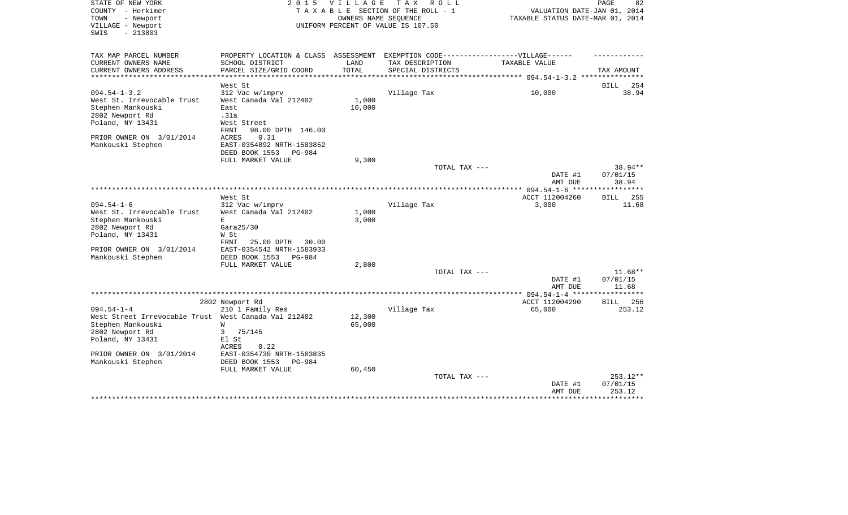| TAXABLE SECTION OF THE ROLL - 1<br>VALUATION DATE-JAN 01, 2014<br>TOWN<br>- Newport<br>OWNERS NAME SEQUENCE<br>TAXABLE STATUS DATE-MAR 01, 2014<br>VILLAGE - Newport<br>UNIFORM PERCENT OF VALUE IS 107.50<br>$-213803$<br>SWIS<br>TAX MAP PARCEL NUMBER<br>PROPERTY LOCATION & CLASS ASSESSMENT<br>EXEMPTION CODE------------------VILLAGE------<br>CURRENT OWNERS NAME<br>SCHOOL DISTRICT<br>LAND<br>TAXABLE VALUE<br>TAX DESCRIPTION<br>CURRENT OWNERS ADDRESS<br>PARCEL SIZE/GRID COORD<br>TOTAL<br>SPECIAL DISTRICTS<br>TAX AMOUNT<br>******************* 094.54-1-3.2 **********<br>West St<br><b>BILL</b><br>254<br>$094.54 - 1 - 3.2$<br>312 Vac w/imprv<br>Village Tax<br>10,000<br>38.94<br>West St. Irrevocable Trust<br>West Canada Val 212402<br>1,000<br>10,000<br>Stephen Mankouski<br>East<br>2802 Newport Rd<br>.31a<br>Poland, NY 13431<br>West Street<br>FRNT<br>98.00 DPTH 146.00<br>PRIOR OWNER ON 3/01/2014<br>ACRES<br>0.31<br>Mankouski Stephen<br>EAST-0354892 NRTH-1583852<br>DEED BOOK 1553<br>PG-984<br>9,300<br>FULL MARKET VALUE<br>38.94**<br>TOTAL TAX ---<br>DATE #1<br>07/01/15<br>38.94<br>AMT DUE<br>* * * * * * * *<br>West St<br>ACCT 112004260<br>255<br><b>BILL</b><br>$094.54 - 1 - 6$<br>312 Vac w/imprv<br>Village Tax<br>3,000<br>11.68<br>1,000<br>West St. Irrevocable Trust<br>West Canada Val 212402<br>3,000<br>Stephen Mankouski<br>E.<br>2802 Newport Rd<br>Gara25/30<br>Poland, NY 13431<br>W St<br>FRNT<br>25.00 DPTH<br>30.00<br>PRIOR OWNER ON 3/01/2014<br>EAST-0354542 NRTH-1583933<br>Mankouski Stephen<br>DEED BOOK 1553<br>PG-984<br>FULL MARKET VALUE<br>2,800<br>$11.68**$<br>TOTAL TAX ---<br>07/01/15<br>DATE #1<br>11.68<br>AMT DUE<br>ACCT 112004290<br>2802 Newport Rd<br>BILL 256<br>$094.54 - 1 - 4$<br>210 1 Family Res<br>Village Tax<br>65,000<br>253.12<br>West Street Irrevocable Trust West Canada Val 212402<br>12,300<br>Stephen Mankouski<br>W<br>65,000<br>2802 Newport Rd<br>3<br>75/145<br>Poland, NY 13431<br>El St<br>ACRES<br>0.22<br>PRIOR OWNER ON 3/01/2014<br>EAST-0354730 NRTH-1583835<br>Mankouski Stephen<br>DEED BOOK 1553<br>PG-984<br>FULL MARKET VALUE<br>60,450<br>$253.12**$<br>TOTAL TAX ---<br>07/01/15<br>DATE #1<br>253.12<br>AMT DUE | STATE OF NEW YORK | 2 0 1 5 | <b>VILLAGE</b> | T A X<br>R O L L | PAGE<br>82 |
|--------------------------------------------------------------------------------------------------------------------------------------------------------------------------------------------------------------------------------------------------------------------------------------------------------------------------------------------------------------------------------------------------------------------------------------------------------------------------------------------------------------------------------------------------------------------------------------------------------------------------------------------------------------------------------------------------------------------------------------------------------------------------------------------------------------------------------------------------------------------------------------------------------------------------------------------------------------------------------------------------------------------------------------------------------------------------------------------------------------------------------------------------------------------------------------------------------------------------------------------------------------------------------------------------------------------------------------------------------------------------------------------------------------------------------------------------------------------------------------------------------------------------------------------------------------------------------------------------------------------------------------------------------------------------------------------------------------------------------------------------------------------------------------------------------------------------------------------------------------------------------------------------------------------------------------------------------------------------------------------------------------------------------------------------------------------------------------------------------------------------------------------------------------------------------------------------------------------------------------------|-------------------|---------|----------------|------------------|------------|
|                                                                                                                                                                                                                                                                                                                                                                                                                                                                                                                                                                                                                                                                                                                                                                                                                                                                                                                                                                                                                                                                                                                                                                                                                                                                                                                                                                                                                                                                                                                                                                                                                                                                                                                                                                                                                                                                                                                                                                                                                                                                                                                                                                                                                                            | COUNTY - Herkimer |         |                |                  |            |
|                                                                                                                                                                                                                                                                                                                                                                                                                                                                                                                                                                                                                                                                                                                                                                                                                                                                                                                                                                                                                                                                                                                                                                                                                                                                                                                                                                                                                                                                                                                                                                                                                                                                                                                                                                                                                                                                                                                                                                                                                                                                                                                                                                                                                                            |                   |         |                |                  |            |
|                                                                                                                                                                                                                                                                                                                                                                                                                                                                                                                                                                                                                                                                                                                                                                                                                                                                                                                                                                                                                                                                                                                                                                                                                                                                                                                                                                                                                                                                                                                                                                                                                                                                                                                                                                                                                                                                                                                                                                                                                                                                                                                                                                                                                                            |                   |         |                |                  |            |
|                                                                                                                                                                                                                                                                                                                                                                                                                                                                                                                                                                                                                                                                                                                                                                                                                                                                                                                                                                                                                                                                                                                                                                                                                                                                                                                                                                                                                                                                                                                                                                                                                                                                                                                                                                                                                                                                                                                                                                                                                                                                                                                                                                                                                                            |                   |         |                |                  |            |
|                                                                                                                                                                                                                                                                                                                                                                                                                                                                                                                                                                                                                                                                                                                                                                                                                                                                                                                                                                                                                                                                                                                                                                                                                                                                                                                                                                                                                                                                                                                                                                                                                                                                                                                                                                                                                                                                                                                                                                                                                                                                                                                                                                                                                                            |                   |         |                |                  |            |
|                                                                                                                                                                                                                                                                                                                                                                                                                                                                                                                                                                                                                                                                                                                                                                                                                                                                                                                                                                                                                                                                                                                                                                                                                                                                                                                                                                                                                                                                                                                                                                                                                                                                                                                                                                                                                                                                                                                                                                                                                                                                                                                                                                                                                                            |                   |         |                |                  |            |
|                                                                                                                                                                                                                                                                                                                                                                                                                                                                                                                                                                                                                                                                                                                                                                                                                                                                                                                                                                                                                                                                                                                                                                                                                                                                                                                                                                                                                                                                                                                                                                                                                                                                                                                                                                                                                                                                                                                                                                                                                                                                                                                                                                                                                                            |                   |         |                |                  |            |
|                                                                                                                                                                                                                                                                                                                                                                                                                                                                                                                                                                                                                                                                                                                                                                                                                                                                                                                                                                                                                                                                                                                                                                                                                                                                                                                                                                                                                                                                                                                                                                                                                                                                                                                                                                                                                                                                                                                                                                                                                                                                                                                                                                                                                                            |                   |         |                |                  |            |
|                                                                                                                                                                                                                                                                                                                                                                                                                                                                                                                                                                                                                                                                                                                                                                                                                                                                                                                                                                                                                                                                                                                                                                                                                                                                                                                                                                                                                                                                                                                                                                                                                                                                                                                                                                                                                                                                                                                                                                                                                                                                                                                                                                                                                                            |                   |         |                |                  |            |
|                                                                                                                                                                                                                                                                                                                                                                                                                                                                                                                                                                                                                                                                                                                                                                                                                                                                                                                                                                                                                                                                                                                                                                                                                                                                                                                                                                                                                                                                                                                                                                                                                                                                                                                                                                                                                                                                                                                                                                                                                                                                                                                                                                                                                                            |                   |         |                |                  |            |
|                                                                                                                                                                                                                                                                                                                                                                                                                                                                                                                                                                                                                                                                                                                                                                                                                                                                                                                                                                                                                                                                                                                                                                                                                                                                                                                                                                                                                                                                                                                                                                                                                                                                                                                                                                                                                                                                                                                                                                                                                                                                                                                                                                                                                                            |                   |         |                |                  |            |
|                                                                                                                                                                                                                                                                                                                                                                                                                                                                                                                                                                                                                                                                                                                                                                                                                                                                                                                                                                                                                                                                                                                                                                                                                                                                                                                                                                                                                                                                                                                                                                                                                                                                                                                                                                                                                                                                                                                                                                                                                                                                                                                                                                                                                                            |                   |         |                |                  |            |
|                                                                                                                                                                                                                                                                                                                                                                                                                                                                                                                                                                                                                                                                                                                                                                                                                                                                                                                                                                                                                                                                                                                                                                                                                                                                                                                                                                                                                                                                                                                                                                                                                                                                                                                                                                                                                                                                                                                                                                                                                                                                                                                                                                                                                                            |                   |         |                |                  |            |
|                                                                                                                                                                                                                                                                                                                                                                                                                                                                                                                                                                                                                                                                                                                                                                                                                                                                                                                                                                                                                                                                                                                                                                                                                                                                                                                                                                                                                                                                                                                                                                                                                                                                                                                                                                                                                                                                                                                                                                                                                                                                                                                                                                                                                                            |                   |         |                |                  |            |
|                                                                                                                                                                                                                                                                                                                                                                                                                                                                                                                                                                                                                                                                                                                                                                                                                                                                                                                                                                                                                                                                                                                                                                                                                                                                                                                                                                                                                                                                                                                                                                                                                                                                                                                                                                                                                                                                                                                                                                                                                                                                                                                                                                                                                                            |                   |         |                |                  |            |
|                                                                                                                                                                                                                                                                                                                                                                                                                                                                                                                                                                                                                                                                                                                                                                                                                                                                                                                                                                                                                                                                                                                                                                                                                                                                                                                                                                                                                                                                                                                                                                                                                                                                                                                                                                                                                                                                                                                                                                                                                                                                                                                                                                                                                                            |                   |         |                |                  |            |
|                                                                                                                                                                                                                                                                                                                                                                                                                                                                                                                                                                                                                                                                                                                                                                                                                                                                                                                                                                                                                                                                                                                                                                                                                                                                                                                                                                                                                                                                                                                                                                                                                                                                                                                                                                                                                                                                                                                                                                                                                                                                                                                                                                                                                                            |                   |         |                |                  |            |
|                                                                                                                                                                                                                                                                                                                                                                                                                                                                                                                                                                                                                                                                                                                                                                                                                                                                                                                                                                                                                                                                                                                                                                                                                                                                                                                                                                                                                                                                                                                                                                                                                                                                                                                                                                                                                                                                                                                                                                                                                                                                                                                                                                                                                                            |                   |         |                |                  |            |
|                                                                                                                                                                                                                                                                                                                                                                                                                                                                                                                                                                                                                                                                                                                                                                                                                                                                                                                                                                                                                                                                                                                                                                                                                                                                                                                                                                                                                                                                                                                                                                                                                                                                                                                                                                                                                                                                                                                                                                                                                                                                                                                                                                                                                                            |                   |         |                |                  |            |
|                                                                                                                                                                                                                                                                                                                                                                                                                                                                                                                                                                                                                                                                                                                                                                                                                                                                                                                                                                                                                                                                                                                                                                                                                                                                                                                                                                                                                                                                                                                                                                                                                                                                                                                                                                                                                                                                                                                                                                                                                                                                                                                                                                                                                                            |                   |         |                |                  |            |
|                                                                                                                                                                                                                                                                                                                                                                                                                                                                                                                                                                                                                                                                                                                                                                                                                                                                                                                                                                                                                                                                                                                                                                                                                                                                                                                                                                                                                                                                                                                                                                                                                                                                                                                                                                                                                                                                                                                                                                                                                                                                                                                                                                                                                                            |                   |         |                |                  |            |
|                                                                                                                                                                                                                                                                                                                                                                                                                                                                                                                                                                                                                                                                                                                                                                                                                                                                                                                                                                                                                                                                                                                                                                                                                                                                                                                                                                                                                                                                                                                                                                                                                                                                                                                                                                                                                                                                                                                                                                                                                                                                                                                                                                                                                                            |                   |         |                |                  |            |
|                                                                                                                                                                                                                                                                                                                                                                                                                                                                                                                                                                                                                                                                                                                                                                                                                                                                                                                                                                                                                                                                                                                                                                                                                                                                                                                                                                                                                                                                                                                                                                                                                                                                                                                                                                                                                                                                                                                                                                                                                                                                                                                                                                                                                                            |                   |         |                |                  |            |
|                                                                                                                                                                                                                                                                                                                                                                                                                                                                                                                                                                                                                                                                                                                                                                                                                                                                                                                                                                                                                                                                                                                                                                                                                                                                                                                                                                                                                                                                                                                                                                                                                                                                                                                                                                                                                                                                                                                                                                                                                                                                                                                                                                                                                                            |                   |         |                |                  |            |
|                                                                                                                                                                                                                                                                                                                                                                                                                                                                                                                                                                                                                                                                                                                                                                                                                                                                                                                                                                                                                                                                                                                                                                                                                                                                                                                                                                                                                                                                                                                                                                                                                                                                                                                                                                                                                                                                                                                                                                                                                                                                                                                                                                                                                                            |                   |         |                |                  |            |
|                                                                                                                                                                                                                                                                                                                                                                                                                                                                                                                                                                                                                                                                                                                                                                                                                                                                                                                                                                                                                                                                                                                                                                                                                                                                                                                                                                                                                                                                                                                                                                                                                                                                                                                                                                                                                                                                                                                                                                                                                                                                                                                                                                                                                                            |                   |         |                |                  |            |
|                                                                                                                                                                                                                                                                                                                                                                                                                                                                                                                                                                                                                                                                                                                                                                                                                                                                                                                                                                                                                                                                                                                                                                                                                                                                                                                                                                                                                                                                                                                                                                                                                                                                                                                                                                                                                                                                                                                                                                                                                                                                                                                                                                                                                                            |                   |         |                |                  |            |
|                                                                                                                                                                                                                                                                                                                                                                                                                                                                                                                                                                                                                                                                                                                                                                                                                                                                                                                                                                                                                                                                                                                                                                                                                                                                                                                                                                                                                                                                                                                                                                                                                                                                                                                                                                                                                                                                                                                                                                                                                                                                                                                                                                                                                                            |                   |         |                |                  |            |
|                                                                                                                                                                                                                                                                                                                                                                                                                                                                                                                                                                                                                                                                                                                                                                                                                                                                                                                                                                                                                                                                                                                                                                                                                                                                                                                                                                                                                                                                                                                                                                                                                                                                                                                                                                                                                                                                                                                                                                                                                                                                                                                                                                                                                                            |                   |         |                |                  |            |
|                                                                                                                                                                                                                                                                                                                                                                                                                                                                                                                                                                                                                                                                                                                                                                                                                                                                                                                                                                                                                                                                                                                                                                                                                                                                                                                                                                                                                                                                                                                                                                                                                                                                                                                                                                                                                                                                                                                                                                                                                                                                                                                                                                                                                                            |                   |         |                |                  |            |
|                                                                                                                                                                                                                                                                                                                                                                                                                                                                                                                                                                                                                                                                                                                                                                                                                                                                                                                                                                                                                                                                                                                                                                                                                                                                                                                                                                                                                                                                                                                                                                                                                                                                                                                                                                                                                                                                                                                                                                                                                                                                                                                                                                                                                                            |                   |         |                |                  |            |
|                                                                                                                                                                                                                                                                                                                                                                                                                                                                                                                                                                                                                                                                                                                                                                                                                                                                                                                                                                                                                                                                                                                                                                                                                                                                                                                                                                                                                                                                                                                                                                                                                                                                                                                                                                                                                                                                                                                                                                                                                                                                                                                                                                                                                                            |                   |         |                |                  |            |
|                                                                                                                                                                                                                                                                                                                                                                                                                                                                                                                                                                                                                                                                                                                                                                                                                                                                                                                                                                                                                                                                                                                                                                                                                                                                                                                                                                                                                                                                                                                                                                                                                                                                                                                                                                                                                                                                                                                                                                                                                                                                                                                                                                                                                                            |                   |         |                |                  |            |
|                                                                                                                                                                                                                                                                                                                                                                                                                                                                                                                                                                                                                                                                                                                                                                                                                                                                                                                                                                                                                                                                                                                                                                                                                                                                                                                                                                                                                                                                                                                                                                                                                                                                                                                                                                                                                                                                                                                                                                                                                                                                                                                                                                                                                                            |                   |         |                |                  |            |
|                                                                                                                                                                                                                                                                                                                                                                                                                                                                                                                                                                                                                                                                                                                                                                                                                                                                                                                                                                                                                                                                                                                                                                                                                                                                                                                                                                                                                                                                                                                                                                                                                                                                                                                                                                                                                                                                                                                                                                                                                                                                                                                                                                                                                                            |                   |         |                |                  |            |
|                                                                                                                                                                                                                                                                                                                                                                                                                                                                                                                                                                                                                                                                                                                                                                                                                                                                                                                                                                                                                                                                                                                                                                                                                                                                                                                                                                                                                                                                                                                                                                                                                                                                                                                                                                                                                                                                                                                                                                                                                                                                                                                                                                                                                                            |                   |         |                |                  |            |
|                                                                                                                                                                                                                                                                                                                                                                                                                                                                                                                                                                                                                                                                                                                                                                                                                                                                                                                                                                                                                                                                                                                                                                                                                                                                                                                                                                                                                                                                                                                                                                                                                                                                                                                                                                                                                                                                                                                                                                                                                                                                                                                                                                                                                                            |                   |         |                |                  |            |
|                                                                                                                                                                                                                                                                                                                                                                                                                                                                                                                                                                                                                                                                                                                                                                                                                                                                                                                                                                                                                                                                                                                                                                                                                                                                                                                                                                                                                                                                                                                                                                                                                                                                                                                                                                                                                                                                                                                                                                                                                                                                                                                                                                                                                                            |                   |         |                |                  |            |
|                                                                                                                                                                                                                                                                                                                                                                                                                                                                                                                                                                                                                                                                                                                                                                                                                                                                                                                                                                                                                                                                                                                                                                                                                                                                                                                                                                                                                                                                                                                                                                                                                                                                                                                                                                                                                                                                                                                                                                                                                                                                                                                                                                                                                                            |                   |         |                |                  |            |
|                                                                                                                                                                                                                                                                                                                                                                                                                                                                                                                                                                                                                                                                                                                                                                                                                                                                                                                                                                                                                                                                                                                                                                                                                                                                                                                                                                                                                                                                                                                                                                                                                                                                                                                                                                                                                                                                                                                                                                                                                                                                                                                                                                                                                                            |                   |         |                |                  |            |
|                                                                                                                                                                                                                                                                                                                                                                                                                                                                                                                                                                                                                                                                                                                                                                                                                                                                                                                                                                                                                                                                                                                                                                                                                                                                                                                                                                                                                                                                                                                                                                                                                                                                                                                                                                                                                                                                                                                                                                                                                                                                                                                                                                                                                                            |                   |         |                |                  |            |
|                                                                                                                                                                                                                                                                                                                                                                                                                                                                                                                                                                                                                                                                                                                                                                                                                                                                                                                                                                                                                                                                                                                                                                                                                                                                                                                                                                                                                                                                                                                                                                                                                                                                                                                                                                                                                                                                                                                                                                                                                                                                                                                                                                                                                                            |                   |         |                |                  |            |
|                                                                                                                                                                                                                                                                                                                                                                                                                                                                                                                                                                                                                                                                                                                                                                                                                                                                                                                                                                                                                                                                                                                                                                                                                                                                                                                                                                                                                                                                                                                                                                                                                                                                                                                                                                                                                                                                                                                                                                                                                                                                                                                                                                                                                                            |                   |         |                |                  |            |
|                                                                                                                                                                                                                                                                                                                                                                                                                                                                                                                                                                                                                                                                                                                                                                                                                                                                                                                                                                                                                                                                                                                                                                                                                                                                                                                                                                                                                                                                                                                                                                                                                                                                                                                                                                                                                                                                                                                                                                                                                                                                                                                                                                                                                                            |                   |         |                |                  |            |
|                                                                                                                                                                                                                                                                                                                                                                                                                                                                                                                                                                                                                                                                                                                                                                                                                                                                                                                                                                                                                                                                                                                                                                                                                                                                                                                                                                                                                                                                                                                                                                                                                                                                                                                                                                                                                                                                                                                                                                                                                                                                                                                                                                                                                                            |                   |         |                |                  |            |
|                                                                                                                                                                                                                                                                                                                                                                                                                                                                                                                                                                                                                                                                                                                                                                                                                                                                                                                                                                                                                                                                                                                                                                                                                                                                                                                                                                                                                                                                                                                                                                                                                                                                                                                                                                                                                                                                                                                                                                                                                                                                                                                                                                                                                                            |                   |         |                |                  |            |
|                                                                                                                                                                                                                                                                                                                                                                                                                                                                                                                                                                                                                                                                                                                                                                                                                                                                                                                                                                                                                                                                                                                                                                                                                                                                                                                                                                                                                                                                                                                                                                                                                                                                                                                                                                                                                                                                                                                                                                                                                                                                                                                                                                                                                                            |                   |         |                |                  |            |
|                                                                                                                                                                                                                                                                                                                                                                                                                                                                                                                                                                                                                                                                                                                                                                                                                                                                                                                                                                                                                                                                                                                                                                                                                                                                                                                                                                                                                                                                                                                                                                                                                                                                                                                                                                                                                                                                                                                                                                                                                                                                                                                                                                                                                                            |                   |         |                |                  |            |
|                                                                                                                                                                                                                                                                                                                                                                                                                                                                                                                                                                                                                                                                                                                                                                                                                                                                                                                                                                                                                                                                                                                                                                                                                                                                                                                                                                                                                                                                                                                                                                                                                                                                                                                                                                                                                                                                                                                                                                                                                                                                                                                                                                                                                                            |                   |         |                |                  |            |
|                                                                                                                                                                                                                                                                                                                                                                                                                                                                                                                                                                                                                                                                                                                                                                                                                                                                                                                                                                                                                                                                                                                                                                                                                                                                                                                                                                                                                                                                                                                                                                                                                                                                                                                                                                                                                                                                                                                                                                                                                                                                                                                                                                                                                                            |                   |         |                |                  |            |
|                                                                                                                                                                                                                                                                                                                                                                                                                                                                                                                                                                                                                                                                                                                                                                                                                                                                                                                                                                                                                                                                                                                                                                                                                                                                                                                                                                                                                                                                                                                                                                                                                                                                                                                                                                                                                                                                                                                                                                                                                                                                                                                                                                                                                                            |                   |         |                |                  |            |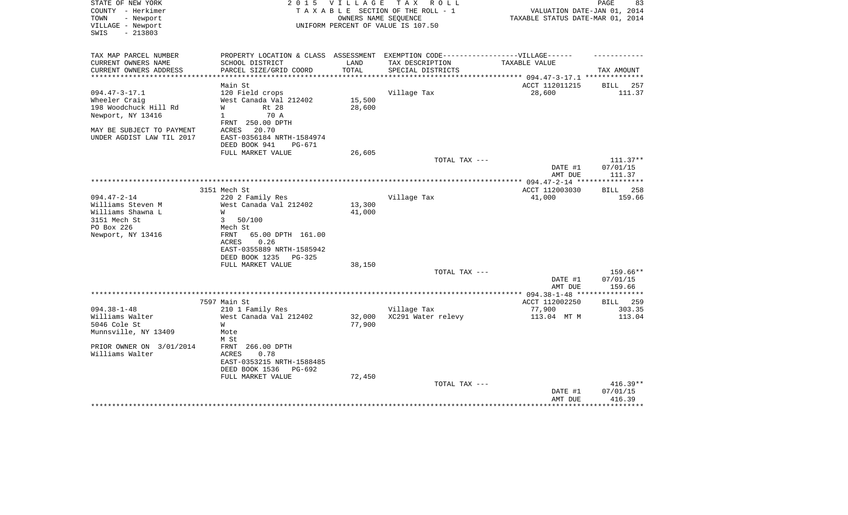| STATE OF NEW YORK         | 2 0 1 5                                                                           | VILLAGE        | T A X<br>R O L L                   |                                  | 83<br>PAGE                  |
|---------------------------|-----------------------------------------------------------------------------------|----------------|------------------------------------|----------------------------------|-----------------------------|
| COUNTY - Herkimer         |                                                                                   |                | TAXABLE SECTION OF THE ROLL - 1    | VALUATION DATE-JAN 01, 2014      |                             |
| TOWN<br>- Newport         |                                                                                   |                | OWNERS NAME SEQUENCE               | TAXABLE STATUS DATE-MAR 01, 2014 |                             |
| VILLAGE - Newport         |                                                                                   |                | UNIFORM PERCENT OF VALUE IS 107.50 |                                  |                             |
| $-213803$<br>SWIS         |                                                                                   |                |                                    |                                  |                             |
|                           |                                                                                   |                |                                    |                                  |                             |
| TAX MAP PARCEL NUMBER     | PROPERTY LOCATION & CLASS ASSESSMENT EXEMPTION CODE-----------------VILLAGE------ |                |                                    |                                  |                             |
| CURRENT OWNERS NAME       | SCHOOL DISTRICT                                                                   | LAND           | TAX DESCRIPTION                    | TAXABLE VALUE                    |                             |
| CURRENT OWNERS ADDRESS    | PARCEL SIZE/GRID COORD                                                            | TOTAL          | SPECIAL DISTRICTS                  |                                  | TAX AMOUNT                  |
| **********************    | *************************                                                         | ************** |                                    |                                  |                             |
|                           | Main St                                                                           |                |                                    | ACCT 112011215                   | <b>BILL</b><br>257          |
| $094.47 - 3 - 17.1$       | 120 Field crops                                                                   |                | Village Tax                        | 28,600                           | 111.37                      |
| Wheeler Craig             | West Canada Val 212402                                                            | 15,500         |                                    |                                  |                             |
| 198 Woodchuck Hill Rd     | W<br>Rt 28                                                                        | 28,600         |                                    |                                  |                             |
| Newport, NY 13416         | 70 A<br>$\mathbf{1}$                                                              |                |                                    |                                  |                             |
|                           | FRNT 250.00 DPTH                                                                  |                |                                    |                                  |                             |
| MAY BE SUBJECT TO PAYMENT | 20.70<br>ACRES                                                                    |                |                                    |                                  |                             |
| UNDER AGDIST LAW TIL 2017 | EAST-0356184 NRTH-1584974                                                         |                |                                    |                                  |                             |
|                           | DEED BOOK 941<br>PG-671                                                           |                |                                    |                                  |                             |
|                           | FULL MARKET VALUE                                                                 | 26,605         |                                    |                                  |                             |
|                           |                                                                                   |                | TOTAL TAX ---                      |                                  | $111.37**$                  |
|                           |                                                                                   |                |                                    | DATE #1                          | 07/01/15                    |
|                           |                                                                                   |                |                                    | AMT DUE                          | 111.37                      |
|                           |                                                                                   |                |                                    | ** $094.47 - 2 - 14$ **          | * * * * * * * * *           |
|                           | 3151 Mech St                                                                      |                |                                    | ACCT 112003030                   | 258<br><b>BILL</b>          |
| $094.47 - 2 - 14$         | 220 2 Family Res                                                                  |                | Village Tax                        | 41,000                           | 159.66                      |
| Williams Steven M         | West Canada Val 212402                                                            | 13,300         |                                    |                                  |                             |
| Williams Shawna L         | W                                                                                 | 41,000         |                                    |                                  |                             |
| 3151 Mech St              | $\mathbf{3}$<br>50/100                                                            |                |                                    |                                  |                             |
| PO Box 226                | Mech St                                                                           |                |                                    |                                  |                             |
| Newport, NY 13416         | FRNT<br>65.00 DPTH 161.00                                                         |                |                                    |                                  |                             |
|                           | ACRES<br>0.26                                                                     |                |                                    |                                  |                             |
|                           | EAST-0355889 NRTH-1585942                                                         |                |                                    |                                  |                             |
|                           | DEED BOOK 1235                                                                    |                |                                    |                                  |                             |
|                           | PG-325<br>FULL MARKET VALUE                                                       | 38,150         |                                    |                                  |                             |
|                           |                                                                                   |                | TOTAL TAX ---                      |                                  |                             |
|                           |                                                                                   |                |                                    |                                  | 159.66**                    |
|                           |                                                                                   |                |                                    | DATE #1                          | 07/01/15                    |
|                           |                                                                                   | ********       | *************                      | AMT DUE                          | 159.66<br>* * * * * * * * * |
|                           |                                                                                   |                |                                    | ** $094.38 - 1 - 48$ **          |                             |
|                           | 7597 Main St                                                                      |                |                                    | ACCT 112002250                   | <b>BILL</b> 259             |
| $094.38 - 1 - 48$         | 210 1 Family Res                                                                  |                | Village Tax                        | 77,900                           | 303.35                      |
| Williams Walter           | West Canada Val 212402                                                            | 32,000         | XC291 Water relevy                 | 113.04 MT M                      | 113.04                      |
| 5046 Cole St              | W                                                                                 | 77,900         |                                    |                                  |                             |
| Munnsville, NY 13409      | Mote                                                                              |                |                                    |                                  |                             |
|                           | M St                                                                              |                |                                    |                                  |                             |
| PRIOR OWNER ON 3/01/2014  | FRNT 266.00 DPTH                                                                  |                |                                    |                                  |                             |
| Williams Walter           | 0.78<br>ACRES                                                                     |                |                                    |                                  |                             |
|                           | EAST-0353215 NRTH-1588485                                                         |                |                                    |                                  |                             |
|                           | DEED BOOK 1536<br>PG-692                                                          |                |                                    |                                  |                             |
|                           | FULL MARKET VALUE                                                                 | 72,450         |                                    |                                  |                             |
|                           |                                                                                   |                | TOTAL TAX ---                      |                                  | $416.39**$                  |
|                           |                                                                                   |                |                                    | DATE #1                          | 07/01/15                    |
|                           |                                                                                   |                |                                    | AMT DUE                          | 416.39                      |
|                           |                                                                                   |                |                                    |                                  |                             |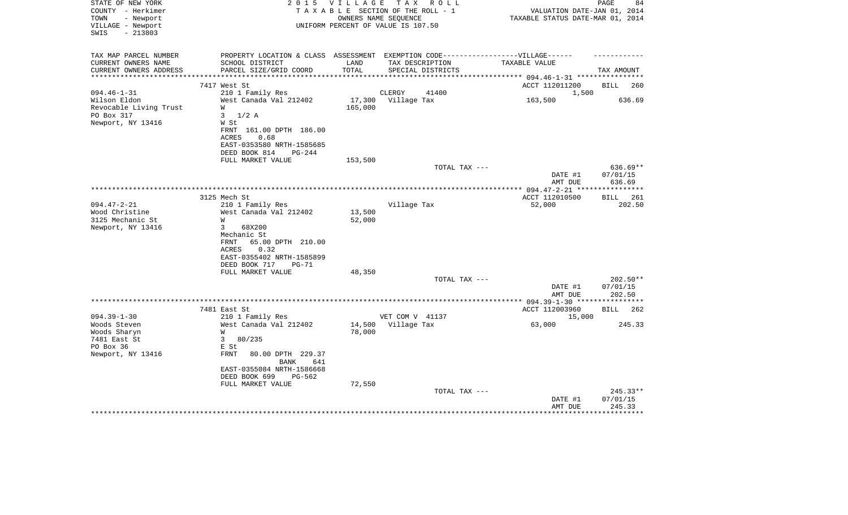| STATE OF NEW YORK<br>COUNTY - Herkimer<br>- Newport<br>TOWN<br>VILLAGE - Newport<br>$-213803$<br>SWIS | 2 0 1 5                                                                                                                                                            | VILLAGE<br>TAXABLE SECTION OF THE ROLL - 1<br>OWNERS NAME SEQUENCE<br>UNIFORM PERCENT OF VALUE IS 107.50 | T A X           | R O L L           | VALUATION DATE-JAN 01,<br>TAXABLE STATUS DATE-MAR 01, 2014 | PAGE<br>84<br>2014               |
|-------------------------------------------------------------------------------------------------------|--------------------------------------------------------------------------------------------------------------------------------------------------------------------|----------------------------------------------------------------------------------------------------------|-----------------|-------------------|------------------------------------------------------------|----------------------------------|
| TAX MAP PARCEL NUMBER<br>CURRENT OWNERS NAME<br>CURRENT OWNERS ADDRESS<br>***********************     | PROPERTY LOCATION & CLASS ASSESSMENT EXEMPTION CODE-----------------VILLAGE------<br>SCHOOL DISTRICT<br>PARCEL SIZE/GRID COORD<br>******************************** | LAND<br>TOTAL                                                                                            | TAX DESCRIPTION | SPECIAL DISTRICTS | TAXABLE VALUE                                              | TAX AMOUNT                       |
|                                                                                                       | 7417 West St                                                                                                                                                       |                                                                                                          |                 |                   | ACCT 112011200                                             | BILL<br>260                      |
| $094.46 - 1 - 31$                                                                                     | 210 1 Family Res                                                                                                                                                   |                                                                                                          | CLERGY          | 41400             | 1,500                                                      |                                  |
| Wilson Eldon<br>Revocable Living Trust<br>PO Box 317<br>Newport, NY 13416                             | West Canada Val 212402<br>W<br>3<br>$1/2$ A<br>W St                                                                                                                | 17,300<br>165,000                                                                                        | Village Tax     |                   | 163,500                                                    | 636.69                           |
|                                                                                                       | FRNT 161.00 DPTH 186.00<br>ACRES<br>0.68<br>EAST-0353580 NRTH-1585685<br>DEED BOOK 814<br>PG-244                                                                   |                                                                                                          |                 |                   |                                                            |                                  |
|                                                                                                       | FULL MARKET VALUE                                                                                                                                                  | 153,500                                                                                                  |                 |                   |                                                            |                                  |
|                                                                                                       |                                                                                                                                                                    |                                                                                                          |                 | TOTAL TAX ---     |                                                            | 636.69**                         |
|                                                                                                       |                                                                                                                                                                    |                                                                                                          |                 |                   | DATE #1                                                    | 07/01/15                         |
|                                                                                                       |                                                                                                                                                                    |                                                                                                          |                 |                   | AMT DUE                                                    | 636.69                           |
|                                                                                                       | 3125 Mech St                                                                                                                                                       |                                                                                                          |                 |                   | ACCT 112010500                                             | 261<br>BILL                      |
| $094.47 - 2 - 21$                                                                                     | 210 1 Family Res                                                                                                                                                   |                                                                                                          | Village Tax     |                   | 52,000                                                     | 202.50                           |
| Wood Christine<br>3125 Mechanic St<br>Newport, NY 13416                                               | West Canada Val 212402<br>W<br>3<br>68X200<br>Mechanic St<br>65.00 DPTH 210.00<br>FRNT<br>ACRES<br>0.32                                                            | 13,500<br>52,000                                                                                         |                 |                   |                                                            |                                  |
|                                                                                                       | EAST-0355402 NRTH-1585899                                                                                                                                          |                                                                                                          |                 |                   |                                                            |                                  |
|                                                                                                       | DEED BOOK 717<br>$PG-71$                                                                                                                                           |                                                                                                          |                 |                   |                                                            |                                  |
|                                                                                                       | FULL MARKET VALUE                                                                                                                                                  | 48,350                                                                                                   |                 | TOTAL TAX ---     |                                                            | 202.50**                         |
|                                                                                                       |                                                                                                                                                                    |                                                                                                          |                 |                   | DATE #1<br>AMT DUE                                         | 07/01/15<br>202.50               |
|                                                                                                       |                                                                                                                                                                    |                                                                                                          |                 |                   |                                                            |                                  |
| $094.39 - 1 - 30$                                                                                     | 7481 East St<br>210 1 Family Res                                                                                                                                   |                                                                                                          | VET COM V 41137 |                   | ACCT 112003960<br>15,000                                   | <b>BILL</b><br>262               |
| Woods Steven<br>Woods Sharyn<br>7481 East St<br>PO Box 36                                             | West Canada Val 212402<br>W<br>80/235<br>3<br>E St                                                                                                                 | 14,500<br>78,000                                                                                         | Village Tax     |                   | 63,000                                                     | 245.33                           |
| Newport, NY 13416                                                                                     | <b>FRNT</b><br>80.00 DPTH 229.37<br><b>BANK</b><br>641<br>EAST-0355084 NRTH-1586668<br>DEED BOOK 699<br>PG-562<br>FULL MARKET VALUE                                | 72,550                                                                                                   |                 |                   |                                                            |                                  |
|                                                                                                       |                                                                                                                                                                    |                                                                                                          |                 | TOTAL TAX ---     | DATE #1<br>AMT DUE                                         | $245.33**$<br>07/01/15<br>245.33 |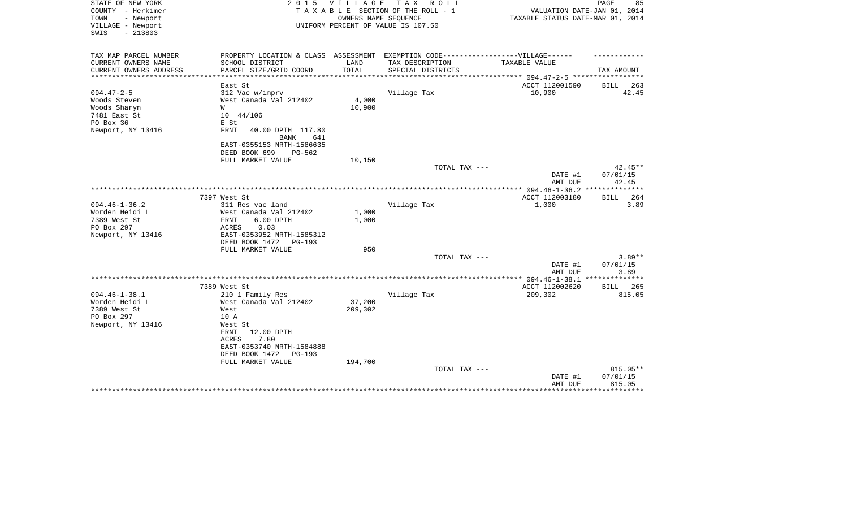| STATE OF NEW YORK<br>COUNTY - Herkimer<br>TOWN<br>- Newport | 2 0 1 5                                                                           | VILLAGE | TAX ROLL<br>TAXABLE SECTION OF THE ROLL - 1<br>OWNERS NAME SEQUENCE | 85<br>PAGE<br>VALUATION DATE-JAN 01, 2014<br>TAXABLE STATUS DATE-MAR 01, 2014 |                    |  |
|-------------------------------------------------------------|-----------------------------------------------------------------------------------|---------|---------------------------------------------------------------------|-------------------------------------------------------------------------------|--------------------|--|
| VILLAGE - Newport<br>$-213803$<br>SWIS                      |                                                                                   |         | UNIFORM PERCENT OF VALUE IS 107.50                                  |                                                                               |                    |  |
| TAX MAP PARCEL NUMBER                                       | PROPERTY LOCATION & CLASS ASSESSMENT EXEMPTION CODE-----------------VILLAGE------ |         |                                                                     |                                                                               |                    |  |
| CURRENT OWNERS NAME                                         | SCHOOL DISTRICT                                                                   | LAND    | TAX DESCRIPTION                                                     | TAXABLE VALUE                                                                 |                    |  |
| CURRENT OWNERS ADDRESS<br>**************************        | PARCEL SIZE/GRID COORD                                                            | TOTAL   | SPECIAL DISTRICTS                                                   |                                                                               | TAX AMOUNT         |  |
|                                                             | East St                                                                           |         |                                                                     | ACCT 112001590                                                                | BILL<br>263        |  |
| $094.47 - 2 - 5$                                            | 312 Vac w/imprv                                                                   |         | Village Tax                                                         | 10,900                                                                        | 42.45              |  |
| Woods Steven                                                | West Canada Val 212402                                                            | 4,000   |                                                                     |                                                                               |                    |  |
| Woods Sharyn                                                | W                                                                                 | 10,900  |                                                                     |                                                                               |                    |  |
| 7481 East St                                                | 10 44/106                                                                         |         |                                                                     |                                                                               |                    |  |
| PO Box 36                                                   | E St                                                                              |         |                                                                     |                                                                               |                    |  |
| Newport, NY 13416                                           | FRNT<br>40.00 DPTH 117.80<br>641<br><b>BANK</b>                                   |         |                                                                     |                                                                               |                    |  |
|                                                             | EAST-0355153 NRTH-1586635                                                         |         |                                                                     |                                                                               |                    |  |
|                                                             | DEED BOOK 699<br>PG-562                                                           |         |                                                                     |                                                                               |                    |  |
|                                                             | FULL MARKET VALUE                                                                 | 10,150  |                                                                     |                                                                               |                    |  |
|                                                             |                                                                                   |         | TOTAL TAX ---                                                       |                                                                               | 42.45**            |  |
|                                                             |                                                                                   |         |                                                                     | DATE #1                                                                       | 07/01/15           |  |
|                                                             |                                                                                   |         |                                                                     | AMT DUE                                                                       | 42.45              |  |
|                                                             | 7397 West St                                                                      |         |                                                                     | ACCT 112003180                                                                | 264<br><b>BILL</b> |  |
| $094.46 - 1 - 36.2$                                         | 311 Res vac land                                                                  |         | Village Tax                                                         | 1,000                                                                         | 3.89               |  |
| Worden Heidi L                                              | West Canada Val 212402                                                            | 1,000   |                                                                     |                                                                               |                    |  |
| 7389 West St                                                | 6.00 DPTH<br>FRNT                                                                 | 1,000   |                                                                     |                                                                               |                    |  |
| PO Box 297                                                  | ACRES<br>0.03                                                                     |         |                                                                     |                                                                               |                    |  |
| Newport, NY 13416                                           | EAST-0353952 NRTH-1585312<br>DEED BOOK 1472<br>$PG-193$                           |         |                                                                     |                                                                               |                    |  |
|                                                             | FULL MARKET VALUE                                                                 | 950     |                                                                     |                                                                               |                    |  |
|                                                             |                                                                                   |         | TOTAL TAX ---                                                       |                                                                               | $3.89**$           |  |
|                                                             |                                                                                   |         |                                                                     | DATE #1                                                                       | 07/01/15           |  |
|                                                             |                                                                                   |         |                                                                     | AMT DUE                                                                       | 3.89               |  |
|                                                             | 7389 West St                                                                      |         |                                                                     | ACCT 112002620                                                                | <b>BILL</b><br>265 |  |
| $094.46 - 1 - 38.1$                                         | 210 1 Family Res                                                                  |         | Village Tax                                                         | 209,302                                                                       | 815.05             |  |
| Worden Heidi L                                              | West Canada Val 212402                                                            | 37,200  |                                                                     |                                                                               |                    |  |
| 7389 West St                                                | West                                                                              | 209,302 |                                                                     |                                                                               |                    |  |
| PO Box 297                                                  | 10 A                                                                              |         |                                                                     |                                                                               |                    |  |
| Newport, NY 13416                                           | West St                                                                           |         |                                                                     |                                                                               |                    |  |
|                                                             | 12.00 DPTH<br>FRNT                                                                |         |                                                                     |                                                                               |                    |  |
|                                                             | 7.80<br>ACRES                                                                     |         |                                                                     |                                                                               |                    |  |
|                                                             | EAST-0353740 NRTH-1584888<br>DEED BOOK 1472<br>$PG-193$                           |         |                                                                     |                                                                               |                    |  |
|                                                             | FULL MARKET VALUE                                                                 | 194,700 |                                                                     |                                                                               |                    |  |
|                                                             |                                                                                   |         | TOTAL TAX ---                                                       |                                                                               | 815.05**           |  |
|                                                             |                                                                                   |         |                                                                     | DATE #1                                                                       | 07/01/15           |  |
|                                                             |                                                                                   |         |                                                                     | AMT DUE                                                                       | 815.05             |  |
|                                                             |                                                                                   |         |                                                                     |                                                                               | **********         |  |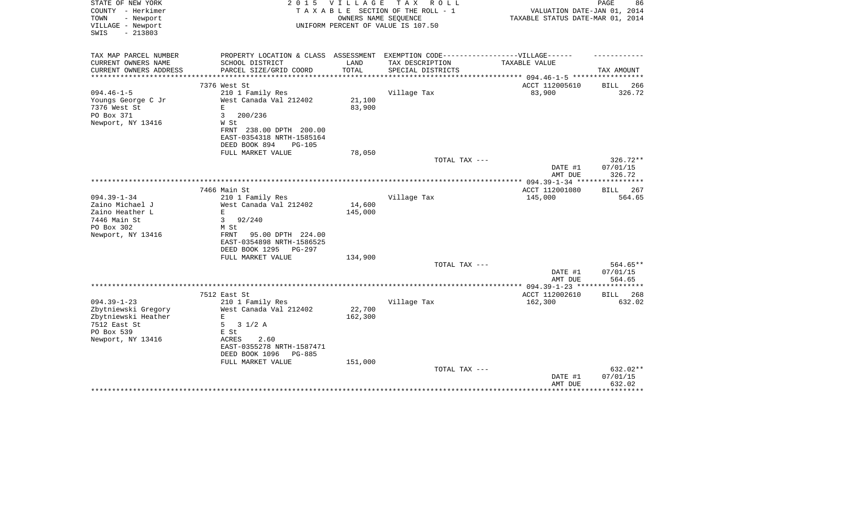| STATE OF NEW YORK<br>COUNTY - Herkimer<br>- Newport<br>TOWN<br>VILLAGE - Newport<br>$-213803$<br>SWIS              | 2 0 1 5                                                                                                      | <b>VILLAGE</b>    | T A X<br>R O L L<br>TAXABLE SECTION OF THE ROLL - 1<br>OWNERS NAME SEQUENCE<br>UNIFORM PERCENT OF VALUE IS 107.50 | VALUATION DATE-JAN 01, 2014<br>TAXABLE STATUS DATE-MAR 01, 2014 | PAGE<br>86                     |
|--------------------------------------------------------------------------------------------------------------------|--------------------------------------------------------------------------------------------------------------|-------------------|-------------------------------------------------------------------------------------------------------------------|-----------------------------------------------------------------|--------------------------------|
|                                                                                                                    |                                                                                                              |                   |                                                                                                                   |                                                                 |                                |
| TAX MAP PARCEL NUMBER<br>CURRENT OWNERS NAME                                                                       | PROPERTY LOCATION & CLASS ASSESSMENT EXEMPTION CODE-----------------VILLAGE------<br>SCHOOL DISTRICT         | LAND              | TAX DESCRIPTION                                                                                                   | <b>TAXABLE VALUE</b>                                            |                                |
| CURRENT OWNERS ADDRESS                                                                                             | PARCEL SIZE/GRID COORD                                                                                       | TOTAL             | SPECIAL DISTRICTS                                                                                                 |                                                                 | TAX AMOUNT                     |
| **********************                                                                                             |                                                                                                              |                   |                                                                                                                   |                                                                 |                                |
|                                                                                                                    | 7376 West St                                                                                                 |                   |                                                                                                                   | ACCT 112005610                                                  | BILL<br>266                    |
| $094.46 - 1 - 5$<br>Youngs George C Jr<br>7376 West St<br>PO Box 371<br>Newport, NY 13416                          | 210 1 Family Res<br>West Canada Val 212402<br>$\mathbf E$<br>3<br>200/236<br>W St<br>FRNT 238.00 DPTH 200.00 | 21,100<br>83,900  | Village Tax                                                                                                       | 83,900                                                          | 326.72                         |
|                                                                                                                    | EAST-0354318 NRTH-1585164                                                                                    |                   |                                                                                                                   |                                                                 |                                |
|                                                                                                                    | DEED BOOK 894<br>$PG-105$                                                                                    |                   |                                                                                                                   |                                                                 |                                |
|                                                                                                                    | FULL MARKET VALUE                                                                                            | 78,050            | TOTAL TAX ---                                                                                                     |                                                                 | 326.72**                       |
|                                                                                                                    |                                                                                                              |                   |                                                                                                                   | DATE #1                                                         | 07/01/15<br>326.72             |
|                                                                                                                    |                                                                                                              |                   |                                                                                                                   | AMT DUE                                                         |                                |
|                                                                                                                    | 7466 Main St                                                                                                 |                   |                                                                                                                   | ACCT 112001080                                                  | BILL<br>267                    |
| $094.39 - 1 - 34$                                                                                                  | 210 1 Family Res                                                                                             |                   | Village Tax                                                                                                       | 145,000                                                         | 564.65                         |
| Zaino Michael J                                                                                                    | West Canada Val 212402                                                                                       | 14,600            |                                                                                                                   |                                                                 |                                |
| Zaino Heather L<br>7446 Main St                                                                                    | $\mathbf E$<br>3<br>92/240                                                                                   | 145,000           |                                                                                                                   |                                                                 |                                |
| PO Box 302                                                                                                         | M St                                                                                                         |                   |                                                                                                                   |                                                                 |                                |
| Newport, NY 13416                                                                                                  | 95.00 DPTH 224.00<br>FRNT<br>EAST-0354898 NRTH-1586525<br>DEED BOOK 1295<br>PG-297                           |                   |                                                                                                                   |                                                                 |                                |
|                                                                                                                    | FULL MARKET VALUE                                                                                            | 134,900           | TOTAL TAX ---                                                                                                     |                                                                 | 564.65**                       |
|                                                                                                                    |                                                                                                              |                   |                                                                                                                   | DATE #1<br>AMT DUE                                              | 07/01/15<br>564.65             |
|                                                                                                                    |                                                                                                              |                   |                                                                                                                   | ********* 094.39-1-23 *****************                         |                                |
|                                                                                                                    | 7512 East St                                                                                                 |                   |                                                                                                                   | ACCT 112002610                                                  | 268<br>BILL                    |
| $094.39 - 1 - 23$<br>Zbytniewski Gregory<br>Zbytniewski Heather<br>7512 East St<br>PO Box 539<br>Newport, NY 13416 | 210 1 Family Res<br>West Canada Val 212402<br>Е<br>5<br>$3 \frac{1}{2}$ A<br>E St<br>ACRES<br>2.60           | 22,700<br>162,300 | Village Tax                                                                                                       | 162,300                                                         | 632.02                         |
|                                                                                                                    | EAST-0355278 NRTH-1587471<br>DEED BOOK 1096<br>PG-885<br>FULL MARKET VALUE                                   | 151,000           |                                                                                                                   |                                                                 |                                |
|                                                                                                                    |                                                                                                              |                   | TOTAL TAX ---                                                                                                     | DATE #1<br>AMT DUE                                              | 632.02**<br>07/01/15<br>632.02 |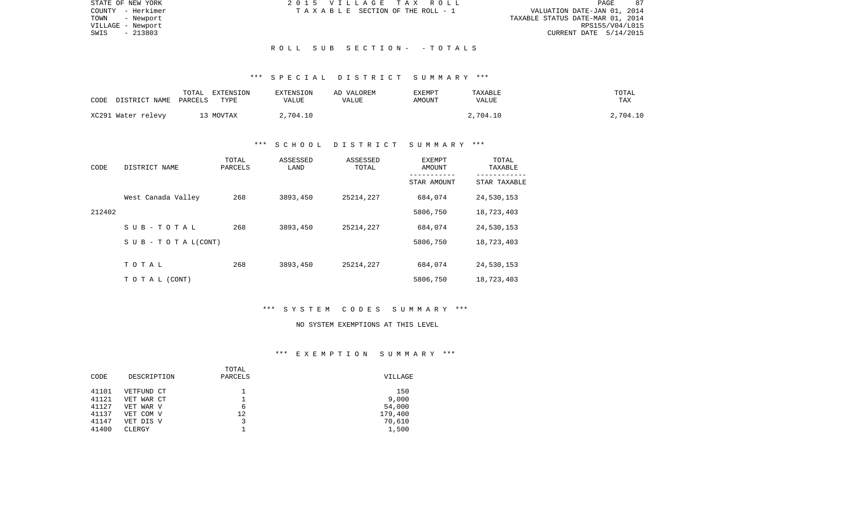| STATE OF NEW YORK | 2015 VILLAGE TAX ROLL                 | 87<br>PAGE                       |
|-------------------|---------------------------------------|----------------------------------|
| COUNTY - Herkimer | T A X A B L E SECTION OF THE ROLL - 1 | VALUATION DATE-JAN 01, 2014      |
| TOWN<br>- Newport |                                       | TAXABLE STATUS DATE-MAR 01, 2014 |
| VILLAGE - Newport |                                       | RPS155/V04/L015                  |
| - 213803<br>SWIS  |                                       | CURRENT DATE $5/14/2015$         |
|                   |                                       |                                  |
|                   | ROLL SUB SECTION- - TOTALS            |                                  |

## \*\*\* S P E C I A L D I S T R I C T S U M M A R Y \*\*\*

| CODE | DISTRICT NAME      | TOTAL<br>PARCELS | EXTENSION<br>TYPE | EXTENSION<br>VALUE | AD VALOREM<br>VALUE | <b>EXEMPT</b><br>AMOUNT | TAXABLE<br>VALUE | TOTAL<br>TAX |
|------|--------------------|------------------|-------------------|--------------------|---------------------|-------------------------|------------------|--------------|
|      | XC291 Water relevy |                  | 13 MOVTAX         | 2,704.10           |                     |                         | 2,704.10         | 2,704.10     |

## \*\*\* S C H O O L D I S T R I C T S U M M A R Y \*\*\*

| CODE   | DISTRICT NAME                    | TOTAL<br>PARCELS | ASSESSED<br>LAND | ASSESSED<br>TOTAL | EXEMPT<br>AMOUNT<br>---------- | TOTAL<br>TAXABLE |
|--------|----------------------------------|------------------|------------------|-------------------|--------------------------------|------------------|
|        |                                  |                  |                  |                   | STAR AMOUNT                    | STAR TAXABLE     |
|        | West Canada Valley               | 268              | 3893,450         | 25214,227         | 684,074                        | 24,530,153       |
| 212402 |                                  |                  |                  |                   | 5806,750                       | 18,723,403       |
|        | SUB-TOTAL                        | 268              | 3893,450         | 25214,227         | 684,074                        | 24,530,153       |
|        | $S \cup B - T \cup T A L (CONT)$ |                  |                  |                   | 5806,750                       | 18,723,403       |
|        |                                  |                  |                  |                   |                                |                  |
|        | TOTAL                            | 268              | 3893,450         | 25214,227         | 684,074                        | 24,530,153       |
|        | TO TAL (CONT)                    |                  |                  |                   | 5806,750                       | 18,723,403       |

## \*\*\* S Y S T E M C O D E S S U M M A R Y \*\*\*

### NO SYSTEM EXEMPTIONS AT THIS LEVEL

## \*\*\* E X E M P T I O N S U M M A R Y \*\*\*

|       |             | TOTAL   |         |
|-------|-------------|---------|---------|
| CODE  | DESCRIPTION | PARCELS | VILLAGE |
| 41101 | VETFUND CT  |         | 150     |
| 41121 | VET WAR CT  |         | 9,000   |
| 41127 | VET WAR V   | 6       | 54,000  |
| 41137 | VET COM V   | 12      | 179,400 |
| 41147 | VET DIS V   |         | 70,610  |
| 41400 | CLERGY      |         | 1,500   |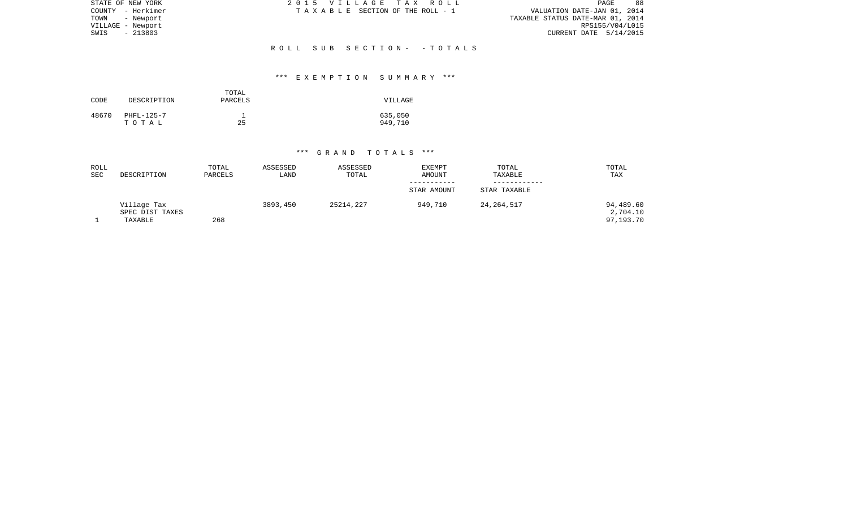| STATE OF NEW YORK | 2015 VILLAGE TAX ROLL                 | 88<br>PAGE                       |
|-------------------|---------------------------------------|----------------------------------|
| COUNTY - Herkimer | T A X A B L E SECTION OF THE ROLL - 1 | VALUATION DATE-JAN 01, 2014      |
| TOWN<br>- Newport |                                       | TAXABLE STATUS DATE-MAR 01, 2014 |
| VILLAGE - Newport |                                       | RPS155/V04/L015                  |
| - 213803<br>SWIS  |                                       | CURRENT DATE 5/14/2015           |
|                   |                                       |                                  |
|                   | ROLL SUB SECTION- -TOTALS             |                                  |

## \*\*\* E X E M P T I O N S U M M A R Y \*\*\*

| CODE  | DESCRIPTION         | TOTAL<br>PARCELS | VILLAGE            |
|-------|---------------------|------------------|--------------------|
| 48670 | PHFL-125-7<br>тотаь | 25               | 635,050<br>949,710 |

| ROLL<br><b>SEC</b> | DESCRIPTION                               | TOTAL<br>PARCELS | ASSESSED<br>LAND | ASSESSED<br>TOTAL | <b>EXEMPT</b><br>AMOUNT | TOTAL<br>TAXABLE | TOTAL<br>TAX                       |
|--------------------|-------------------------------------------|------------------|------------------|-------------------|-------------------------|------------------|------------------------------------|
|                    |                                           |                  |                  |                   | -----------             |                  |                                    |
|                    |                                           |                  |                  |                   | STAR AMOUNT             | STAR TAXABLE     |                                    |
|                    | Village Tax<br>SPEC DIST TAXES<br>TAXABLE | 268              | 3893,450         | 25214,227         | 949,710                 | 24, 264, 517     | 94,489.60<br>2,704.10<br>97,193.70 |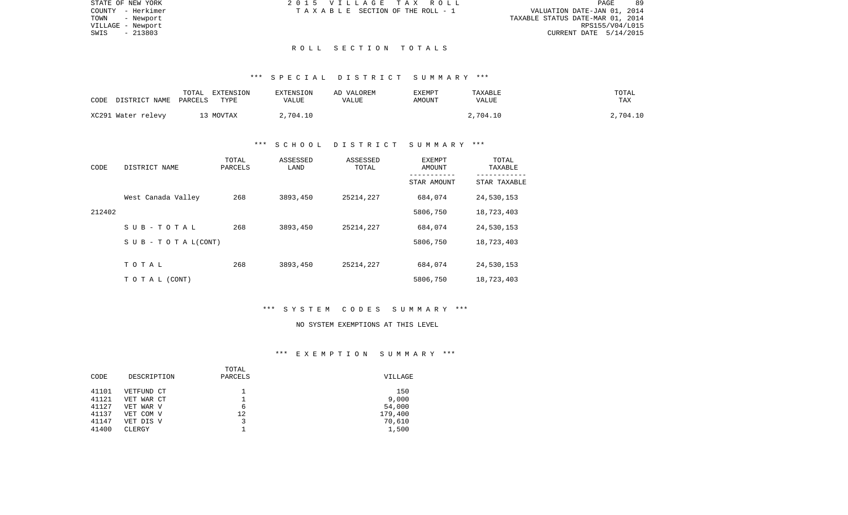| STATE OF NEW YORK | 2015 VILLAGE TAX ROLL           | -89<br>PAGE                      |
|-------------------|---------------------------------|----------------------------------|
| COUNTY - Herkimer | TAXABLE SECTION OF THE ROLL - 1 | VALUATION DATE-JAN 01, 2014      |
| TOWN<br>- Newport |                                 | TAXABLE STATUS DATE-MAR 01, 2014 |
| VILLAGE - Newport |                                 | RPS155/V04/L015                  |
| - 213803<br>SWIS  |                                 | CURRENT DATE 5/14/2015           |
|                   |                                 |                                  |

### \*\*\* S P E C I A L D I S T R I C T S U M M A R Y \*\*\*

| CODE | DISTRICT NAME      | TOTAL<br>PARCELS | EXTENSION<br>TYPE | EXTENSION<br>VALUE | AD VALOREM<br>VALUE | EXEMPT<br>AMOUNT | TAXABLE<br>VALUE | TOTAL<br>TAX |
|------|--------------------|------------------|-------------------|--------------------|---------------------|------------------|------------------|--------------|
|      | XC291 Water relevy |                  | 13 MOVTAX         | 2,704.10           |                     |                  | 2,704.10         | 2,704.10     |

## \*\*\* S C H O O L D I S T R I C T S U M M A R Y \*\*\*

| CODE   | DISTRICT NAME                    | TOTAL<br>PARCELS | ASSESSED<br>LAND | ASSESSED<br>TOTAL | EXEMPT<br>AMOUNT<br>---------- | TOTAL<br>TAXABLE<br>----------- |
|--------|----------------------------------|------------------|------------------|-------------------|--------------------------------|---------------------------------|
|        |                                  |                  |                  |                   | STAR AMOUNT                    | STAR TAXABLE                    |
|        | West Canada Valley               | 268              | 3893,450         | 25214,227         | 684,074                        | 24,530,153                      |
| 212402 |                                  |                  |                  |                   | 5806,750                       | 18,723,403                      |
|        | SUB-TOTAL                        | 268              | 3893,450         | 25214,227         | 684,074                        | 24,530,153                      |
|        | $S \cup B - T \cup T A L (CONT)$ |                  |                  |                   | 5806,750                       | 18,723,403                      |
|        |                                  |                  |                  |                   |                                |                                 |
|        | TOTAL                            | 268              | 3893,450         | 25214,227         | 684,074                        | 24,530,153                      |
|        | TO TAL (CONT)                    |                  |                  |                   | 5806,750                       | 18,723,403                      |

## \*\*\* S Y S T E M C O D E S S U M M A R Y \*\*\*

### NO SYSTEM EXEMPTIONS AT THIS LEVEL

## \*\*\* E X E M P T I O N S U M M A R Y \*\*\*

|       |             | TOTAL   |         |
|-------|-------------|---------|---------|
| CODE  | DESCRIPTION | PARCELS | VILLAGE |
| 41101 | VETFUND CT  |         | 150     |
| 41121 | VET WAR CT  |         | 9,000   |
| 41127 | VET WAR V   | 6       | 54,000  |
| 41137 | VET COM V   | 12      | 179,400 |
| 41147 | VET DIS V   |         | 70,610  |
| 41400 | CLERGY      |         | 1,500   |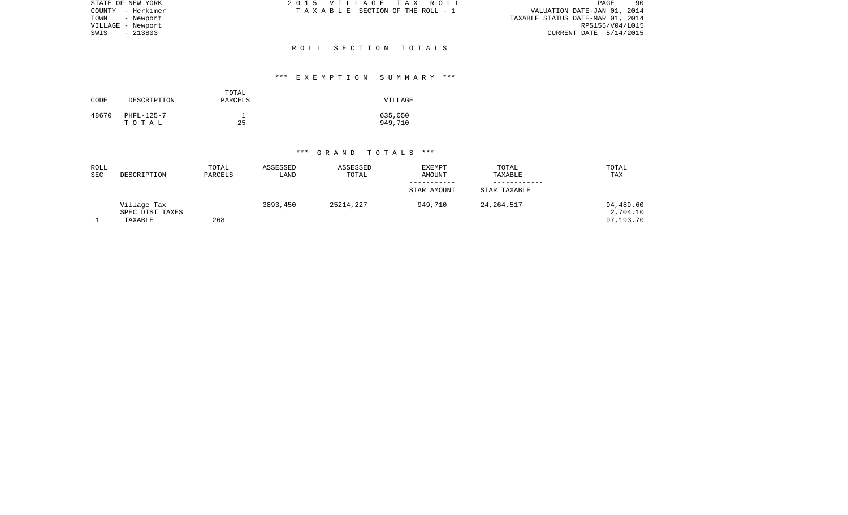| STATE OF NEW YORK | 2015 VILLAGE TAX ROLL           | 90<br>PAGE                       |
|-------------------|---------------------------------|----------------------------------|
| COUNTY - Herkimer | TAXABLE SECTION OF THE ROLL - 1 | VALUATION DATE-JAN 01, 2014      |
| TOWN<br>- Newport |                                 | TAXABLE STATUS DATE-MAR 01, 2014 |
| VILLAGE - Newport |                                 | RPS155/V04/L015                  |
| $-213803$<br>SWIS |                                 | CURRENT DATE $5/14/2015$         |
|                   |                                 |                                  |
|                   | ROLL SECTION TOTALS             |                                  |

## \*\*\* E X E M P T I O N S U M M A R Y \*\*\*

| CODE  | DESCRIPTION         | TOTAL<br>PARCELS | VILLAGE            |
|-------|---------------------|------------------|--------------------|
| 48670 | PHFL-125-7<br>тотаь | 25               | 635,050<br>949,710 |

| ROLL<br><b>SEC</b> | DESCRIPTION                               | TOTAL<br>PARCELS | ASSESSED<br>LAND | ASSESSED<br>TOTAL | <b>EXEMPT</b><br>AMOUNT | TOTAL<br>TAXABLE | TOTAL<br><b>TAX</b>                |
|--------------------|-------------------------------------------|------------------|------------------|-------------------|-------------------------|------------------|------------------------------------|
|                    |                                           |                  |                  |                   |                         |                  |                                    |
|                    |                                           |                  |                  |                   | STAR AMOUNT             | STAR TAXABLE     |                                    |
|                    | Village Tax<br>SPEC DIST TAXES<br>TAXABLE | 268              | 3893,450         | 25214,227         | 949,710                 | 24, 264, 517     | 94,489.60<br>2,704.10<br>97,193.70 |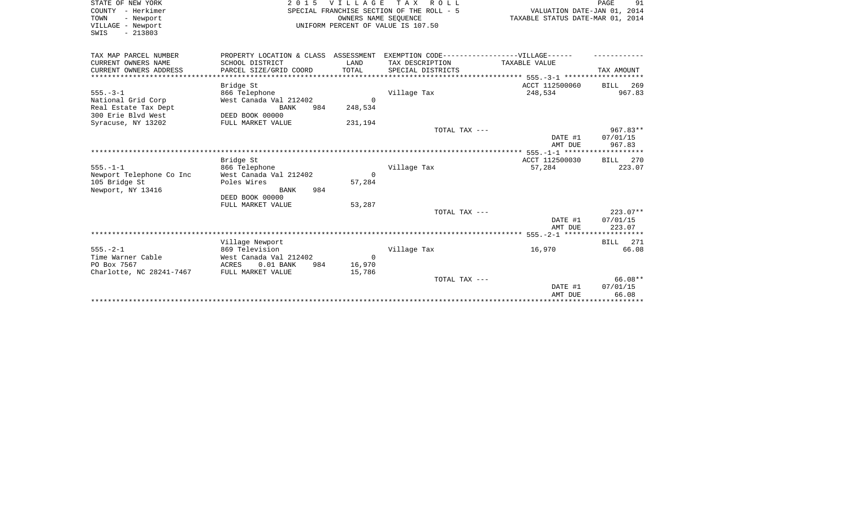| STATE OF NEW YORK                       | 2 0 1 5                                          | <b>VILLAGE</b>   | T A X<br>R O L L                                                                  |                                                                 | PAGE<br>91      |
|-----------------------------------------|--------------------------------------------------|------------------|-----------------------------------------------------------------------------------|-----------------------------------------------------------------|-----------------|
| COUNTY - Herkimer<br>TOWN<br>- Newport  |                                                  |                  | SPECIAL FRANCHISE SECTION OF THE ROLL - 5<br>OWNERS NAME SEQUENCE                 | VALUATION DATE-JAN 01, 2014<br>TAXABLE STATUS DATE-MAR 01, 2014 |                 |
| VILLAGE - Newport<br>SWIS<br>$-213803$  |                                                  |                  | UNIFORM PERCENT OF VALUE IS 107.50                                                |                                                                 |                 |
| TAX MAP PARCEL NUMBER                   |                                                  |                  | PROPERTY LOCATION & CLASS ASSESSMENT EXEMPTION CODE-----------------VILLAGE------ |                                                                 |                 |
| CURRENT OWNERS NAME                     | SCHOOL DISTRICT                                  | LAND             | TAX DESCRIPTION                                                                   | TAXABLE VALUE                                                   |                 |
| CURRENT OWNERS ADDRESS                  | PARCEL SIZE/GRID COORD                           | TOTAL            | SPECIAL DISTRICTS                                                                 |                                                                 | TAX AMOUNT      |
|                                         |                                                  |                  |                                                                                   |                                                                 |                 |
|                                         | Bridge St                                        |                  |                                                                                   | ACCT 112500060                                                  | <b>BILL</b> 269 |
| $555. - 3 - 1$                          | 866 Telephone                                    |                  | Village Tax                                                                       | 248,534                                                         | 967.83          |
| National Grid Corp                      | West Canada Val 212402                           | $\Omega$         |                                                                                   |                                                                 |                 |
| Real Estate Tax Dept                    | 984<br>BANK                                      | 248,534          |                                                                                   |                                                                 |                 |
| 300 Erie Blvd West                      | DEED BOOK 00000                                  |                  |                                                                                   |                                                                 |                 |
| Syracuse, NY 13202                      | FULL MARKET VALUE                                | 231,194          |                                                                                   |                                                                 |                 |
|                                         |                                                  |                  | TOTAL TAX ---                                                                     |                                                                 | $967.83**$      |
|                                         |                                                  |                  |                                                                                   | DATE #1                                                         | 07/01/15        |
|                                         |                                                  |                  |                                                                                   | AMT DUE                                                         | 967.83          |
|                                         | Bridge St                                        |                  |                                                                                   | ACCT 112500030                                                  | BILL 270        |
| $555. - 1 - 1$                          | 866 Telephone                                    |                  | Village Tax                                                                       | 57,284                                                          | 223.07          |
| Newport Telephone Co Inc                | West Canada Val 212402                           | $\Omega$         |                                                                                   |                                                                 |                 |
| 105 Bridge St                           | Poles Wires                                      | 57,284           |                                                                                   |                                                                 |                 |
| Newport, NY 13416                       | 984<br>BANK                                      |                  |                                                                                   |                                                                 |                 |
|                                         | DEED BOOK 00000                                  |                  |                                                                                   |                                                                 |                 |
|                                         | FULL MARKET VALUE                                | 53,287           |                                                                                   |                                                                 |                 |
|                                         |                                                  |                  | TOTAL TAX ---                                                                     |                                                                 | $223.07**$      |
|                                         |                                                  |                  |                                                                                   | DATE #1                                                         | 07/01/15        |
|                                         |                                                  |                  |                                                                                   | AMT DUE                                                         | 223.07          |
|                                         |                                                  |                  |                                                                                   |                                                                 |                 |
|                                         | Village Newport                                  |                  |                                                                                   |                                                                 | BILL 271        |
| $555. - 2 - 1$                          | 869 Television                                   |                  | Village Tax                                                                       | 16,970                                                          | 66.08           |
| Time Warner Cable                       | West Canada Val 212402                           | $\overline{0}$   |                                                                                   |                                                                 |                 |
| PO Box 7567<br>Charlotte, NC 28241-7467 | $0.01$ BANK<br>ACRES<br>984<br>FULL MARKET VALUE | 16,970<br>15,786 |                                                                                   |                                                                 |                 |
|                                         |                                                  |                  | TOTAL TAX ---                                                                     |                                                                 | $66.08**$       |
|                                         |                                                  |                  |                                                                                   | DATE #1                                                         | 07/01/15        |
|                                         |                                                  |                  |                                                                                   | AMT DUE                                                         | 66.08           |
|                                         |                                                  |                  |                                                                                   |                                                                 |                 |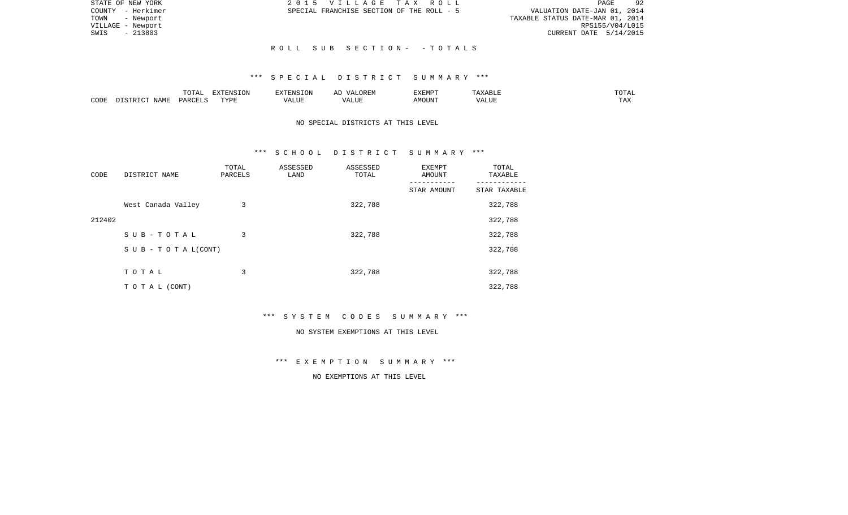| STATE OF NEW YORK | 2015 VILLAGE TAX ROLL                     | 92<br>PAGE                       |
|-------------------|-------------------------------------------|----------------------------------|
| COUNTY - Herkimer | SPECIAL FRANCHISE SECTION OF THE ROLL - 5 | VALUATION DATE-JAN 01, 2014      |
| TOWN - Newport    |                                           | TAXABLE STATUS DATE-MAR 01, 2014 |
| VILLAGE - Newport |                                           | RPS155/V04/L015                  |
| $-213803$<br>SWIS |                                           | CURRENT DATE $5/14/2015$         |
|                   |                                           |                                  |
|                   | ROLL SUB SECTION- -TOTALS                 |                                  |

## \*\*\* S P E C I A L D I S T R I C T S U M M A R Y \*\*\*

|      |                            | .∪⊥⊓⊥         | $\blacksquare$<br>11 L<br>LUIN |               |            | EXEMPT       | ABL.                  | $m \wedge m$<br>. |
|------|----------------------------|---------------|--------------------------------|---------------|------------|--------------|-----------------------|-------------------|
| CODE | <b>ABST</b><br>. .<br>NAMP | <b>DARCFT</b> | TVDT                           | $\mathcal{L}$ | ,,,<br>שחד | OUN".<br>۱M۲ | $- - - - - -$<br>ALUI | $- - -$<br>. Ал   |

# NO SPECIAL DISTRICTS AT THIS LEVEL

### \*\*\* S C H O O L D I S T R I C T S U M M A R Y \*\*\*

| CODE   | DISTRICT NAME                    | TOTAL<br>PARCELS | ASSESSED<br>LAND | ASSESSED<br>TOTAL | EXEMPT<br>AMOUNT | TOTAL<br>TAXABLE |
|--------|----------------------------------|------------------|------------------|-------------------|------------------|------------------|
|        |                                  |                  |                  |                   | STAR AMOUNT      | STAR TAXABLE     |
|        | West Canada Valley               | 3                |                  | 322,788           |                  | 322,788          |
| 212402 |                                  |                  |                  |                   |                  | 322,788          |
|        | SUB-TOTAL                        | 3                |                  | 322,788           |                  | 322,788          |
|        | $S \cup B - T \cup T A L (CONT)$ |                  |                  |                   |                  | 322,788          |
|        |                                  |                  |                  |                   |                  |                  |
|        | TOTAL                            | 3                |                  | 322,788           |                  | 322,788          |
|        | T O T A L (CONT)                 |                  |                  |                   |                  | 322,788          |

\*\*\* S Y S T E M C O D E S S U M M A R Y \*\*\*

### NO SYSTEM EXEMPTIONS AT THIS LEVEL

\*\*\* E X E M P T I O N S U M M A R Y \*\*\*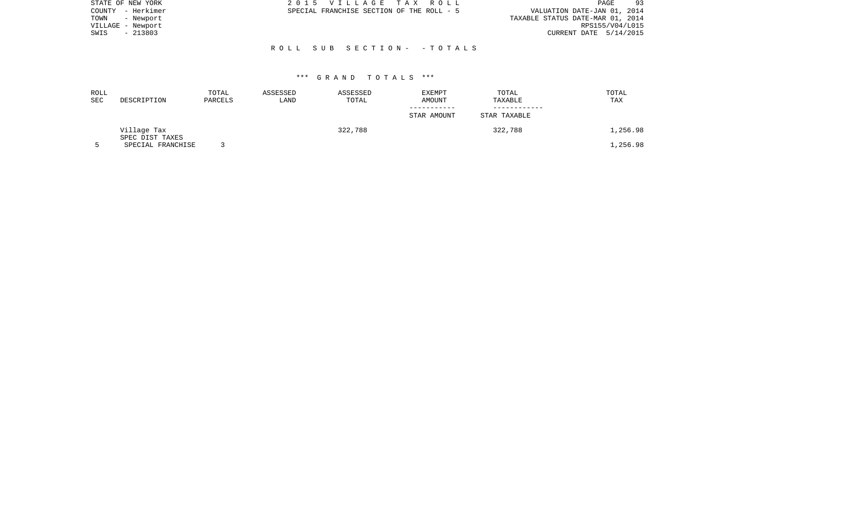| STATE OF NEW YORK | 2015 VILLAGE TAX ROLL                     | 93<br>PAGE                       |
|-------------------|-------------------------------------------|----------------------------------|
| COUNTY - Herkimer | SPECIAL FRANCHISE SECTION OF THE ROLL - 5 | VALUATION DATE-JAN 01, 2014      |
| TOWN<br>- Newport |                                           | TAXABLE STATUS DATE-MAR 01, 2014 |
| VILLAGE - Newport |                                           | RPS155/V04/L015                  |
| - 213803<br>SWIS  |                                           | CURRENT DATE 5/14/2015           |
|                   |                                           |                                  |
|                   | ROLL SUB SECTION- -TOTALS                 |                                  |

| ROLL<br>SEC | DESCRIPTION                    | TOTAL<br>PARCELS | ASSESSED<br>LAND | ASSESSED<br>TOTAL | <b>EXEMPT</b><br>AMOUNT | TOTAL<br>TAXABLE | TOTAL<br>TAX |
|-------------|--------------------------------|------------------|------------------|-------------------|-------------------------|------------------|--------------|
|             |                                |                  |                  |                   | STAR AMOUNT             | STAR TAXABLE     |              |
|             | Village Tax<br>SPEC DIST TAXES |                  |                  | 322,788           |                         | 322,788          | 1,256.98     |
|             | SPECIAL FRANCHISE              |                  |                  |                   |                         |                  | 1,256.98     |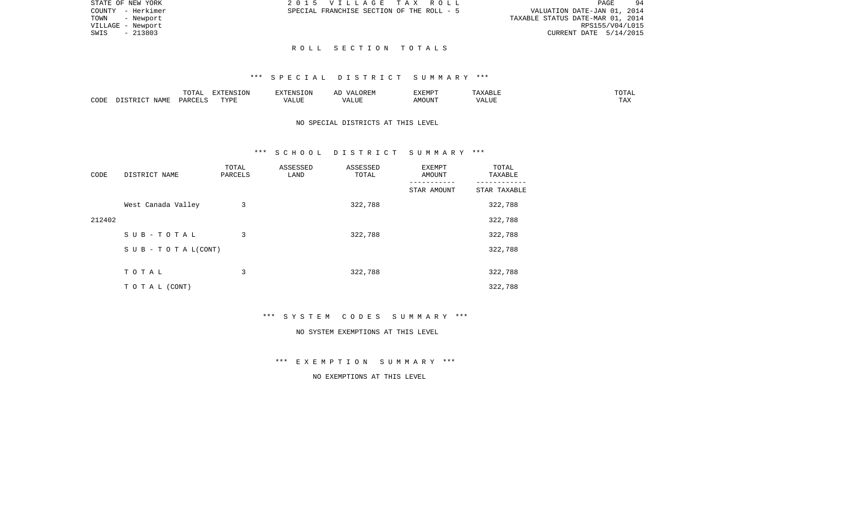| STATE OF NEW YORK | 2015 VILLAGE TAX ROLL                                                    | PAGE                     | 94 |
|-------------------|--------------------------------------------------------------------------|--------------------------|----|
| COUNTY - Herkimer | VALUATION DATE-JAN 01, 2014<br>SPECIAL FRANCHISE SECTION OF THE ROLL - 5 |                          |    |
| TOWN - Newport    | TAXABLE STATUS DATE-MAR 01, 2014                                         |                          |    |
| VILLAGE - Newport |                                                                          | RPS155/V04/L015          |    |
| SWIS<br>- 213803  |                                                                          | CURRENT DATE $5/14/2015$ |    |
|                   |                                                                          |                          |    |

### \*\*\* S P E C I A L D I S T R I C T S U M M A R Y \*\*\*

|      |             | $m \wedge m \wedge n$<br>∸ ∪ ⊥ ∠ ⊥ | <b>EXTENSION</b> | $\blacksquare$                       | $\cdots$ | $\overline{}$<br>EXEMP. | ◡∸⊷            |
|------|-------------|------------------------------------|------------------|--------------------------------------|----------|-------------------------|----------------|
| CODE | NAMF<br>. . | DAR <sub>(</sub>                   | TVDI<br>---      | $- - - - -$<br>$\sqrt{ }$<br>ת טובג. | $TTT$ .  | צנטע                    | may<br>د د د . |

# NO SPECIAL DISTRICTS AT THIS LEVEL

### \*\*\* S C H O O L D I S T R I C T S U M M A R Y \*\*\*

| CODE   | DISTRICT NAME                    | TOTAL<br>PARCELS | ASSESSED<br>LAND | ASSESSED<br>TOTAL | <b>EXEMPT</b><br>AMOUNT | TOTAL<br>TAXABLE |
|--------|----------------------------------|------------------|------------------|-------------------|-------------------------|------------------|
|        |                                  |                  |                  |                   | STAR AMOUNT             | STAR TAXABLE     |
|        | West Canada Valley               | 3                |                  | 322,788           |                         | 322,788          |
| 212402 |                                  |                  |                  |                   |                         | 322,788          |
|        | SUB-TOTAL                        | 3                |                  | 322,788           |                         | 322,788          |
|        | $S \cup B - T \cup T A L (CONT)$ |                  |                  |                   |                         | 322,788          |
|        |                                  |                  |                  |                   |                         |                  |
|        | TOTAL                            | 3                |                  | 322,788           |                         | 322,788          |
|        | T O T A L (CONT)                 |                  |                  |                   |                         | 322,788          |

\*\*\* S Y S T E M C O D E S S U M M A R Y \*\*\*

### NO SYSTEM EXEMPTIONS AT THIS LEVEL

\*\*\* E X E M P T I O N S U M M A R Y \*\*\*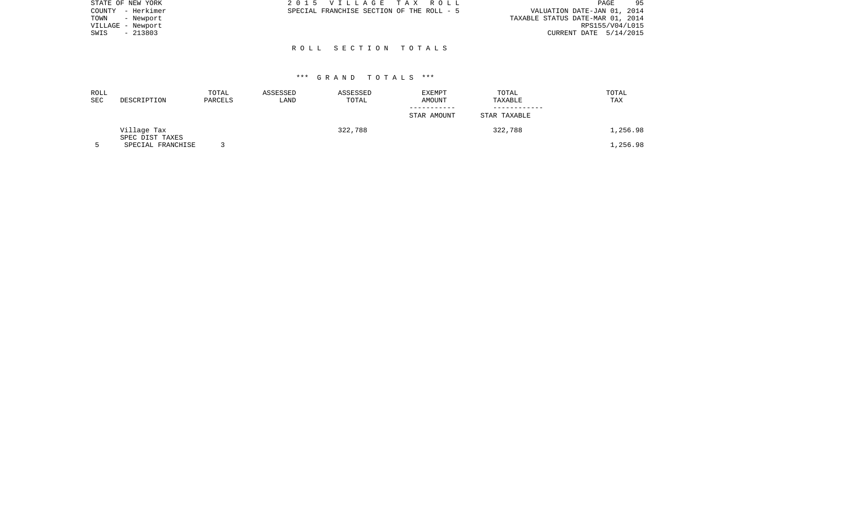| STATE OF NEW YORK | 2015 VILLAGE TAX ROLL                     | 95<br>PAGE                       |
|-------------------|-------------------------------------------|----------------------------------|
| COUNTY - Herkimer | SPECIAL FRANCHISE SECTION OF THE ROLL - 5 | VALUATION DATE-JAN 01, 2014      |
| TOWN<br>- Newport |                                           | TAXABLE STATUS DATE-MAR 01, 2014 |
| VILLAGE - Newport |                                           | RPS155/V04/L015                  |
| $-213803$<br>SWIS |                                           | CURRENT DATE 5/14/2015           |
|                   |                                           |                                  |

| ROLL<br>SEC | DESCRIPTION                          | TOTAL<br>PARCELS | ASSESSED<br>LAND | ASSESSED<br>TOTAL | EXEMPT<br>AMOUNT | TOTAL<br>TAXABLE | TOTAL<br>TAX |
|-------------|--------------------------------------|------------------|------------------|-------------------|------------------|------------------|--------------|
|             |                                      |                  |                  |                   | STAR AMOUNT      | STAR TAXABLE     |              |
|             | Village Tax                          |                  |                  | 322,788           |                  | 322,788          | l,256.98     |
|             | SPEC DIST TAXES<br>SPECIAL FRANCHISE |                  |                  |                   |                  |                  | .,256.98     |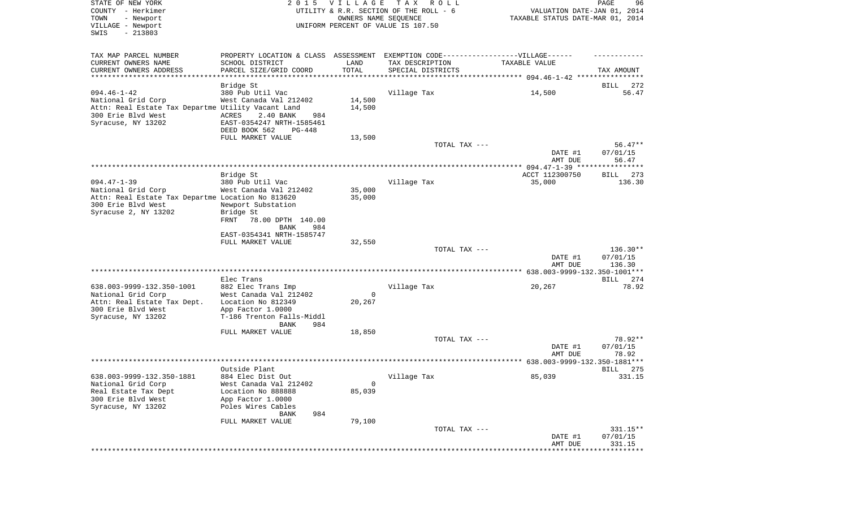| PROPERTY LOCATION & CLASS ASSESSMENT EXEMPTION CODE----------------VILLAGE------<br>TAX MAP PARCEL NUMBER<br>CURRENT OWNERS NAME<br>TAX DESCRIPTION<br>SCHOOL DISTRICT<br>LAND<br>TAXABLE VALUE<br>TOTAL<br>CURRENT OWNERS ADDRESS<br>PARCEL SIZE/GRID COORD<br>SPECIAL DISTRICTS<br>TAX AMOUNT<br>*************************<br>Bridge St<br>BILL<br>272<br>$094.46 - 1 - 42$<br>14,500<br>380 Pub Util Vac<br>Village Tax<br>56.47<br>National Grid Corp<br>West Canada Val 212402<br>14,500<br>Attn: Real Estate Tax Departme Utility Vacant Land<br>14,500<br>300 Erie Blvd West<br>ACRES<br>2.40 BANK<br>984<br>Syracuse, NY 13202<br>EAST-0354247 NRTH-1585461<br>DEED BOOK 562<br>PG-448<br>FULL MARKET VALUE<br>13,500<br>TOTAL TAX ---<br>$56.47**$<br>DATE #1<br>07/01/15<br>AMT DUE<br>56.47<br>ACCT 112300750<br>273<br>Bridge St<br>BILL<br>$094.47 - 1 - 39$<br>Village Tax<br>380 Pub Util Vac<br>35,000<br>136.30<br>35,000<br>West Canada Val 212402<br>National Grid Corp<br>Attn: Real Estate Tax Departme Location No 813620<br>35,000<br>300 Erie Blvd West<br>Newport Substation<br>Syracuse 2, NY 13202<br>Bridge St<br>FRNT<br>78.00 DPTH 140.00<br>BANK<br>984<br>EAST-0354341 NRTH-1585747<br>32,550<br>FULL MARKET VALUE<br>$136.30**$<br>TOTAL TAX ---<br>DATE #1<br>07/01/15<br>AMT DUE<br>136.30<br>Elec Trans<br>BILL 274<br>78.92<br>638.003-9999-132.350-1001<br>882 Elec Trans Imp<br>Village Tax<br>20,267<br>National Grid Corp<br>West Canada Val 212402<br>$\mathbf 0$<br>Attn: Real Estate Tax Dept.<br>Location No 812349<br>20,267 |
|----------------------------------------------------------------------------------------------------------------------------------------------------------------------------------------------------------------------------------------------------------------------------------------------------------------------------------------------------------------------------------------------------------------------------------------------------------------------------------------------------------------------------------------------------------------------------------------------------------------------------------------------------------------------------------------------------------------------------------------------------------------------------------------------------------------------------------------------------------------------------------------------------------------------------------------------------------------------------------------------------------------------------------------------------------------------------------------------------------------------------------------------------------------------------------------------------------------------------------------------------------------------------------------------------------------------------------------------------------------------------------------------------------------------------------------------------------------------------------------------------------------------------------------------------------------------------|
|                                                                                                                                                                                                                                                                                                                                                                                                                                                                                                                                                                                                                                                                                                                                                                                                                                                                                                                                                                                                                                                                                                                                                                                                                                                                                                                                                                                                                                                                                                                                                                            |
|                                                                                                                                                                                                                                                                                                                                                                                                                                                                                                                                                                                                                                                                                                                                                                                                                                                                                                                                                                                                                                                                                                                                                                                                                                                                                                                                                                                                                                                                                                                                                                            |
|                                                                                                                                                                                                                                                                                                                                                                                                                                                                                                                                                                                                                                                                                                                                                                                                                                                                                                                                                                                                                                                                                                                                                                                                                                                                                                                                                                                                                                                                                                                                                                            |
|                                                                                                                                                                                                                                                                                                                                                                                                                                                                                                                                                                                                                                                                                                                                                                                                                                                                                                                                                                                                                                                                                                                                                                                                                                                                                                                                                                                                                                                                                                                                                                            |
|                                                                                                                                                                                                                                                                                                                                                                                                                                                                                                                                                                                                                                                                                                                                                                                                                                                                                                                                                                                                                                                                                                                                                                                                                                                                                                                                                                                                                                                                                                                                                                            |
|                                                                                                                                                                                                                                                                                                                                                                                                                                                                                                                                                                                                                                                                                                                                                                                                                                                                                                                                                                                                                                                                                                                                                                                                                                                                                                                                                                                                                                                                                                                                                                            |
|                                                                                                                                                                                                                                                                                                                                                                                                                                                                                                                                                                                                                                                                                                                                                                                                                                                                                                                                                                                                                                                                                                                                                                                                                                                                                                                                                                                                                                                                                                                                                                            |
|                                                                                                                                                                                                                                                                                                                                                                                                                                                                                                                                                                                                                                                                                                                                                                                                                                                                                                                                                                                                                                                                                                                                                                                                                                                                                                                                                                                                                                                                                                                                                                            |
|                                                                                                                                                                                                                                                                                                                                                                                                                                                                                                                                                                                                                                                                                                                                                                                                                                                                                                                                                                                                                                                                                                                                                                                                                                                                                                                                                                                                                                                                                                                                                                            |
|                                                                                                                                                                                                                                                                                                                                                                                                                                                                                                                                                                                                                                                                                                                                                                                                                                                                                                                                                                                                                                                                                                                                                                                                                                                                                                                                                                                                                                                                                                                                                                            |
|                                                                                                                                                                                                                                                                                                                                                                                                                                                                                                                                                                                                                                                                                                                                                                                                                                                                                                                                                                                                                                                                                                                                                                                                                                                                                                                                                                                                                                                                                                                                                                            |
|                                                                                                                                                                                                                                                                                                                                                                                                                                                                                                                                                                                                                                                                                                                                                                                                                                                                                                                                                                                                                                                                                                                                                                                                                                                                                                                                                                                                                                                                                                                                                                            |
|                                                                                                                                                                                                                                                                                                                                                                                                                                                                                                                                                                                                                                                                                                                                                                                                                                                                                                                                                                                                                                                                                                                                                                                                                                                                                                                                                                                                                                                                                                                                                                            |
|                                                                                                                                                                                                                                                                                                                                                                                                                                                                                                                                                                                                                                                                                                                                                                                                                                                                                                                                                                                                                                                                                                                                                                                                                                                                                                                                                                                                                                                                                                                                                                            |
|                                                                                                                                                                                                                                                                                                                                                                                                                                                                                                                                                                                                                                                                                                                                                                                                                                                                                                                                                                                                                                                                                                                                                                                                                                                                                                                                                                                                                                                                                                                                                                            |
|                                                                                                                                                                                                                                                                                                                                                                                                                                                                                                                                                                                                                                                                                                                                                                                                                                                                                                                                                                                                                                                                                                                                                                                                                                                                                                                                                                                                                                                                                                                                                                            |
|                                                                                                                                                                                                                                                                                                                                                                                                                                                                                                                                                                                                                                                                                                                                                                                                                                                                                                                                                                                                                                                                                                                                                                                                                                                                                                                                                                                                                                                                                                                                                                            |
|                                                                                                                                                                                                                                                                                                                                                                                                                                                                                                                                                                                                                                                                                                                                                                                                                                                                                                                                                                                                                                                                                                                                                                                                                                                                                                                                                                                                                                                                                                                                                                            |
|                                                                                                                                                                                                                                                                                                                                                                                                                                                                                                                                                                                                                                                                                                                                                                                                                                                                                                                                                                                                                                                                                                                                                                                                                                                                                                                                                                                                                                                                                                                                                                            |
|                                                                                                                                                                                                                                                                                                                                                                                                                                                                                                                                                                                                                                                                                                                                                                                                                                                                                                                                                                                                                                                                                                                                                                                                                                                                                                                                                                                                                                                                                                                                                                            |
|                                                                                                                                                                                                                                                                                                                                                                                                                                                                                                                                                                                                                                                                                                                                                                                                                                                                                                                                                                                                                                                                                                                                                                                                                                                                                                                                                                                                                                                                                                                                                                            |
|                                                                                                                                                                                                                                                                                                                                                                                                                                                                                                                                                                                                                                                                                                                                                                                                                                                                                                                                                                                                                                                                                                                                                                                                                                                                                                                                                                                                                                                                                                                                                                            |
|                                                                                                                                                                                                                                                                                                                                                                                                                                                                                                                                                                                                                                                                                                                                                                                                                                                                                                                                                                                                                                                                                                                                                                                                                                                                                                                                                                                                                                                                                                                                                                            |
|                                                                                                                                                                                                                                                                                                                                                                                                                                                                                                                                                                                                                                                                                                                                                                                                                                                                                                                                                                                                                                                                                                                                                                                                                                                                                                                                                                                                                                                                                                                                                                            |
|                                                                                                                                                                                                                                                                                                                                                                                                                                                                                                                                                                                                                                                                                                                                                                                                                                                                                                                                                                                                                                                                                                                                                                                                                                                                                                                                                                                                                                                                                                                                                                            |
|                                                                                                                                                                                                                                                                                                                                                                                                                                                                                                                                                                                                                                                                                                                                                                                                                                                                                                                                                                                                                                                                                                                                                                                                                                                                                                                                                                                                                                                                                                                                                                            |
|                                                                                                                                                                                                                                                                                                                                                                                                                                                                                                                                                                                                                                                                                                                                                                                                                                                                                                                                                                                                                                                                                                                                                                                                                                                                                                                                                                                                                                                                                                                                                                            |
|                                                                                                                                                                                                                                                                                                                                                                                                                                                                                                                                                                                                                                                                                                                                                                                                                                                                                                                                                                                                                                                                                                                                                                                                                                                                                                                                                                                                                                                                                                                                                                            |
|                                                                                                                                                                                                                                                                                                                                                                                                                                                                                                                                                                                                                                                                                                                                                                                                                                                                                                                                                                                                                                                                                                                                                                                                                                                                                                                                                                                                                                                                                                                                                                            |
|                                                                                                                                                                                                                                                                                                                                                                                                                                                                                                                                                                                                                                                                                                                                                                                                                                                                                                                                                                                                                                                                                                                                                                                                                                                                                                                                                                                                                                                                                                                                                                            |
| 300 Erie Blvd West<br>App Factor 1.0000                                                                                                                                                                                                                                                                                                                                                                                                                                                                                                                                                                                                                                                                                                                                                                                                                                                                                                                                                                                                                                                                                                                                                                                                                                                                                                                                                                                                                                                                                                                                    |
| Syracuse, NY 13202<br>T-186 Trenton Falls-Middl                                                                                                                                                                                                                                                                                                                                                                                                                                                                                                                                                                                                                                                                                                                                                                                                                                                                                                                                                                                                                                                                                                                                                                                                                                                                                                                                                                                                                                                                                                                            |
| 984<br>BANK                                                                                                                                                                                                                                                                                                                                                                                                                                                                                                                                                                                                                                                                                                                                                                                                                                                                                                                                                                                                                                                                                                                                                                                                                                                                                                                                                                                                                                                                                                                                                                |
| 18,850<br>FULL MARKET VALUE                                                                                                                                                                                                                                                                                                                                                                                                                                                                                                                                                                                                                                                                                                                                                                                                                                                                                                                                                                                                                                                                                                                                                                                                                                                                                                                                                                                                                                                                                                                                                |
| 78.92**<br>TOTAL TAX ---                                                                                                                                                                                                                                                                                                                                                                                                                                                                                                                                                                                                                                                                                                                                                                                                                                                                                                                                                                                                                                                                                                                                                                                                                                                                                                                                                                                                                                                                                                                                                   |
| 07/01/15<br>DATE #1                                                                                                                                                                                                                                                                                                                                                                                                                                                                                                                                                                                                                                                                                                                                                                                                                                                                                                                                                                                                                                                                                                                                                                                                                                                                                                                                                                                                                                                                                                                                                        |
| AMT DUE<br>78.92                                                                                                                                                                                                                                                                                                                                                                                                                                                                                                                                                                                                                                                                                                                                                                                                                                                                                                                                                                                                                                                                                                                                                                                                                                                                                                                                                                                                                                                                                                                                                           |
| Outside Plant                                                                                                                                                                                                                                                                                                                                                                                                                                                                                                                                                                                                                                                                                                                                                                                                                                                                                                                                                                                                                                                                                                                                                                                                                                                                                                                                                                                                                                                                                                                                                              |
| BILL<br>275<br>638.003-9999-132.350-1881<br>85,039<br>331.15<br>884 Elec Dist Out<br>Village Tax                                                                                                                                                                                                                                                                                                                                                                                                                                                                                                                                                                                                                                                                                                                                                                                                                                                                                                                                                                                                                                                                                                                                                                                                                                                                                                                                                                                                                                                                           |
| National Grid Corp<br>West Canada Val 212402<br>0                                                                                                                                                                                                                                                                                                                                                                                                                                                                                                                                                                                                                                                                                                                                                                                                                                                                                                                                                                                                                                                                                                                                                                                                                                                                                                                                                                                                                                                                                                                          |
| 85,039<br>Real Estate Tax Dept<br>Location No 888888                                                                                                                                                                                                                                                                                                                                                                                                                                                                                                                                                                                                                                                                                                                                                                                                                                                                                                                                                                                                                                                                                                                                                                                                                                                                                                                                                                                                                                                                                                                       |
| 300 Erie Blvd West<br>App Factor 1.0000                                                                                                                                                                                                                                                                                                                                                                                                                                                                                                                                                                                                                                                                                                                                                                                                                                                                                                                                                                                                                                                                                                                                                                                                                                                                                                                                                                                                                                                                                                                                    |
| Syracuse, NY 13202<br>Poles Wires Cables                                                                                                                                                                                                                                                                                                                                                                                                                                                                                                                                                                                                                                                                                                                                                                                                                                                                                                                                                                                                                                                                                                                                                                                                                                                                                                                                                                                                                                                                                                                                   |
| 984<br>BANK                                                                                                                                                                                                                                                                                                                                                                                                                                                                                                                                                                                                                                                                                                                                                                                                                                                                                                                                                                                                                                                                                                                                                                                                                                                                                                                                                                                                                                                                                                                                                                |
| 79,100<br>FULL MARKET VALUE                                                                                                                                                                                                                                                                                                                                                                                                                                                                                                                                                                                                                                                                                                                                                                                                                                                                                                                                                                                                                                                                                                                                                                                                                                                                                                                                                                                                                                                                                                                                                |
| 331.15**<br>TOTAL TAX ---                                                                                                                                                                                                                                                                                                                                                                                                                                                                                                                                                                                                                                                                                                                                                                                                                                                                                                                                                                                                                                                                                                                                                                                                                                                                                                                                                                                                                                                                                                                                                  |
| DATE #1<br>07/01/15<br>331.15                                                                                                                                                                                                                                                                                                                                                                                                                                                                                                                                                                                                                                                                                                                                                                                                                                                                                                                                                                                                                                                                                                                                                                                                                                                                                                                                                                                                                                                                                                                                              |
| AMT DUE<br>**************                                                                                                                                                                                                                                                                                                                                                                                                                                                                                                                                                                                                                                                                                                                                                                                                                                                                                                                                                                                                                                                                                                                                                                                                                                                                                                                                                                                                                                                                                                                                                  |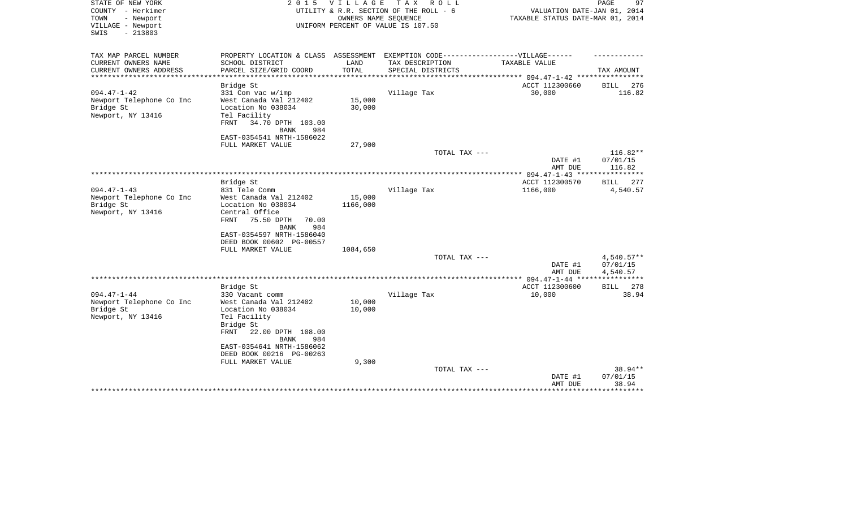| STATE OF NEW YORK<br>COUNTY - Herkimer<br>TOWN<br>- Newport<br>VILLAGE - Newport<br>$-213803$<br>SWIS | 2 0 1 5                                                                                                                                                                      | <b>VILLAGE</b><br>OWNERS NAME SEQUENCE | TAX ROLL<br>UTILITY & R.R. SECTION OF THE ROLL - 6<br>UNIFORM PERCENT OF VALUE IS 107.50 | VALUATION DATE-JAN 01, 2014<br>TAXABLE STATUS DATE-MAR 01, 2014 | 97<br>PAGE                              |
|-------------------------------------------------------------------------------------------------------|------------------------------------------------------------------------------------------------------------------------------------------------------------------------------|----------------------------------------|------------------------------------------------------------------------------------------|-----------------------------------------------------------------|-----------------------------------------|
| TAX MAP PARCEL NUMBER<br>CURRENT OWNERS NAME                                                          | PROPERTY LOCATION & CLASS ASSESSMENT EXEMPTION CODE-----------------VILLAGE------<br>SCHOOL DISTRICT                                                                         | LAND                                   | TAX DESCRIPTION                                                                          | TAXABLE VALUE                                                   |                                         |
| CURRENT OWNERS ADDRESS                                                                                | PARCEL SIZE/GRID COORD                                                                                                                                                       | TOTAL                                  | SPECIAL DISTRICTS                                                                        |                                                                 | TAX AMOUNT                              |
| **************                                                                                        |                                                                                                                                                                              | ************                           |                                                                                          | *********** 094.47-1-42 *****************                       |                                         |
| $094.47 - 1 - 42$                                                                                     | Bridge St                                                                                                                                                                    |                                        |                                                                                          | ACCT 112300660                                                  | BILL<br>276                             |
| Newport Telephone Co Inc<br>Bridge St<br>Newport, NY 13416                                            | 331 Com vac $w/imp$<br>West Canada Val 212402<br>Location No 038034<br>Tel Facility<br>34.70 DPTH 103.00<br>FRNT<br><b>BANK</b><br>984                                       | 15,000<br>30,000                       | Village Tax                                                                              | 30,000                                                          | 116.82                                  |
|                                                                                                       | EAST-0354541 NRTH-1586022                                                                                                                                                    |                                        |                                                                                          |                                                                 |                                         |
|                                                                                                       | FULL MARKET VALUE                                                                                                                                                            | 27,900                                 | TOTAL TAX ---                                                                            |                                                                 | $116.82**$                              |
|                                                                                                       |                                                                                                                                                                              |                                        |                                                                                          | DATE #1<br>AMT DUE                                              | 07/01/15<br>116.82                      |
|                                                                                                       |                                                                                                                                                                              |                                        |                                                                                          |                                                                 | **********                              |
| $094.47 - 1 - 43$                                                                                     | Bridge St<br>831 Tele Comm                                                                                                                                                   |                                        | Village Tax                                                                              | ACCT 112300570<br>1166,000                                      | BILL<br>277<br>4,540.57                 |
| Newport Telephone Co Inc<br>Bridge St<br>Newport, NY 13416                                            | West Canada Val 212402<br>Location No 038034<br>Central Office<br>FRNT<br>75.50 DPTH<br>70.00<br>BANK<br>984<br>EAST-0354597 NRTH-1586040                                    | 15,000<br>1166,000                     |                                                                                          |                                                                 |                                         |
|                                                                                                       | DEED BOOK 00602 PG-00557                                                                                                                                                     |                                        |                                                                                          |                                                                 |                                         |
|                                                                                                       | FULL MARKET VALUE                                                                                                                                                            | 1084,650                               | TOTAL TAX ---                                                                            | DATE #1                                                         | $4,540.57**$<br>07/01/15                |
|                                                                                                       |                                                                                                                                                                              |                                        |                                                                                          | AMT DUE                                                         | 4,540.57                                |
|                                                                                                       | Bridge St                                                                                                                                                                    |                                        |                                                                                          | ACCT 112300600                                                  | 278<br><b>BILL</b>                      |
| $094.47 - 1 - 44$<br>Newport Telephone Co Inc<br>Bridge St<br>Newport, NY 13416                       | 330 Vacant comm<br>West Canada Val 212402<br>Location No 038034<br>Tel Facility<br>Bridge St<br>FRNT<br>22.00 DPTH 108.00<br><b>BANK</b><br>984<br>EAST-0354641 NRTH-1586062 | 10,000<br>10,000                       | Village Tax                                                                              | 10,000                                                          | 38.94                                   |
|                                                                                                       | DEED BOOK 00216 PG-00263                                                                                                                                                     |                                        |                                                                                          |                                                                 |                                         |
|                                                                                                       | FULL MARKET VALUE<br>*********************                                                                                                                                   | 9,300                                  | TOTAL TAX ---                                                                            | DATE #1<br>AMT DUE                                              | 38.94**<br>07/01/15<br>38.94<br>******* |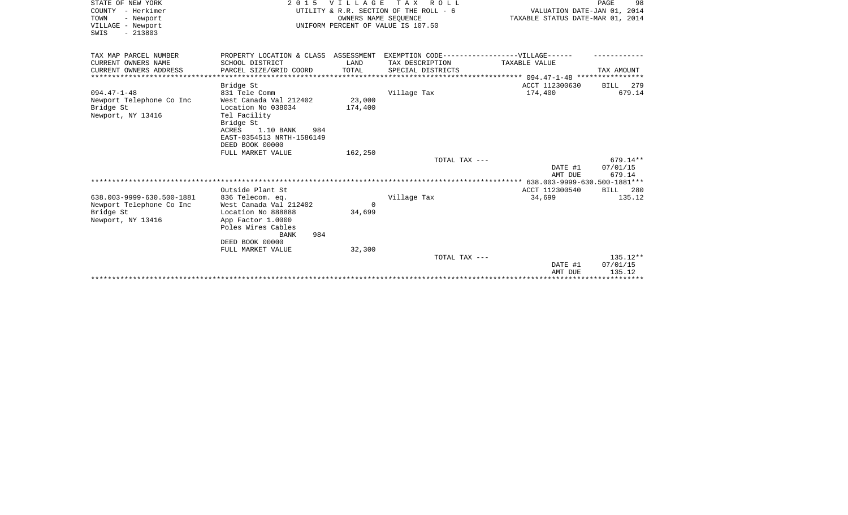| STATE OF NEW YORK         | 2 0 1 5                                                                          | VILLAGE  | TAX ROLL                               |                                              | 98<br>PAGE  |
|---------------------------|----------------------------------------------------------------------------------|----------|----------------------------------------|----------------------------------------------|-------------|
| COUNTY - Herkimer         |                                                                                  |          | UTILITY & R.R. SECTION OF THE ROLL - 6 | VALUATION DATE-JAN 01, 2014                  |             |
| TOWN<br>- Newport         |                                                                                  |          | OWNERS NAME SEQUENCE                   | TAXABLE STATUS DATE-MAR 01, 2014             |             |
| VILLAGE - Newport         |                                                                                  |          | UNIFORM PERCENT OF VALUE IS 107.50     |                                              |             |
| $-213803$<br>SWIS         |                                                                                  |          |                                        |                                              |             |
|                           |                                                                                  |          |                                        |                                              |             |
| TAX MAP PARCEL NUMBER     | PROPERTY LOCATION & CLASS ASSESSMENT EXEMPTION CODE----------------VILLAGE------ |          |                                        |                                              |             |
| CURRENT OWNERS NAME       | SCHOOL DISTRICT                                                                  | LAND     | TAX DESCRIPTION                        | TAXABLE VALUE                                |             |
| CURRENT OWNERS ADDRESS    | PARCEL SIZE/GRID COORD                                                           | TOTAL    | SPECIAL DISTRICTS                      |                                              | TAX AMOUNT  |
|                           |                                                                                  |          |                                        |                                              |             |
|                           | Bridge St                                                                        |          |                                        | ACCT 112300630                               | 279<br>BILL |
| $094.47 - 1 - 48$         | 831 Tele Comm                                                                    |          | Village Tax                            | 174,400                                      | 679.14      |
| Newport Telephone Co Inc  | West Canada Val 212402                                                           | 23,000   |                                        |                                              |             |
| Bridge St                 | Location No 038034                                                               | 174,400  |                                        |                                              |             |
| Newport, NY 13416         | Tel Facility                                                                     |          |                                        |                                              |             |
|                           | Bridge St                                                                        |          |                                        |                                              |             |
|                           | 1.10 BANK<br>ACRES<br>984                                                        |          |                                        |                                              |             |
|                           | EAST-0354513 NRTH-1586149                                                        |          |                                        |                                              |             |
|                           | DEED BOOK 00000                                                                  |          |                                        |                                              |             |
|                           | FULL MARKET VALUE                                                                | 162,250  |                                        |                                              |             |
|                           |                                                                                  |          | TOTAL TAX ---                          |                                              | $679.14**$  |
|                           |                                                                                  |          |                                        | DATE #1                                      | 07/01/15    |
|                           |                                                                                  |          |                                        | AMT DUE                                      | 679.14      |
|                           |                                                                                  |          |                                        | *************** 638.003-9999-630.500-1881*** |             |
|                           | Outside Plant St                                                                 |          |                                        | ACCT 112300540                               | BILL 280    |
| 638.003-9999-630.500-1881 | 836 Telecom. eq.                                                                 |          | Village Tax                            | 34,699                                       | 135.12      |
| Newport Telephone Co Inc  | West Canada Val 212402                                                           | $\Omega$ |                                        |                                              |             |
| Bridge St                 | Location No 888888                                                               | 34,699   |                                        |                                              |             |
| Newport, NY 13416         | App Factor 1.0000                                                                |          |                                        |                                              |             |
|                           | Poles Wires Cables                                                               |          |                                        |                                              |             |
|                           | 984<br><b>BANK</b>                                                               |          |                                        |                                              |             |
|                           | DEED BOOK 00000                                                                  |          |                                        |                                              |             |
|                           | FULL MARKET VALUE                                                                | 32,300   |                                        |                                              |             |
|                           |                                                                                  |          | TOTAL TAX ---                          |                                              | $135.12**$  |
|                           |                                                                                  |          |                                        | DATE #1                                      | 07/01/15    |
|                           |                                                                                  |          |                                        | AMT DUE                                      | 135.12      |
|                           |                                                                                  |          |                                        | ************************************         |             |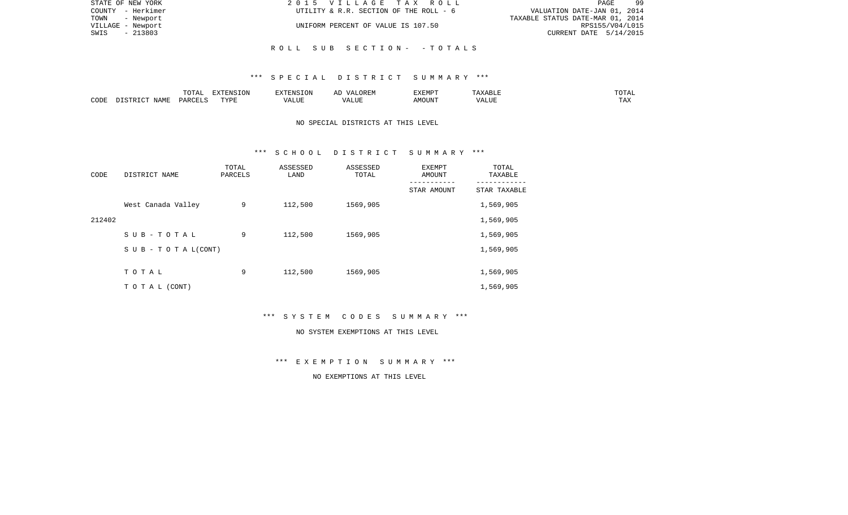| STATE OF NEW YORK | 2015 VILLAGE TAX ROLL                  | 99<br>PAGE                       |
|-------------------|----------------------------------------|----------------------------------|
| COUNTY - Herkimer | UTILITY & R.R. SECTION OF THE ROLL - 6 | VALUATION DATE-JAN 01, 2014      |
| TOWN<br>- Newport |                                        | TAXABLE STATUS DATE-MAR 01, 2014 |
| VILLAGE - Newport | UNIFORM PERCENT OF VALUE IS 107.50     | RPS155/V04/L015                  |
| - 213803<br>SWIS  |                                        | CURRENT DATE 5/14/2015           |
|                   |                                        |                                  |
|                   | ROLL SUB SECTION- - TOTALS             |                                  |

## \*\*\* S P E C I A L D I S T R I C T S U M M A R Y \*\*\*

|      |      | $m \wedge m \wedge n$<br>TATAT | <b>DENICE ONT</b><br>LUN | <b>GMC</b>                | 17 D<br>$\rightarrow$ | <b>EXEMPT</b>        | .                           | . סדעה                |
|------|------|--------------------------------|--------------------------|---------------------------|-----------------------|----------------------|-----------------------------|-----------------------|
| CODE | NAME | ∩ ¤ ∆ ∪                        | TVDI<br>.                | $\sim$ $  -$<br>۳ تا بلد. | ۳ تا سد.              | $0.56$ $0.75$ $0.75$ | ודד הא<br><u>уд</u><br>ALU! | m 7<br>L <i>L</i> 14. |

# NO SPECIAL DISTRICTS AT THIS LEVEL

### \*\*\* S C H O O L D I S T R I C T S U M M A R Y \*\*\*

| CODE   | DISTRICT NAME                    | TOTAL<br>PARCELS | ASSESSED<br>LAND | ASSESSED<br>TOTAL | EXEMPT<br>AMOUNT | TOTAL<br>TAXABLE |
|--------|----------------------------------|------------------|------------------|-------------------|------------------|------------------|
|        |                                  |                  |                  |                   | STAR AMOUNT      | STAR TAXABLE     |
|        | West Canada Valley               | 9                | 112,500          | 1569,905          |                  | 1,569,905        |
| 212402 |                                  |                  |                  |                   |                  | 1,569,905        |
|        | SUB-TOTAL                        | 9                | 112,500          | 1569,905          |                  | 1,569,905        |
|        | $S \cup B - T \cup T A L (CONT)$ |                  |                  |                   |                  | 1,569,905        |
|        |                                  |                  |                  |                   |                  |                  |
|        | TOTAL                            | 9                | 112,500          | 1569,905          |                  | 1,569,905        |
|        | T O T A L (CONT)                 |                  |                  |                   |                  | 1,569,905        |

\*\*\* S Y S T E M C O D E S S U M M A R Y \*\*\*

### NO SYSTEM EXEMPTIONS AT THIS LEVEL

\*\*\* E X E M P T I O N S U M M A R Y \*\*\*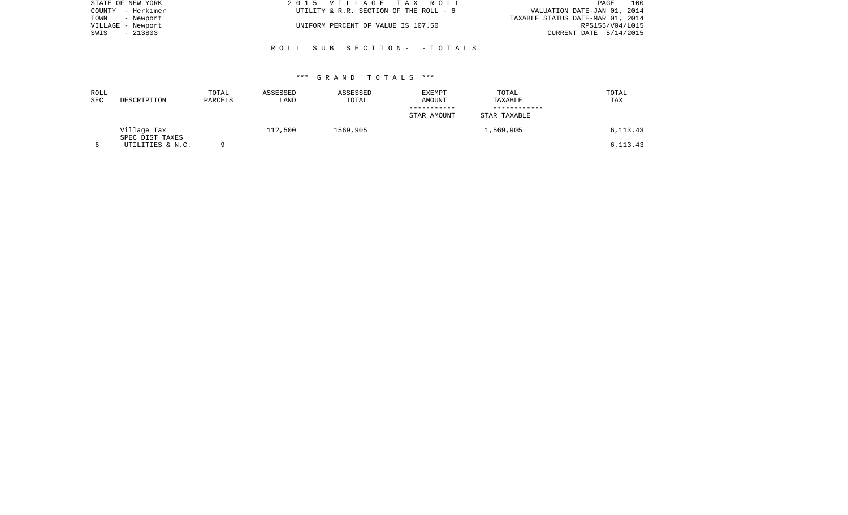| STATE OF NEW YORK | 2015 VILLAGE TAX ROLL                  | 100<br>PAGE                      |
|-------------------|----------------------------------------|----------------------------------|
| COUNTY - Herkimer | UTILITY & R.R. SECTION OF THE ROLL - 6 | VALUATION DATE-JAN 01, 2014      |
| TOWN<br>- Newport |                                        | TAXABLE STATUS DATE-MAR 01, 2014 |
| VILLAGE - Newport | UNIFORM PERCENT OF VALUE IS 107.50     | RPS155/V04/L015                  |
| - 213803<br>SWIS  |                                        | CURRENT DATE 5/14/2015           |
|                   |                                        |                                  |

## \*\*\* G R A N D T O T A L S \*\*\*

R O L L S U B S E C T I O N - - T O T A L S

| ROLL<br>SEC | DESCRIPTION                         | TOTAL<br>PARCELS | ASSESSED<br>LAND | ASSESSED<br>TOTAL | <b>EXEMPT</b><br>AMOUNT | TOTAL<br>TAXABLE | TOTAL<br>TAX |
|-------------|-------------------------------------|------------------|------------------|-------------------|-------------------------|------------------|--------------|
|             |                                     |                  |                  |                   |                         |                  |              |
|             |                                     |                  |                  |                   | STAR AMOUNT             | STAR TAXABLE     |              |
|             | Village Tax                         |                  | 112,500          | 1569,905          |                         | 1,569,905        | 6, 113. 43   |
|             | SPEC DIST TAXES<br>UTILITIES & N.C. |                  |                  |                   |                         |                  | 6, 113. 43   |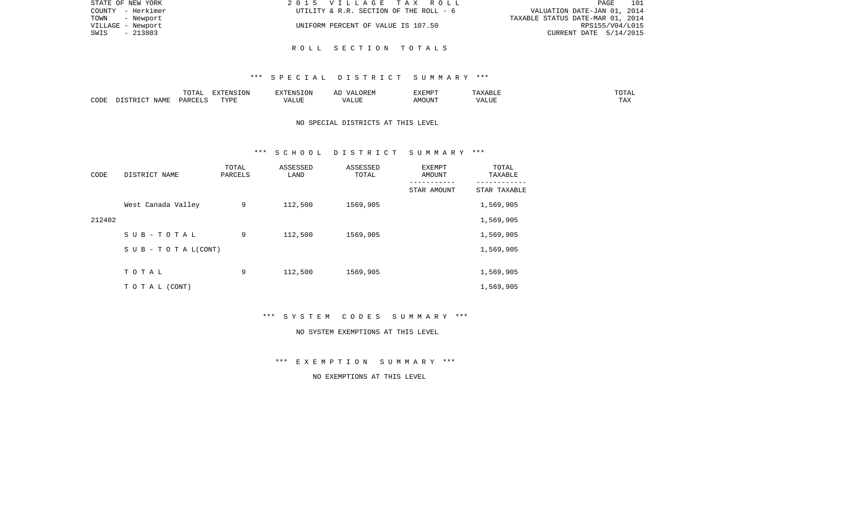| STATE OF NEW YORK | 2015 VILLAGE TAX ROLL<br>PAGE                                         | 101 |
|-------------------|-----------------------------------------------------------------------|-----|
| COUNTY - Herkimer | VALUATION DATE-JAN 01, 2014<br>UTILITY & R.R. SECTION OF THE ROLL - 6 |     |
| TOWN - Newport    | TAXABLE STATUS DATE-MAR 01, 2014                                      |     |
| VILLAGE - Newport | UNIFORM PERCENT OF VALUE IS 107.50<br>RPS155/V04/L015                 |     |
| - 213803<br>SWIS  | CURRENT DATE 5/14/2015                                                |     |
|                   |                                                                       |     |

### \*\*\* S P E C I A L D I S T R I C T S U M M A R Y \*\*\*

|      |      | $m \wedge m \neq$<br>$\Delta$<br>10111 | FYTFNC<br>'ON    |       | ORE.<br>$\sqrt{4}$ | .XEMP <sup>-</sup> | சபா   | ------<br>TU TAL    |
|------|------|----------------------------------------|------------------|-------|--------------------|--------------------|-------|---------------------|
| CODE | JAMF | , PARCET                               | <b>TRAT</b><br>. | ALUE. | LUI<br>$\cdots$    | <b>MOUN'L</b>      | T T T | <b>TITLE</b><br>ŦΨV |

# NO SPECIAL DISTRICTS AT THIS LEVEL

### \*\*\* S C H O O L D I S T R I C T S U M M A R Y \*\*\*

| CODE   | DISTRICT NAME                    | TOTAL<br>PARCELS | ASSESSED<br>LAND | ASSESSED<br>TOTAL | EXEMPT<br>AMOUNT<br>--------- | TOTAL<br>TAXABLE |
|--------|----------------------------------|------------------|------------------|-------------------|-------------------------------|------------------|
|        |                                  |                  |                  |                   | STAR AMOUNT                   | STAR TAXABLE     |
|        | West Canada Valley               | 9                | 112,500          | 1569,905          |                               | 1,569,905        |
| 212402 |                                  |                  |                  |                   |                               | 1,569,905        |
|        | SUB-TOTAL                        | 9                | 112,500          | 1569,905          |                               | 1,569,905        |
|        | $S \cup B - T \cup T A L (CONT)$ |                  |                  |                   |                               | 1,569,905        |
|        |                                  |                  |                  |                   |                               |                  |
|        | TOTAL                            | 9                | 112,500          | 1569,905          |                               | 1,569,905        |
|        | T O T A L (CONT)                 |                  |                  |                   |                               | 1,569,905        |

\*\*\* S Y S T E M C O D E S S U M M A R Y \*\*\*

### NO SYSTEM EXEMPTIONS AT THIS LEVEL

\*\*\* E X E M P T I O N S U M M A R Y \*\*\*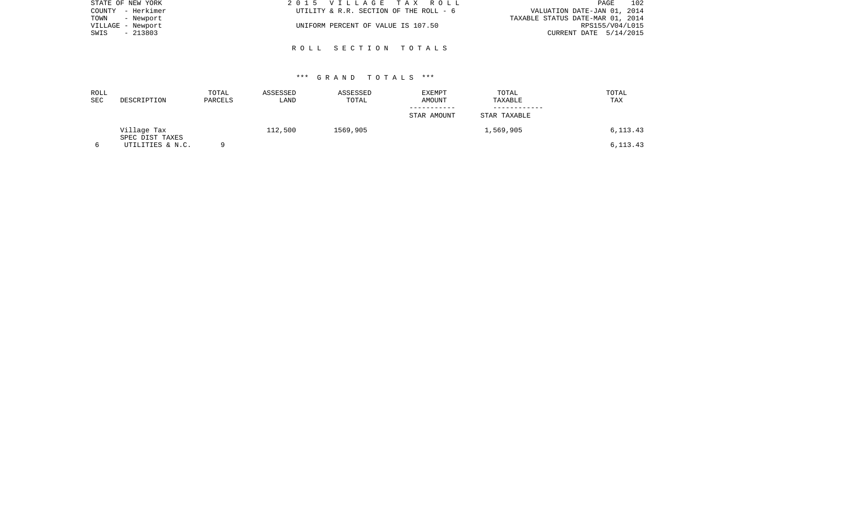| STATE OF NEW YORK | 2015 VILLAGE TAX ROLL                  | 102<br>PAGE                      |
|-------------------|----------------------------------------|----------------------------------|
| COUNTY - Herkimer | UTILITY & R.R. SECTION OF THE ROLL - 6 | VALUATION DATE-JAN 01, 2014      |
| TOWN - Newport    |                                        | TAXABLE STATUS DATE-MAR 01, 2014 |
| VILLAGE - Newport | UNIFORM PERCENT OF VALUE IS 107.50     | RPS155/V04/L015                  |
| - 213803<br>SWIS  |                                        | CURRENT DATE 5/14/2015           |
|                   |                                        |                                  |
|                   | ROLL SECTION TOTALS                    |                                  |

| ROLL<br>SEC | DESCRIPTION                    | TOTAL<br>PARCELS | ASSESSED<br>LAND | ASSESSED<br>TOTAL | EXEMPT<br>AMOUNT | TOTAL<br>TAXABLE | TOTAL<br>TAX |
|-------------|--------------------------------|------------------|------------------|-------------------|------------------|------------------|--------------|
|             |                                |                  |                  |                   | STAR AMOUNT      | STAR TAXABLE     |              |
|             | Village Tax<br>SPEC DIST TAXES |                  | 112,500          | 1569,905          |                  | 1,569,905        | 6,113.43     |
|             | UTILITIES & N.C.               |                  |                  |                   |                  |                  | 6, 113. 43   |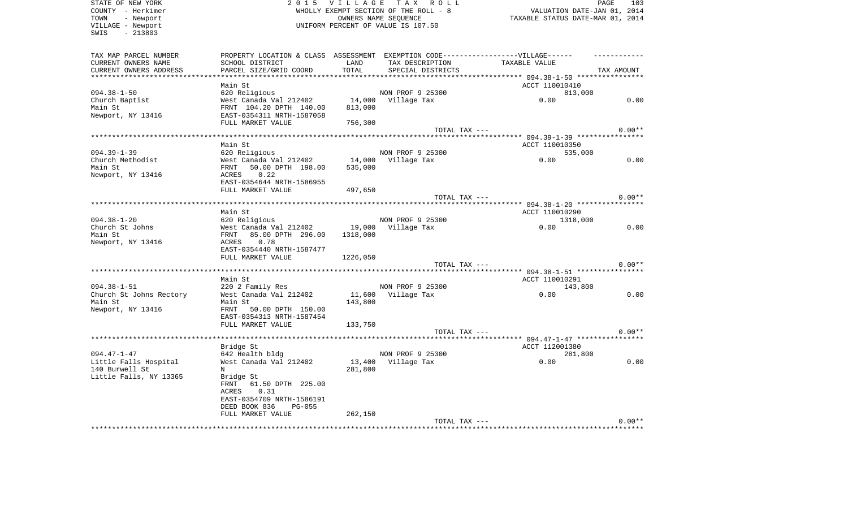| STATE OF NEW YORK       | 2 0 1 5                                                                          | V I L L A G E | TAX ROLL                              |                                                    | PAGE<br>103 |
|-------------------------|----------------------------------------------------------------------------------|---------------|---------------------------------------|----------------------------------------------------|-------------|
| COUNTY - Herkimer       |                                                                                  |               | WHOLLY EXEMPT SECTION OF THE ROLL - 8 | VALUATION DATE-JAN 01, 2014                        |             |
| - Newport<br>TOWN       |                                                                                  |               | OWNERS NAME SEQUENCE                  | TAXABLE STATUS DATE-MAR 01, 2014                   |             |
| VILLAGE - Newport       |                                                                                  |               | UNIFORM PERCENT OF VALUE IS 107.50    |                                                    |             |
| $-213803$<br>SWIS       |                                                                                  |               |                                       |                                                    |             |
|                         |                                                                                  |               |                                       |                                                    |             |
| TAX MAP PARCEL NUMBER   | PROPERTY LOCATION & CLASS ASSESSMENT EXEMPTION CODE----------------VILLAGE------ |               |                                       |                                                    |             |
| CURRENT OWNERS NAME     | SCHOOL DISTRICT                                                                  | LAND          | TAX DESCRIPTION                       | TAXABLE VALUE                                      |             |
| CURRENT OWNERS ADDRESS  | PARCEL SIZE/GRID COORD                                                           | TOTAL         | SPECIAL DISTRICTS                     |                                                    | TAX AMOUNT  |
|                         |                                                                                  |               |                                       | ****** 094.38-1-50 *****************               |             |
|                         | Main St                                                                          |               |                                       | ACCT 110010410                                     |             |
| $094.38 - 1 - 50$       | 620 Religious                                                                    |               | NON PROF 9 25300                      | 813,000                                            |             |
| Church Baptist          | West Canada Val 212402                                                           | 14,000        | Village Tax                           | 0.00                                               | 0.00        |
| Main St                 | FRNT 104.20 DPTH 140.00                                                          | 813,000       |                                       |                                                    |             |
| Newport, NY 13416       | EAST-0354311 NRTH-1587058                                                        |               |                                       |                                                    |             |
|                         | FULL MARKET VALUE                                                                | 756,300       |                                       |                                                    |             |
|                         |                                                                                  |               | TOTAL TAX ---                         |                                                    | $0.00**$    |
|                         |                                                                                  |               |                                       |                                                    |             |
|                         | Main St                                                                          |               |                                       | ACCT 110010350                                     |             |
| $094.39 - 1 - 39$       | 620 Religious                                                                    |               | NON PROF 9 25300                      | 535,000                                            |             |
| Church Methodist        | West Canada Val 212402                                                           | 14,000        | Village Tax                           | 0.00                                               | 0.00        |
| Main St                 | FRNT<br>50.00 DPTH 198.00                                                        | 535,000       |                                       |                                                    |             |
| Newport, NY 13416       | 0.22<br>ACRES                                                                    |               |                                       |                                                    |             |
|                         | EAST-0354644 NRTH-1586955                                                        |               |                                       |                                                    |             |
|                         | FULL MARKET VALUE                                                                | 497,650       |                                       |                                                    |             |
|                         |                                                                                  |               | TOTAL TAX ---                         |                                                    | $0.00**$    |
|                         |                                                                                  |               |                                       | ********************* 094.38-1-20 **************** |             |
|                         | Main St                                                                          |               |                                       | ACCT 110010290                                     |             |
| $094.38 - 1 - 20$       | 620 Religious                                                                    |               | NON PROF 9 25300                      | 1318,000                                           |             |
| Church St Johns         | West Canada Val 212402                                                           | 19,000        | Village Tax                           | 0.00                                               | 0.00        |
| Main St                 | 85.00 DPTH 296.00<br>FRNT                                                        | 1318,000      |                                       |                                                    |             |
|                         | ACRES<br>0.78                                                                    |               |                                       |                                                    |             |
| Newport, NY 13416       |                                                                                  |               |                                       |                                                    |             |
|                         | EAST-0354440 NRTH-1587477                                                        |               |                                       |                                                    |             |
|                         | FULL MARKET VALUE                                                                | 1226,050      |                                       |                                                    |             |
|                         |                                                                                  |               | TOTAL TAX ---                         |                                                    | $0.00**$    |
|                         |                                                                                  |               |                                       |                                                    |             |
|                         | Main St                                                                          |               |                                       | ACCT 110010291                                     |             |
| $094.38 - 1 - 51$       | 220 2 Family Res                                                                 |               | NON PROF 9 25300                      | 143,800                                            |             |
| Church St Johns Rectory | West Canada Val 212402                                                           | 11,600        | Village Tax                           | 0.00                                               | 0.00        |
| Main St                 | Main St                                                                          | 143,800       |                                       |                                                    |             |
| Newport, NY 13416       | FRNT 50.00 DPTH 150.00                                                           |               |                                       |                                                    |             |
|                         | EAST-0354313 NRTH-1587454                                                        |               |                                       |                                                    |             |
|                         | FULL MARKET VALUE                                                                | 133,750       |                                       |                                                    |             |
|                         |                                                                                  |               | TOTAL TAX ---                         |                                                    | $0.00**$    |
|                         |                                                                                  |               |                                       |                                                    |             |
|                         | Bridge St                                                                        |               |                                       | ACCT 112001380                                     |             |
| $094.47 - 1 - 47$       | 642 Health bldg                                                                  |               | NON PROF 9 25300                      | 281,800                                            |             |
| Little Falls Hospital   | West Canada Val 212402                                                           | 13,400        | Village Tax                           | 0.00                                               | 0.00        |
| 140 Burwell St          | N                                                                                | 281,800       |                                       |                                                    |             |
| Little Falls, NY 13365  | Bridge St                                                                        |               |                                       |                                                    |             |
|                         | 61.50 DPTH 225.00<br>FRNT                                                        |               |                                       |                                                    |             |
|                         | 0.31<br>ACRES                                                                    |               |                                       |                                                    |             |
|                         | EAST-0354709 NRTH-1586191                                                        |               |                                       |                                                    |             |
|                         | DEED BOOK 836<br>PG-055                                                          |               |                                       |                                                    |             |
|                         | FULL MARKET VALUE                                                                | 262,150       |                                       |                                                    |             |
|                         |                                                                                  |               | TOTAL TAX ---                         |                                                    | $0.00**$    |
|                         |                                                                                  |               |                                       |                                                    |             |
|                         |                                                                                  |               |                                       |                                                    |             |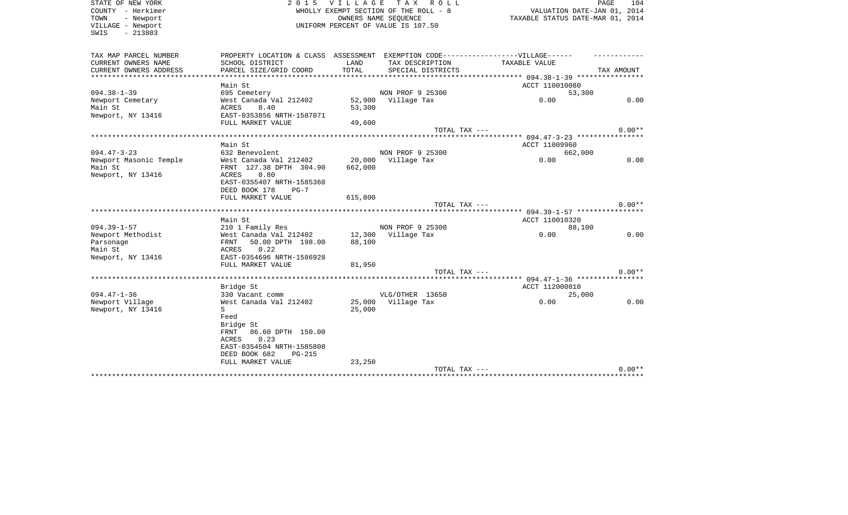| STATE OF NEW YORK<br>COUNTY - Herkimer<br>TOWN<br>- Newport<br>VILLAGE - Newport<br>$-213803$<br>SWIS | 2 0 1 5                                                                           | <b>VILLAGE</b>    | TAX ROLL<br>WHOLLY EXEMPT SECTION OF THE ROLL - 8<br>OWNERS NAME SEOUENCE<br>UNIFORM PERCENT OF VALUE IS 107.50 | VALUATION DATE-JAN 01, 2014<br>TAXABLE STATUS DATE-MAR 01, 2014 | PAGE<br>104 |
|-------------------------------------------------------------------------------------------------------|-----------------------------------------------------------------------------------|-------------------|-----------------------------------------------------------------------------------------------------------------|-----------------------------------------------------------------|-------------|
| TAX MAP PARCEL NUMBER                                                                                 | PROPERTY LOCATION & CLASS ASSESSMENT EXEMPTION CODE-----------------VILLAGE------ |                   |                                                                                                                 |                                                                 |             |
| CURRENT OWNERS NAME<br>CURRENT OWNERS ADDRESS<br>*************************                            | SCHOOL DISTRICT<br>PARCEL SIZE/GRID COORD                                         | LAND<br>TOTAL     | TAX DESCRIPTION<br>SPECIAL DISTRICTS                                                                            | <b>TAXABLE VALUE</b>                                            | TAX AMOUNT  |
|                                                                                                       | Main St                                                                           |                   |                                                                                                                 | ACCT 110010080                                                  |             |
| $094.38 - 1 - 39$                                                                                     | 695 Cemetery                                                                      |                   | NON PROF 9 25300                                                                                                | 53,300                                                          |             |
| Newport Cemetary<br>Main St                                                                           | West Canada Val 212402<br>8.40<br>ACRES                                           | 53,300            | 52,900 Village Tax                                                                                              | 0.00                                                            | 0.00        |
| Newport, NY 13416                                                                                     | EAST-0353856 NRTH-1587071<br>FULL MARKET VALUE                                    | 49,600            |                                                                                                                 |                                                                 |             |
|                                                                                                       |                                                                                   |                   | TOTAL TAX ---                                                                                                   |                                                                 | $0.00**$    |
|                                                                                                       |                                                                                   |                   |                                                                                                                 | ********************** 094.47-3-23 ****************             |             |
|                                                                                                       | Main St                                                                           |                   |                                                                                                                 | ACCT 11009960                                                   |             |
| $094.47 - 3 - 23$                                                                                     | 632 Benevolent                                                                    |                   | NON PROF 9 25300                                                                                                | 662,000                                                         |             |
| Newport Masonic Temple<br>Main St                                                                     | West Canada Val 212402<br>FRNT 127.38 DPTH 304.90                                 | 20,000<br>662,000 | Village Tax                                                                                                     | 0.00                                                            | 0.00        |
| Newport, NY 13416                                                                                     | ACRES<br>0.80<br>EAST-0355407 NRTH-1585360                                        |                   |                                                                                                                 |                                                                 |             |
|                                                                                                       | DEED BOOK 178<br>$PG-7$<br>FULL MARKET VALUE                                      | 615,800           |                                                                                                                 |                                                                 |             |
|                                                                                                       |                                                                                   |                   | TOTAL TAX ---                                                                                                   |                                                                 | $0.00**$    |
|                                                                                                       | Main St                                                                           |                   |                                                                                                                 | ACCT 110010320                                                  |             |
| $094.39 - 1 - 57$                                                                                     | 210 1 Family Res                                                                  |                   | NON PROF 9 25300                                                                                                | 88,100                                                          |             |
| Newport Methodist<br>Parsonage                                                                        | West Canada Val 212402<br>50.00 DPTH 198.00<br>FRNT                               | 12,300<br>88,100  | Village Tax                                                                                                     | 0.00                                                            | 0.00        |
| Main St<br>Newport, NY 13416                                                                          | 0.22<br>ACRES<br>EAST-0354696 NRTH-1586928                                        |                   |                                                                                                                 |                                                                 |             |
|                                                                                                       | FULL MARKET VALUE                                                                 | 81,950            |                                                                                                                 |                                                                 |             |
|                                                                                                       |                                                                                   |                   | TOTAL TAX ---                                                                                                   |                                                                 | $0.00**$    |
|                                                                                                       |                                                                                   |                   |                                                                                                                 |                                                                 |             |
|                                                                                                       | Bridge St                                                                         |                   |                                                                                                                 | ACCT 112000810                                                  |             |
| $094.47 - 1 - 36$                                                                                     | 330 Vacant comm                                                                   |                   | VLG/OTHER 13650                                                                                                 | 25,000                                                          |             |
| Newport Village<br>Newport, NY 13416                                                                  | West Canada Val 212402<br>S<br>Feed                                               | 25,000<br>25,000  | Village Tax                                                                                                     | 0.00                                                            | 0.00        |
|                                                                                                       | Bridge St<br>86.60 DPTH 150.00<br>FRNT<br>0.23<br>ACRES                           |                   |                                                                                                                 |                                                                 |             |
|                                                                                                       | EAST-0354504 NRTH-1585808<br>DEED BOOK 682<br><b>PG-215</b>                       |                   |                                                                                                                 |                                                                 |             |
|                                                                                                       | FULL MARKET VALUE                                                                 | 23,250            | TOTAL TAX ---                                                                                                   |                                                                 | $0.00**$    |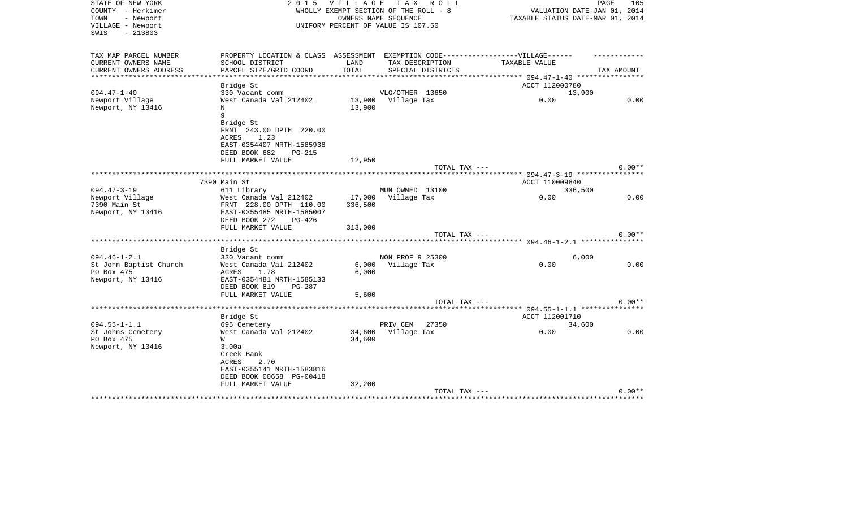| STATE OF NEW YORK<br>COUNTY - Herkimer<br>TOWN<br>- Newport<br>VILLAGE - Newport<br>$-213803$<br>SWIS | 2 0 1 5                                   |               | VILLAGE TAX ROLL<br>WHOLLY EXEMPT SECTION OF THE ROLL - 8<br>OWNERS NAME SEOUENCE<br>UNIFORM PERCENT OF VALUE IS 107.50 | VALUATION DATE-JAN 01, 2014<br>TAXABLE STATUS DATE-MAR 01, 2014 | PAGE<br>105 |
|-------------------------------------------------------------------------------------------------------|-------------------------------------------|---------------|-------------------------------------------------------------------------------------------------------------------------|-----------------------------------------------------------------|-------------|
| TAX MAP PARCEL NUMBER                                                                                 | PROPERTY LOCATION & CLASS ASSESSMENT      |               | EXEMPTION CODE------------------VILLAGE------                                                                           |                                                                 |             |
| CURRENT OWNERS NAME<br>CURRENT OWNERS ADDRESS                                                         | SCHOOL DISTRICT<br>PARCEL SIZE/GRID COORD | LAND<br>TOTAL | TAX DESCRIPTION<br>SPECIAL DISTRICTS                                                                                    | TAXABLE VALUE                                                   | TAX AMOUNT  |
| **************                                                                                        |                                           |               |                                                                                                                         | **************** 094.47-1-40 *****************                  |             |
|                                                                                                       | Bridge St                                 |               |                                                                                                                         | ACCT 112000780                                                  |             |
| $094.47 - 1 - 40$                                                                                     | 330 Vacant comm                           |               | VLG/OTHER 13650                                                                                                         | 13,900                                                          |             |
| Newport Village                                                                                       | West Canada Val 212402                    |               | 13,900 Village Tax                                                                                                      | 0.00                                                            | 0.00        |
| Newport, NY 13416                                                                                     | $_{\rm N}$                                | 13,900        |                                                                                                                         |                                                                 |             |
|                                                                                                       | 9                                         |               |                                                                                                                         |                                                                 |             |
|                                                                                                       | Bridge St<br>FRNT 243.00 DPTH 220.00      |               |                                                                                                                         |                                                                 |             |
|                                                                                                       | ACRES<br>1.23                             |               |                                                                                                                         |                                                                 |             |
|                                                                                                       | EAST-0354407 NRTH-1585938                 |               |                                                                                                                         |                                                                 |             |
|                                                                                                       | DEED BOOK 682<br>PG-215                   |               |                                                                                                                         |                                                                 |             |
|                                                                                                       | FULL MARKET VALUE                         | 12,950        |                                                                                                                         |                                                                 |             |
|                                                                                                       |                                           |               | TOTAL TAX ---                                                                                                           |                                                                 | $0.00**$    |
|                                                                                                       |                                           |               |                                                                                                                         |                                                                 |             |
| $094.47 - 3 - 19$                                                                                     | 7390 Main St<br>611 Library               |               | MUN OWNED 13100                                                                                                         | ACCT 110009840<br>336,500                                       |             |
| Newport Village                                                                                       | West Canada Val 212402                    |               | 17,000 Village Tax                                                                                                      | 0.00                                                            | 0.00        |
| 7390 Main St                                                                                          | FRNT 228.00 DPTH 110.00                   | 336,500       |                                                                                                                         |                                                                 |             |
| Newport, NY 13416                                                                                     | EAST-0355485 NRTH-1585007                 |               |                                                                                                                         |                                                                 |             |
|                                                                                                       | DEED BOOK 272<br>PG-426                   |               |                                                                                                                         |                                                                 |             |
|                                                                                                       | FULL MARKET VALUE                         | 313,000       |                                                                                                                         |                                                                 |             |
|                                                                                                       |                                           |               | TOTAL TAX ---                                                                                                           |                                                                 | $0.00**$    |
|                                                                                                       |                                           |               |                                                                                                                         |                                                                 |             |
| $094.46 - 1 - 2.1$                                                                                    | Bridge St<br>330 Vacant comm              |               | NON PROF 9 25300                                                                                                        | 6,000                                                           |             |
| St John Baptist Church                                                                                | West Canada Val 212402                    | 6,000         | Village Tax                                                                                                             | 0.00                                                            | 0.00        |
| PO Box 475                                                                                            | ACRES<br>1.78                             | 6,000         |                                                                                                                         |                                                                 |             |
| Newport, NY 13416                                                                                     | EAST-0354481 NRTH-1585133                 |               |                                                                                                                         |                                                                 |             |
|                                                                                                       | DEED BOOK 819<br>PG-287                   |               |                                                                                                                         |                                                                 |             |
|                                                                                                       | FULL MARKET VALUE                         | 5,600         |                                                                                                                         |                                                                 |             |
|                                                                                                       |                                           |               | TOTAL TAX ---                                                                                                           |                                                                 | $0.00**$    |
|                                                                                                       |                                           |               |                                                                                                                         |                                                                 |             |
| $094.55 - 1 - 1.1$                                                                                    | Bridge St<br>695 Cemetery                 |               | PRIV CEM 27350                                                                                                          | ACCT 112001710<br>34,600                                        |             |
| St Johns Cemetery                                                                                     | West Canada Val 212402                    |               | 34,600 Village Tax                                                                                                      | 0.00                                                            | 0.00        |
| PO Box 475                                                                                            | W                                         | 34,600        |                                                                                                                         |                                                                 |             |
| Newport, NY 13416                                                                                     | 3.00a                                     |               |                                                                                                                         |                                                                 |             |
|                                                                                                       | Creek Bank                                |               |                                                                                                                         |                                                                 |             |
|                                                                                                       | 2.70<br>ACRES                             |               |                                                                                                                         |                                                                 |             |
|                                                                                                       | EAST-0355141 NRTH-1583816                 |               |                                                                                                                         |                                                                 |             |
|                                                                                                       | DEED BOOK 00658 PG-00418                  |               |                                                                                                                         |                                                                 |             |
|                                                                                                       | FULL MARKET VALUE                         | 32,200        |                                                                                                                         |                                                                 | $0.00**$    |
|                                                                                                       |                                           |               | TOTAL TAX ---                                                                                                           | *********************************                               |             |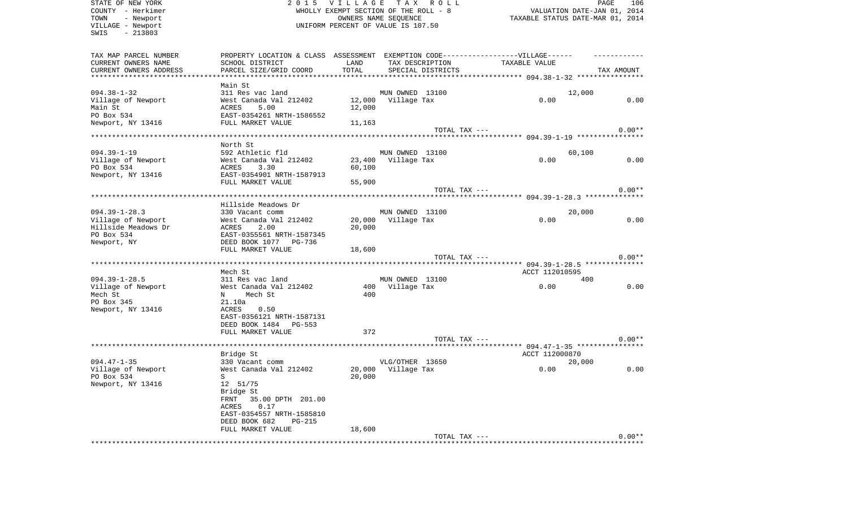| STATE OF NEW YORK<br>COUNTY - Herkimer<br>TOWN<br>- Newport<br>VILLAGE - Newport<br>$-213803$<br>SWIS | 2 0 1 5                                                                           | <b>VILLAGE</b><br>WHOLLY EXEMPT SECTION OF THE ROLL - 8<br>UNIFORM PERCENT OF VALUE IS 107.50 | OWNERS NAME SEQUENCE | TAX ROLL          | TAXABLE STATUS DATE-MAR 01, 2014 | VALUATION DATE-JAN 01, 2014 | PAGE       | 106      |
|-------------------------------------------------------------------------------------------------------|-----------------------------------------------------------------------------------|-----------------------------------------------------------------------------------------------|----------------------|-------------------|----------------------------------|-----------------------------|------------|----------|
| TAX MAP PARCEL NUMBER                                                                                 | PROPERTY LOCATION & CLASS ASSESSMENT EXEMPTION CODE-----------------VILLAGE------ |                                                                                               |                      |                   |                                  |                             |            |          |
| CURRENT OWNERS NAME                                                                                   | SCHOOL DISTRICT                                                                   | LAND                                                                                          |                      | TAX DESCRIPTION   | TAXABLE VALUE                    |                             |            |          |
| CURRENT OWNERS ADDRESS<br>*************************                                                   | PARCEL SIZE/GRID COORD                                                            | TOTAL                                                                                         |                      | SPECIAL DISTRICTS |                                  |                             | TAX AMOUNT |          |
|                                                                                                       | Main St                                                                           |                                                                                               |                      |                   |                                  |                             |            |          |
| $094.38 - 1 - 32$                                                                                     | 311 Res vac land                                                                  |                                                                                               | MUN OWNED 13100      |                   |                                  | 12,000                      |            |          |
| Village of Newport                                                                                    | West Canada Val 212402                                                            |                                                                                               | 12,000 Village Tax   |                   | 0.00                             |                             |            | 0.00     |
| Main St                                                                                               | 5.00<br>ACRES                                                                     | 12,000                                                                                        |                      |                   |                                  |                             |            |          |
| PO Box 534                                                                                            | EAST-0354261 NRTH-1586552                                                         |                                                                                               |                      |                   |                                  |                             |            |          |
| Newport, NY 13416                                                                                     | FULL MARKET VALUE                                                                 | 11,163                                                                                        |                      |                   |                                  |                             |            |          |
|                                                                                                       |                                                                                   |                                                                                               |                      | TOTAL TAX ---     |                                  |                             |            | $0.00**$ |
|                                                                                                       | North St                                                                          |                                                                                               |                      |                   |                                  |                             |            |          |
| $094.39 - 1 - 19$                                                                                     | 592 Athletic fld                                                                  |                                                                                               | MUN OWNED 13100      |                   |                                  | 60,100                      |            |          |
| Village of Newport                                                                                    | West Canada Val 212402                                                            | 23,400                                                                                        | Village Tax          |                   | 0.00                             |                             |            | 0.00     |
| PO Box 534                                                                                            | ACRES<br>3.30                                                                     | 60,100                                                                                        |                      |                   |                                  |                             |            |          |
| Newport, NY 13416                                                                                     | EAST-0354901 NRTH-1587913                                                         |                                                                                               |                      |                   |                                  |                             |            |          |
|                                                                                                       | FULL MARKET VALUE                                                                 | 55,900                                                                                        |                      |                   |                                  |                             |            |          |
|                                                                                                       |                                                                                   |                                                                                               |                      | TOTAL TAX ---     |                                  |                             |            | $0.00**$ |
|                                                                                                       | Hillside Meadows Dr                                                               |                                                                                               |                      |                   |                                  |                             |            |          |
| $094.39 - 1 - 28.3$                                                                                   | 330 Vacant comm                                                                   |                                                                                               | MUN OWNED 13100      |                   |                                  | 20,000                      |            |          |
| Village of Newport                                                                                    | West Canada Val 212402                                                            | 20,000                                                                                        | Village Tax          |                   | 0.00                             |                             |            | 0.00     |
| Hillside Meadows Dr                                                                                   | ACRES<br>2.00                                                                     | 20,000                                                                                        |                      |                   |                                  |                             |            |          |
| PO Box 534                                                                                            | EAST-0355561 NRTH-1587345                                                         |                                                                                               |                      |                   |                                  |                             |            |          |
| Newport, NY                                                                                           | DEED BOOK 1077 PG-736<br>FULL MARKET VALUE                                        | 18,600                                                                                        |                      |                   |                                  |                             |            |          |
|                                                                                                       |                                                                                   |                                                                                               |                      | TOTAL TAX ---     |                                  |                             |            | $0.00**$ |
|                                                                                                       |                                                                                   |                                                                                               |                      |                   |                                  |                             |            |          |
|                                                                                                       | Mech St                                                                           |                                                                                               |                      |                   | ACCT 112010595                   |                             |            |          |
| $094.39 - 1 - 28.5$                                                                                   | 311 Res vac land                                                                  |                                                                                               | MUN OWNED 13100      |                   |                                  | 400                         |            |          |
| Village of Newport                                                                                    | West Canada Val 212402                                                            |                                                                                               | 400 Village Tax      |                   | 0.00                             |                             |            | 0.00     |
| Mech St<br>PO Box 345                                                                                 | Mech St<br>N<br>21.10a                                                            | 400                                                                                           |                      |                   |                                  |                             |            |          |
| Newport, NY 13416                                                                                     | ACRES<br>0.50                                                                     |                                                                                               |                      |                   |                                  |                             |            |          |
|                                                                                                       | EAST-0356121 NRTH-1587131                                                         |                                                                                               |                      |                   |                                  |                             |            |          |
|                                                                                                       | DEED BOOK 1484 PG-553                                                             |                                                                                               |                      |                   |                                  |                             |            |          |
|                                                                                                       | FULL MARKET VALUE                                                                 | 372                                                                                           |                      |                   |                                  |                             |            |          |
|                                                                                                       |                                                                                   |                                                                                               |                      | TOTAL TAX ---     |                                  |                             |            | $0.00**$ |
|                                                                                                       |                                                                                   |                                                                                               |                      |                   | ACCT 112000870                   |                             |            |          |
| $094.47 - 1 - 35$                                                                                     | Bridge St<br>330 Vacant comm                                                      |                                                                                               | VLG/OTHER 13650      |                   |                                  | 20,000                      |            |          |
| Village of Newport                                                                                    | West Canada Val 212402                                                            | 20,000                                                                                        | Village Tax          |                   | 0.00                             |                             |            | 0.00     |
| PO Box 534                                                                                            | $S^{\dagger}$                                                                     |                                                                                               | 20,000               |                   |                                  |                             |            |          |
| Newport, NY 13416                                                                                     | 12 51/75                                                                          |                                                                                               |                      |                   |                                  |                             |            |          |
|                                                                                                       | Bridge St                                                                         |                                                                                               |                      |                   |                                  |                             |            |          |
|                                                                                                       | 35.00 DPTH 201.00<br>FRNT                                                         |                                                                                               |                      |                   |                                  |                             |            |          |
|                                                                                                       | 0.17<br>ACRES<br>EAST-0354557 NRTH-1585810                                        |                                                                                               |                      |                   |                                  |                             |            |          |
|                                                                                                       | DEED BOOK 682<br><b>PG-215</b>                                                    |                                                                                               |                      |                   |                                  |                             |            |          |
|                                                                                                       | FULL MARKET VALUE                                                                 | 18,600                                                                                        |                      |                   |                                  |                             |            |          |
|                                                                                                       |                                                                                   |                                                                                               |                      | TOTAL TAX ---     |                                  |                             |            | $0.00**$ |
|                                                                                                       |                                                                                   |                                                                                               |                      |                   |                                  |                             |            |          |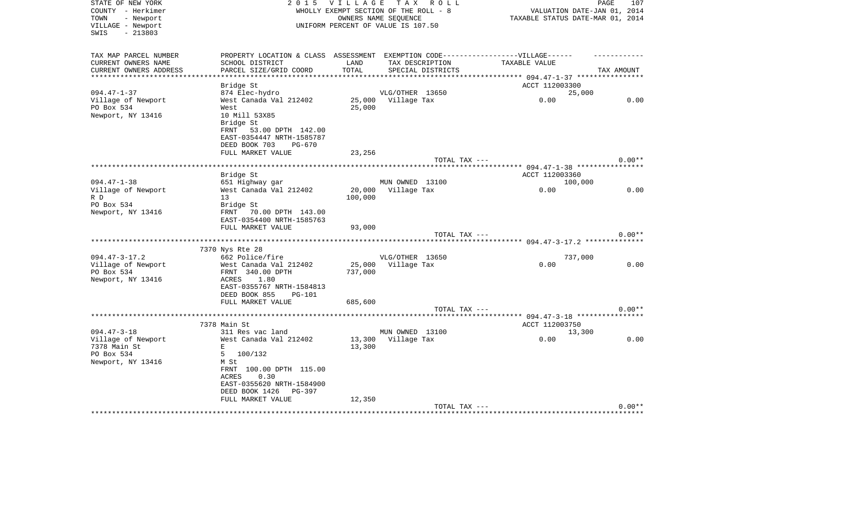| STATE OF NEW YORK<br>COUNTY - Herkimer                      | 2 0 1 5                                                                           | <b>VILLAGE</b> | TAX ROLL<br>WHOLLY EXEMPT SECTION OF THE ROLL - 8          | PAGE<br>VALUATION DATE-JAN 01, 2014 | 107        |
|-------------------------------------------------------------|-----------------------------------------------------------------------------------|----------------|------------------------------------------------------------|-------------------------------------|------------|
| - Newport<br>TOWN<br>VILLAGE - Newport<br>$-213803$<br>SWIS |                                                                                   |                | OWNERS NAME SEQUENCE<br>UNIFORM PERCENT OF VALUE IS 107.50 | TAXABLE STATUS DATE-MAR 01, 2014    |            |
| TAX MAP PARCEL NUMBER                                       | PROPERTY LOCATION & CLASS ASSESSMENT EXEMPTION CODE-----------------VILLAGE------ |                |                                                            |                                     |            |
| CURRENT OWNERS NAME                                         | SCHOOL DISTRICT                                                                   | LAND           | TAX DESCRIPTION                                            | TAXABLE VALUE                       |            |
| CURRENT OWNERS ADDRESS<br>************************          | PARCEL SIZE/GRID COORD                                                            | TOTAL          | SPECIAL DISTRICTS                                          |                                     | TAX AMOUNT |
|                                                             |                                                                                   |                |                                                            | ACCT 112003300                      |            |
| $094.47 - 1 - 37$                                           | Bridge St<br>874 Elec-hydro                                                       |                | VLG/OTHER 13650                                            | 25,000                              |            |
| Village of Newport                                          | West Canada Val 212402                                                            |                | 25,000 Village Tax                                         | 0.00                                | 0.00       |
| PO Box 534                                                  | West                                                                              | 25,000         |                                                            |                                     |            |
| Newport, NY 13416                                           | 10 Mill 53X85<br>Bridge St                                                        |                |                                                            |                                     |            |
|                                                             | FRNT<br>53.00 DPTH 142.00<br>EAST-0354447 NRTH-1585787                            |                |                                                            |                                     |            |
|                                                             | DEED BOOK 703<br>$PG-670$                                                         |                |                                                            |                                     |            |
|                                                             | FULL MARKET VALUE                                                                 | 23,256         |                                                            |                                     |            |
|                                                             |                                                                                   |                | TOTAL TAX ---                                              |                                     | $0.00**$   |
|                                                             |                                                                                   |                |                                                            |                                     |            |
|                                                             | Bridge St                                                                         |                |                                                            | ACCT 112003360                      |            |
| $094.47 - 1 - 38$                                           | 651 Highway gar                                                                   |                | MUN OWNED 13100                                            | 100,000                             |            |
| Village of Newport                                          | West Canada Val 212402                                                            | 20,000         | Village Tax                                                | 0.00                                | 0.00       |
| R D                                                         | 13                                                                                | 100,000        |                                                            |                                     |            |
| PO Box 534                                                  | Bridge St                                                                         |                |                                                            |                                     |            |
| Newport, NY 13416                                           | FRNT 70.00 DPTH 143.00<br>EAST-0354400 NRTH-1585763                               |                |                                                            |                                     |            |
|                                                             | FULL MARKET VALUE                                                                 | 93,000         |                                                            |                                     |            |
|                                                             |                                                                                   |                | TOTAL TAX ---                                              |                                     | $0.00**$   |
|                                                             |                                                                                   |                |                                                            |                                     |            |
|                                                             | 7370 Nys Rte 28                                                                   |                |                                                            |                                     |            |
| $094.47 - 3 - 17.2$                                         | 662 Police/fire                                                                   |                | VLG/OTHER 13650                                            | 737,000                             |            |
| Village of Newport                                          | West Canada Val 212402                                                            | 25,000         | Village Tax                                                | 0.00                                | 0.00       |
| PO Box 534                                                  | FRNT 340.00 DPTH                                                                  | 737,000        |                                                            |                                     |            |
| Newport, NY 13416                                           | ACRES<br>1.80                                                                     |                |                                                            |                                     |            |
|                                                             | EAST-0355767 NRTH-1584813<br>DEED BOOK 855<br>PG-101                              |                |                                                            |                                     |            |
|                                                             | FULL MARKET VALUE                                                                 | 685,600        |                                                            |                                     |            |
|                                                             |                                                                                   |                | TOTAL TAX ---                                              |                                     | $0.00**$   |
|                                                             |                                                                                   |                |                                                            |                                     |            |
|                                                             | 7378 Main St                                                                      |                |                                                            | ACCT 112003750                      |            |
| $094.47 - 3 - 18$                                           | 311 Res vac land                                                                  |                | MUN OWNED 13100                                            | 13,300                              |            |
| Village of Newport                                          | West Canada Val 212402                                                            |                | 13,300 Village Tax                                         | 0.00                                | 0.00       |
| 7378 Main St                                                | $\mathbf E$                                                                       | 13,300         |                                                            |                                     |            |
| PO Box 534                                                  | 5<br>100/132                                                                      |                |                                                            |                                     |            |
| Newport, NY 13416                                           | M St                                                                              |                |                                                            |                                     |            |
|                                                             | FRNT 100.00 DPTH 115.00<br>ACRES<br>0.30                                          |                |                                                            |                                     |            |
|                                                             | EAST-0355620 NRTH-1584900                                                         |                |                                                            |                                     |            |
|                                                             | DEED BOOK 1426<br>PG-397                                                          |                |                                                            |                                     |            |
|                                                             | FULL MARKET VALUE                                                                 | 12,350         |                                                            |                                     |            |
|                                                             |                                                                                   |                | TOTAL TAX ---                                              |                                     | $0.00**$   |
|                                                             |                                                                                   |                |                                                            | *********************************** |            |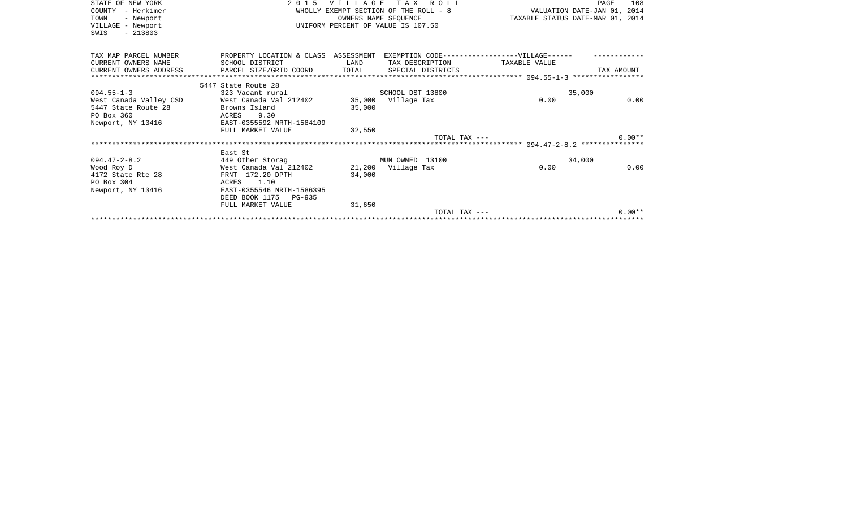| STATE OF NEW YORK<br>- Herkimer<br>COUNTY<br>TOWN<br>- Newport<br>VILLAGE - Newport<br>$-213803$<br>SWIS | 2 0 1 5                                        | <b>VILLAGE</b> | TAX ROLL<br>OWNERS NAME SEOUENCE<br>UNIFORM PERCENT OF VALUE IS 107.50 | TAXABLE STATUS DATE-MAR 01, 2014 | 108<br>PAGE |
|----------------------------------------------------------------------------------------------------------|------------------------------------------------|----------------|------------------------------------------------------------------------|----------------------------------|-------------|
| TAX MAP PARCEL NUMBER                                                                                    | PROPERTY LOCATION & CLASS ASSESSMENT           |                | EXEMPTION CODE------------------VILLAGE------                          |                                  |             |
| CURRENT OWNERS NAME                                                                                      | SCHOOL DISTRICT                                | LAND           | TAX DESCRIPTION                                                        | TAXABLE VALUE                    |             |
| CURRENT OWNERS ADDRESS                                                                                   | PARCEL SIZE/GRID COORD TOTAL SPECIAL DISTRICTS |                |                                                                        |                                  | TAX AMOUNT  |
|                                                                                                          | 5447 State Route 28                            |                |                                                                        |                                  |             |
| $094.55 - 1 - 3$                                                                                         | 323 Vacant rural                               |                | SCHOOL DST 13800                                                       | 35,000                           |             |
| West Canada Valley CSD                                                                                   | West Canada Val 212402                         |                | 35,000 Village Tax                                                     | 0.00                             | 0.00        |
| 5447 State Route 28                                                                                      | Browns Island                                  | 35,000         |                                                                        |                                  |             |
| PO Box 360                                                                                               | 9.30<br>ACRES                                  |                |                                                                        |                                  |             |
| Newport, NY 13416                                                                                        | EAST-0355592 NRTH-1584109                      |                |                                                                        |                                  |             |
|                                                                                                          | FULL MARKET VALUE                              | 32,550         |                                                                        |                                  |             |
|                                                                                                          |                                                |                | TOTAL TAX ---                                                          |                                  | $0.00**$    |
|                                                                                                          |                                                |                |                                                                        |                                  |             |
|                                                                                                          | East St                                        |                |                                                                        |                                  |             |
| $094.47 - 2 - 8.2$                                                                                       | 449 Other Storag                               |                | MUN OWNED 13100                                                        | 34,000                           |             |
| Wood Roy D                                                                                               | West Canada Val 212402                         |                | 21,200 Village Tax                                                     | 0.00                             | 0.00        |
| 4172 State Rte 28<br>PO Box 304                                                                          | FRNT 172.20 DPTH<br>1.10<br>ACRES              | 34,000         |                                                                        |                                  |             |
| Newport, NY 13416                                                                                        | EAST-0355546 NRTH-1586395                      |                |                                                                        |                                  |             |
|                                                                                                          | DEED BOOK 1175 PG-935                          |                |                                                                        |                                  |             |
|                                                                                                          | FULL MARKET VALUE                              | 31,650         |                                                                        |                                  |             |
|                                                                                                          |                                                |                | TOTAL TAX ---                                                          |                                  | $0.00**$    |
|                                                                                                          |                                                |                |                                                                        |                                  |             |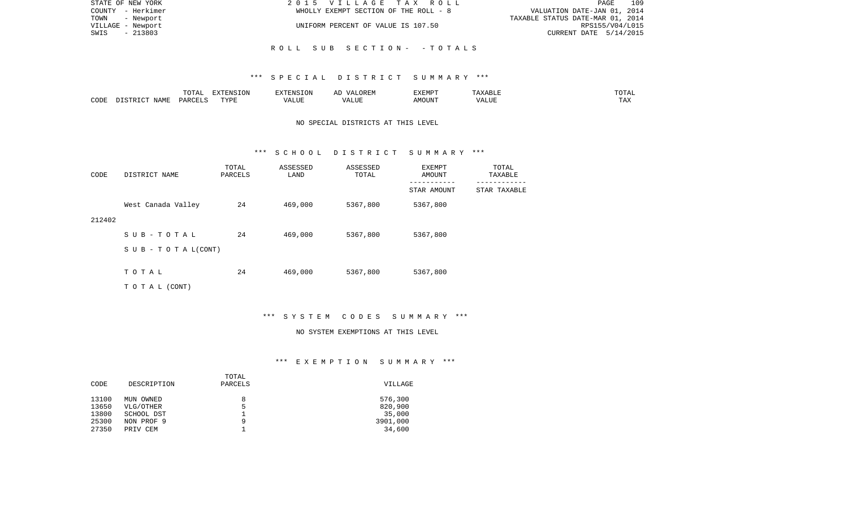| STATE OF NEW YORK | 2015 VILLAGE TAX ROLL                 | 109<br>PAGE                      |
|-------------------|---------------------------------------|----------------------------------|
| COUNTY - Herkimer | WHOLLY EXEMPT SECTION OF THE ROLL - 8 | VALUATION DATE-JAN 01, 2014      |
| TOWN<br>- Newport |                                       | TAXABLE STATUS DATE-MAR 01, 2014 |
| VILLAGE - Newport | UNIFORM PERCENT OF VALUE IS 107.50    | RPS155/V04/L015                  |
| - 213803<br>SWIS  |                                       | CURRENT DATE 5/14/2015           |
|                   |                                       |                                  |
|                   | ROLL SUB SECTION- - TOTALS            |                                  |

## \*\*\* S P E C I A L D I S T R I C T S U M M A R Y \*\*\*

|      |                            | .∪⊥⊓⊥         | $\blacksquare$<br>11 L<br>LUIN |               |            | EXEMPT       | ABL.                  | $m \wedge m$<br>. |
|------|----------------------------|---------------|--------------------------------|---------------|------------|--------------|-----------------------|-------------------|
| CODE | <b>ABST</b><br>. .<br>NAMP | <b>DARCFT</b> | TVDT                           | $\mathcal{L}$ | ,,,<br>שחד | OUN".<br>۱M۲ | $- - - - - -$<br>ALUI | $- - -$<br>. Ал   |

## NO SPECIAL DISTRICTS AT THIS LEVEL

#### \*\*\* S C H O O L D I S T R I C T S U M M A R Y \*\*\*

| CODE   | DISTRICT NAME                    | TOTAL<br>PARCELS | ASSESSED<br>LAND | ASSESSED<br>TOTAL | EXEMPT<br>AMOUNT | TOTAL<br>TAXABLE |
|--------|----------------------------------|------------------|------------------|-------------------|------------------|------------------|
|        |                                  |                  |                  |                   | STAR AMOUNT      | STAR TAXABLE     |
|        | West Canada Valley               | 24               | 469,000          | 5367,800          | 5367,800         |                  |
| 212402 |                                  |                  |                  |                   |                  |                  |
|        | SUB-TOTAL                        | 24               | 469,000          | 5367,800          | 5367,800         |                  |
|        | $S \cup B - T \cup T A L (CONT)$ |                  |                  |                   |                  |                  |
|        |                                  |                  |                  |                   |                  |                  |
|        | TOTAL                            | 24               | 469,000          | 5367,800          | 5367,800         |                  |
|        | T O T A L (CONT)                 |                  |                  |                   |                  |                  |

### \*\*\* S Y S T E M C O D E S S U M M A R Y \*\*\*

#### NO SYSTEM EXEMPTIONS AT THIS LEVEL

# \*\*\* E X E M P T I O N S U M M A R Y \*\*\*

| DESCRIPTION | PARCELS | VILLAGE  |
|-------------|---------|----------|
|             |         |          |
| MUN OWNED   | 8       | 576,300  |
| VLG/OTHER   | 5       | 820,900  |
| SCHOOL DST  |         | 35,000   |
| NON PROF 9  | 9       | 3901,000 |
| PRIV CEM    |         | 34,600   |
|             |         | TOTAL    |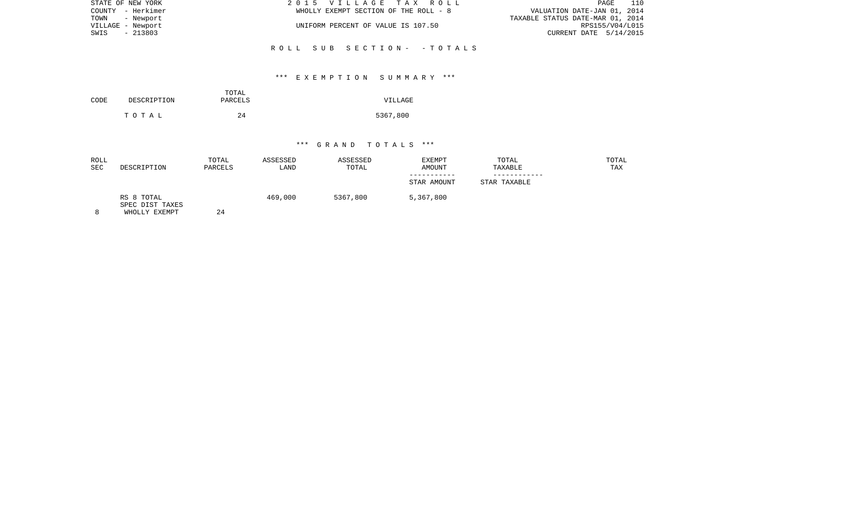| STATE OF NEW YORK | 2015 VILLAGE TAX ROLL                 | 110<br>PAGE                      |
|-------------------|---------------------------------------|----------------------------------|
| COUNTY - Herkimer | WHOLLY EXEMPT SECTION OF THE ROLL - 8 | VALUATION DATE-JAN 01, 2014      |
| TOWN - Newport    |                                       | TAXABLE STATUS DATE-MAR 01, 2014 |
| VILLAGE - Newport | UNIFORM PERCENT OF VALUE IS 107.50    | RPS155/V04/L015                  |
| SWIS - 213803     |                                       | CURRENT DATE 5/14/2015           |
|                   |                                       |                                  |
|                   | ROLL SUB SECTION- - TOTALS            |                                  |

## \*\*\* E X E M P T I O N S U M M A R Y \*\*\*

| CODE | DESCRIPTION | TOTAL<br>PARCELS | VILLAGE  |
|------|-------------|------------------|----------|
|      | тотаь       | 24               | 5367,800 |

| <b>ROLL</b><br><b>SEC</b> | DESCRIPTION                                    | TOTAL<br>PARCELS | ASSESSED<br>LAND | ASSESSED<br>TOTAL | <b>EXEMPT</b><br>AMOUNT | TOTAL<br>TAXABLE | TOTAL<br>TAX |
|---------------------------|------------------------------------------------|------------------|------------------|-------------------|-------------------------|------------------|--------------|
|                           |                                                |                  |                  |                   | STAR AMOUNT             | STAR TAXABLE     |              |
|                           | RS 8 TOTAL<br>SPEC DIST TAXES<br>WHOLLY EXEMPT | 24               | 469,000          | 5367,800          | 5,367,800               |                  |              |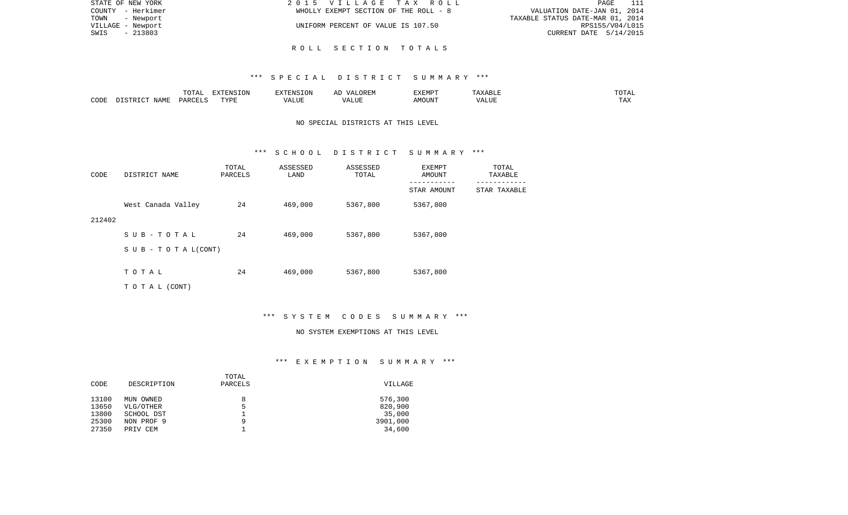| STATE OF NEW YORK | 2015 VILLAGE TAX ROLL                 | - 111<br>PAGE                    |
|-------------------|---------------------------------------|----------------------------------|
| COUNTY - Herkimer | WHOLLY EXEMPT SECTION OF THE ROLL - 8 | VALUATION DATE-JAN 01, 2014      |
| TOWN<br>- Newport |                                       | TAXABLE STATUS DATE-MAR 01, 2014 |
| VILLAGE - Newport | UNIFORM PERCENT OF VALUE IS 107.50    | RPS155/V04/L015                  |
| - 213803<br>SWIS  |                                       | CURRENT DATE 5/14/2015           |
|                   |                                       |                                  |

## R O L L S E C T I O N T O T A L S

#### \*\*\* S P E C I A L D I S T R I C T S U M M A R Y \*\*\*

|      |      | $m \wedge m \wedge n$<br>⊥∪⊥⊓⊥ | EXTENSION | $\frac{1}{2}$     | $H$ $\sim$ $H$ $\sim$ $H$<br>, , , | EXEMP. | D Lu<br>.                 | $\sqrt{2}$<br>---   |
|------|------|--------------------------------|-----------|-------------------|------------------------------------|--------|---------------------------|---------------------|
| CODE | ΝЪМЋ | DADC                           | TVDI<br>. | $T$ $T$ $T$ $T$ . | .TTI                               | OUN    | 77T<br>$\sqrt{ }$<br>ALU. | $m \times n$<br>T W |

## NO SPECIAL DISTRICTS AT THIS LEVEL

#### \*\*\* S C H O O L D I S T R I C T S U M M A R Y \*\*\*

| CODE   | DISTRICT NAME                    | TOTAL<br>PARCELS | ASSESSED<br>LAND | ASSESSED<br>TOTAL | EXEMPT<br>AMOUNT | TOTAL<br>TAXABLE |
|--------|----------------------------------|------------------|------------------|-------------------|------------------|------------------|
|        |                                  |                  |                  |                   | STAR AMOUNT      | STAR TAXABLE     |
|        | West Canada Valley               | 24               | 469,000          | 5367,800          | 5367,800         |                  |
| 212402 |                                  |                  |                  |                   |                  |                  |
|        | SUB-TOTAL                        | 24               | 469,000          | 5367,800          | 5367,800         |                  |
|        | $S \cup B - T \cup T A L (CONT)$ |                  |                  |                   |                  |                  |
|        | TOTAL                            | 24               |                  |                   |                  |                  |
|        |                                  |                  | 469,000          | 5367,800          | 5367,800         |                  |
|        | TO TAL (CONT)                    |                  |                  |                   |                  |                  |

# \*\*\* S Y S T E M C O D E S S U M M A R Y \*\*\*

#### NO SYSTEM EXEMPTIONS AT THIS LEVEL

# \*\*\* E X E M P T I O N S U M M A R Y \*\*\*

|       |             | TOTAL   |          |
|-------|-------------|---------|----------|
| CODE  | DESCRIPTION | PARCELS | VILLAGE  |
|       |             |         |          |
| 13100 | MUN OWNED   | 8       | 576,300  |
| 13650 | VLG/OTHER   | 5       | 820,900  |
| 13800 | SCHOOL DST  |         | 35,000   |
| 25300 | NON PROF 9  | q       | 3901,000 |
| 27350 | PRIV CEM    |         | 34,600   |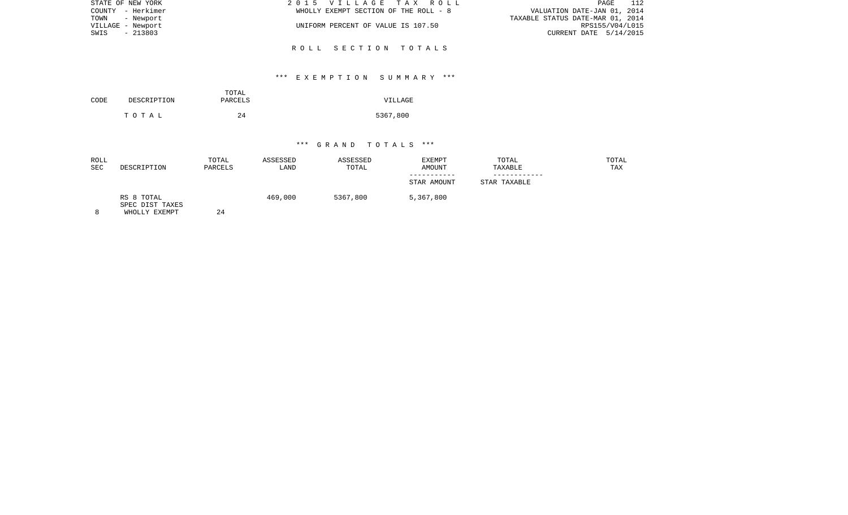| STATE OF NEW YORK | 2015 VILLAGE TAX ROLL                 | PAGE 112                         |
|-------------------|---------------------------------------|----------------------------------|
| COUNTY - Herkimer | WHOLLY EXEMPT SECTION OF THE ROLL - 8 | VALUATION DATE-JAN 01, 2014      |
| TOWN - Newport    |                                       | TAXABLE STATUS DATE-MAR 01, 2014 |
| VILLAGE - Newport | UNIFORM PERCENT OF VALUE IS 107.50    | RPS155/V04/L015                  |
| SWIS - 213803     |                                       | CURRENT DATE $5/14/2015$         |
|                   | ROLL SECTION TOTALS                   |                                  |

## \*\*\* E X E M P T I O N S U M M A R Y \*\*\*

| CODE | DESCRIPTION | TOTAL<br>PARCELS | VILLAGE  |
|------|-------------|------------------|----------|
|      | тотаь       | 24               | 5367,800 |

| ROLL<br><b>SEC</b> | DESCRIPTION                                    | TOTAL<br>PARCELS | ASSESSED<br>LAND | ASSESSED<br>TOTAL | <b>EXEMPT</b><br>AMOUNT | TOTAL<br>TAXABLE | TOTAL<br>TAX |
|--------------------|------------------------------------------------|------------------|------------------|-------------------|-------------------------|------------------|--------------|
|                    |                                                |                  |                  |                   | STAR AMOUNT             | STAR TAXABLE     |              |
|                    | RS 8 TOTAL<br>SPEC DIST TAXES<br>WHOLLY EXEMPT | 24               | 469,000          | 5367,800          | 5,367,800               |                  |              |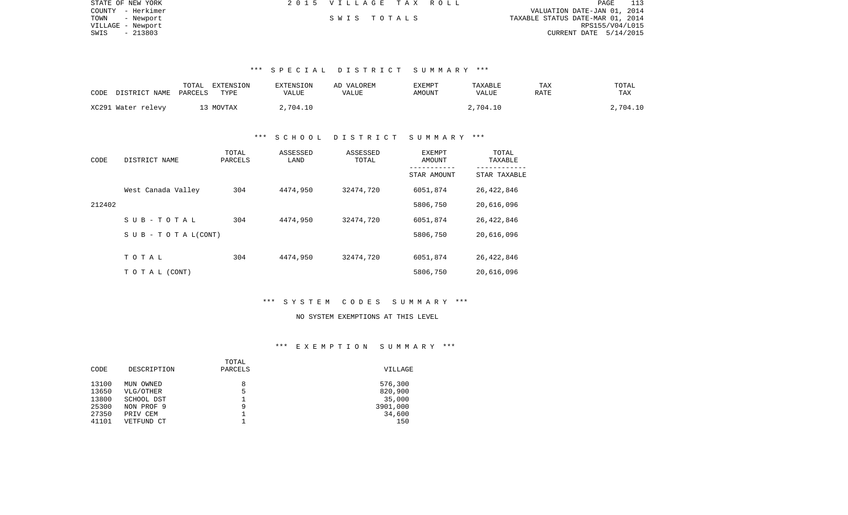| STATE OF NEW YORK | 2015 VILLAGE TAX ROLL |  | PAGE                             |
|-------------------|-----------------------|--|----------------------------------|
| COUNTY - Herkimer |                       |  | VALUATION DATE-JAN 01, 2014      |
| TOWN<br>- Newport | SWIS TOTALS           |  | TAXABLE STATUS DATE-MAR 01, 2014 |
| VILLAGE - Newport |                       |  | RPS155/V04/L015                  |
| - 213803<br>SWIS  |                       |  | CURRENT DATE $5/14/2015$         |

## \*\*\* S P E C I A L D I S T R I C T S U M M A R Y \*\*\*

| CODE<br>DISTRICT NAME | TOTAL<br>EXTENSION<br>TYPE<br>PARCELS | <b>EXTENSION</b><br>VALUE | AD VALOREM<br>VALUE | EXEMPT<br><b>AMOUNT</b> | TAXABLE<br>VALUE | TAX<br>RATE | TOTAL<br>TAX |
|-----------------------|---------------------------------------|---------------------------|---------------------|-------------------------|------------------|-------------|--------------|
| XC291 Water relevy    | 13 MOVTAX                             | 2,704.10                  |                     |                         | 2,704.10         |             | 2,704.10     |

### \*\*\* S C H O O L D I S T R I C T S U M M A R Y \*\*\*

| CODE   | DISTRICT NAME                    | TOTAL<br>PARCELS | ASSESSED<br>LAND | ASSESSED<br>TOTAL | EXEMPT<br>AMOUNT | TOTAL<br>TAXABLE |
|--------|----------------------------------|------------------|------------------|-------------------|------------------|------------------|
|        |                                  |                  |                  |                   | STAR AMOUNT      | STAR TAXABLE     |
|        | West Canada Valley               | 304              | 4474,950         | 32474,720         | 6051,874         | 26,422,846       |
| 212402 |                                  |                  |                  |                   | 5806,750         | 20,616,096       |
|        | SUB-TOTAL                        | 304              | 4474,950         | 32474,720         | 6051,874         | 26,422,846       |
|        | $S \cup B - T \cup T A L (CONT)$ |                  |                  |                   | 5806,750         | 20,616,096       |
|        |                                  |                  |                  |                   |                  |                  |
|        | TOTAL                            | 304              | 4474,950         | 32474,720         | 6051,874         | 26,422,846       |
|        | TO TAL (CONT)                    |                  |                  |                   | 5806,750         | 20,616,096       |

## \*\*\* S Y S T E M C O D E S S U M M A R Y \*\*\*

# NO SYSTEM EXEMPTIONS AT THIS LEVEL

# \*\*\* E X E M P T I O N S U M M A R Y \*\*\*

|       |             | TOTAL   |          |
|-------|-------------|---------|----------|
| CODE  | DESCRIPTION | PARCELS | VILLAGE  |
| 13100 | MUN OWNED   | 8       | 576,300  |
| 13650 | VLG/OTHER   | 5       | 820,900  |
| 13800 | SCHOOL DST  |         | 35,000   |
| 25300 | NON PROF 9  | 9       | 3901,000 |
| 27350 | PRIV CEM    |         | 34,600   |
| 41101 | VETFUND CT  |         | 150      |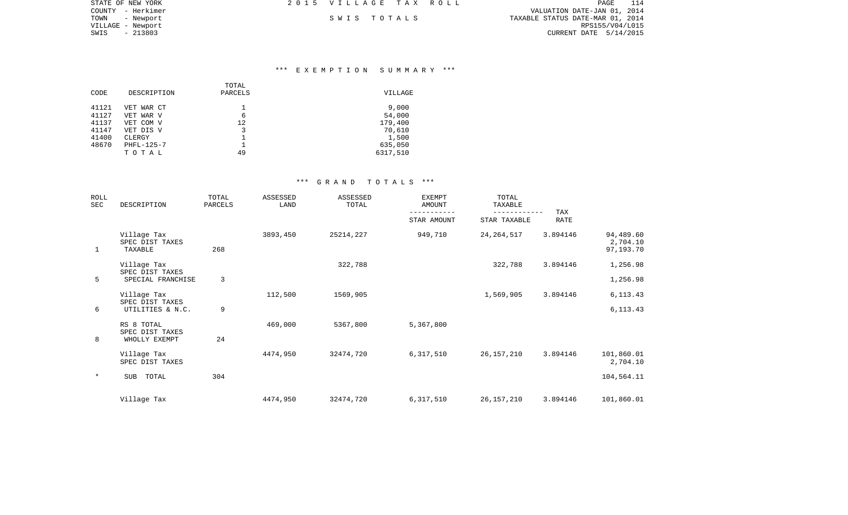| STATE OF NEW YORK | 2015 VILLAGE TAX ROLL | PAGE 114                         |
|-------------------|-----------------------|----------------------------------|
| COUNTY - Herkimer |                       | VALUATION DATE-JAN 01, 2014      |
| TOWN - Newport    | SWIS TOTALS           | TAXABLE STATUS DATE-MAR 01, 2014 |
| VILLAGE - Newport |                       | RPS155/V04/L015                  |
| SWIS<br>- 213803  |                       | CURRENT DATE 5/14/2015           |

## \*\*\* E X E M P T I O N S U M M A R Y \*\*\*

| CODE                             | DESCRIPTION                                       | TOTAL<br>PARCELS | VILLAGE                              |
|----------------------------------|---------------------------------------------------|------------------|--------------------------------------|
| 41121<br>41127<br>41137<br>41147 | VET WAR CT<br>VET WAR V<br>VET COM V<br>VET DIS V | 6<br>12<br>3     | 9,000<br>54,000<br>179,400<br>70,610 |
| 41400<br>48670                   | CLERGY<br>PHFL-125-7<br>тотаь                     | 49               | 1,500<br>635,050<br>6317,510         |

| ROLL<br>SEC | DESCRIPTION                                        | TOTAL<br>PARCELS | <b>ASSESSED</b><br>LAND | ASSESSED<br>TOTAL | <b>EXEMPT</b><br><b>AMOUNT</b> | TOTAL<br>TAXABLE | TAX         |                                    |
|-------------|----------------------------------------------------|------------------|-------------------------|-------------------|--------------------------------|------------------|-------------|------------------------------------|
|             |                                                    |                  |                         |                   | STAR AMOUNT                    | STAR TAXABLE     | <b>RATE</b> |                                    |
| 1           | Village Tax<br>SPEC DIST TAXES<br>TAXABLE          | 268              | 3893,450                | 25214,227         | 949,710                        | 24, 264, 517     | 3.894146    | 94,489.60<br>2,704.10<br>97,193.70 |
|             | Village Tax                                        |                  |                         | 322,788           |                                | 322,788          | 3.894146    | 1,256.98                           |
| 5           | SPEC DIST TAXES<br>SPECIAL FRANCHISE               | 3                |                         |                   |                                |                  |             | 1,256.98                           |
| 6           | Village Tax<br>SPEC DIST TAXES<br>UTILITIES & N.C. | 9                | 112,500                 | 1569,905          |                                | 1,569,905        | 3.894146    | 6, 113. 43<br>6, 113.43            |
| 8           | RS 8 TOTAL<br>SPEC DIST TAXES<br>WHOLLY EXEMPT     | 24               | 469,000                 | 5367,800          | 5,367,800                      |                  |             |                                    |
|             | Village Tax<br>SPEC DIST TAXES                     |                  | 4474,950                | 32474,720         | 6,317,510                      | 26,157,210       | 3.894146    | 101,860.01<br>2,704.10             |
| $\ast$      | TOTAL<br>SUB                                       | 304              |                         |                   |                                |                  |             | 104,564.11                         |
|             | Village Tax                                        |                  | 4474,950                | 32474,720         | 6,317,510                      | 26,157,210       | 3.894146    | 101,860.01                         |